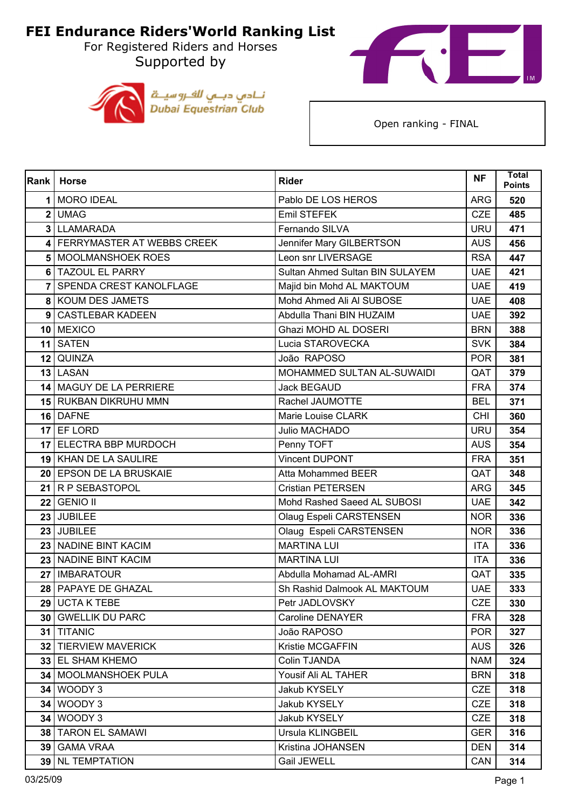For Registered Riders and Horses Supported by





| <b>Rank</b>    | <b>Horse</b>                   | <b>Rider</b>                    | <b>NF</b>  | <b>Total</b><br><b>Points</b> |
|----------------|--------------------------------|---------------------------------|------------|-------------------------------|
| 1              | MORO IDEAL                     | Pablo DE LOS HEROS              | <b>ARG</b> | 520                           |
|                | 2 UMAG                         | Emil STEFEK                     | <b>CZE</b> | 485                           |
|                | 3 LLAMARADA                    | Fernando SILVA                  | <b>URU</b> | 471                           |
|                | 4 FERRYMASTER AT WEBBS CREEK   | Jennifer Mary GILBERTSON        | <b>AUS</b> | 456                           |
|                | 5   MOOLMANSHOEK ROES          | Leon snr LIVERSAGE              | <b>RSA</b> | 447                           |
|                | 6 TAZOUL EL PARRY              | Sultan Ahmed Sultan BIN SULAYEM | <b>UAE</b> | 421                           |
| 7 <sup>1</sup> | <b>SPENDA CREST KANOLFLAGE</b> | Majid bin Mohd AL MAKTOUM       | <b>UAE</b> | 419                           |
|                | 8 KOUM DES JAMETS              | Mohd Ahmed Ali Al SUBOSE        | <b>UAE</b> | 408                           |
|                | 9 CASTLEBAR KADEEN             | Abdulla Thani BIN HUZAIM        | <b>UAE</b> | 392                           |
|                | 10 MEXICO                      | Ghazi MOHD AL DOSERI            | <b>BRN</b> | 388                           |
|                | 11 SATEN                       | Lucia STAROVECKA                | <b>SVK</b> | 384                           |
|                | 12 QUINZA                      | João RAPOSO                     | <b>POR</b> | 381                           |
|                | 13 LASAN                       | MOHAMMED SULTAN AL-SUWAIDI      | QAT        | 379                           |
|                | 14 MAGUY DE LA PERRIERE        | <b>Jack BEGAUD</b>              | <b>FRA</b> | 374                           |
|                | 15 RUKBAN DIKRUHU MMN          | Rachel JAUMOTTE                 | <b>BEL</b> | 371                           |
|                | 16 DAFNE                       | Marie Louise CLARK              | <b>CHI</b> | 360                           |
|                | 17 EF LORD                     | Julio MACHADO                   | URU        | 354                           |
|                | 17 ELECTRA BBP MURDOCH         | Penny TOFT                      | <b>AUS</b> | 354                           |
|                | 19 KHAN DE LA SAULIRE          | <b>Vincent DUPONT</b>           | <b>FRA</b> | 351                           |
|                | 20 EPSON DE LA BRUSKAIE        | <b>Atta Mohammed BEER</b>       | QAT        | 348                           |
|                | 21 R P SEBASTOPOL              | <b>Cristian PETERSEN</b>        | <b>ARG</b> | 345                           |
|                | <b>22 GENIO II</b>             | Mohd Rashed Saeed AL SUBOSI     | <b>UAE</b> | 342                           |
|                | 23 JUBILEE                     | Olaug Espeli CARSTENSEN         | <b>NOR</b> | 336                           |
|                | 23 JUBILEE                     | Olaug Espeli CARSTENSEN         | <b>NOR</b> | 336                           |
|                | 23 NADINE BINT KACIM           | <b>MARTINA LUI</b>              | <b>ITA</b> | 336                           |
|                | 23 NADINE BINT KACIM           | <b>MARTINA LUI</b>              | <b>ITA</b> | 336                           |
|                | 27   IMBARATOUR                | Abdulla Mohamad AL-AMRI         | QAT        | 335                           |
|                | 28 PAPAYE DE GHAZAL            | Sh Rashid Dalmook AL MAKTOUM    | <b>UAE</b> | 333                           |
|                | 29 UCTA K TEBE                 | Petr JADLOVSKY                  | CZE        | 330                           |
|                | <b>30 GWELLIK DU PARC</b>      | Caroline DENAYER                | <b>FRA</b> | 328                           |
|                | 31 TITANIC                     | João RAPOSO                     | <b>POR</b> | 327                           |
|                | 32 TIERVIEW MAVERICK           | Kristie MCGAFFIN                | <b>AUS</b> | 326                           |
|                | 33 EL SHAM KHEMO               | Colin TJANDA                    | <b>NAM</b> | 324                           |
|                | 34   MOOLMANSHOEK PULA         | Yousif Ali AL TAHER             | <b>BRN</b> | 318                           |
|                | <b>34 WOODY 3</b>              | Jakub KYSELY                    | <b>CZE</b> | 318                           |
|                | <b>34 WOODY 3</b>              | Jakub KYSELY                    | <b>CZE</b> | 318                           |
|                | <b>34 WOODY 3</b>              | Jakub KYSELY                    | <b>CZE</b> | 318                           |
|                | 38   TARON EL SAMAWI           | Ursula KLINGBEIL                | <b>GER</b> | 316                           |
|                | 39   GAMA VRAA                 | Kristina JOHANSEN               | <b>DEN</b> | 314                           |
|                | 39 NL TEMPTATION               | Gail JEWELL                     | CAN        | 314                           |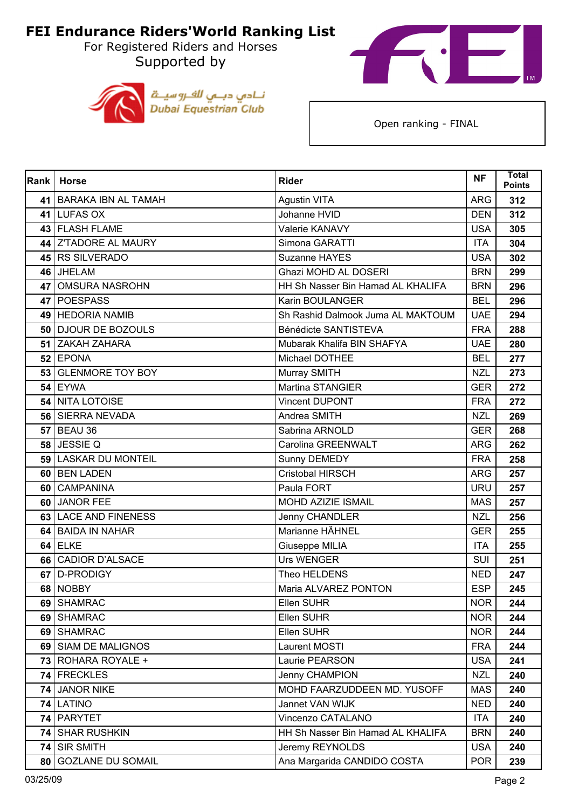Supported by





| Rank            | <b>Horse</b>             | <b>Rider</b>                      | <b>NF</b>  | <b>Total</b><br><b>Points</b> |
|-----------------|--------------------------|-----------------------------------|------------|-------------------------------|
|                 | 41 BARAKA IBN AL TAMAH   | <b>Agustin VITA</b>               | <b>ARG</b> | 312                           |
|                 | 41 LUFAS OX              | Johanne HVID                      | <b>DEN</b> | 312                           |
|                 | 43 FLASH FLAME           | Valerie KANAVY                    | <b>USA</b> | 305                           |
|                 | 44 Z'TADORE AL MAURY     | Simona GARATTI                    | <b>ITA</b> | 304                           |
|                 | 45 RS SILVERADO          | Suzanne HAYES                     | <b>USA</b> | 302                           |
|                 | 46 JHELAM                | Ghazi MOHD AL DOSERI              | <b>BRN</b> | 299                           |
| 47              | <b>OMSURA NASROHN</b>    | HH Sh Nasser Bin Hamad AL KHALIFA | <b>BRN</b> | 296                           |
|                 | 47 POESPASS              | Karin BOULANGER                   | <b>BEL</b> | 296                           |
|                 | 49 HEDORIA NAMIB         | Sh Rashid Dalmook Juma AL MAKTOUM | <b>UAE</b> | 294                           |
|                 | 50 DJOUR DE BOZOULS      | Bénédicte SANTISTEVA              | <b>FRA</b> | 288                           |
| 51              | ZAKAH ZAHARA             | Mubarak Khalifa BIN SHAFYA        | <b>UAE</b> | 280                           |
|                 | $52$ EPONA               | Michael DOTHEE                    | <b>BEL</b> | 277                           |
|                 | 53 GLENMORE TOY BOY      | Murray SMITH                      | <b>NZL</b> | 273                           |
|                 | <b>54 EYWA</b>           | <b>Martina STANGIER</b>           | <b>GER</b> | 272                           |
|                 | 54 NITA LOTOISE          | <b>Vincent DUPONT</b>             | <b>FRA</b> | 272                           |
|                 | 56 SIERRA NEVADA         | Andrea SMITH                      | <b>NZL</b> | 269                           |
| 57 <sub>1</sub> | BEAU 36                  | Sabrina ARNOLD                    | <b>GER</b> | 268                           |
|                 | 58 JESSIE Q              | Carolina GREENWALT                | <b>ARG</b> | 262                           |
| 59 <sub>1</sub> | <b>LASKAR DU MONTEIL</b> | Sunny DEMEDY                      | <b>FRA</b> | 258                           |
|                 | 60 BEN LADEN             | Cristobal HIRSCH                  | <b>ARG</b> | 257                           |
| 60              | <b>CAMPANINA</b>         | Paula FORT                        | <b>URU</b> | 257                           |
| 60 l            | <b>JANOR FEE</b>         | MOHD AZIZIE ISMAIL                | <b>MAS</b> | 257                           |
| 63              | <b>LACE AND FINENESS</b> | <b>Jenny CHANDLER</b>             | <b>NZL</b> | 256                           |
|                 | 64 BAIDA IN NAHAR        | Marianne HÄHNEL                   | <b>GER</b> | 255                           |
|                 | $64$ ELKE                | Giuseppe MILIA                    | <b>ITA</b> | 255                           |
|                 | 66 CADIOR D'ALSACE       | <b>Urs WENGER</b>                 | <b>SUI</b> | 251                           |
| 67              | D-PRODIGY                | Theo HELDENS                      | <b>NED</b> | 247                           |
|                 | 68 NOBBY                 | Maria ALVAREZ PONTON              | <b>ESP</b> | 245                           |
|                 | 69 SHAMRAC               | Ellen SUHR                        | <b>NOR</b> | 244                           |
|                 | 69 SHAMRAC               | Ellen SUHR                        | <b>NOR</b> | 244                           |
|                 | 69 SHAMRAC               | Ellen SUHR                        | <b>NOR</b> | 244                           |
|                 | 69 SIAM DE MALIGNOS      | Laurent MOSTI                     | <b>FRA</b> | 244                           |
| 73 I            | <b>ROHARA ROYALE +</b>   | Laurie PEARSON                    | <b>USA</b> | 241                           |
|                 | 74 FRECKLES              | Jenny CHAMPION                    | <b>NZL</b> | 240                           |
|                 | 74 JANOR NIKE            | MOHD FAARZUDDEEN MD. YUSOFF       | <b>MAS</b> | 240                           |
|                 | 74 LATINO                | Jannet VAN WIJK                   | <b>NED</b> | 240                           |
| 74              | <b>PARYTET</b>           | Vincenzo CATALANO                 | <b>ITA</b> | 240                           |
| 74              | <b>SHAR RUSHKIN</b>      | HH Sh Nasser Bin Hamad AL KHALIFA | <b>BRN</b> | 240                           |
| 74              | <b>SIR SMITH</b>         | Jeremy REYNOLDS                   | <b>USA</b> | 240                           |
| 80              | <b>GOZLANE DU SOMAIL</b> | Ana Margarida CANDIDO COSTA       | <b>POR</b> | 239                           |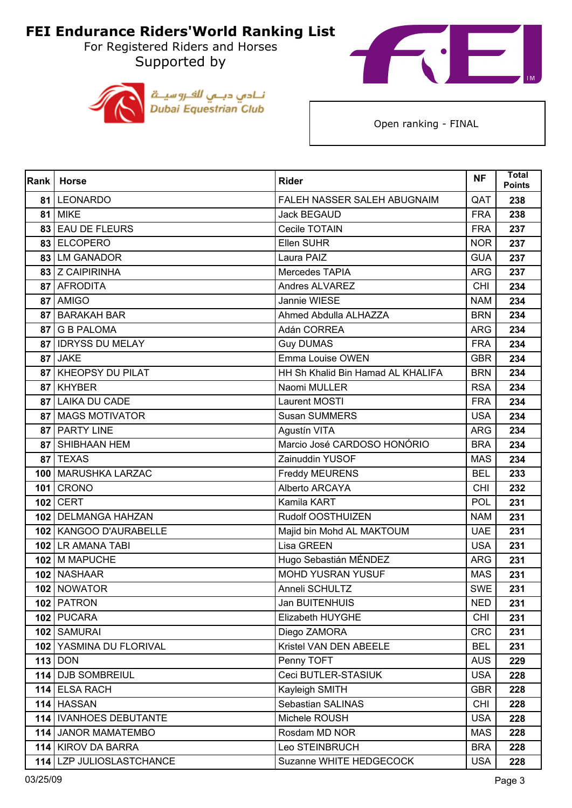For Registered Riders and Horses Supported by





| <b>Rank</b>     | Horse                    | <b>Rider</b>                      | <b>NF</b>  | <b>Total</b><br><b>Points</b> |
|-----------------|--------------------------|-----------------------------------|------------|-------------------------------|
| 81 I            | LEONARDO                 | FALEH NASSER SALEH ABUGNAIM       | QAT        | 238                           |
| 81              | <b>MIKE</b>              | <b>Jack BEGAUD</b>                | <b>FRA</b> | 238                           |
| 83              | <b>EAU DE FLEURS</b>     | Cecile TOTAIN                     | <b>FRA</b> | 237                           |
|                 | 83 ELCOPERO              | Ellen SUHR                        | <b>NOR</b> | 237                           |
|                 | 83 LM GANADOR            | Laura PAIZ                        | <b>GUA</b> | 237                           |
|                 | 83 Z CAIPIRINHA          | Mercedes TAPIA                    | <b>ARG</b> | 237                           |
|                 | 87 AFRODITA              | Andres ALVAREZ                    | <b>CHI</b> | 234                           |
|                 | 87 AMIGO                 | Jannie WIESE                      | <b>NAM</b> | 234                           |
| 87              | <b>BARAKAH BAR</b>       | Ahmed Abdulla ALHAZZA             | <b>BRN</b> | 234                           |
| 87 <sub>1</sub> | <b>G B PALOMA</b>        | Adán CORREA                       | <b>ARG</b> | 234                           |
| 87              | <b>IDRYSS DU MELAY</b>   | <b>Guy DUMAS</b>                  | <b>FRA</b> | 234                           |
| 87              | <b>JAKE</b>              | Emma Louise OWEN                  | <b>GBR</b> | 234                           |
| 87              | <b>KHEOPSY DU PILAT</b>  | HH Sh Khalid Bin Hamad AL KHALIFA | <b>BRN</b> | 234                           |
| 87 <sub>1</sub> | <b>KHYBER</b>            | Naomi MULLER                      | <b>RSA</b> | 234                           |
| 87              | <b>LAIKA DU CADE</b>     | Laurent MOSTI                     | <b>FRA</b> | 234                           |
| 87 <sub>l</sub> | <b>MAGS MOTIVATOR</b>    | <b>Susan SUMMERS</b>              | <b>USA</b> | 234                           |
| 87              | <b>PARTY LINE</b>        | Agustín VITA                      | <b>ARG</b> | 234                           |
|                 | 87 SHIBHAAN HEM          | Marcio José CARDOSO HONÓRIO       | <b>BRA</b> | 234                           |
|                 | 87 TEXAS                 | Zainuddin YUSOF                   | <b>MAS</b> | 234                           |
|                 | 100 MARUSHKA LARZAC      | <b>Freddy MEURENS</b>             | <b>BEL</b> | 233                           |
| 101 l           | CRONO                    | Alberto ARCAYA                    | <b>CHI</b> | 232                           |
|                 | 102 CERT                 | Kamila KART                       | POL        | 231                           |
|                 | 102   DELMANGA HAHZAN    | Rudolf OOSTHUIZEN                 | <b>NAM</b> | 231                           |
|                 | 102   KANGOO D'AURABELLE | Majid bin Mohd AL MAKTOUM         | <b>UAE</b> | 231                           |
|                 | 102 LR AMANA TABI        | Lisa GREEN                        | <b>USA</b> | 231                           |
|                 | 102 M MAPUCHE            | Hugo Sebastián MÉNDEZ             | <b>ARG</b> | 231                           |
|                 | 102 NASHAAR              | <b>MOHD YUSRAN YUSUF</b>          | <b>MAS</b> | 231                           |
|                 | 102 NOWATOR              | Anneli SCHULTZ                    | <b>SWE</b> | 231                           |
|                 | 102 PATRON               | Jan BUITENHUIS                    | <b>NED</b> | 231                           |
|                 | 102 PUCARA               | Elizabeth HUYGHE                  | <b>CHI</b> | 231                           |
|                 | 102 SAMURAI              | Diego ZAMORA                      | <b>CRC</b> | 231                           |
|                 | 102 YASMINA DU FLORIVAL  | Kristel VAN DEN ABEELE            | <b>BEL</b> | 231                           |
|                 | $113  $ DON              | Penny TOFT                        | <b>AUS</b> | 229                           |
|                 | 114 DJB SOMBREIUL        | Ceci BUTLER-STASIUK               | <b>USA</b> | 228                           |
|                 | 114 ELSA RACH            | Kayleigh SMITH                    | <b>GBR</b> | 228                           |
|                 | 114 HASSAN               | Sebastian SALINAS                 | <b>CHI</b> | 228                           |
|                 | 114   IVANHOES DEBUTANTE | Michele ROUSH                     | <b>USA</b> | 228                           |
|                 | 114 JANOR MAMATEMBO      | Rosdam MD NOR                     | <b>MAS</b> | 228                           |
|                 | 114 KIROV DA BARRA       | Leo STEINBRUCH                    | <b>BRA</b> | 228                           |
|                 | 114 LZP JULIOSLASTCHANCE | Suzanne WHITE HEDGECOCK           | <b>USA</b> | 228                           |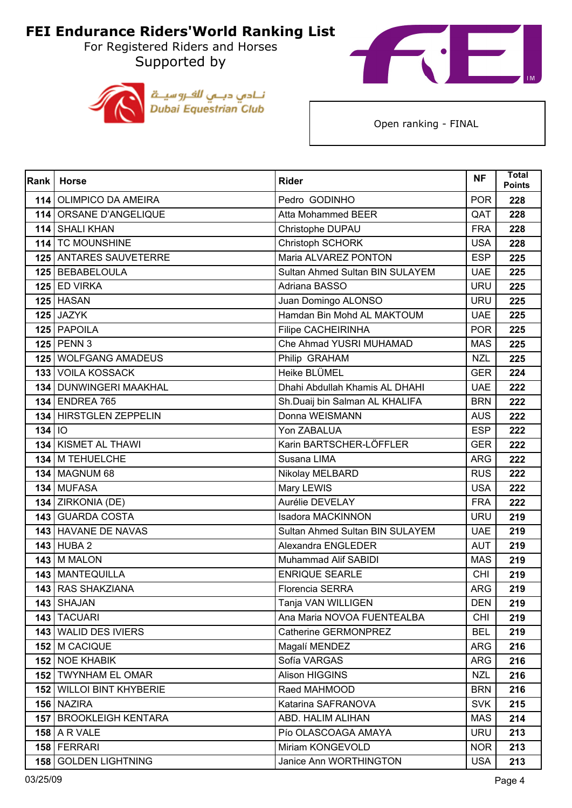For Registered Riders and Horses Supported by





| Rank     | <b>Horse</b>              | <b>Rider</b>                    | <b>NF</b>  | <b>Total</b><br><b>Points</b> |
|----------|---------------------------|---------------------------------|------------|-------------------------------|
| 114      | <b>OLIMPICO DA AMEIRA</b> | Pedro GODINHO                   | <b>POR</b> | 228                           |
|          | 114 ORSANE D'ANGELIQUE    | Atta Mohammed BEER              | QAT        | 228                           |
| 114      | <b>SHALI KHAN</b>         | Christophe DUPAU                | <b>FRA</b> | 228                           |
|          | 114 TC MOUNSHINE          | Christoph SCHORK                | <b>USA</b> | 228                           |
|          | 125 ANTARES SAUVETERRE    | Maria ALVAREZ PONTON            | <b>ESP</b> | 225                           |
|          | 125 BEBABELOULA           | Sultan Ahmed Sultan BIN SULAYEM | <b>UAE</b> | 225                           |
|          | 125 ED VIRKA              | Adriana BASSO                   | <b>URU</b> | 225                           |
|          | $125$ HASAN               | Juan Domingo ALONSO             | <b>URU</b> | 225                           |
|          | $125$ JAZYK               | Hamdan Bin Mohd AL MAKTOUM      | <b>UAE</b> | 225                           |
|          | 125 PAPOILA               | <b>Filipe CACHEIRINHA</b>       | <b>POR</b> | 225                           |
|          | 125 PENN 3                | Che Ahmad YUSRI MUHAMAD         | <b>MAS</b> | 225                           |
|          | 125   WOLFGANG AMADEUS    | Philip GRAHAM                   | <b>NZL</b> | 225                           |
|          | <b>133 VOILA KOSSACK</b>  | Heike BLÜMEL                    | <b>GER</b> | 224                           |
|          | 134 DUNWINGERI MAAKHAL    | Dhahi Abdullah Khamis AL DHAHI  | <b>UAE</b> | 222                           |
|          | <b>134 ENDREA 765</b>     | Sh.Duaij bin Salman AL KHALIFA  | <b>BRN</b> | 222                           |
|          | 134 HIRSTGLEN ZEPPELIN    | Donna WEISMANN                  | <b>AUS</b> | 222                           |
| $134$ IO |                           | Yon ZABALUA                     | <b>ESP</b> | 222                           |
|          | 134 KISMET AL THAWI       | Karin BARTSCHER-LÖFFLER         | <b>GER</b> | 222                           |
| 134      | M TEHUELCHE               | Susana LIMA                     | <b>ARG</b> | 222                           |
|          | <b>134   MAGNUM 68</b>    | Nikolay MELBARD                 | <b>RUS</b> | 222                           |
|          | 134 MUFASA                | Mary LEWIS                      | <b>USA</b> | 222                           |
|          | 134 ZIRKONIA (DE)         | Aurélie DEVELAY                 | <b>FRA</b> | 222                           |
| 143      | <b>GUARDA COSTA</b>       | <b>Isadora MACKINNON</b>        | <b>URU</b> | 219                           |
|          | 143 HAVANE DE NAVAS       | Sultan Ahmed Sultan BIN SULAYEM | <b>UAE</b> | 219                           |
|          | <b>143 HUBA 2</b>         | Alexandra ENGLEDER              | <b>AUT</b> | 219                           |
|          | 143 M MALON               | Muhammad Alif SABIDI            | <b>MAS</b> | 219                           |
|          | 143 MANTEQUILLA           | <b>ENRIQUE SEARLE</b>           | <b>CHI</b> | 219                           |
|          | 143 RAS SHAKZIANA         | <b>Florencia SERRA</b>          | <b>ARG</b> | 219                           |
|          | 143 SHAJAN                | Tanja VAN WILLIGEN              | <b>DEN</b> | 219                           |
|          | 143 TACUARI               | Ana Maria NOVOA FUENTEALBA      | <b>CHI</b> | 219                           |
|          | 143 WALID DES IVIERS      | Catherine GERMONPREZ            | <b>BEL</b> | 219                           |
|          | 152 M CACIQUE             | Magalí MENDEZ                   | <b>ARG</b> | 216                           |
|          | 152 NOE KHABIK            | Sofía VARGAS                    | <b>ARG</b> | 216                           |
|          | 152 TWYNHAM EL OMAR       | Alison HIGGINS                  | <b>NZL</b> | 216                           |
|          | 152 WILLOI BINT KHYBERIE  | Raed MAHMOOD                    | <b>BRN</b> | 216                           |
|          | 156 NAZIRA                | Katarina SAFRANOVA              | <b>SVK</b> | 215                           |
|          | 157   BROOKLEIGH KENTARA  | ABD. HALIM ALIHAN               | <b>MAS</b> | 214                           |
|          | <b>158   A R VALE</b>     | Pío OLASCOAGA AMAYA             | <b>URU</b> | 213                           |
|          | 158   FERRARI             | Miriam KONGEVOLD                | <b>NOR</b> | 213                           |
|          | 158 GOLDEN LIGHTNING      | Janice Ann WORTHINGTON          | <b>USA</b> | 213                           |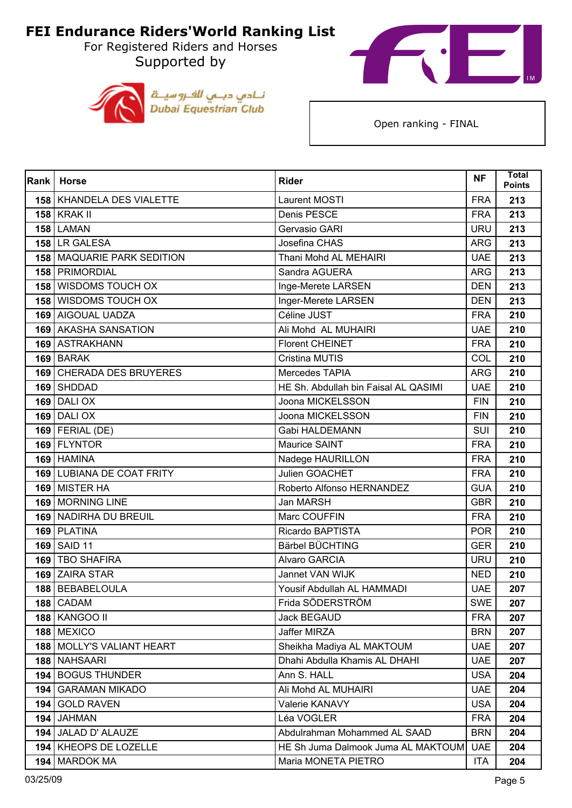Supported by





| Rank             | <b>Horse</b>                 | <b>Rider</b>                         | <b>NF</b>  | <b>Total</b><br><b>Points</b> |
|------------------|------------------------------|--------------------------------------|------------|-------------------------------|
|                  | 158   KHANDELA DES VIALETTE  | Laurent MOSTI                        | <b>FRA</b> | 213                           |
|                  | <b>158 KRAK II</b>           | Denis PESCE                          | <b>FRA</b> | 213                           |
|                  | <b>158 LAMAN</b>             | Gervasio GARI                        | <b>URU</b> | 213                           |
|                  | 158 LR GALESA                | Josefina CHAS                        | <b>ARG</b> | 213                           |
|                  | 158   MAQUARIE PARK SEDITION | Thani Mohd AL MEHAIRI                | <b>UAE</b> | 213                           |
|                  | 158   PRIMORDIAL             | Sandra AGUERA                        | <b>ARG</b> | 213                           |
| 158 <sup>1</sup> | <b>WISDOMS TOUCH OX</b>      | Inge-Merete LARSEN                   | <b>DEN</b> | 213                           |
|                  | <b>158 WISDOMS TOUCH OX</b>  | Inger-Merete LARSEN                  | <b>DEN</b> | 213                           |
|                  | 169 AIGOUAL UADZA            | Céline JUST                          | <b>FRA</b> | 210                           |
|                  | 169 AKASHA SANSATION         | Ali Mohd AL MUHAIRI                  | <b>UAE</b> | 210                           |
|                  | 169 ASTRAKHANN               | <b>Florent CHEINET</b>               | <b>FRA</b> | 210                           |
|                  | 169 BARAK                    | <b>Cristina MUTIS</b>                | COL        | 210                           |
|                  | 169 CHERADA DES BRUYERES     | Mercedes TAPIA                       | <b>ARG</b> | 210                           |
|                  | 169 SHDDAD                   | HE Sh. Abdullah bin Faisal AL QASIMI | <b>UAE</b> | 210                           |
| 169              | <b>DALIOX</b>                | Joona MICKELSSON                     | <b>FIN</b> | 210                           |
|                  | <b>169 DALI OX</b>           | Joona MICKELSSON                     | <b>FIN</b> | 210                           |
|                  | $169$ FERIAL (DE)            | Gabi HALDEMANN                       | SUI        | 210                           |
|                  | 169 FLYNTOR                  | Maurice SAINT                        | <b>FRA</b> | 210                           |
|                  | 169 HAMINA                   | Nadege HAURILLON                     | <b>FRA</b> | 210                           |
|                  | 169 LUBIANA DE COAT FRITY    | Julien GOACHET                       | <b>FRA</b> | 210                           |
|                  | 169 MISTER HA                | Roberto Alfonso HERNANDEZ            | <b>GUA</b> | 210                           |
|                  | 169 MORNING LINE             | Jan MARSH                            | <b>GBR</b> | 210                           |
| 169              | NADIRHA DU BREUIL            | Marc COUFFIN                         | <b>FRA</b> | 210                           |
|                  | 169 PLATINA                  | Ricardo BAPTISTA                     | <b>POR</b> | 210                           |
|                  | 169 SAID 11                  | Bärbel BÜCHTING                      | <b>GER</b> | 210                           |
|                  | 169 TBO SHAFIRA              | Alvaro GARCIA                        | <b>URU</b> | 210                           |
|                  | 169 ZAIRA STAR               | Jannet VAN WIJK                      | <b>NED</b> | 210                           |
|                  | 188 BEBABELOULA              | Yousif Abdullah AL HAMMADI           | <b>UAE</b> | 207                           |
|                  | 188 CADAM                    | Frida SÖDERSTRÖM                     | <b>SWE</b> | 207                           |
|                  | <b>188 KANGOO II</b>         | <b>Jack BEGAUD</b>                   | <b>FRA</b> | 207                           |
|                  | 188 MEXICO                   | Jaffer MIRZA                         | <b>BRN</b> | 207                           |
|                  | 188   MOLLY'S VALIANT HEART  | Sheikha Madiya AL MAKTOUM            | <b>UAE</b> | 207                           |
|                  | 188 NAHSAARI                 | Dhahi Abdulla Khamis AL DHAHI        | <b>UAE</b> | 207                           |
|                  | 194 BOGUS THUNDER            | Ann S. HALL                          | <b>USA</b> | 204                           |
|                  | 194   GARAMAN MIKADO         | Ali Mohd AL MUHAIRI                  | <b>UAE</b> | 204                           |
| 194              | <b>GOLD RAVEN</b>            | Valerie KANAVY                       | <b>USA</b> | 204                           |
| 194              | <b>JAHMAN</b>                | Léa VOGLER                           | <b>FRA</b> | 204                           |
|                  | 194 JALAD D' ALAUZE          | Abdulrahman Mohammed AL SAAD         | <b>BRN</b> | 204                           |
|                  | 194 KHEOPS DE LOZELLE        | HE Sh Juma Dalmook Juma AL MAKTOUM   | <b>UAE</b> | 204                           |
|                  | 194   MARDOK MA              | Maria MONETA PIETRO                  | <b>ITA</b> | 204                           |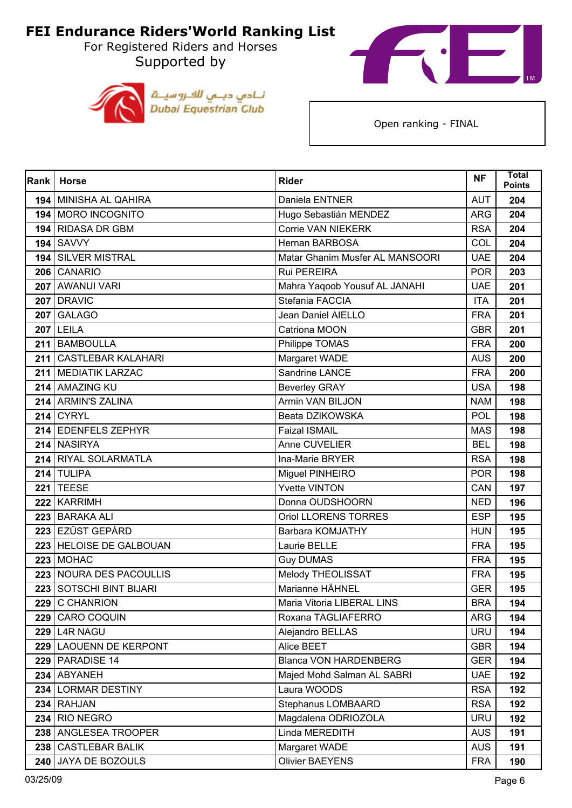Supported by





| Rank | <b>Horse</b>             | <b>Rider</b>                    | <b>NF</b>  | <b>Total</b><br><b>Points</b> |
|------|--------------------------|---------------------------------|------------|-------------------------------|
|      | 194 MINISHA AL QAHIRA    | Daniela ENTNER                  | <b>AUT</b> | 204                           |
|      | 194 MORO INCOGNITO       | Hugo Sebastián MENDEZ           | <b>ARG</b> | 204                           |
| 194  | <b>RIDASA DR GBM</b>     | <b>Corrie VAN NIEKERK</b>       | <b>RSA</b> | 204                           |
|      | <b>194 SAVVY</b>         | Hernan BARBOSA                  | COL        | 204                           |
|      | 194 SILVER MISTRAL       | Matar Ghanim Musfer AL MANSOORI | <b>UAE</b> | 204                           |
|      | 206 CANARIO              | Rui PEREIRA                     | <b>POR</b> | 203                           |
|      | 207 AWANUI VARI          | Mahra Yaqoob Yousuf AL JANAHI   | <b>UAE</b> | 201                           |
|      | <b>207 DRAVIC</b>        | Stefania FACCIA                 | <b>ITA</b> | 201                           |
|      | <b>207 GALAGO</b>        | Jean Daniel AIELLO              | <b>FRA</b> | 201                           |
|      | <b>207 LEILA</b>         | Catriona MOON                   | <b>GBR</b> | 201                           |
|      | 211 BAMBOULLA            | Philippe TOMAS                  | <b>FRA</b> | 200                           |
|      | 211 CASTLEBAR KALAHARI   | Margaret WADE                   | <b>AUS</b> | 200                           |
|      | 211 MEDIATIK LARZAC      | Sandrine LANCE                  | <b>FRA</b> | 200                           |
|      | 214 AMAZING KU           | <b>Beverley GRAY</b>            | <b>USA</b> | 198                           |
|      | 214 ARMIN'S ZALINA       | Armin VAN BILJON                | <b>NAM</b> | 198                           |
|      | <b>214 CYRYL</b>         | Beata DZIKOWSKA                 | <b>POL</b> | 198                           |
|      | 214 EDENFELS ZEPHYR      | <b>Faizal ISMAIL</b>            | <b>MAS</b> | 198                           |
|      | 214 NASIRYA              | Anne CUVELIER                   | <b>BEL</b> | 198                           |
|      | 214 RIYAL SOLARMATLA     | Ina-Marie BRYER                 | <b>RSA</b> | 198                           |
|      | 214 TULIPA               | Miguel PINHEIRO                 | <b>POR</b> | 198                           |
|      | <b>221 TEESE</b>         | <b>Yvette VINTON</b>            | CAN        | 197                           |
|      | 222 KARRIMH              | Donna OUDSHOORN                 | <b>NED</b> | 196                           |
| 223  | <b>BARAKA ALI</b>        | Oriol LLORENS TORRES            | <b>ESP</b> | 195                           |
|      | 223 EZÜST GEPÁRD         | Barbara KOMJATHY                | <b>HUN</b> | 195                           |
|      | 223 HELOISE DE GALBOUAN  | Laurie BELLE                    | <b>FRA</b> | 195                           |
|      | <b>223 MOHAC</b>         | <b>Guy DUMAS</b>                | <b>FRA</b> | 195                           |
|      | 223 NOURA DES PACOULLIS  | Melody THEOLISSAT               | <b>FRA</b> | 195                           |
| 223  | SOTSCHI BINT BIJARI      | Marianne HÄHNEL                 | <b>GER</b> | 195                           |
|      | 229 C CHANRION           | Maria Vitoria LIBERAL LINS      | <b>BRA</b> | 194                           |
|      | 229 CARO COQUIN          | Roxana TAGLIAFERRO              | <b>ARG</b> | 194                           |
|      | <b>229 L4R NAGU</b>      | Alejandro BELLAS                | <b>URU</b> | 194                           |
|      | 229 LAOUENN DE KERPONT   | Alice BEET                      | <b>GBR</b> | 194                           |
|      | <b>229   PARADISE 14</b> | <b>Blanca VON HARDENBERG</b>    | <b>GER</b> | 194                           |
|      | 234 ABYANEH              | Majed Mohd Salman AL SABRI      | <b>UAE</b> | 192                           |
|      | 234 LORMAR DESTINY       | Laura WOODS                     | <b>RSA</b> | 192                           |
|      | 234 RAHJAN               | Stephanus LOMBAARD              | <b>RSA</b> | 192                           |
| 234  | RIO NEGRO                | Magdalena ODRIOZOLA             | <b>URU</b> | 192                           |
|      | 238 ANGLESEA TROOPER     | Linda MEREDITH                  | <b>AUS</b> | 191                           |
|      | 238 CASTLEBAR BALIK      | Margaret WADE                   | <b>AUS</b> | 191                           |
|      | 240 JAYA DE BOZOULS      | <b>Olivier BAEYENS</b>          | <b>FRA</b> | 190                           |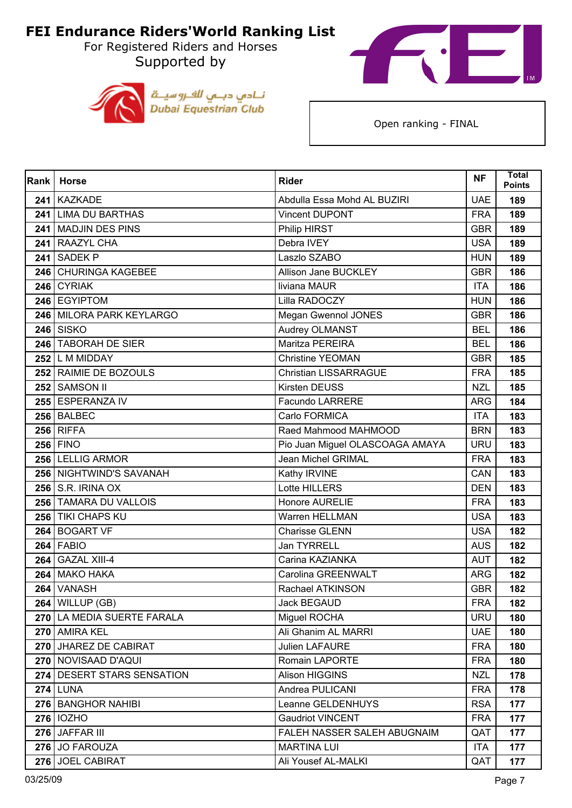For Registered Riders and Horses Supported by





| Rank  | <b>Horse</b>               | <b>Rider</b>                    | <b>NF</b>  | Total<br><b>Points</b> |
|-------|----------------------------|---------------------------------|------------|------------------------|
| 241 I | <b>KAZKADE</b>             | Abdulla Essa Mohd AL BUZIRI     | <b>UAE</b> | 189                    |
|       | 241 LIMA DU BARTHAS        | <b>Vincent DUPONT</b>           | <b>FRA</b> | 189                    |
| 241   | <b>MADJIN DES PINS</b>     | Philip HIRST                    | <b>GBR</b> | 189                    |
|       | 241 RAAZYL CHA             | Debra IVEY                      | <b>USA</b> | 189                    |
| 241   | <b>SADEK P</b>             | Laszlo SZABO                    | <b>HUN</b> | 189                    |
|       | 246 CHURINGA KAGEBEE       | Allison Jane BUCKLEY            | <b>GBR</b> | 186                    |
|       | 246 CYRIAK                 | liviana MAUR                    | <b>ITA</b> | 186                    |
|       | 246 EGYIPTOM               | Lilla RADOCZY                   | <b>HUN</b> | 186                    |
|       | 246 MILORA PARK KEYLARGO   | Megan Gwennol JONES             | <b>GBR</b> | 186                    |
|       | <b>246 SISKO</b>           | Audrey OLMANST                  | <b>BEL</b> | 186                    |
|       | 246 TABORAH DE SIER        | Maritza PEREIRA                 | <b>BEL</b> | 186                    |
|       | $252$ L M MIDDAY           | <b>Christine YEOMAN</b>         | <b>GBR</b> | 185                    |
|       | 252 RAIMIE DE BOZOULS      | Christian LISSARRAGUE           | <b>FRA</b> | 185                    |
|       | 252 SAMSON II              | Kirsten DEUSS                   | <b>NZL</b> | 185                    |
|       | 255 ESPERANZA IV           | <b>Facundo LARRERE</b>          | <b>ARG</b> | 184                    |
|       | 256 BALBEC                 | Carlo FORMICA                   | <b>ITA</b> | 183                    |
|       | $256$ RIFFA                | Raed Mahmood MAHMOOD            | <b>BRN</b> | 183                    |
|       | <b>256 FINO</b>            | Pio Juan Miguel OLASCOAGA AMAYA | <b>URU</b> | 183                    |
|       | 256 LELLIG ARMOR           | Jean Michel GRIMAL              | <b>FRA</b> | 183                    |
|       | 256 NIGHTWIND'S SAVANAH    | Kathy IRVINE                    | CAN        | 183                    |
|       | <b>256 S.R. IRINA OX</b>   | Lotte HILLERS                   | <b>DEN</b> | 183                    |
|       | 256 TAMARA DU VALLOIS      | Honore AURELIE                  | <b>FRA</b> | 183                    |
|       | 256 TIKI CHAPS KU          | Warren HELLMAN                  | <b>USA</b> | 183                    |
|       | 264 BOGART VF              | <b>Charisse GLENN</b>           | <b>USA</b> | 182                    |
|       | 264 FABIO                  | Jan TYRRELL                     | <b>AUS</b> | 182                    |
|       | 264 GAZAL XIII-4           | Carina KAZIANKA                 | <b>AUT</b> | 182                    |
| 264 l | <b>MAKO HAKA</b>           | Carolina GREENWALT              | <b>ARG</b> | 182                    |
|       | 264 VANASH                 | Rachael ATKINSON                | <b>GBR</b> | 182                    |
|       | $264$ WILLUP (GB)          | Jack BEGAUD                     | <b>FRA</b> | 182                    |
|       | 270 LA MEDIA SUERTE FARALA | Miguel ROCHA                    | <b>URU</b> | 180                    |
|       | 270 AMIRA KEL              | Ali Ghanim AL MARRI             | <b>UAE</b> | 180                    |
|       | 270 JHAREZ DE CABIRAT      | <b>Julien LAFAURE</b>           | <b>FRA</b> | 180                    |
|       | 270 NOVISAAD D'AQUI        | Romain LAPORTE                  | <b>FRA</b> | 180                    |
|       | 274 DESERT STARS SENSATION | Alison HIGGINS                  | <b>NZL</b> | 178                    |
|       | $274$ LUNA                 | Andrea PULICANI                 | <b>FRA</b> | 178                    |
|       | 276 BANGHOR NAHIBI         | Leanne GELDENHUYS               | <b>RSA</b> | 177                    |
|       | 276   IOZHO                | <b>Gaudriot VINCENT</b>         | <b>FRA</b> | 177                    |
|       | 276 JAFFAR III             | FALEH NASSER SALEH ABUGNAIM     | QAT        | 177                    |
|       | 276 JO FAROUZA             | <b>MARTINA LUI</b>              | <b>ITA</b> | 177                    |
|       | 276 JOEL CABIRAT           | Ali Yousef AL-MALKI             | QAT        | 177                    |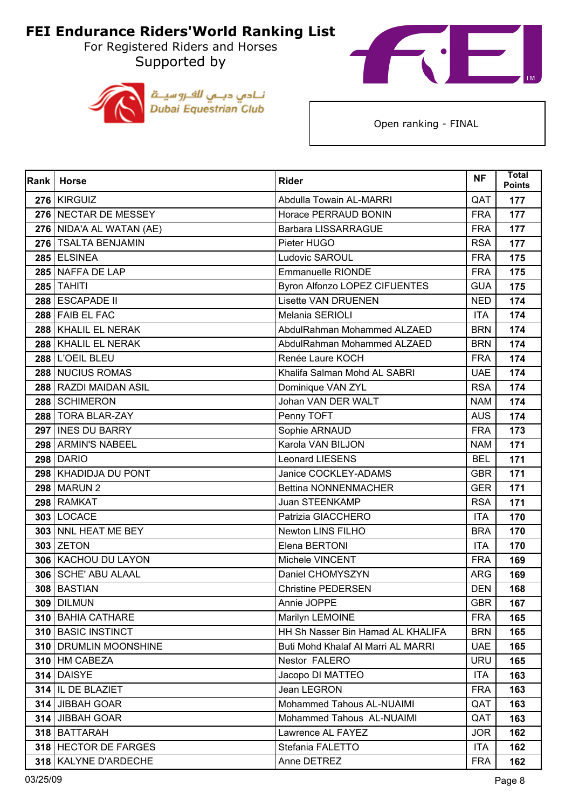For Registered Riders and Horses Supported by





| <b>Rank</b> | <b>Horse</b>             | <b>Rider</b>                       | <b>NF</b>  | <b>Total</b><br><b>Points</b> |
|-------------|--------------------------|------------------------------------|------------|-------------------------------|
|             | 276 KIRGUIZ              | Abdulla Towain AL-MARRI            | QAT        | 177                           |
|             | 276 NECTAR DE MESSEY     | Horace PERRAUD BONIN               | <b>FRA</b> | 177                           |
|             | 276 NIDA'A AL WATAN (AE) | <b>Barbara LISSARRAGUE</b>         | <b>FRA</b> | 177                           |
|             | 276   TSALTA BENJAMIN    | Pieter HUGO                        | <b>RSA</b> | 177                           |
|             | 285 ELSINEA              | Ludovic SAROUL                     | <b>FRA</b> | 175                           |
|             | 285 NAFFA DE LAP         | <b>Emmanuelle RIONDE</b>           | <b>FRA</b> | 175                           |
|             | <b>285 TAHITI</b>        | Byron Alfonzo LOPEZ CIFUENTES      | <b>GUA</b> | 175                           |
|             | 288 ESCAPADE II          | <b>Lisette VAN DRUENEN</b>         | <b>NED</b> | 174                           |
|             | 288 FAIB EL FAC          | Melania SERIOLI                    | <b>ITA</b> | 174                           |
|             | 288 KHALIL EL NERAK      | AbdulRahman Mohammed ALZAED        | <b>BRN</b> | 174                           |
|             | 288 KHALIL EL NERAK      | AbdulRahman Mohammed ALZAED        | <b>BRN</b> | 174                           |
|             | <b>288 L'OEIL BLEU</b>   | Renée Laure KOCH                   | <b>FRA</b> | 174                           |
|             | 288 NUCIUS ROMAS         | Khalifa Salman Mohd AL SABRI       | <b>UAE</b> | 174                           |
|             | 288 RAZDI MAIDAN ASIL    | Dominique VAN ZYL                  | <b>RSA</b> | 174                           |
|             | 288 SCHIMERON            | Johan VAN DER WALT                 | <b>NAM</b> | 174                           |
|             | 288 TORA BLAR-ZAY        | Penny TOFT                         | <b>AUS</b> | 174                           |
|             | 297 INES DU BARRY        | Sophie ARNAUD                      | <b>FRA</b> | 173                           |
|             | 298 ARMIN'S NABEEL       | Karola VAN BILJON                  | <b>NAM</b> | 171                           |
|             | <b>298 DARIO</b>         | <b>Leonard LIESENS</b>             | <b>BEL</b> | 171                           |
|             | 298 KHADIDJA DU PONT     | Janice COCKLEY-ADAMS               | <b>GBR</b> | 171                           |
|             | 298 MARUN 2              | <b>Bettina NONNENMACHER</b>        | <b>GER</b> | 171                           |
|             | 298 RAMKAT               | Juan STEENKAMP                     | <b>RSA</b> | 171                           |
|             | <b>303 LOCACE</b>        | Patrizia GIACCHERO                 | <b>ITA</b> | 170                           |
|             | 303 NNL HEAT ME BEY      | Newton LINS FILHO                  | <b>BRA</b> | 170                           |
|             | 303 ZETON                | Elena BERTONI                      | <b>ITA</b> | 170                           |
|             | 306 KACHOU DU LAYON      | Michele VINCENT                    | <b>FRA</b> | 169                           |
|             | 306   SCHE' ABU ALAAL    | Daniel CHOMYSZYN                   | <b>ARG</b> | 169                           |
|             | 308 BASTIAN              | <b>Christine PEDERSEN</b>          | <b>DEN</b> | 168                           |
|             | <b>309   DILMUN</b>      | Annie JOPPE                        | <b>GBR</b> | 167                           |
|             | 310 BAHIA CATHARE        | Marilyn LEMOINE                    | <b>FRA</b> | 165                           |
|             | 310   BASIC INSTINCT     | HH Sh Nasser Bin Hamad AL KHALIFA  | <b>BRN</b> | 165                           |
|             | 310   DRUMLIN MOONSHINE  | Buti Mohd Khalaf Al Marri AL MARRI | <b>UAE</b> | 165                           |
|             | 310 HM CABEZA            | Nestor FALERO                      | <b>URU</b> | 165                           |
|             | 314 DAISYE               | Jacopo DI MATTEO                   | <b>ITA</b> | 163                           |
|             | 314 IL DE BLAZIET        | Jean LEGRON                        | <b>FRA</b> | 163                           |
|             | 314 JIBBAH GOAR          | Mohammed Tahous AL-NUAIMI          | QAT        | 163                           |
| 314         | JIBBAH GOAR              | Mohammed Tahous AL-NUAIMI          | QAT        | 163                           |
|             | 318 BATTARAH             | Lawrence AL FAYEZ                  | <b>JOR</b> | 162                           |
|             | 318 HECTOR DE FARGES     | Stefania FALETTO                   | <b>ITA</b> | 162                           |
|             | 318   KALYNE D'ARDECHE   | Anne DETREZ                        | <b>FRA</b> | 162                           |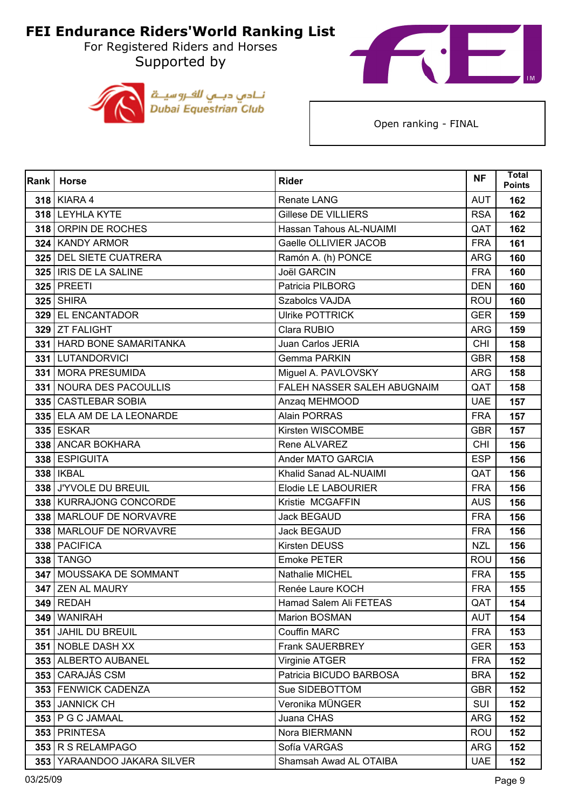Supported by





| Rank  | <b>Horse</b>                 | <b>Rider</b>                | <b>NF</b>  | <b>Total</b><br><b>Points</b> |
|-------|------------------------------|-----------------------------|------------|-------------------------------|
|       | 318 KIARA 4                  | Renate LANG                 | <b>AUT</b> | 162                           |
|       | 318 LEYHLA KYTE              | <b>Gillese DE VILLIERS</b>  | <b>RSA</b> | 162                           |
|       | 318 ORPIN DE ROCHES          | Hassan Tahous AL-NUAIMI     | QAT        | 162                           |
|       | 324 KANDY ARMOR              | Gaelle OLLIVIER JACOB       | <b>FRA</b> | 161                           |
|       | 325 DEL SIETE CUATRERA       | Ramón A. (h) PONCE          | <b>ARG</b> | 160                           |
|       | 325   IRIS DE LA SALINE      | <b>Joël GARCIN</b>          | <b>FRA</b> | 160                           |
|       | <b>325 PREETI</b>            | Patricia PILBORG            | <b>DEN</b> | 160                           |
|       | <b>325 SHIRA</b>             | Szabolcs VAJDA              | <b>ROU</b> | 160                           |
|       | 329 EL ENCANTADOR            | <b>Ulrike POTTRICK</b>      | <b>GER</b> | 159                           |
|       | 329 ZT FALIGHT               | Clara RUBIO                 | <b>ARG</b> | 159                           |
| 331 I | <b>HARD BONE SAMARITANKA</b> | Juan Carlos JERIA           | CHI        | 158                           |
|       | 331 LUTANDORVICI             | Gemma PARKIN                | <b>GBR</b> | 158                           |
|       | 331 MORA PRESUMIDA           | Miguel A. PAVLOVSKY         | <b>ARG</b> | 158                           |
|       | 331 NOURA DES PACOULLIS      | FALEH NASSER SALEH ABUGNAIM | QAT        | 158                           |
|       | 335 CASTLEBAR SOBIA          | Anzaq MEHMOOD               | <b>UAE</b> | 157                           |
|       | 335 ELA AM DE LA LEONARDE    | <b>Alain PORRAS</b>         | <b>FRA</b> | 157                           |
|       | <b>335 ESKAR</b>             | Kirsten WISCOMBE            | <b>GBR</b> | 157                           |
|       | 338 ANCAR BOKHARA            | Rene ALVAREZ                | <b>CHI</b> | 156                           |
|       | 338 ESPIGUITA                | Ander MATO GARCIA           | <b>ESP</b> | 156                           |
|       | 338   IKBAL                  | Khalid Sanad AL-NUAIMI      | QAT        | 156                           |
|       | 338 J'YVOLE DU BREUIL        | Elodie LE LABOURIER         | <b>FRA</b> | 156                           |
|       | 338 KURRAJONG CONCORDE       | Kristie MCGAFFIN            | <b>AUS</b> | 156                           |
|       | 338 MARLOUF DE NORVAVRE      | Jack BEGAUD                 | <b>FRA</b> | 156                           |
|       | 338   MARLOUF DE NORVAVRE    | <b>Jack BEGAUD</b>          | <b>FRA</b> | 156                           |
|       | 338 PACIFICA                 | Kirsten DEUSS               | <b>NZL</b> | 156                           |
|       | 338 TANGO                    | <b>Emoke PETER</b>          | <b>ROU</b> | 156                           |
| 347   | MOUSSAKA DE SOMMANT          | Nathalie MICHEL             | <b>FRA</b> | 155                           |
|       | 347 ZEN AL MAURY             | Renée Laure KOCH            | <b>FRA</b> | 155                           |
|       | <b>349   REDAH</b>           | Hamad Salem Ali FETEAS      | QAT        | 154                           |
|       | 349 WANIRAH                  | Marion BOSMAN               | <b>AUT</b> | 154                           |
|       | 351 JAHIL DU BREUIL          | Couffin MARC                | <b>FRA</b> | 153                           |
|       | 351 NOBLE DASH XX            | Frank SAUERBREY             | <b>GER</b> | 153                           |
|       | 353 ALBERTO AUBANEL          | Virginie ATGER              | <b>FRA</b> | 152                           |
|       | 353 CARAJÁS CSM              | Patricia BICUDO BARBOSA     | <b>BRA</b> | 152                           |
|       | 353 FENWICK CADENZA          | Sue SIDEBOTTOM              | <b>GBR</b> | 152                           |
|       | 353 JANNICK CH               | Veronika MÜNGER             | <b>SUI</b> | 152                           |
|       | 353   P G C JAMAAL           | Juana CHAS                  | <b>ARG</b> | 152                           |
|       | 353 PRINTESA                 | Nora BIERMANN               | <b>ROU</b> | 152                           |
|       | 353 R S RELAMPAGO            | Sofía VARGAS                | <b>ARG</b> | 152                           |
|       | 353 YARAANDOO JAKARA SILVER  | Shamsah Awad AL OTAIBA      | <b>UAE</b> | 152                           |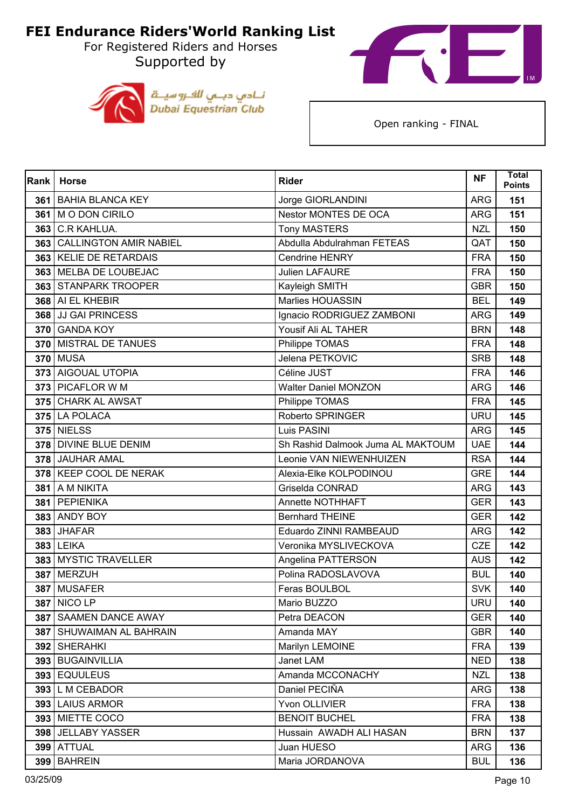For Registered Riders and Horses Supported by





| Rank | <b>Horse</b>                  | <b>Rider</b>                      | <b>NF</b>  | <b>Total</b><br><b>Points</b> |
|------|-------------------------------|-----------------------------------|------------|-------------------------------|
| 361  | <b>BAHIA BLANCA KEY</b>       | Jorge GIORLANDINI                 | <b>ARG</b> | 151                           |
|      | 361   M O DON CIRILO          | <b>Nestor MONTES DE OCA</b>       | <b>ARG</b> | 151                           |
| 363  | C.R KAHLUA.                   | <b>Tony MASTERS</b>               | <b>NZL</b> | 150                           |
| 363  | <b>CALLINGTON AMIR NABIEL</b> | Abdulla Abdulrahman FETEAS        | QAT        | 150                           |
| 363  | <b>KELIE DE RETARDAIS</b>     | <b>Cendrine HENRY</b>             | <b>FRA</b> | 150                           |
|      | 363 MELBA DE LOUBEJAC         | Julien LAFAURE                    | <b>FRA</b> | 150                           |
|      | 363 STANPARK TROOPER          | Kayleigh SMITH                    | <b>GBR</b> | 150                           |
|      | 368 AI EL KHEBIR              | Marlies HOUASSIN                  | <b>BEL</b> | 149                           |
|      | 368 JJ GAI PRINCESS           | Ignacio RODRIGUEZ ZAMBONI         | <b>ARG</b> | 149                           |
|      | 370 GANDA KOY                 | Yousif Ali AL TAHER               | <b>BRN</b> | 148                           |
| 370  | <b>MISTRAL DE TANUES</b>      | Philippe TOMAS                    | <b>FRA</b> | 148                           |
|      | <b>370 MUSA</b>               | Jelena PETKOVIC                   | <b>SRB</b> | 148                           |
|      | 373 AIGOUAL UTOPIA            | Céline JUST                       | <b>FRA</b> | 146                           |
|      | 373 PICAFLOR W M              | <b>Walter Daniel MONZON</b>       | <b>ARG</b> | 146                           |
|      | 375 CHARK AL AWSAT            | Philippe TOMAS                    | <b>FRA</b> | 145                           |
|      | 375 LA POLACA                 | Roberto SPRINGER                  | <b>URU</b> | 145                           |
|      | <b>375 NIELSS</b>             | Luis PASINI                       | <b>ARG</b> | 145                           |
|      | 378 DIVINE BLUE DENIM         | Sh Rashid Dalmook Juma AL MAKTOUM | <b>UAE</b> | 144                           |
|      | 378 JAUHAR AMAL               | Leonie VAN NIEWENHUIZEN           | <b>RSA</b> | 144                           |
|      | 378 KEEP COOL DE NERAK        | Alexia-Elke KOLPODINOU            | <b>GRE</b> | 144                           |
|      | 381 A M NIKITA                | Griselda CONRAD                   | <b>ARG</b> | 143                           |
|      | 381 PEPIENIKA                 | Annette NOTHHAFT                  | <b>GER</b> | 143                           |
| 383  | <b>ANDY BOY</b>               | <b>Bernhard THEINE</b>            | <b>GER</b> | 142                           |
|      | 383 JHAFAR                    | Eduardo ZINNI RAMBEAUD            | <b>ARG</b> | 142                           |
|      | <b>383 LEIKA</b>              | Veronika MYSLIVECKOVA             | <b>CZE</b> | 142                           |
|      | 383 MYSTIC TRAVELLER          | Angelina PATTERSON                | <b>AUS</b> | 142                           |
| 387  | <b>MERZUH</b>                 | Polina RADOSLAVOVA                | <b>BUL</b> | 140                           |
|      | 387 MUSAFER                   | Feras BOULBOL                     | <b>SVK</b> | 140                           |
|      | <b>387   NICO LP</b>          | Mario BUZZO                       | <b>URU</b> | 140                           |
|      | 387 SAAMEN DANCE AWAY         | Petra DEACON                      | <b>GER</b> | 140                           |
|      | 387   SHUWAIMAN AL BAHRAIN    | Amanda MAY                        | <b>GBR</b> | 140                           |
|      | 392 SHERAHKI                  | Marilyn LEMOINE                   | <b>FRA</b> | 139                           |
|      | 393 BUGAINVILLIA              | Janet LAM                         | <b>NED</b> | 138                           |
|      | 393 EQUULEUS                  | Amanda MCCONACHY                  | <b>NZL</b> | 138                           |
|      | 393 L M CEBADOR               | Daniel PECIÑA                     | <b>ARG</b> | 138                           |
|      | 393 LAIUS ARMOR               | Yvon OLLIVIER                     | <b>FRA</b> | 138                           |
|      | 393 MIETTE COCO               | <b>BENOIT BUCHEL</b>              | <b>FRA</b> | 138                           |
|      | 398 JELLABY YASSER            | Hussain AWADH ALI HASAN           | <b>BRN</b> | 137                           |
|      | 399 ATTUAL                    | Juan HUESO                        | <b>ARG</b> | 136                           |
|      | 399 BAHREIN                   | Maria JORDANOVA                   | <b>BUL</b> | 136                           |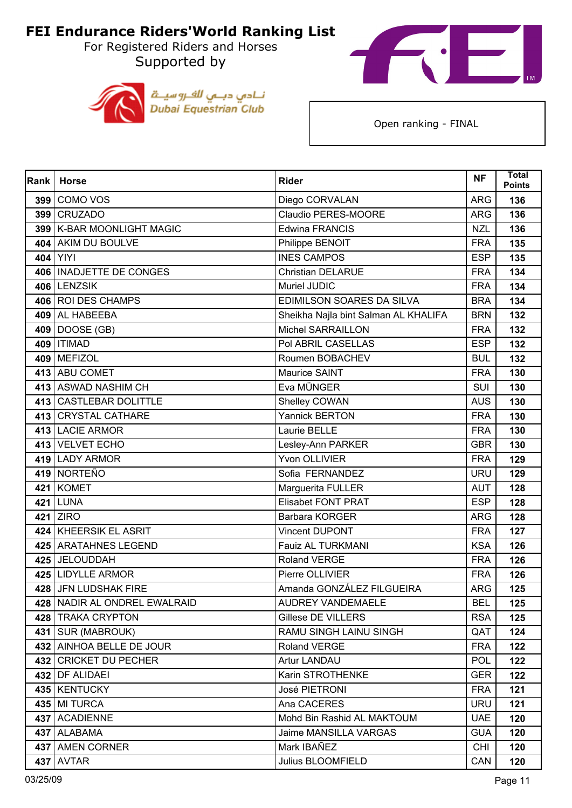Supported by





| Rank | <b>Horse</b>                 | <b>Rider</b>                         | <b>NF</b>  | <b>Total</b><br><b>Points</b> |
|------|------------------------------|--------------------------------------|------------|-------------------------------|
|      | 399 COMO VOS                 | Diego CORVALAN                       | <b>ARG</b> | 136                           |
|      | 399 CRUZADO                  | Claudio PERES-MOORE                  | <b>ARG</b> | 136                           |
|      | 399   K-BAR MOONLIGHT MAGIC  | Edwina FRANCIS                       | <b>NZL</b> | 136                           |
|      | 404 AKIM DU BOULVE           | Philippe BENOIT                      | <b>FRA</b> | 135                           |
|      | 404 YIYI                     | <b>INES CAMPOS</b>                   | <b>ESP</b> | 135                           |
|      | 406   INADJETTE DE CONGES    | <b>Christian DELARUE</b>             | <b>FRA</b> | 134                           |
|      | 406 LENZSIK                  | Muriel JUDIC                         | <b>FRA</b> | 134                           |
|      | 406 ROI DES CHAMPS           | EDIMILSON SOARES DA SILVA            | <b>BRA</b> | 134                           |
|      | 409 AL HABEEBA               | Sheikha Najla bint Salman AL KHALIFA | <b>BRN</b> | 132                           |
|      | 409 DOOSE (GB)               | <b>Michel SARRAILLON</b>             | <b>FRA</b> | 132                           |
|      | 409   ITIMAD                 | Pol ABRIL CASELLAS                   | <b>ESP</b> | 132                           |
|      | 409 MEFIZOL                  | Roumen BOBACHEV                      | <b>BUL</b> | 132                           |
|      | 413 ABU COMET                | Maurice SAINT                        | <b>FRA</b> | 130                           |
|      | 413 ASWAD NASHIM CH          | Eva MÜNGER                           | <b>SUI</b> | 130                           |
|      | 413 CASTLEBAR DOLITTLE       | Shelley COWAN                        | <b>AUS</b> | 130                           |
|      | 413 CRYSTAL CATHARE          | <b>Yannick BERTON</b>                | <b>FRA</b> | 130                           |
|      | 413 LACIE ARMOR              | Laurie BELLE                         | <b>FRA</b> | 130                           |
|      | 413 VELVET ECHO              | Lesley-Ann PARKER                    | <b>GBR</b> | 130                           |
|      | 419 LADY ARMOR               | Yvon OLLIVIER                        | <b>FRA</b> | 129                           |
|      | 419 NORTEÑO                  | Sofia FERNANDEZ                      | <b>URU</b> | 129                           |
|      | 421 KOMET                    | Marguerita FULLER                    | <b>AUT</b> | 128                           |
|      | 421 LUNA                     | <b>Elisabet FONT PRAT</b>            | <b>ESP</b> | 128                           |
| 421  | <b>ZIRO</b>                  | Barbara KORGER                       | <b>ARG</b> | 128                           |
|      | 424 KHEERSIK EL ASRIT        | Vincent DUPONT                       | <b>FRA</b> | 127                           |
|      | 425 ARATAHNES LEGEND         | Fauiz AL TURKMANI                    | <b>KSA</b> | 126                           |
|      | 425 JELOUDDAH                | <b>Roland VERGE</b>                  | <b>FRA</b> | 126                           |
|      | 425 LIDYLLE ARMOR            | Pierre OLLIVIER                      | <b>FRA</b> | 126                           |
|      | 428 JFN LUDSHAK FIRE         | Amanda GONZÁLEZ FILGUEIRA            | <b>ARG</b> | 125                           |
|      | 428 NADIR AL ONDREL EWALRAID | <b>AUDREY VANDEMAELE</b>             | <b>BEL</b> | 125                           |
|      | 428 TRAKA CRYPTON            | Gillese DE VILLERS                   | <b>RSA</b> | 125                           |
|      | 431 SUR (MABROUK)            | RAMU SINGH LAINU SINGH               | QAT        | 124                           |
|      | 432 AINHOA BELLE DE JOUR     | <b>Roland VERGE</b>                  | <b>FRA</b> | 122                           |
|      | 432 CRICKET DU PECHER        | Artur LANDAU                         | <b>POL</b> | 122                           |
|      | 432 DF ALIDAEI               | Karin STROTHENKE                     | <b>GER</b> | 122                           |
|      | 435   KENTUCKY               | José PIETRONI                        | <b>FRA</b> | 121                           |
|      | 435 MI TURCA                 | Ana CACERES                          | <b>URU</b> | 121                           |
|      | 437 ACADIENNE                | Mohd Bin Rashid AL MAKTOUM           | <b>UAE</b> | 120                           |
|      | 437 ALABAMA                  | Jaime MANSILLA VARGAS                | <b>GUA</b> | 120                           |
|      | 437 AMEN CORNER              | Mark IBAÑEZ                          | <b>CHI</b> | 120                           |
|      | <b>437 AVTAR</b>             | Julius BLOOMFIELD                    | CAN        | 120                           |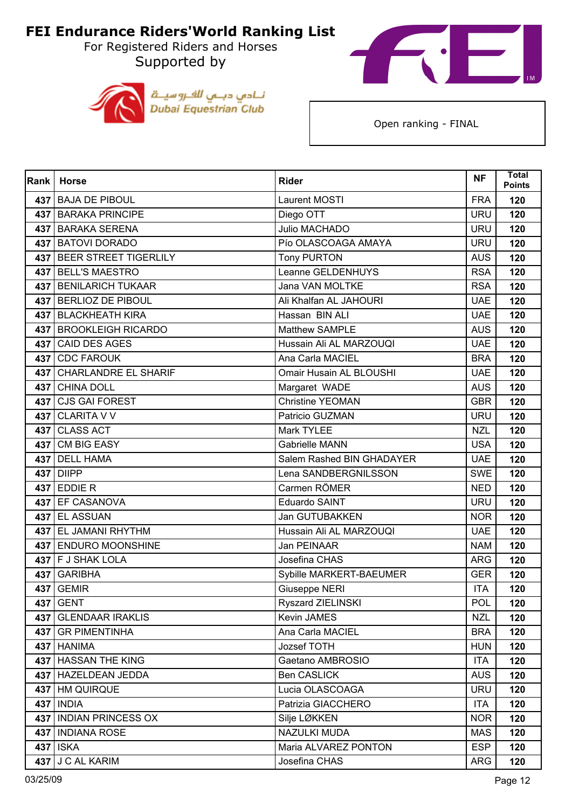For Registered Riders and Horses Supported by





| Rank | <b>Horse</b>                | <b>Rider</b>              | <b>NF</b>  | <b>Total</b><br><b>Points</b> |
|------|-----------------------------|---------------------------|------------|-------------------------------|
|      | 437 BAJA DE PIBOUL          | Laurent MOSTI             | <b>FRA</b> | 120                           |
|      | 437 BARAKA PRINCIPE         | Diego OTT                 | <b>URU</b> | 120                           |
| 437  | <b>BARAKA SERENA</b>        | Julio MACHADO             | <b>URU</b> | 120                           |
| 437  | <b>BATOVI DORADO</b>        | Pío OLASCOAGA AMAYA       | <b>URU</b> | 120                           |
| 437  | BEER STREET TIGERLILY       | <b>Tony PURTON</b>        | <b>AUS</b> | 120                           |
|      | 437 BELL'S MAESTRO          | Leanne GELDENHUYS         | <b>RSA</b> | 120                           |
| 437  | <b>BENILARICH TUKAAR</b>    | Jana VAN MOLTKE           | <b>RSA</b> | 120                           |
|      | 437 BERLIOZ DE PIBOUL       | Ali Khalfan AL JAHOURI    | <b>UAE</b> | 120                           |
|      | 437 BLACKHEATH KIRA         | Hassan BIN ALI            | <b>UAE</b> | 120                           |
|      | 437 BROOKLEIGH RICARDO      | Matthew SAMPLE            | <b>AUS</b> | 120                           |
| 437  | <b>CAID DES AGES</b>        | Hussain Ali AL MARZOUQI   | <b>UAE</b> | 120                           |
| 437  | <b>CDC FAROUK</b>           | Ana Carla MACIEL          | <b>BRA</b> | 120                           |
| 437  | <b>CHARLANDRE EL SHARIF</b> | Omair Husain AL BLOUSHI   | <b>UAE</b> | 120                           |
|      | 437 CHINA DOLL              | Margaret WADE             | <b>AUS</b> | 120                           |
| 437  | <b>CJS GAI FOREST</b>       | <b>Christine YEOMAN</b>   | <b>GBR</b> | 120                           |
|      | 437 CLARITA V V             | Patricio GUZMAN           | <b>URU</b> | 120                           |
| 437  | <b>CLASS ACT</b>            | Mark TYLEE                | <b>NZL</b> | 120                           |
| 437  | <b>CM BIG EASY</b>          | <b>Gabrielle MANN</b>     | <b>USA</b> | 120                           |
| 437  | <b>DELL HAMA</b>            | Salem Rashed BIN GHADAYER | <b>UAE</b> | 120                           |
| 437  | <b>DIIPP</b>                | Lena SANDBERGNILSSON      | <b>SWE</b> | 120                           |
|      | $437$ EDDIE R               | Carmen RÖMER              | <b>NED</b> | 120                           |
|      | 437 EF CASANOVA             | Eduardo SAINT             | <b>URU</b> | 120                           |
| 437  | <b>EL ASSUAN</b>            | Jan GUTUBAKKEN            | <b>NOR</b> | 120                           |
|      | 437 EL JAMANI RHYTHM        | Hussain Ali AL MARZOUQI   | <b>UAE</b> | 120                           |
|      | 437 ENDURO MOONSHINE        | Jan PEINAAR               | <b>NAM</b> | 120                           |
|      | 437 F J SHAK LOLA           | Josefina CHAS             | <b>ARG</b> | 120                           |
| 437  | <b>GARIBHA</b>              | Sybille MARKERT-BAEUMER   | <b>GER</b> | 120                           |
|      | 437 GEMIR                   | Giuseppe NERI             | <b>ITA</b> | 120                           |
|      | 437 GENT                    | <b>Ryszard ZIELINSKI</b>  | POL        | 120                           |
| 437  | <b>GLENDAAR IRAKLIS</b>     | Kevin JAMES               | <b>NZL</b> | 120                           |
|      | 437 GR PIMENTINHA           | Ana Carla MACIEL          | <b>BRA</b> | 120                           |
|      | 437 HANIMA                  | Jozsef TOTH               | <b>HUN</b> | 120                           |
|      | 437 HASSAN THE KING         | Gaetano AMBROSIO          | <b>ITA</b> | 120                           |
|      | 437 HAZELDEAN JEDDA         | <b>Ben CASLICK</b>        | <b>AUS</b> | 120                           |
|      | 437 HM QUIRQUE              | Lucia OLASCOAGA           | <b>URU</b> | 120                           |
|      | 437 INDIA                   | Patrizia GIACCHERO        | <b>ITA</b> | 120                           |
|      | 437   INDIAN PRINCESS OX    | Silje LØKKEN              | <b>NOR</b> | 120                           |
|      | 437 INDIANA ROSE            | NAZULKI MUDA              | <b>MAS</b> | 120                           |
|      | 437 ISKA                    | Maria ALVAREZ PONTON      | <b>ESP</b> | 120                           |
|      | $437$ J C AL KARIM          | Josefina CHAS             | <b>ARG</b> | 120                           |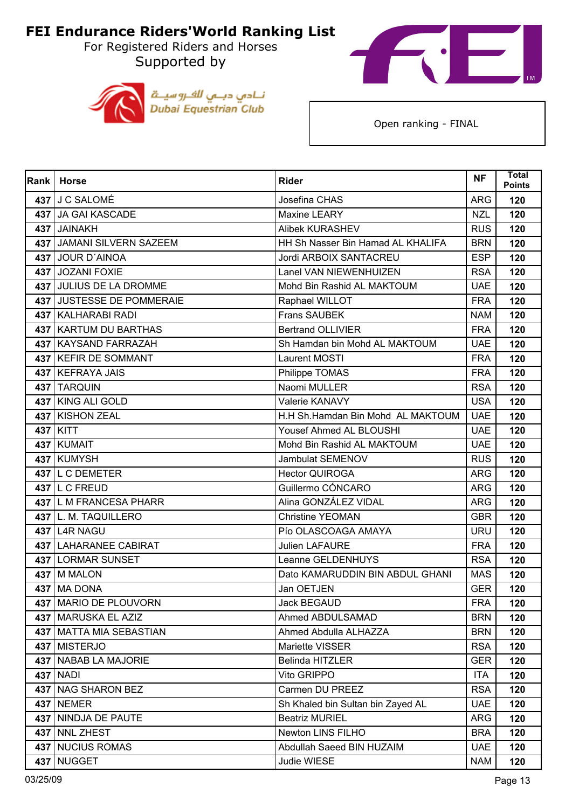For Registered Riders and Horses Supported by





| Rank | <b>Horse</b>              | <b>Rider</b>                      | <b>NF</b>  | <b>Total</b><br><b>Points</b> |
|------|---------------------------|-----------------------------------|------------|-------------------------------|
|      | 437 J C SALOMÉ            | Josefina CHAS                     | <b>ARG</b> | 120                           |
|      | 437 JA GAI KASCADE        | Maxine LEARY                      | <b>NZL</b> | 120                           |
|      | 437 JAINAKH               | <b>Alibek KURASHEV</b>            | <b>RUS</b> | 120                           |
|      | 437 JAMANI SILVERN SAZEEM | HH Sh Nasser Bin Hamad AL KHALIFA | <b>BRN</b> | 120                           |
|      | 437 JOUR D'AINOA          | Jordi ARBOIX SANTACREU            | <b>ESP</b> | 120                           |
|      | 437 JOZANI FOXIE          | Lanel VAN NIEWENHUIZEN            | <b>RSA</b> | 120                           |
|      | 437 JULIUS DE LA DROMME   | Mohd Bin Rashid AL MAKTOUM        | <b>UAE</b> | 120                           |
|      | 437 JUSTESSE DE POMMERAIE | Raphael WILLOT                    | <b>FRA</b> | 120                           |
|      | 437   KALHARABI RADI      | <b>Frans SAUBEK</b>               | <b>NAM</b> | 120                           |
|      | 437   KARTUM DU BARTHAS   | <b>Bertrand OLLIVIER</b>          | <b>FRA</b> | 120                           |
|      | 437   KAYSAND FARRAZAH    | Sh Hamdan bin Mohd AL MAKTOUM     | <b>UAE</b> | 120                           |
|      | 437 KEFIR DE SOMMANT      | Laurent MOSTI                     | <b>FRA</b> | 120                           |
|      | 437 KEFRAYA JAIS          | Philippe TOMAS                    | <b>FRA</b> | 120                           |
|      | 437 TARQUIN               | Naomi MULLER                      | <b>RSA</b> | 120                           |
| 437  | <b>KING ALI GOLD</b>      | Valerie KANAVY                    | <b>USA</b> | 120                           |
|      | 437 KISHON ZEAL           | H.H Sh.Hamdan Bin Mohd AL MAKTOUM | <b>UAE</b> | 120                           |
|      | 437 KITT                  | Yousef Ahmed AL BLOUSHI           | <b>UAE</b> | 120                           |
|      | 437 KUMAIT                | Mohd Bin Rashid AL MAKTOUM        | <b>UAE</b> | 120                           |
|      | 437 KUMYSH                | Jambulat SEMENOV                  | <b>RUS</b> | 120                           |
|      | 437 L C DEMETER           | <b>Hector QUIROGA</b>             | <b>ARG</b> | 120                           |
|      | 437 L C FREUD             | Guillermo CÓNCARO                 | <b>ARG</b> | 120                           |
|      | 437 L M FRANCESA PHARR    | Alina GONZÁLEZ VIDAL              | <b>ARG</b> | 120                           |
|      | 437 L. M. TAQUILLERO      | <b>Christine YEOMAN</b>           | <b>GBR</b> | 120                           |
|      | 437 L4R NAGU              | Pío OLASCOAGA AMAYA               | <b>URU</b> | 120                           |
|      | 437 LAHARANEE CABIRAT     | <b>Julien LAFAURE</b>             | <b>FRA</b> | 120                           |
|      | 437 LORMAR SUNSET         | Leanne GELDENHUYS                 | <b>RSA</b> | 120                           |
|      | 437   M MALON             | Dato KAMARUDDIN BIN ABDUL GHANI   | <b>MAS</b> | 120                           |
|      | 437 MA DONA               | Jan OETJEN                        | <b>GER</b> | 120                           |
|      | 437   MARIO DE PLOUVORN   | Jack BEGAUD                       | <b>FRA</b> | 120                           |
|      | 437   MARUSKA EL AZIZ     | Ahmed ABDULSAMAD                  | <b>BRN</b> | 120                           |
|      | 437 MATTA MIA SEBASTIAN   | Ahmed Abdulla ALHAZZA             | <b>BRN</b> | 120                           |
|      | 437 MISTERJO              | Mariette VISSER                   | <b>RSA</b> | 120                           |
| 437  | <b>NABAB LA MAJORIE</b>   | Belinda HITZLER                   | <b>GER</b> | 120                           |
|      | 437 NADI                  | Vito GRIPPO                       | <b>ITA</b> | 120                           |
|      | 437 NAG SHARON BEZ        | Carmen DU PREEZ                   | <b>RSA</b> | 120                           |
|      | 437 NEMER                 | Sh Khaled bin Sultan bin Zayed AL | <b>UAE</b> | 120                           |
| 437  | NINDJA DE PAUTE           | <b>Beatriz MURIEL</b>             | <b>ARG</b> | 120                           |
|      | 437 NNL ZHEST             | Newton LINS FILHO                 | <b>BRA</b> | 120                           |
|      | 437 NUCIUS ROMAS          | Abdullah Saeed BIN HUZAIM         | <b>UAE</b> | 120                           |
|      | 437 NUGGET                | Judie WIESE                       | <b>NAM</b> | 120                           |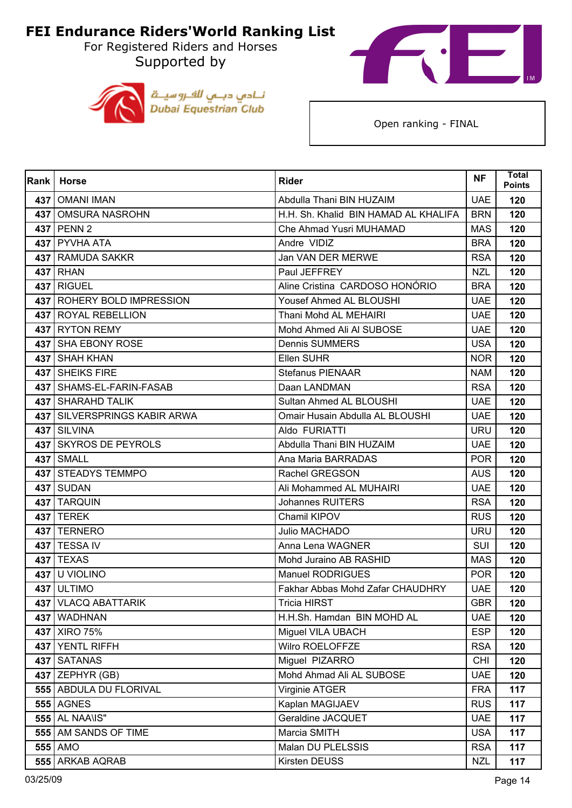For Registered Riders and Horses Supported by





| Rank | <b>Horse</b>                 | <b>Rider</b>                         | <b>NF</b>  | Total<br><b>Points</b> |
|------|------------------------------|--------------------------------------|------------|------------------------|
| 437  | <b>OMANI IMAN</b>            | Abdulla Thani BIN HUZAIM             | <b>UAE</b> | 120                    |
|      | 437   OMSURA NASROHN         | H.H. Sh. Khalid BIN HAMAD AL KHALIFA | <b>BRN</b> | 120                    |
| 437  | PENN <sub>2</sub>            | Che Ahmad Yusri MUHAMAD              | <b>MAS</b> | 120                    |
|      | 437 PYVHA ATA                | Andre VIDIZ                          | <b>BRA</b> | 120                    |
|      | 437 RAMUDA SAKKR             | Jan VAN DER MERWE                    | <b>RSA</b> | 120                    |
|      | 437 RHAN                     | Paul JEFFREY                         | <b>NZL</b> | 120                    |
| 437  | <b>RIGUEL</b>                | Aline Cristina CARDOSO HONÓRIO       | <b>BRA</b> | 120                    |
|      | 437   ROHERY BOLD IMPRESSION | Yousef Ahmed AL BLOUSHI              | <b>UAE</b> | 120                    |
|      | 437 ROYAL REBELLION          | Thani Mohd AL MEHAIRI                | <b>UAE</b> | 120                    |
|      | 437 RYTON REMY               | Mohd Ahmed Ali Al SUBOSE             | <b>UAE</b> | 120                    |
| 437  | <b>SHA EBONY ROSE</b>        | <b>Dennis SUMMERS</b>                | <b>USA</b> | 120                    |
| 437  | <b>SHAH KHAN</b>             | Ellen SUHR                           | <b>NOR</b> | 120                    |
|      | 437   SHEIKS FIRE            | <b>Stefanus PIENAAR</b>              | <b>NAM</b> | 120                    |
|      | 437   SHAMS-EL-FARIN-FASAB   | Daan LANDMAN                         | <b>RSA</b> | 120                    |
| 437  | <b>SHARAHD TALIK</b>         | Sultan Ahmed AL BLOUSHI              | <b>UAE</b> | 120                    |
| 437  | SILVERSPRINGS KABIR ARWA     | Omair Husain Abdulla AL BLOUSHI      | <b>UAE</b> | 120                    |
|      | 437 SILVINA                  | Aldo FURIATTI                        | <b>URU</b> | 120                    |
|      | 437 SKYROS DE PEYROLS        | Abdulla Thani BIN HUZAIM             | <b>UAE</b> | 120                    |
| 437  | <b>SMALL</b>                 | Ana Maria BARRADAS                   | <b>POR</b> | 120                    |
|      | 437 STEADYS TEMMPO           | Rachel GREGSON                       | <b>AUS</b> | 120                    |
|      | 437 SUDAN                    | Ali Mohammed AL MUHAIRI              | <b>UAE</b> | 120                    |
|      | 437 TARQUIN                  | <b>Johannes RUITERS</b>              | <b>RSA</b> | 120                    |
| 437  | <b>TEREK</b>                 | Chamil KIPOV                         | <b>RUS</b> | 120                    |
|      | 437   TERNERO                | Julio MACHADO                        | <b>URU</b> | 120                    |
|      | 437 TESSA IV                 | Anna Lena WAGNER                     | <b>SUI</b> | 120                    |
|      | <b>437 TEXAS</b>             | Mohd Juraino AB RASHID               | <b>MAS</b> | 120                    |
| 437  | U VIOLINO                    | <b>Manuel RODRIGUES</b>              | <b>POR</b> | 120                    |
|      | 437 ULTIMO                   | Fakhar Abbas Mohd Zafar CHAUDHRY     | <b>UAE</b> | 120                    |
|      | 437   VLACQ ABATTARIK        | Tricia HIRST                         | <b>GBR</b> | 120                    |
| 437  | <b>WADHNAN</b>               | H.H.Sh. Hamdan BIN MOHD AL           | <b>UAE</b> | 120                    |
|      | 437 XIRO 75%                 | Miguel VILA UBACH                    | <b>ESP</b> | 120                    |
|      | 437 YENTL RIFFH              | Wilro ROELOFFZE                      | <b>RSA</b> | 120                    |
|      | 437 SATANAS                  | Miguel PIZARRO                       | <b>CHI</b> | 120                    |
|      | $437$ ZEPHYR (GB)            | Mohd Ahmad Ali AL SUBOSE             | <b>UAE</b> | 120                    |
|      | 555   ABDULA DU FLORIVAL     | Virginie ATGER                       | <b>FRA</b> | 117                    |
|      | <b>555 AGNES</b>             | Kaplan MAGIJAEV                      | <b>RUS</b> | 117                    |
|      | <b>555 AL NAA\IS"</b>        | Geraldine JACQUET                    | <b>UAE</b> | 117                    |
|      | 555 AM SANDS OF TIME         | Marcia SMITH                         | <b>USA</b> | 117                    |
|      | 555 AMO                      | Malan DU PLELSSIS                    | <b>RSA</b> | 117                    |
|      | 555 ARKAB AQRAB              | Kirsten DEUSS                        | <b>NZL</b> | 117                    |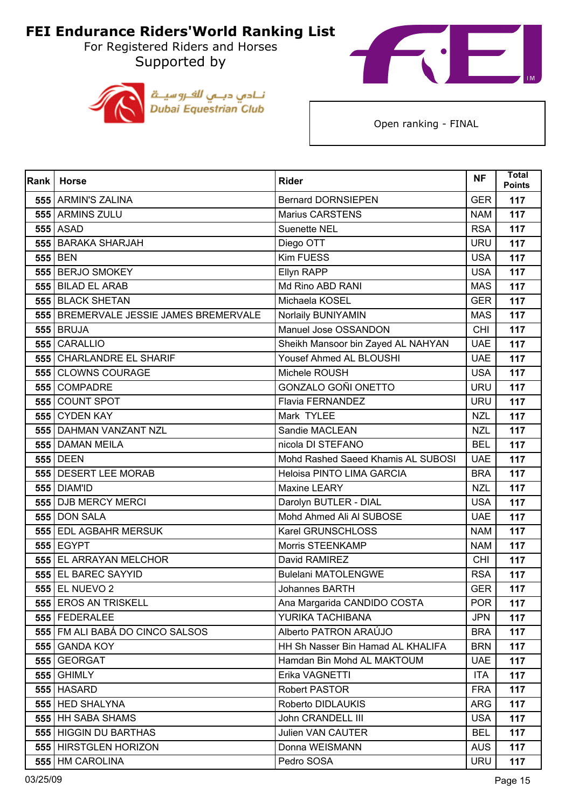Supported by





| Rank | <b>Horse</b>                           | <b>Rider</b>                       | <b>NF</b>  | <b>Total</b><br><b>Points</b> |
|------|----------------------------------------|------------------------------------|------------|-------------------------------|
|      | 555 ARMIN'S ZALINA                     | <b>Bernard DORNSIEPEN</b>          | <b>GER</b> | 117                           |
|      | 555 ARMINS ZULU                        | <b>Marius CARSTENS</b>             | <b>NAM</b> | 117                           |
|      | <b>555 ASAD</b>                        | <b>Suenette NEL</b>                | <b>RSA</b> | 117                           |
|      | 555 BARAKA SHARJAH                     | Diego OTT                          | <b>URU</b> | 117                           |
|      | 555 BEN                                | <b>Kim FUESS</b>                   | <b>USA</b> | 117                           |
|      | 555 BERJO SMOKEY                       | Ellyn RAPP                         | <b>USA</b> | 117                           |
|      | 555 BILAD EL ARAB                      | Md Rino ABD RANI                   | <b>MAS</b> | 117                           |
|      | 555 BLACK SHETAN                       | Michaela KOSEL                     | <b>GER</b> | 117                           |
|      | 555 BREMERVALE JESSIE JAMES BREMERVALE | Norlaily BUNIYAMIN                 | <b>MAS</b> | 117                           |
|      | <b>555 BRUJA</b>                       | Manuel Jose OSSANDON               | <b>CHI</b> | 117                           |
|      | 555 CARALLIO                           | Sheikh Mansoor bin Zayed AL NAHYAN | <b>UAE</b> | 117                           |
|      | 555 CHARLANDRE EL SHARIF               | Yousef Ahmed AL BLOUSHI            | <b>UAE</b> | 117                           |
|      | 555 CLOWNS COURAGE                     | Michele ROUSH                      | <b>USA</b> | 117                           |
|      | 555 COMPADRE                           | GONZALO GOÑI ONETTO                | <b>URU</b> | 117                           |
|      | 555 COUNT SPOT                         | Flavia FERNANDEZ                   | <b>URU</b> | 117                           |
|      | 555 CYDEN KAY                          | Mark TYLEE                         | <b>NZL</b> | 117                           |
|      | 555   DAHMAN VANZANT NZL               | Sandie MACLEAN                     | <b>NZL</b> | 117                           |
|      | 555 DAMAN MEILA                        | nicola DI STEFANO                  | <b>BEL</b> | 117                           |
|      | <b>555 DEEN</b>                        | Mohd Rashed Saeed Khamis AL SUBOSI | <b>UAE</b> | 117                           |
|      | 555 DESERT LEE MORAB                   | Heloisa PINTO LIMA GARCIA          | <b>BRA</b> | 117                           |
|      | 555   DIAM'ID                          | Maxine LEARY                       | <b>NZL</b> | 117                           |
|      | 555 DJB MERCY MERCI                    | Darolyn BUTLER - DIAL              | <b>USA</b> | 117                           |
|      | 555 DON SALA                           | Mohd Ahmed Ali Al SUBOSE           | <b>UAE</b> | 117                           |
|      | 555 EDL AGBAHR MERSUK                  | Karel GRUNSCHLOSS                  | <b>NAM</b> | 117                           |
|      | <b>555 EGYPT</b>                       | Morris STEENKAMP                   | <b>NAM</b> | 117                           |
|      | 555 EL ARRAYAN MELCHOR                 | David RAMIREZ                      | <b>CHI</b> | 117                           |
|      | 555 EL BAREC SAYYID                    | <b>Bulelani MATOLENGWE</b>         | <b>RSA</b> | 117                           |
|      | 555 EL NUEVO 2                         | Johannes BARTH                     | <b>GER</b> | 117                           |
|      | 555 EROS AN TRISKELL                   | Ana Margarida CANDIDO COSTA        | <b>POR</b> | 117                           |
|      | 555 FEDERALEE                          | YURIKA TACHIBANA                   | <b>JPN</b> | 117                           |
|      | 555 FM ALI BABÁ DO CINCO SALSOS        | Alberto PATRON ARAÚJO              | <b>BRA</b> | 117                           |
|      | 555 GANDA KOY                          | HH Sh Nasser Bin Hamad AL KHALIFA  | <b>BRN</b> | 117                           |
|      | 555 GEORGAT                            | Hamdan Bin Mohd AL MAKTOUM         | <b>UAE</b> | 117                           |
|      | <b>555 GHIMLY</b>                      | Erika VAGNETTI                     | <b>ITA</b> | 117                           |
|      | <b>555 HASARD</b>                      | Robert PASTOR                      | <b>FRA</b> | 117                           |
|      | 555 HED SHALYNA                        | Roberto DIDLAUKIS                  | <b>ARG</b> | 117                           |
|      | 555 HH SABA SHAMS                      | John CRANDELL III                  | <b>USA</b> | 117                           |
|      | 555 HIGGIN DU BARTHAS                  | <b>Julien VAN CAUTER</b>           | <b>BEL</b> | 117                           |
|      | 555 HIRSTGLEN HORIZON                  | Donna WEISMANN                     | <b>AUS</b> | 117                           |
|      | 555 HM CAROLINA                        | Pedro SOSA                         | <b>URU</b> | 117                           |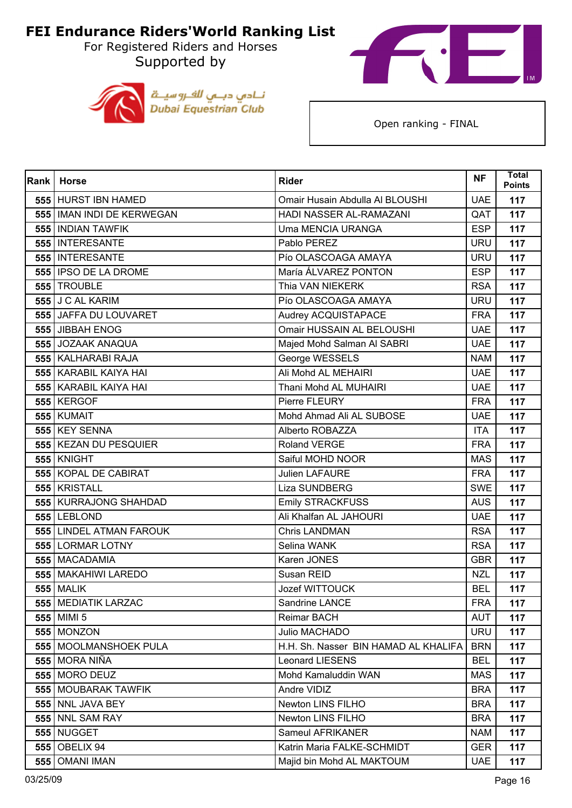For Registered Riders and Horses Supported by





| Rank | <b>Horse</b>                | <b>Rider</b>                         | <b>NF</b>  | <b>Total</b><br><b>Points</b> |
|------|-----------------------------|--------------------------------------|------------|-------------------------------|
|      | 555 HURST IBN HAMED         | Omair Husain Abdulla Al BLOUSHI      | <b>UAE</b> | 117                           |
|      | 555   IMAN INDI DE KERWEGAN | HADI NASSER AL-RAMAZANI              | QAT        | 117                           |
|      | 555   INDIAN TAWFIK         | <b>Uma MENCIA URANGA</b>             | <b>ESP</b> | 117                           |
|      | 555   INTERESANTE           | Pablo PEREZ                          | <b>URU</b> | 117                           |
|      | 555   INTERESANTE           | Pío OLASCOAGA AMAYA                  | <b>URU</b> | 117                           |
|      | 555 IPSO DE LA DROME        | María ÁLVAREZ PONTON                 | <b>ESP</b> | 117                           |
|      | 555 TROUBLE                 | Thia VAN NIEKERK                     | <b>RSA</b> | 117                           |
|      | 555 J C AL KARIM            | Pío OLASCOAGA AMAYA                  | <b>URU</b> | 117                           |
|      | 555 JAFFA DU LOUVARET       | Audrey ACQUISTAPACE                  | <b>FRA</b> | 117                           |
|      | 555 JIBBAH ENOG             | Omair HUSSAIN AL BELOUSHI            | <b>UAE</b> | 117                           |
|      | 555 JOZAAK ANAQUA           | Majed Mohd Salman Al SABRI           | <b>UAE</b> | 117                           |
|      | 555   KALHARABI RAJA        | George WESSELS                       | <b>NAM</b> | 117                           |
|      | 555 KARABIL KAIYA HAI       | Ali Mohd AL MEHAIRI                  | <b>UAE</b> | 117                           |
|      | 555   KARABIL KAIYA HAI     | Thani Mohd AL MUHAIRI                | <b>UAE</b> | 117                           |
|      | 555 KERGOF                  | Pierre FLEURY                        | <b>FRA</b> | 117                           |
|      | 555 KUMAIT                  | Mohd Ahmad Ali AL SUBOSE             | <b>UAE</b> | 117                           |
|      | 555 KEY SENNA               | Alberto ROBAZZA                      | <b>ITA</b> | 117                           |
|      | 555 KEZAN DU PESQUIER       | <b>Roland VERGE</b>                  | <b>FRA</b> | 117                           |
|      | 555 KNIGHT                  | Saiful MOHD NOOR                     | <b>MAS</b> | 117                           |
|      | 555 KOPAL DE CABIRAT        | <b>Julien LAFAURE</b>                | <b>FRA</b> | 117                           |
|      | 555 KRISTALL                | <b>Liza SUNDBERG</b>                 | <b>SWE</b> | 117                           |
|      | 555 KURRAJONG SHAHDAD       | <b>Emily STRACKFUSS</b>              | <b>AUS</b> | 117                           |
|      | <b>555 LEBLOND</b>          | Ali Khalfan AL JAHOURI               | <b>UAE</b> | 117                           |
|      | 555 LINDEL ATMAN FAROUK     | <b>Chris LANDMAN</b>                 | <b>RSA</b> | 117                           |
|      | 555 LORMAR LOTNY            | Selina WANK                          | <b>RSA</b> | 117                           |
|      | 555 MACADAMIA               | Karen JONES                          | <b>GBR</b> | 117                           |
|      | 555 MAKAHIWI LAREDO         | Susan REID                           | <b>NZL</b> | 117                           |
|      | <b>555 MALIK</b>            | Jozef WITTOUCK                       | <b>BEL</b> | 117                           |
|      | 555 MEDIATIK LARZAC         | Sandrine LANCE                       | <b>FRA</b> | 117                           |
|      | 555 MIMI 5                  | Reimar BACH                          | <b>AUT</b> | 117                           |
|      | <b>555 MONZON</b>           | Julio MACHADO                        | <b>URU</b> | 117                           |
|      | 555   MOOLMANSHOEK PULA     | H.H. Sh. Nasser BIN HAMAD AL KHALIFA | <b>BRN</b> | 117                           |
|      | 555 MORA NIÑA               | <b>Leonard LIESENS</b>               | <b>BEL</b> | 117                           |
|      | 555 MORO DEUZ               | Mohd Kamaluddin WAN                  | <b>MAS</b> | 117                           |
|      | 555   MOUBARAK TAWFIK       | Andre VIDIZ                          | <b>BRA</b> | 117                           |
|      | 555 NNL JAVA BEY            | Newton LINS FILHO                    | <b>BRA</b> | 117                           |
|      | 555 NNL SAM RAY             | Newton LINS FILHO                    | <b>BRA</b> | 117                           |
|      | <b>555 NUGGET</b>           | Sameul AFRIKANER                     | <b>NAM</b> | 117                           |
|      | 555 OBELIX 94               | Katrin Maria FALKE-SCHMIDT           | <b>GER</b> | 117                           |
|      | 555   OMANI IMAN            | Majid bin Mohd AL MAKTOUM            | <b>UAE</b> | 117                           |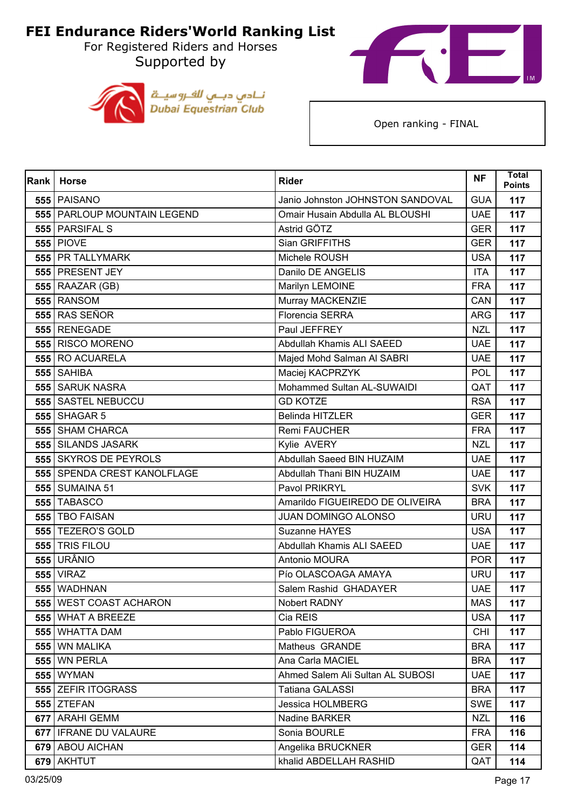For Registered Riders and Horses Supported by





| Rank | <b>Horse</b>                  | <b>Rider</b>                     | <b>NF</b>  | Total<br><b>Points</b> |
|------|-------------------------------|----------------------------------|------------|------------------------|
|      | 555 PAISANO                   | Janio Johnston JOHNSTON SANDOVAL | <b>GUA</b> | 117                    |
|      | 555   PARLOUP MOUNTAIN LEGEND | Omair Husain Abdulla AL BLOUSHI  | <b>UAE</b> | 117                    |
|      | 555 PARSIFAL S                | Astrid GÖTZ                      | <b>GER</b> | 117                    |
|      | <b>555 PIOVE</b>              | Sian GRIFFITHS                   | <b>GER</b> | 117                    |
|      | 555 PR TALLYMARK              | Michele ROUSH                    | <b>USA</b> | 117                    |
|      | 555 PRESENT JEY               | Danilo DE ANGELIS                | <b>ITA</b> | 117                    |
|      | 555 RAAZAR (GB)               | Marilyn LEMOINE                  | <b>FRA</b> | 117                    |
|      | 555 RANSOM                    | Murray MACKENZIE                 | CAN        | 117                    |
|      | 555 RAS SEÑOR                 | Florencia SERRA                  | <b>ARG</b> | 117                    |
|      | 555 RENEGADE                  | Paul JEFFREY                     | <b>NZL</b> | 117                    |
|      | 555 RISCO MORENO              | Abdullah Khamis ALI SAEED        | <b>UAE</b> | 117                    |
|      | 555 RO ACUARELA               | Majed Mohd Salman Al SABRI       | <b>UAE</b> | 117                    |
|      | 555 SAHIBA                    | Maciej KACPRZYK                  | <b>POL</b> | 117                    |
|      | 555 SARUK NASRA               | Mohammed Sultan AL-SUWAIDI       | QAT        | 117                    |
|      | 555 SASTEL NEBUCCU            | <b>GD KOTZE</b>                  | <b>RSA</b> | 117                    |
|      | 555 SHAGAR 5                  | <b>Belinda HITZLER</b>           | <b>GER</b> | 117                    |
|      | <b>555 SHAM CHARCA</b>        | Remi FAUCHER                     | <b>FRA</b> | 117                    |
|      | <b>555 SILANDS JASARK</b>     | Kylie AVERY                      | <b>NZL</b> | 117                    |
|      | 555 SKYROS DE PEYROLS         | Abdullah Saeed BIN HUZAIM        | <b>UAE</b> | 117                    |
|      | 555 SPENDA CREST KANOLFLAGE   | Abdullah Thani BIN HUZAIM        | <b>UAE</b> | 117                    |
|      | <b>555 SUMAINA 51</b>         | Pavol PRIKRYL                    | <b>SVK</b> | 117                    |
|      | <b>555 TABASCO</b>            | Amarildo FIGUEIREDO DE OLIVEIRA  | <b>BRA</b> | 117                    |
|      | 555 TBO FAISAN                | <b>JUAN DOMINGO ALONSO</b>       | <b>URU</b> | 117                    |
|      | 555 TEZERO'S GOLD             | Suzanne HAYES                    | <b>USA</b> | 117                    |
|      | 555 TRIS FILOU                | Abdullah Khamis ALI SAEED        | <b>UAE</b> | 117                    |
|      | <b>555 URÂNIO</b>             | Antonio MOURA                    | <b>POR</b> | 117                    |
|      | <b>555 VIRAZ</b>              | Pío OLASCOAGA AMAYA              | <b>URU</b> | 117                    |
|      | 555 WADHNAN                   | Salem Rashid GHADAYER            | <b>UAE</b> | 117                    |
|      | 555 WEST COAST ACHARON        | Nobert RADNY                     | <b>MAS</b> | 117                    |
|      | 555 WHAT A BREEZE             | Cia REIS                         | <b>USA</b> | 117                    |
|      | 555 WHATTA DAM                | Pablo FIGUEROA                   | <b>CHI</b> | 117                    |
|      | 555 WN MALIKA                 | Matheus GRANDE                   | <b>BRA</b> | 117                    |
|      | 555 WN PERLA                  | Ana Carla MACIEL                 | <b>BRA</b> | 117                    |
|      | <b>555 WYMAN</b>              | Ahmed Salem Ali Sultan AL SUBOSI | <b>UAE</b> | 117                    |
|      | 555 ZEFIR ITOGRASS            | Tatiana GALASSI                  | <b>BRA</b> | 117                    |
|      | 555 ZTEFAN                    | Jessica HOLMBERG                 | <b>SWE</b> | 117                    |
|      | 677 ARAHI GEMM                | Nadine BARKER                    | <b>NZL</b> | 116                    |
|      | 677   IFRANE DU VALAURE       | Sonia BOURLE                     | <b>FRA</b> | 116                    |
|      | 679 ABOU AICHAN               | Angelika BRUCKNER                | <b>GER</b> | 114                    |
|      | 679 AKHTUT                    | khalid ABDELLAH RASHID           | QAT        | 114                    |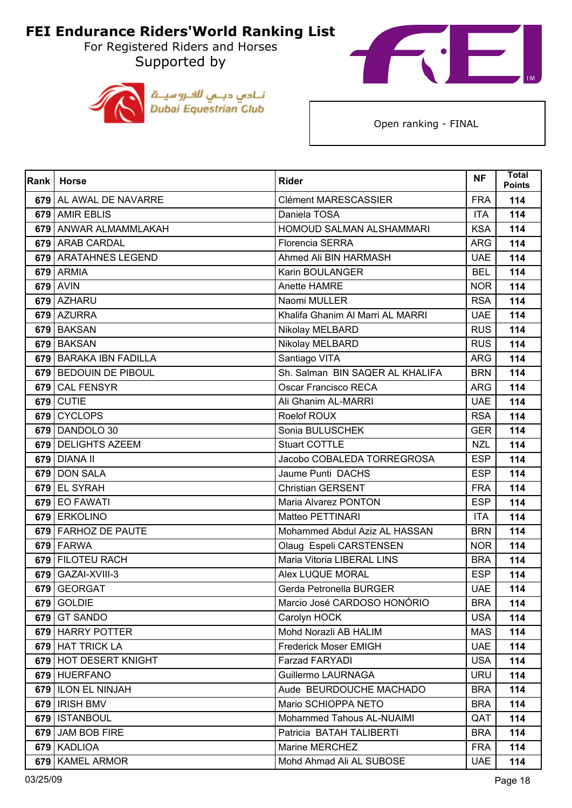For Registered Riders and Horses Supported by





| Rank | <b>Horse</b>            | <b>Rider</b>                     | <b>NF</b>  | <b>Total</b><br><b>Points</b> |
|------|-------------------------|----------------------------------|------------|-------------------------------|
|      | 679 AL AWAL DE NAVARRE  | <b>Clément MARESCASSIER</b>      | <b>FRA</b> | 114                           |
|      | 679 AMIR EBLIS          | Daniela TOSA                     | <b>ITA</b> | 114                           |
|      | 679 ANWAR ALMAMMLAKAH   | HOMOUD SALMAN ALSHAMMARI         | <b>KSA</b> | 114                           |
|      | 679 ARAB CARDAL         | <b>Florencia SERRA</b>           | <b>ARG</b> | 114                           |
|      | 679 ARATAHNES LEGEND    | Ahmed Ali BIN HARMASH            | <b>UAE</b> | 114                           |
|      | 679 ARMIA               | <b>Karin BOULANGER</b>           | <b>BEL</b> | 114                           |
|      | 679 AVIN                | Anette HAMRE                     | <b>NOR</b> | 114                           |
|      | 679 AZHARU              | Naomi MULLER                     | <b>RSA</b> | 114                           |
|      | 679 AZURRA              | Khalifa Ghanim Al Marri AL MARRI | <b>UAE</b> | 114                           |
|      | 679 BAKSAN              | Nikolay MELBARD                  | <b>RUS</b> | 114                           |
|      | 679 BAKSAN              | Nikolay MELBARD                  | <b>RUS</b> | 114                           |
|      | 679 BARAKA IBN FADILLA  | Santiago VITA                    | <b>ARG</b> | 114                           |
|      | 679   BEDOUIN DE PIBOUL | Sh. Salman BIN SAQER AL KHALIFA  | <b>BRN</b> | 114                           |
| 679  | <b>CAL FENSYR</b>       | Oscar Francisco RECA             | <b>ARG</b> | 114                           |
| 679  | <b>CUTIE</b>            | Ali Ghanim AL-MARRI              | <b>UAE</b> | 114                           |
| 679  | <b>CYCLOPS</b>          | Roelof ROUX                      | <b>RSA</b> | 114                           |
|      | 679 DANDOLO 30          | Sonia BULUSCHEK                  | <b>GER</b> | 114                           |
|      | 679 DELIGHTS AZEEM      | <b>Stuart COTTLE</b>             | <b>NZL</b> | 114                           |
|      | 679 DIANA II            | Jacobo COBALEDA TORREGROSA       | <b>ESP</b> | 114                           |
|      | 679 DON SALA            | Jaume Punti DACHS                | <b>ESP</b> | 114                           |
|      | 679 EL SYRAH            | <b>Christian GERSENT</b>         | <b>FRA</b> | 114                           |
|      | 679 EO FAWATI           | Maria Alvarez PONTON             | <b>ESP</b> | 114                           |
|      | 679 ERKOLINO            | Matteo PETTINARI                 | <b>ITA</b> | 114                           |
|      | 679 FARHOZ DE PAUTE     | Mohammed Abdul Aziz AL HASSAN    | <b>BRN</b> | 114                           |
|      | 679 FARWA               | Olaug Espeli CARSTENSEN          | <b>NOR</b> | 114                           |
|      | 679 FILOTEU RACH        | Maria Vitoria LIBERAL LINS       | <b>BRA</b> | 114                           |
| 679  | GAZAI-XVIII-3           | Alex LUQUE MORAL                 | <b>ESP</b> | 114                           |
| 679  | <b>GEORGAT</b>          | Gerda Petronella BURGER          | <b>UAE</b> | 114                           |
|      | 679 GOLDIE              | Marcio José CARDOSO HONORIO      | <b>BRA</b> | 114                           |
| 679  | <b>GT SANDO</b>         | Carolyn HOCK                     | <b>USA</b> | 114                           |
|      | 679 HARRY POTTER        | Mohd Norazli AB HALIM            | <b>MAS</b> | 114                           |
|      | 679 HAT TRICK LA        | Frederick Moser EMIGH            | <b>UAE</b> | 114                           |
|      | 679 HOT DESERT KNIGHT   | Farzad FARYADI                   | <b>USA</b> | 114                           |
|      | 679 HUERFANO            | Guillermo LAURNAGA               | <b>URU</b> | 114                           |
|      | 679   ILON EL NINJAH    | Aude BEURDOUCHE MACHADO          | <b>BRA</b> | 114                           |
|      | 679   IRISH BMV         | Mario SCHIOPPA NETO              | <b>BRA</b> | 114                           |
|      | 679   ISTANBOUL         | Mohammed Tahous AL-NUAIMI        | QAT        | 114                           |
|      | 679 JAM BOB FIRE        | Patricia BATAH TALIBERTI         | <b>BRA</b> | 114                           |
|      | 679 KADLIOA             | Marine MERCHEZ                   | <b>FRA</b> | 114                           |
|      | 679 KAMEL ARMOR         | Mohd Ahmad Ali AL SUBOSE         | <b>UAE</b> | 114                           |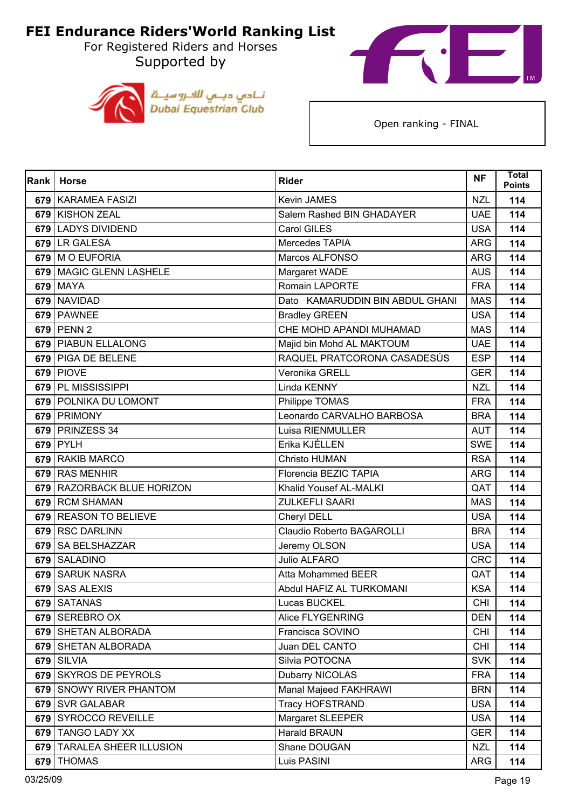For Registered Riders and Horses Supported by





| Rank | <b>Horse</b>                  | <b>Rider</b>                     | <b>NF</b>  | <b>Total</b><br><b>Points</b> |
|------|-------------------------------|----------------------------------|------------|-------------------------------|
|      | 679 KARAMEA FASIZI            | Kevin JAMES                      | <b>NZL</b> | 114                           |
| 679  | <b>KISHON ZEAL</b>            | Salem Rashed BIN GHADAYER        | <b>UAE</b> | 114                           |
| 679  | <b>LADYS DIVIDEND</b>         | Carol GILES                      | <b>USA</b> | 114                           |
| 679  | LR GALESA                     | Mercedes TAPIA                   | <b>ARG</b> | 114                           |
| 679  | M O EUFORIA                   | Marcos ALFONSO                   | <b>ARG</b> | 114                           |
|      | 679 MAGIC GLENN LASHELE       | Margaret WADE                    | <b>AUS</b> | 114                           |
| 679  | <b>MAYA</b>                   | <b>Romain LAPORTE</b>            | <b>FRA</b> | 114                           |
| 679  | NAVIDAD                       | Dato KAMARUDDIN BIN ABDUL GHANI  | <b>MAS</b> | 114                           |
|      | 679 PAWNEE                    | <b>Bradley GREEN</b>             | <b>USA</b> | 114                           |
|      | 679 PENN 2                    | CHE MOHD APANDI MUHAMAD          | <b>MAS</b> | 114                           |
|      | 679 PIABUN ELLALONG           | Majid bin Mohd AL MAKTOUM        | <b>UAE</b> | 114                           |
|      | 679 PIGA DE BELENE            | RAQUEL PRATCORONA CASADESÚS      | <b>ESP</b> | 114                           |
|      | 679 PIOVE                     | Veronika GRELL                   | <b>GER</b> | 114                           |
|      | 679 PL MISSISSIPPI            | Linda KENNY                      | <b>NZL</b> | 114                           |
|      | 679 POLNIKA DU LOMONT         | Philippe TOMAS                   | <b>FRA</b> | 114                           |
|      | 679 PRIMONY                   | Leonardo CARVALHO BARBOSA        | <b>BRA</b> | 114                           |
|      | 679 PRINZESS 34               | Luisa RIENMULLER                 | <b>AUT</b> | 114                           |
|      | $679$ PYLH                    | Erika KJÉLLEN                    | <b>SWE</b> | 114                           |
| 679  | <b>RAKIB MARCO</b>            | Christo HUMAN                    | <b>RSA</b> | 114                           |
| 679  | <b>RAS MENHIR</b>             | Florencia BEZIC TAPIA            | <b>ARG</b> | 114                           |
| 679  | <b>RAZORBACK BLUE HORIZON</b> | Khalid Yousef AL-MALKI           | QAT        | 114                           |
| 679  | <b>RCM SHAMAN</b>             | <b>ZULKEFLI SAARI</b>            | <b>MAS</b> | 114                           |
| 679  | <b>REASON TO BELIEVE</b>      | Cheryl DELL                      | <b>USA</b> | 114                           |
| 679  | <b>RSC DARLINN</b>            | <b>Claudio Roberto BAGAROLLI</b> | <b>BRA</b> | 114                           |
| 679  | SA BELSHAZZAR                 | Jeremy OLSON                     | <b>USA</b> | 114                           |
| 679  | <b>SALADINO</b>               | <b>Julio ALFARO</b>              | <b>CRC</b> | 114                           |
| 679  | <b>SARUK NASRA</b>            | <b>Atta Mohammed BEER</b>        | QAT        | 114                           |
| 679  | <b>SAS ALEXIS</b>             | Abdul HAFIZ AL TURKOMANI         | <b>KSA</b> | 114                           |
|      | 679 SATANAS                   | Lucas BUCKEL                     | <b>CHI</b> | 114                           |
|      | 679 SEREBRO OX                | Alice FLYGENRING                 | <b>DEN</b> | 114                           |
|      | 679   SHETAN ALBORADA         | Francisca SOVINO                 | <b>CHI</b> | 114                           |
|      | 679 SHETAN ALBORADA           | Juan DEL CANTO                   | <b>CHI</b> | 114                           |
| 679  | <b>SILVIA</b>                 | Silvia POTOCNA                   | <b>SVK</b> | 114                           |
| 679  | <b>SKYROS DE PEYROLS</b>      | Dubarry NICOLAS                  | <b>FRA</b> | 114                           |
|      | 679 SNOWY RIVER PHANTOM       | Manal Majeed FAKHRAWI            | <b>BRN</b> | 114                           |
|      | 679 SVR GALABAR               | <b>Tracy HOFSTRAND</b>           | <b>USA</b> | 114                           |
| 679  | <b>SYROCCO REVEILLE</b>       | Margaret SLEEPER                 | <b>USA</b> | 114                           |
|      | 679 TANGO LADY XX             | Harald BRAUN                     | <b>GER</b> | 114                           |
|      | 679   TARALEA SHEER ILLUSION  | Shane DOUGAN                     | <b>NZL</b> | 114                           |
|      | 679 THOMAS                    | Luis PASINI                      | <b>ARG</b> | 114                           |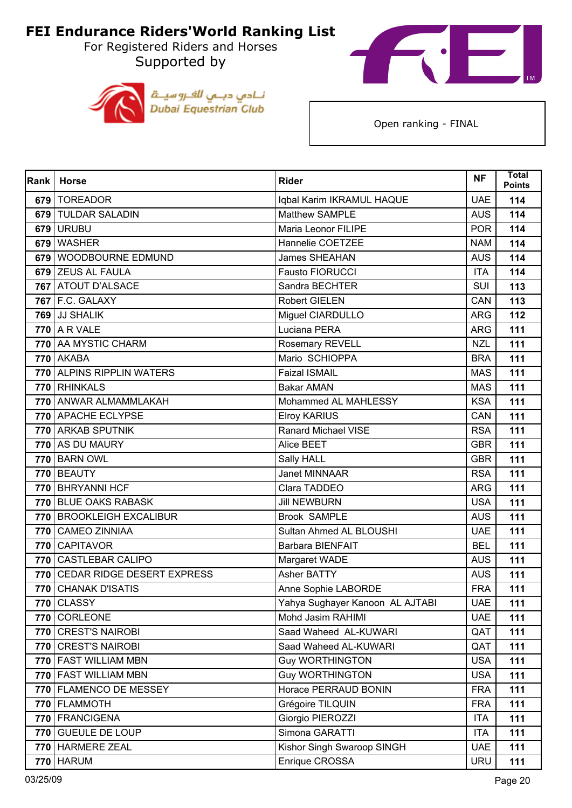For Registered Riders and Horses Supported by





| Rank | <b>Horse</b>                   | <b>Rider</b>                    | <b>NF</b>  | <b>Total</b><br><b>Points</b> |
|------|--------------------------------|---------------------------------|------------|-------------------------------|
|      | 679 TOREADOR                   | Iqbal Karim IKRAMUL HAQUE       | <b>UAE</b> | 114                           |
|      | 679 TULDAR SALADIN             | Matthew SAMPLE                  | <b>AUS</b> | 114                           |
| 679  | <b>URUBU</b>                   | Maria Leonor FILIPE             | <b>POR</b> | 114                           |
|      | 679 WASHER                     | Hannelie COETZEE                | <b>NAM</b> | 114                           |
|      | 679 WOODBOURNE EDMUND          | <b>James SHEAHAN</b>            | <b>AUS</b> | 114                           |
|      | 679 ZEUS AL FAULA              | <b>Fausto FIORUCCI</b>          | <b>ITA</b> | 114                           |
|      | 767 ATOUT D'ALSACE             | Sandra BECHTER                  | SUI        | 113                           |
|      | <b>767 F.C. GALAXY</b>         | <b>Robert GIELEN</b>            | CAN        | 113                           |
|      | 769 JJ SHALIK                  | Miguel CIARDULLO                | <b>ARG</b> | 112                           |
|      | 770 A R VALE                   | Luciana PERA                    | <b>ARG</b> | 111                           |
|      | 770 AA MYSTIC CHARM            | Rosemary REVELL                 | <b>NZL</b> | 111                           |
|      | 770 AKABA                      | Mario SCHIOPPA                  | <b>BRA</b> | 111                           |
|      | 770 ALPINS RIPPLIN WATERS      | <b>Faizal ISMAIL</b>            | <b>MAS</b> | 111                           |
|      | 770 RHINKALS                   | <b>Bakar AMAN</b>               | <b>MAS</b> | 111                           |
|      | 770 ANWAR ALMAMMLAKAH          | Mohammed AL MAHLESSY            | <b>KSA</b> | 111                           |
|      | 770 APACHE ECLYPSE             | <b>Elroy KARIUS</b>             | CAN        | 111                           |
|      | 770 ARKAB SPUTNIK              | <b>Ranard Michael VISE</b>      | <b>RSA</b> | 111                           |
|      | 770 AS DU MAURY                | Alice BEET                      | <b>GBR</b> | 111                           |
|      | <b>770 BARN OWL</b>            | Sally HALL                      | <b>GBR</b> | 111                           |
|      | 770 BEAUTY                     | <b>Janet MINNAAR</b>            | <b>RSA</b> | 111                           |
|      | 770 BHRYANNI HCF               | Clara TADDEO                    | <b>ARG</b> | 111                           |
|      | 770 BLUE OAKS RABASK           | <b>Jill NEWBURN</b>             | <b>USA</b> | 111                           |
|      | 770 BROOKLEIGH EXCALIBUR       | <b>Brook SAMPLE</b>             | <b>AUS</b> | 111                           |
|      | 770 CAMEO ZINNIAA              | Sultan Ahmed AL BLOUSHI         | <b>UAE</b> | 111                           |
|      | 770 CAPITAVOR                  | Barbara BIENFAIT                | <b>BEL</b> | 111                           |
|      | 770 CASTLEBAR CALIPO           | Margaret WADE                   | <b>AUS</b> | 111                           |
|      | 770 CEDAR RIDGE DESERT EXPRESS | Asher BATTY                     | <b>AUS</b> | 111                           |
|      | 770 CHANAK D'ISATIS            | Anne Sophie LABORDE             | <b>FRA</b> | 111                           |
|      | <b>770 CLASSY</b>              | Yahya Sughayer Kanoon AL AJTABI | <b>UAE</b> | 111                           |
|      | 770 CORLEONE                   | Mohd Jasim RAHIMI               | <b>UAE</b> | 111                           |
|      | 770 CREST'S NAIROBI            | Saad Waheed AL-KUWARI           | QAT        | 111                           |
|      | 770 CREST'S NAIROBI            | Saad Waheed AL-KUWARI           | QAT        | 111                           |
|      | 770   FAST WILLIAM MBN         | <b>Guy WORTHINGTON</b>          | <b>USA</b> | 111                           |
|      | 770 FAST WILLIAM MBN           | <b>Guy WORTHINGTON</b>          | <b>USA</b> | 111                           |
|      | 770 FLAMENCO DE MESSEY         | Horace PERRAUD BONIN            | <b>FRA</b> | 111                           |
|      | 770   FLAMMOTH                 | Grégoire TILQUIN                | <b>FRA</b> | 111                           |
|      | 770 FRANCIGENA                 | Giorgio PIEROZZI                | <b>ITA</b> | 111                           |
|      | 770 GUEULE DE LOUP             | Simona GARATTI                  | <b>ITA</b> | 111                           |
|      | 770   HARMERE ZEAL             | Kishor Singh Swaroop SINGH      | <b>UAE</b> | 111                           |
|      | <b>770 HARUM</b>               | Enrique CROSSA                  | <b>URU</b> | 111                           |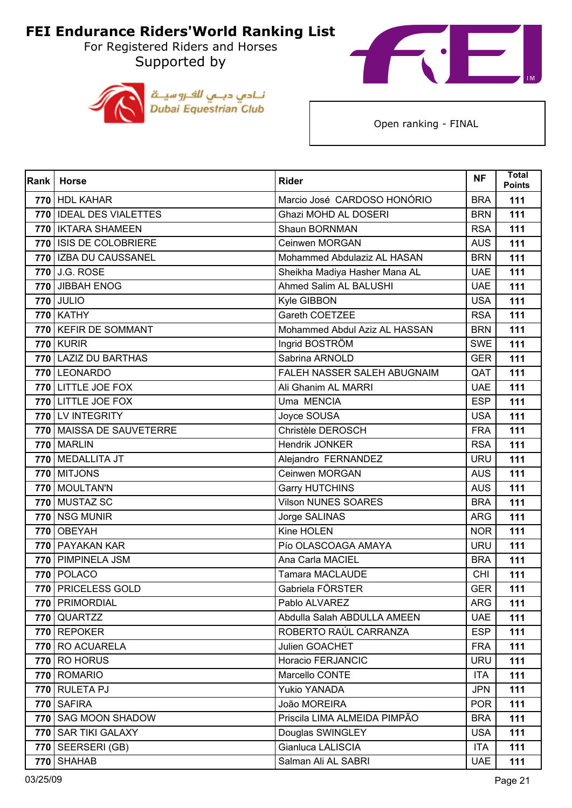Supported by





| <b>Rank</b> | <b>Horse</b>               | <b>Rider</b>                  | <b>NF</b>  | <b>Total</b><br><b>Points</b> |
|-------------|----------------------------|-------------------------------|------------|-------------------------------|
|             | 770 HDL KAHAR              | Marcio José CARDOSO HONÓRIO   | <b>BRA</b> | 111                           |
|             | 770   IDEAL DES VIALETTES  | Ghazi MOHD AL DOSERI          | <b>BRN</b> | 111                           |
|             | 770   IKTARA SHAMEEN       | Shaun BORNMAN                 | <b>RSA</b> | 111                           |
|             | 770 ISIS DE COLOBRIERE     | Ceinwen MORGAN                | <b>AUS</b> | 111                           |
|             | 770   IZBA DU CAUSSANEL    | Mohammed Abdulaziz AL HASAN   | <b>BRN</b> | 111                           |
|             | 770 J.G. ROSE              | Sheikha Madiya Hasher Mana AL | <b>UAE</b> | 111                           |
|             | 770 JIBBAH ENOG            | Ahmed Salim AL BALUSHI        | <b>UAE</b> | 111                           |
|             | <b>770 JULIO</b>           | Kyle GIBBON                   | <b>USA</b> | 111                           |
|             | <b>770 KATHY</b>           | Gareth COETZEE                | <b>RSA</b> | 111                           |
|             | 770   KEFIR DE SOMMANT     | Mohammed Abdul Aziz AL HASSAN | <b>BRN</b> | 111                           |
|             | <b>770 KURIR</b>           | Ingrid BOSTRÖM                | <b>SWE</b> | 111                           |
|             | 770 LAZIZ DU BARTHAS       | Sabrina ARNOLD                | <b>GER</b> | 111                           |
|             | 770 LEONARDO               | FALEH NASSER SALEH ABUGNAIM   | QAT        | 111                           |
|             | 770 LITTLE JOE FOX         | Ali Ghanim AL MARRI           | <b>UAE</b> | 111                           |
|             | 770 LITTLE JOE FOX         | Uma MENCIA                    | <b>ESP</b> | 111                           |
|             | 770 LV INTEGRITY           | Joyce SOUSA                   | <b>USA</b> | 111                           |
|             | 770   MAISSA DE SAUVETERRE | Christèle DEROSCH             | <b>FRA</b> | 111                           |
|             | 770 MARLIN                 | Hendrik JONKER                | <b>RSA</b> | 111                           |
|             | 770 MEDALLITA JT           | Alejandro FERNANDEZ           | <b>URU</b> | 111                           |
|             | 770 MITJONS                | Ceinwen MORGAN                | <b>AUS</b> | 111                           |
|             | 770 MOULTAN'N              | <b>Garry HUTCHINS</b>         | <b>AUS</b> | 111                           |
|             | 770 MUSTAZ SC              | <b>Vilson NUNES SOARES</b>    | <b>BRA</b> | 111                           |
| 770         | <b>NSG MUNIR</b>           | Jorge SALINAS                 | <b>ARG</b> | 111                           |
|             | 770 OBEYAH                 | Kine HOLEN                    | <b>NOR</b> | 111                           |
|             | 770   PAYAKAN KAR          | Pío OLASCOAGA AMAYA           | <b>URU</b> | 111                           |
|             | 770 PIMPINELA JSM          | Ana Carla MACIEL              | <b>BRA</b> | 111                           |
|             | 770 POLACO                 | <b>Tamara MACLAUDE</b>        | <b>CHI</b> | 111                           |
|             | 770 PRICELESS GOLD         | Gabriela FÖRSTER              | <b>GER</b> | 111                           |
|             | 770   PRIMORDIAL           | Pablo ALVAREZ                 | ARG        | 111                           |
| <b>770</b>  | QUARTZZ                    | Abdulla Salah ABDULLA AMEEN   | <b>UAE</b> | 111                           |
|             | 770 REPOKER                | ROBERTO RAÚL CARRANZA         | <b>ESP</b> | 111                           |
|             | 770 RO ACUARELA            | Julien GOACHET                | <b>FRA</b> | 111                           |
|             | <b>770 RO HORUS</b>        | Horacio FERJANCIC             | <b>URU</b> | 111                           |
|             | 770 ROMARIO                | Marcello CONTE                | <b>ITA</b> | 111                           |
|             | 770 RULETA PJ              | <b>Yukio YANADA</b>           | <b>JPN</b> | 111                           |
|             | 770 SAFIRA                 | João MOREIRA                  | <b>POR</b> | 111                           |
| 770         | <b>SAG MOON SHADOW</b>     | Priscila LIMA ALMEIDA PIMPÃO  | <b>BRA</b> | 111                           |
|             | 770 SAR TIKI GALAXY        | Douglas SWINGLEY              | <b>USA</b> | 111                           |
|             | 770 SEERSERI (GB)          | Gianluca LALISCIA             | <b>ITA</b> | 111                           |
|             | 770 SHAHAB                 | Salman Ali AL SABRI           | <b>UAE</b> | 111                           |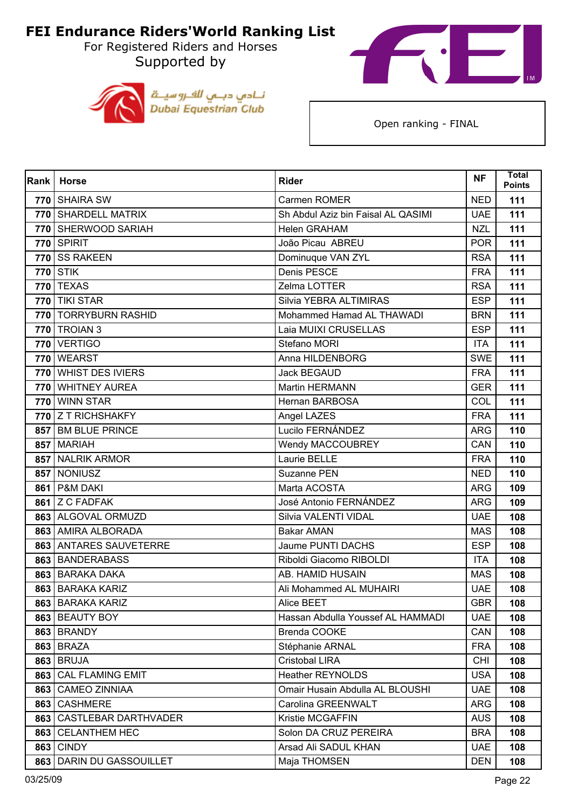For Registered Riders and Horses Supported by





| Rank | <b>Horse</b>                | <b>Rider</b>                       | <b>NF</b>  | <b>Total</b><br><b>Points</b> |
|------|-----------------------------|------------------------------------|------------|-------------------------------|
|      | 770 SHAIRA SW               | Carmen ROMER                       | <b>NED</b> | 111                           |
|      | 770 SHARDELL MATRIX         | Sh Abdul Aziz bin Faisal AL QASIMI | <b>UAE</b> | 111                           |
|      | 770 SHERWOOD SARIAH         | <b>Helen GRAHAM</b>                | <b>NZL</b> | 111                           |
|      | <b>770 SPIRIT</b>           | João Picau ABREU                   | <b>POR</b> | 111                           |
|      | 770 SS RAKEEN               | Dominuque VAN ZYL                  | <b>RSA</b> | 111                           |
|      | <b>770 STIK</b>             | Denis PESCE                        | <b>FRA</b> | 111                           |
|      | <b>770 TEXAS</b>            | Zelma LOTTER                       | <b>RSA</b> | 111                           |
|      | $\overline{770}$ TIKI STAR  | Silvia YEBRA ALTIMIRAS             | <b>ESP</b> | 111                           |
|      | 770   TORRYBURN RASHID      | Mohammed Hamad AL THAWADI          | <b>BRN</b> | 111                           |
|      | 770 TROIAN 3                | Laia MUIXI CRUSELLAS               | <b>ESP</b> | 111                           |
|      | 770 VERTIGO                 | Stefano MORI                       | <b>ITA</b> | 111                           |
|      | 770 WEARST                  | Anna HILDENBORG                    | <b>SWE</b> | 111                           |
|      | 770 WHIST DES IVIERS        | <b>Jack BEGAUD</b>                 | <b>FRA</b> | 111                           |
|      | 770 WHITNEY AUREA           | Martin HERMANN                     | <b>GER</b> | 111                           |
|      | 770 WINN STAR               | Hernan BARBOSA                     | COL        | 111                           |
|      | 770 Z T RICHSHAKFY          | Angel LAZES                        | <b>FRA</b> | 111                           |
|      | 857 BM BLUE PRINCE          | Lucilo FERNÁNDEZ                   | <b>ARG</b> | 110                           |
|      | 857 MARIAH                  | <b>Wendy MACCOUBREY</b>            | CAN        | 110                           |
| 857  | <b>NALRIK ARMOR</b>         | Laurie BELLE                       | <b>FRA</b> | 110                           |
|      | 857 NONIUSZ                 | Suzanne PEN                        | <b>NED</b> | 110                           |
|      | 861   P&M DAKI              | Marta ACOSTA                       | <b>ARG</b> | 109                           |
|      | 861 Z C FADFAK              | José Antonio FERNÁNDEZ             | <b>ARG</b> | 109                           |
|      | 863 ALGOVAL ORMUZD          | Silvia VALENTI VIDAL               | <b>UAE</b> | 108                           |
|      | 863 AMIRA ALBORADA          | <b>Bakar AMAN</b>                  | <b>MAS</b> | 108                           |
|      | 863 ANTARES SAUVETERRE      | Jaume PUNTI DACHS                  | <b>ESP</b> | 108                           |
|      | 863 BANDERABASS             | Riboldi Giacomo RIBOLDI            | <b>ITA</b> | 108                           |
|      | 863 BARAKA DAKA             | AB. HAMID HUSAIN                   | <b>MAS</b> | 108                           |
|      | 863 BARAKA KARIZ            | Ali Mohammed AL MUHAIRI            | <b>UAE</b> | 108                           |
|      | 863 BARAKA KARIZ            | Alice BEET                         | <b>GBR</b> | 108                           |
|      | 863 BEAUTY BOY              | Hassan Abdulla Youssef AL HAMMADI  | <b>UAE</b> | 108                           |
|      | 863 BRANDY                  | Brenda COOKE                       | CAN        | 108                           |
|      | 863 BRAZA                   | Stéphanie ARNAL                    | <b>FRA</b> | 108                           |
|      | <b>863 BRUJA</b>            | <b>Cristobal LIRA</b>              | <b>CHI</b> | 108                           |
|      | 863 CAL FLAMING EMIT        | <b>Heather REYNOLDS</b>            | <b>USA</b> | 108                           |
|      | 863 CAMEO ZINNIAA           | Omair Husain Abdulla AL BLOUSHI    | <b>UAE</b> | 108                           |
|      | 863 CASHMERE                | Carolina GREENWALT                 | <b>ARG</b> | 108                           |
| 863  | <b>CASTLEBAR DARTHVADER</b> | Kristie MCGAFFIN                   | <b>AUS</b> | 108                           |
|      | 863 CELANTHEM HEC           | Solon DA CRUZ PEREIRA              | <b>BRA</b> | 108                           |
|      | <b>863 CINDY</b>            | Arsad Ali SADUL KHAN               | <b>UAE</b> | 108                           |
|      | 863 DARIN DU GASSOUILLET    | Maja THOMSEN                       | <b>DEN</b> | 108                           |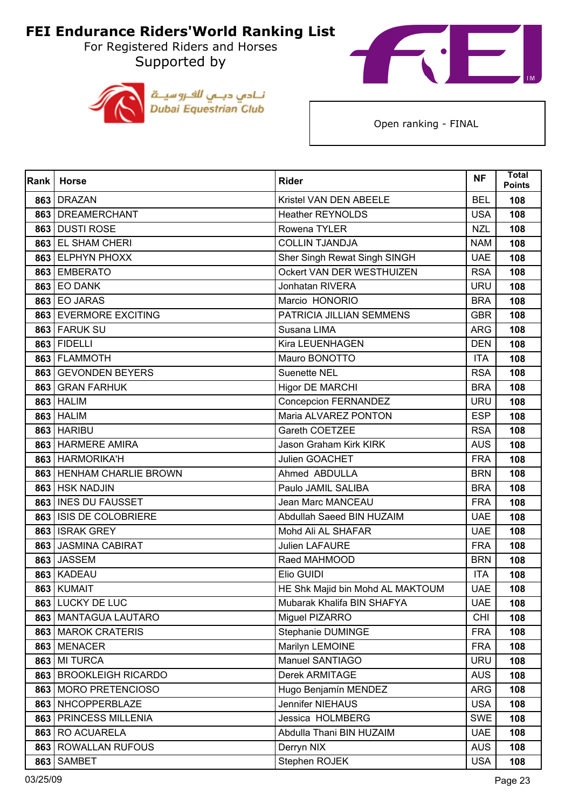For Registered Riders and Horses Supported by





| Rank | <b>Horse</b>              | <b>Rider</b>                     | <b>NF</b>  | <b>Total</b><br><b>Points</b> |
|------|---------------------------|----------------------------------|------------|-------------------------------|
|      | 863 DRAZAN                | Kristel VAN DEN ABEELE           | <b>BEL</b> | 108                           |
|      | 863 DREAMERCHANT          | <b>Heather REYNOLDS</b>          | <b>USA</b> | 108                           |
| 863  | <b>DUSTI ROSE</b>         | Rowena TYLER                     | <b>NZL</b> | 108                           |
| 863  | <b>EL SHAM CHERI</b>      | <b>COLLIN TJANDJA</b>            | <b>NAM</b> | 108                           |
|      | 863 ELPHYN PHOXX          | Sher Singh Rewat Singh SINGH     | <b>UAE</b> | 108                           |
|      | 863 EMBERATO              | Ockert VAN DER WESTHUIZEN        | <b>RSA</b> | 108                           |
|      | <b>863 EO DANK</b>        | <b>Jonhatan RIVERA</b>           | <b>URU</b> | 108                           |
|      | 863 EO JARAS              | Marcio HONORIO                   | <b>BRA</b> | 108                           |
|      | 863 EVERMORE EXCITING     | PATRICIA JILLIAN SEMMENS         | <b>GBR</b> | 108                           |
|      | 863 FARUK SU              | Susana LIMA                      | <b>ARG</b> | 108                           |
|      | 863 FIDELLI               | Kira LEUENHAGEN                  | <b>DEN</b> | 108                           |
|      | 863 FLAMMOTH              | Mauro BONOTTO                    | <b>ITA</b> | 108                           |
|      | 863 GEVONDEN BEYERS       | <b>Suenette NEL</b>              | <b>RSA</b> | 108                           |
|      | 863 GRAN FARHUK           | <b>Higor DE MARCHI</b>           | <b>BRA</b> | 108                           |
| 863  | <b>HALIM</b>              | Concepcion FERNANDEZ             | <b>URU</b> | 108                           |
| 863  | <b>HALIM</b>              | Maria ALVAREZ PONTON             | <b>ESP</b> | 108                           |
|      | 863 HARIBU                | Gareth COETZEE                   | <b>RSA</b> | 108                           |
|      | 863 HARMERE AMIRA         | Jason Graham Kirk KIRK           | <b>AUS</b> | 108                           |
|      | 863 HARMORIKA'H           | Julien GOACHET                   | <b>FRA</b> | 108                           |
|      | 863 HENHAM CHARLIE BROWN  | Ahmed ABDULLA                    | <b>BRN</b> | 108                           |
|      | 863   HSK NADJIN          | Paulo JAMIL SALIBA               | <b>BRA</b> | 108                           |
|      | 863   INES DU FAUSSET     | Jean Marc MANCEAU                | <b>FRA</b> | 108                           |
| 863  | <b>ISIS DE COLOBRIERE</b> | Abdullah Saeed BIN HUZAIM        | <b>UAE</b> | 108                           |
|      | 863 ISRAK GREY            | Mohd Ali AL SHAFAR               | <b>UAE</b> | 108                           |
|      | 863 JASMINA CABIRAT       | <b>Julien LAFAURE</b>            | <b>FRA</b> | 108                           |
|      | 863 JASSEM                | Raed MAHMOOD                     | <b>BRN</b> | 108                           |
| 863  | <b>KADEAU</b>             | Elio GUIDI                       | <b>ITA</b> | 108                           |
|      | 863 KUMAIT                | HE Shk Majid bin Mohd AL MAKTOUM | <b>UAE</b> | 108                           |
|      | 863 LUCKY DE LUC          | Mubarak Khalifa BIN SHAFYA       | <b>UAE</b> | 108                           |
| 863  | <b>MANTAGUA LAUTARO</b>   | Miguel PIZARRO                   | <b>CHI</b> | 108                           |
|      | 863   MAROK CRATERIS      | Stephanie DUMINGE                | <b>FRA</b> | 108                           |
|      | 863 MENACER               | Marilyn LEMOINE                  | <b>FRA</b> | 108                           |
| 863  | <b>MI TURCA</b>           | Manuel SANTIAGO                  | <b>URU</b> | 108                           |
| 863  | <b>BROOKLEIGH RICARDO</b> | Derek ARMITAGE                   | <b>AUS</b> | 108                           |
| 863  | <b>MORO PRETENCIOSO</b>   | Hugo Benjamín MENDEZ             | <b>ARG</b> | 108                           |
|      | 863 NHCOPPERBLAZE         | Jennifer NIEHAUS                 | <b>USA</b> | 108                           |
| 863  | PRINCESS MILLENIA         | Jessica HOLMBERG                 | <b>SWE</b> | 108                           |
|      | 863 RO ACUARELA           | Abdulla Thani BIN HUZAIM         | <b>UAE</b> | 108                           |
| 863  | <b>ROWALLAN RUFOUS</b>    | Derryn NIX                       | <b>AUS</b> | 108                           |
| 863  | <b>SAMBET</b>             | Stephen ROJEK                    | <b>USA</b> | 108                           |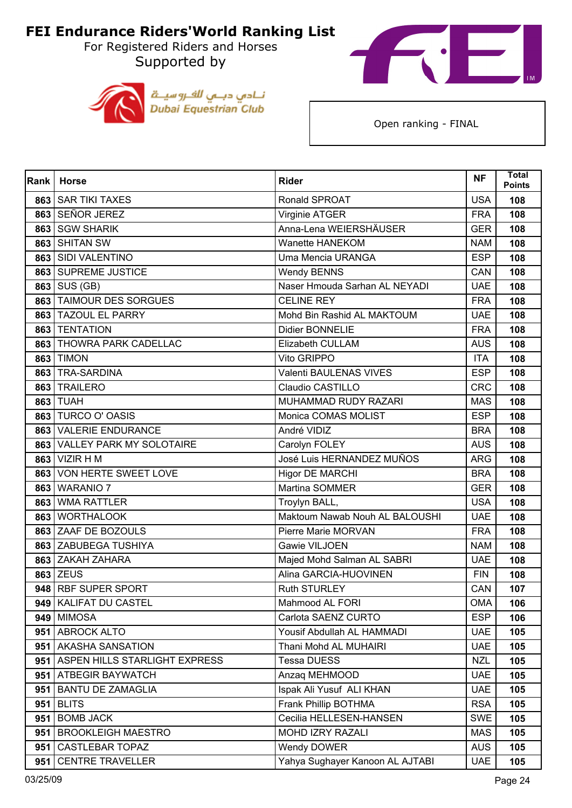Supported by





| Rank | <b>Horse</b>                    | <b>Rider</b>                    | <b>NF</b>  | <b>Total</b><br><b>Points</b> |
|------|---------------------------------|---------------------------------|------------|-------------------------------|
|      | 863 SAR TIKI TAXES              | Ronald SPROAT                   | <b>USA</b> | 108                           |
|      | 863 SEÑOR JEREZ                 | Virginie ATGER                  | <b>FRA</b> | 108                           |
| 863  | <b>SGW SHARIK</b>               | Anna-Lena WEIERSHÄUSER          | <b>GER</b> | 108                           |
| 863  | <b>SHITAN SW</b>                | Wanette HANEKOM                 | <b>NAM</b> | 108                           |
| 863  | SIDI VALENTINO                  | Uma Mencia URANGA               | <b>ESP</b> | 108                           |
|      | 863 SUPREME JUSTICE             | <b>Wendy BENNS</b>              | CAN        | 108                           |
| 863  | SUS (GB)                        | Naser Hmouda Sarhan AL NEYADI   | <b>UAE</b> | 108                           |
| 863  | <b>TAIMOUR DES SORGUES</b>      | <b>CELINE REY</b>               | <b>FRA</b> | 108                           |
|      | 863 TAZOUL EL PARRY             | Mohd Bin Rashid AL MAKTOUM      | <b>UAE</b> | 108                           |
|      | 863   TENTATION                 | Didier BONNELIE                 | <b>FRA</b> | 108                           |
| 863  | THOWRA PARK CADELLAC            | Elizabeth CULLAM                | <b>AUS</b> | 108                           |
| 863  | <b>TIMON</b>                    | Vito GRIPPO                     | <b>ITA</b> | 108                           |
| 863  | <b>TRA-SARDINA</b>              | <b>Valenti BAULENAS VIVES</b>   | <b>ESP</b> | 108                           |
| 863  | <b>TRAILERO</b>                 | Claudio CASTILLO                | <b>CRC</b> | 108                           |
| 863  | <b>TUAH</b>                     | MUHAMMAD RUDY RAZARI            | <b>MAS</b> | 108                           |
| 863  | TURCO O' OASIS                  | Monica COMAS MOLIST             | <b>ESP</b> | 108                           |
|      | 863 VALERIE ENDURANCE           | André VIDIZ                     | <b>BRA</b> | 108                           |
| 863  | <b>VALLEY PARK MY SOLOTAIRE</b> | Carolyn FOLEY                   | <b>AUS</b> | 108                           |
| 863  | <b>VIZIR HM</b>                 | José Luis HERNANDEZ MUÑOS       | <b>ARG</b> | 108                           |
| 863  | VON HERTE SWEET LOVE            | <b>Higor DE MARCHI</b>          | <b>BRA</b> | 108                           |
| 863  | <b>WARANIO 7</b>                | Martina SOMMER                  | <b>GER</b> | 108                           |
| 863  | <b>WMA RATTLER</b>              | Troylyn BALL,                   | <b>USA</b> | 108                           |
| 863  | <b>WORTHALOOK</b>               | Maktoum Nawab Nouh AL BALOUSHI  | <b>UAE</b> | 108                           |
|      | 863 ZAAF DE BOZOULS             | Pierre Marie MORVAN             | <b>FRA</b> | 108                           |
|      | 863 ZABUBEGA TUSHIYA            | Gawie VILJOEN                   | <b>NAM</b> | 108                           |
|      | 863 ZAKAH ZAHARA                | Majed Mohd Salman AL SABRI      | <b>UAE</b> | 108                           |
|      | 863 ZEUS                        | Alina GARCIA-HUOVINEN           | <b>FIN</b> | 108                           |
|      | 948 RBF SUPER SPORT             | <b>Ruth STURLEY</b>             | CAN        | 107                           |
|      | 949 KALIFAT DU CASTEL           | Mahmood AL FORI                 | <b>OMA</b> | 106                           |
| 949  | <b>MIMOSA</b>                   | Carlota SAENZ CURTO             | <b>ESP</b> | 106                           |
|      | 951 ABROCK ALTO                 | Yousif Abdullah AL HAMMADI      | <b>UAE</b> | 105                           |
|      | 951   AKASHA SANSATION          | Thani Mohd AL MUHAIRI           | <b>UAE</b> | 105                           |
| 951  | ASPEN HILLS STARLIGHT EXPRESS   | <b>Tessa DUESS</b>              | <b>NZL</b> | 105                           |
| 951  | <b>ATBEGIR BAYWATCH</b>         | Anzaq MEHMOOD                   | <b>UAE</b> | 105                           |
| 951  | <b>BANTU DE ZAMAGLIA</b>        | Ispak Ali Yusuf ALI KHAN        | <b>UAE</b> | 105                           |
|      | $951$ BLITS                     | Frank Phillip BOTHMA            | <b>RSA</b> | 105                           |
| 951  | <b>BOMB JACK</b>                | Cecilia HELLESEN-HANSEN         | <b>SWE</b> | 105                           |
| 951  | <b>BROOKLEIGH MAESTRO</b>       | MOHD IZRY RAZALI                | <b>MAS</b> | 105                           |
| 951  | <b>CASTLEBAR TOPAZ</b>          | Wendy DOWER                     | <b>AUS</b> | 105                           |
| 951  | <b>CENTRE TRAVELLER</b>         | Yahya Sughayer Kanoon AL AJTABI | <b>UAE</b> | 105                           |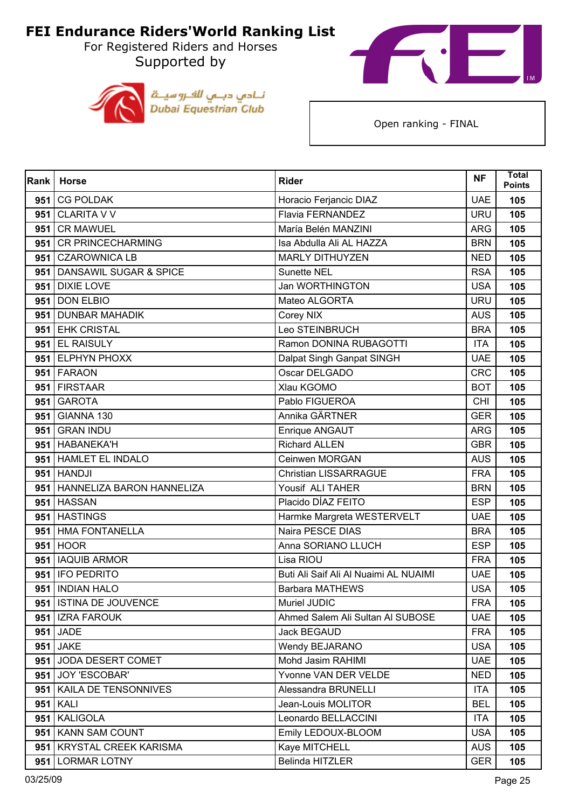Supported by





| Rank | <b>Horse</b>                  | <b>Rider</b>                          | <b>NF</b>  | <b>Total</b><br><b>Points</b> |
|------|-------------------------------|---------------------------------------|------------|-------------------------------|
| 951  | <b>CG POLDAK</b>              | Horacio Ferjancic DIAZ                | <b>UAE</b> | 105                           |
|      | 951 CLARITA V V               | <b>Flavia FERNANDEZ</b>               | <b>URU</b> | 105                           |
| 951  | <b>CR MAWUEL</b>              | María Belén MANZINI                   | <b>ARG</b> | 105                           |
| 951  | <b>CR PRINCECHARMING</b>      | Isa Abdulla Ali AL HAZZA              | <b>BRN</b> | 105                           |
| 951  | <b>CZAROWNICA LB</b>          | <b>MARLY DITHUYZEN</b>                | <b>NED</b> | 105                           |
|      | 951 DANSAWIL SUGAR & SPICE    | Sunette NEL                           | <b>RSA</b> | 105                           |
| 951  | <b>DIXIE LOVE</b>             | Jan WORTHINGTON                       | <b>USA</b> | 105                           |
| 951  | <b>DON ELBIO</b>              | Mateo ALGORTA                         | <b>URU</b> | 105                           |
| 951  | <b>DUNBAR MAHADIK</b>         | Corey NIX                             | <b>AUS</b> | 105                           |
|      | 951 EHK CRISTAL               | Leo STEINBRUCH                        | <b>BRA</b> | 105                           |
|      | 951 EL RAISULY                | Ramon DONINA RUBAGOTTI                | <b>ITA</b> | 105                           |
|      | 951 ELPHYN PHOXX              | Dalpat Singh Ganpat SINGH             | <b>UAE</b> | 105                           |
|      | 951 FARAON                    | Oscar DELGADO                         | <b>CRC</b> | 105                           |
|      | 951 FIRSTAAR                  | Xlau KGOMO                            | <b>BOT</b> | 105                           |
| 951  | <b>GAROTA</b>                 | Pablo FIGUEROA                        | <b>CHI</b> | 105                           |
|      | 951 GIANNA 130                | Annika GÄRTNER                        | <b>GER</b> | 105                           |
|      | 951 GRAN INDU                 | Enrique ANGAUT                        | <b>ARG</b> | 105                           |
|      | 951 HABANEKA'H                | <b>Richard ALLEN</b>                  | <b>GBR</b> | 105                           |
|      | 951 HAMLET EL INDALO          | Ceinwen MORGAN                        | <b>AUS</b> | 105                           |
|      | $951$ HANDJI                  | <b>Christian LISSARRAGUE</b>          | <b>FRA</b> | 105                           |
|      | 951 HANNELIZA BARON HANNELIZA | Yousif ALI TAHER                      | <b>BRN</b> | 105                           |
|      | 951 HASSAN                    | Placido DÍAZ FEITO                    | <b>ESP</b> | 105                           |
| 951  | <b>HASTINGS</b>               | Harmke Margreta WESTERVELT            | <b>UAE</b> | 105                           |
|      | 951 HMA FONTANELLA            | Naira PESCE DIAS                      | <b>BRA</b> | 105                           |
|      | 951 HOOR                      | Anna SORIANO LLUCH                    | <b>ESP</b> | 105                           |
| 951  | <b>IAQUIB ARMOR</b>           | Lisa RIOU                             | <b>FRA</b> | 105                           |
|      | 951   IFO PEDRITO             | Buti Ali Saif Ali Al Nuaimi AL NUAIMI | <b>UAE</b> | 105                           |
|      | 951   INDIAN HALO             | <b>Barbara MATHEWS</b>                | <b>USA</b> | 105                           |
|      | 951 ISTINA DE JOUVENCE        | Muriel JUDIC                          | <b>FRA</b> | 105                           |
| 951  | <b>IZRA FAROUK</b>            | Ahmed Salem Ali Sultan Al SUBOSE      | <b>UAE</b> | 105                           |
|      | 951 JADE                      | <b>Jack BEGAUD</b>                    | <b>FRA</b> | 105                           |
|      | 951 JAKE                      | Wendy BEJARANO                        | <b>USA</b> | 105                           |
|      | 951 JODA DESERT COMET         | Mohd Jasim RAHIMI                     | <b>UAE</b> | 105                           |
|      | 951 JOY 'ESCOBAR'             | Yvonne VAN DER VELDE                  | <b>NED</b> | 105                           |
| 951  | KAILA DE TENSONNIVES          | Alessandra BRUNELLI                   | <b>ITA</b> | 105                           |
|      | 951 KALI                      | Jean-Louis MOLITOR                    | <b>BEL</b> | 105                           |
| 951  | <b>KALIGOLA</b>               | Leonardo BELLACCINI                   | <b>ITA</b> | 105                           |
| 951  | <b>KANN SAM COUNT</b>         | Emily LEDOUX-BLOOM                    | <b>USA</b> | 105                           |
| 951  | <b>KRYSTAL CREEK KARISMA</b>  | Kaye MITCHELL                         | <b>AUS</b> | 105                           |
| 951  | <b>LORMAR LOTNY</b>           | Belinda HITZLER                       | <b>GER</b> | 105                           |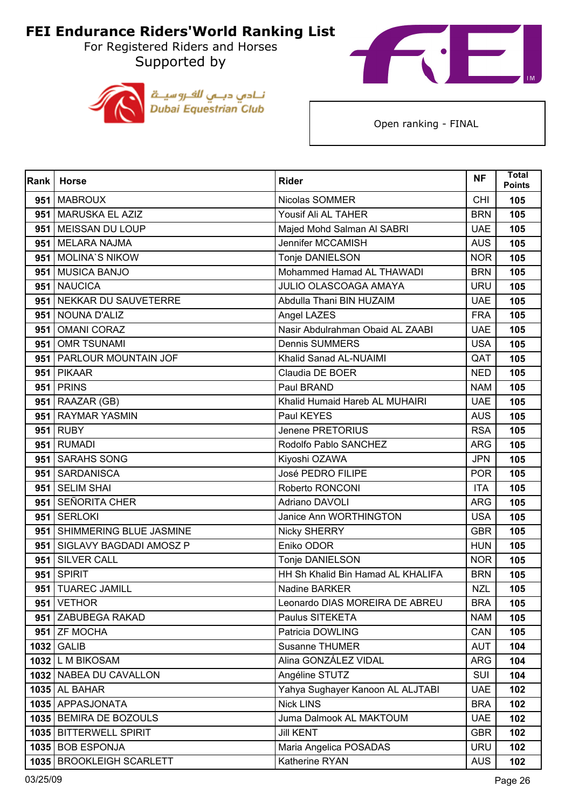For Registered Riders and Horses Supported by





| Rank | <b>Horse</b>               | <b>Rider</b>                      | <b>NF</b>  | <b>Total</b><br><b>Points</b> |
|------|----------------------------|-----------------------------------|------------|-------------------------------|
| 951  | <b>MABROUX</b>             | Nicolas SOMMER                    | <b>CHI</b> | 105                           |
|      | 951 MARUSKA EL AZIZ        | Yousif Ali AL TAHER               | <b>BRN</b> | 105                           |
| 951  | MEISSAN DU LOUP            | Majed Mohd Salman Al SABRI        | <b>UAE</b> | 105                           |
| 951  | <b>MELARA NAJMA</b>        | Jennifer MCCAMISH                 | <b>AUS</b> | 105                           |
| 951  | <b>MOLINA'S NIKOW</b>      | Tonje DANIELSON                   | <b>NOR</b> | 105                           |
|      | 951 MUSICA BANJO           | Mohammed Hamad AL THAWADI         | <b>BRN</b> | 105                           |
| 951  | <b>NAUCICA</b>             | <b>JULIO OLASCOAGA AMAYA</b>      | <b>URU</b> | 105                           |
|      | 951 NEKKAR DU SAUVETERRE   | Abdulla Thani BIN HUZAIM          | <b>UAE</b> | 105                           |
| 951  | NOUNA D'ALIZ               | Angel LAZES                       | <b>FRA</b> | 105                           |
| 951  | <b>OMANI CORAZ</b>         | Nasir Abdulrahman Obaid AL ZAABI  | <b>UAE</b> | 105                           |
| 951  | <b>OMR TSUNAMI</b>         | <b>Dennis SUMMERS</b>             | <b>USA</b> | 105                           |
|      | 951   PARLOUR MOUNTAIN JOF | Khalid Sanad AL-NUAIMI            | QAT        | 105                           |
|      | 951 PIKAAR                 | Claudia DE BOER                   | <b>NED</b> | 105                           |
|      | <b>951   PRINS</b>         | Paul BRAND                        | <b>NAM</b> | 105                           |
| 951  | RAAZAR (GB)                | Khalid Humaid Hareb AL MUHAIRI    | <b>UAE</b> | 105                           |
|      | 951 RAYMAR YASMIN          | Paul KEYES                        | <b>AUS</b> | 105                           |
|      | $951$ RUBY                 | Jenene PRETORIUS                  | <b>RSA</b> | 105                           |
|      | 951 RUMADI                 | Rodolfo Pablo SANCHEZ             | <b>ARG</b> | 105                           |
| 951  | <b>SARAHS SONG</b>         | Kiyoshi OZAWA                     | <b>JPN</b> | 105                           |
| 951  | SARDANISCA                 | José PEDRO FILIPE                 | <b>POR</b> | 105                           |
| 951  | <b>SELIM SHAI</b>          | Roberto RONCONI                   | <b>ITA</b> | 105                           |
| 951  | <b>SEÑORITA CHER</b>       | <b>Adriano DAVOLI</b>             | <b>ARG</b> | 105                           |
| 951  | <b>SERLOKI</b>             | Janice Ann WORTHINGTON            | <b>USA</b> | 105                           |
| 951  | SHIMMERING BLUE JASMINE    | <b>Nicky SHERRY</b>               | <b>GBR</b> | 105                           |
| 951  | SIGLAVY BAGDADI AMOSZ P    | Eniko ODOR                        | <b>HUN</b> | 105                           |
| 951  | <b>SILVER CALL</b>         | Tonje DANIELSON                   | <b>NOR</b> | 105                           |
| 951  | <b>SPIRIT</b>              | HH Sh Khalid Bin Hamad AL KHALIFA | <b>BRN</b> | 105                           |
|      | 951 TUAREC JAMILL          | Nadine BARKER                     | <b>NZL</b> | 105                           |
|      | 951   VETHOR               | Leonardo DIAS MOREIRA DE ABREU    | <b>BRA</b> | 105                           |
|      | 951 ZABUBEGA RAKAD         | Paulus SITEKETA                   | <b>NAM</b> | 105                           |
|      | 951 ZF MOCHA               | Patricia DOWLING                  | CAN        | 105                           |
|      | 1032 GALIB                 | Susanne THUMER                    | <b>AUT</b> | 104                           |
|      | 1032 L M BIKOSAM           | Alina GONZÁLEZ VIDAL              | <b>ARG</b> | 104                           |
|      | 1032 NABEA DU CAVALLON     | Angéline STUTZ                    | <b>SUI</b> | 104                           |
|      | <b>1035 AL BAHAR</b>       | Yahya Sughayer Kanoon AL ALJTABI  | <b>UAE</b> | 102                           |
|      | 1035 APPASJONATA           | <b>Nick LINS</b>                  | <b>BRA</b> | 102                           |
|      | 1035 BEMIRA DE BOZOULS     | Juma Dalmook AL MAKTOUM           | <b>UAE</b> | 102                           |
|      | 1035 BITTERWELL SPIRIT     | <b>Jill KENT</b>                  | <b>GBR</b> | 102                           |
|      | 1035   BOB ESPONJA         | Maria Angelica POSADAS            | <b>URU</b> | 102                           |
|      | 1035 BROOKLEIGH SCARLETT   | Katherine RYAN                    | <b>AUS</b> | 102                           |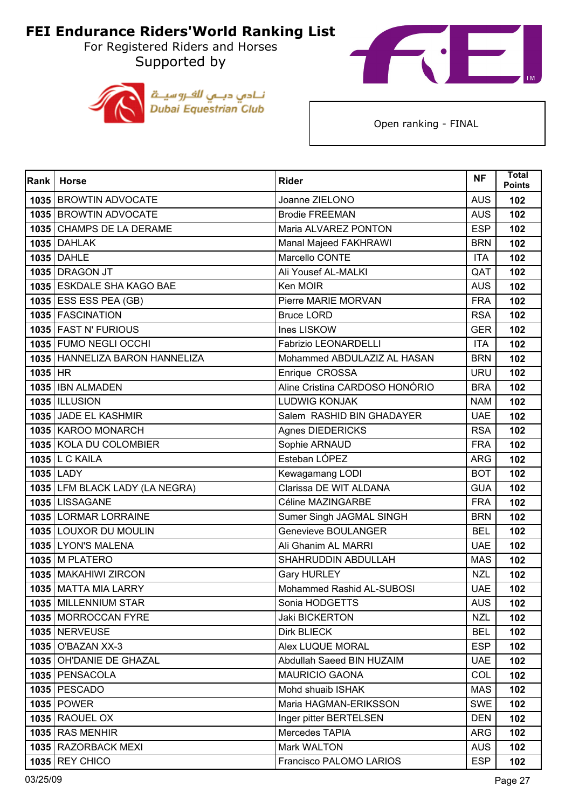Supported by





| Rank    | <b>Horse</b>                     | <b>Rider</b>                   | <b>NF</b>  | <b>Total</b><br><b>Points</b> |
|---------|----------------------------------|--------------------------------|------------|-------------------------------|
|         | 1035 BROWTIN ADVOCATE            | Joanne ZIELONO                 | <b>AUS</b> | 102                           |
|         | 1035 BROWTIN ADVOCATE            | <b>Brodie FREEMAN</b>          | <b>AUS</b> | 102                           |
|         | 1035 CHAMPS DE LA DERAME         | Maria ALVAREZ PONTON           | <b>ESP</b> | 102                           |
|         | <b>1035 DAHLAK</b>               | Manal Majeed FAKHRAWI          | <b>BRN</b> | 102                           |
|         | 1035 DAHLE                       | Marcello CONTE                 | <b>ITA</b> | 102                           |
|         | 1035 DRAGON JT                   | Ali Yousef AL-MALKI            | QAT        | 102                           |
|         | 1035 ESKDALE SHA KAGO BAE        | Ken MOIR                       | <b>AUS</b> | 102                           |
|         | <b>1035 ESS ESS PEA (GB)</b>     | Pierre MARIE MORVAN            | <b>FRA</b> | 102                           |
|         | 1035 FASCINATION                 | <b>Bruce LORD</b>              | <b>RSA</b> | 102                           |
|         | 1035 FAST N' FURIOUS             | Ines LISKOW                    | <b>GER</b> | 102                           |
|         | 1035 FUMO NEGLI OCCHI            | <b>Fabrizio LEONARDELLI</b>    | <b>ITA</b> | 102                           |
|         | 1035   HANNELIZA BARON HANNELIZA | Mohammed ABDULAZIZ AL HASAN    | <b>BRN</b> | 102                           |
| 1035 HR |                                  | Enrique CROSSA                 | <b>URU</b> | 102                           |
|         | 1035 IBN ALMADEN                 | Aline Cristina CARDOSO HONÓRIO | <b>BRA</b> | 102                           |
|         | <b>1035   ILLUSION</b>           | <b>LUDWIG KONJAK</b>           | <b>NAM</b> | 102                           |
|         | 1035 JADE EL KASHMIR             | Salem RASHID BIN GHADAYER      | <b>UAE</b> | 102                           |
|         | 1035 KAROO MONARCH               | Agnes DIEDERICKS               | <b>RSA</b> | 102                           |
|         | 1035 KOLA DU COLOMBIER           | Sophie ARNAUD                  | <b>FRA</b> | 102                           |
|         | <b>1035 L C KAILA</b>            | Esteban LÓPEZ                  | <b>ARG</b> | 102                           |
|         | 1035 LADY                        | Kewagamang LODI                | <b>BOT</b> | 102                           |
|         | 1035 LFM BLACK LADY (LA NEGRA)   | Clarissa DE WIT ALDANA         | <b>GUA</b> | 102                           |
|         | 1035 LISSAGANE                   | Céline MAZINGARBE              | <b>FRA</b> | 102                           |
|         | 1035 LORMAR LORRAINE             | Sumer Singh JAGMAL SINGH       | <b>BRN</b> | 102                           |
|         | 1035 LOUXOR DU MOULIN            | <b>Genevieve BOULANGER</b>     | <b>BEL</b> | 102                           |
|         | 1035 LYON'S MALENA               | Ali Ghanim AL MARRI            | <b>UAE</b> | 102                           |
|         | <b>1035 M PLATERO</b>            | SHAHRUDDIN ABDULLAH            | <b>MAS</b> | 102                           |
|         | 1035   MAKAHIWI ZIRCON           | <b>Gary HURLEY</b>             | <b>NZL</b> | 102                           |
|         | 1035 MATTA MIA LARRY             | Mohammed Rashid AL-SUBOSI      | <b>UAE</b> | 102                           |
|         | 1035 MILLENNIUM STAR             | Sonia HODGETTS                 | <b>AUS</b> | 102                           |
|         | 1035 MORROCCAN FYRE              | <b>Jaki BICKERTON</b>          | <b>NZL</b> | 102                           |
|         | <b>1035   NERVEUSE</b>           | <b>Dirk BLIECK</b>             | <b>BEL</b> | 102                           |
|         | 1035   O'BAZAN XX-3              | Alex LUQUE MORAL               | <b>ESP</b> | 102                           |
|         | 1035 OH'DANIE DE GHAZAL          | Abdullah Saeed BIN HUZAIM      | <b>UAE</b> | 102                           |
|         | 1035   PENSACOLA                 | <b>MAURICIO GAONA</b>          | COL        | 102                           |
|         | <b>1035   PESCADO</b>            | Mohd shuaib ISHAK              | <b>MAS</b> | 102                           |
|         | <b>1035 POWER</b>                | Maria HAGMAN-ERIKSSON          | <b>SWE</b> | 102                           |
|         | <b>1035 RAOUEL OX</b>            | Inger pitter BERTELSEN         | <b>DEN</b> | 102                           |
|         | <b>1035 RAS MENHIR</b>           | Mercedes TAPIA                 | <b>ARG</b> | 102                           |
|         | 1035 RAZORBACK MEXI              | Mark WALTON                    | <b>AUS</b> | 102                           |
|         | <b>1035 REY CHICO</b>            | Francisco PALOMO LARIOS        | <b>ESP</b> | 102                           |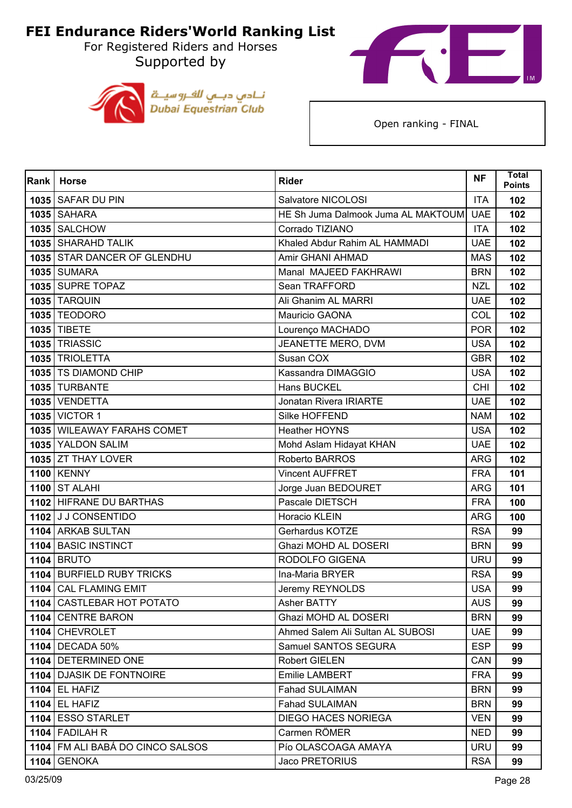For Registered Riders and Horses Supported by





| Rank | <b>Horse</b>                       | <b>Rider</b>                       | <b>NF</b>  | <b>Total</b><br><b>Points</b> |
|------|------------------------------------|------------------------------------|------------|-------------------------------|
|      | 1035 SAFAR DU PIN                  | Salvatore NICOLOSI                 | <b>ITA</b> | 102                           |
|      | 1035 SAHARA                        | HE Sh Juma Dalmook Juma AL MAKTOUM | <b>UAE</b> | 102                           |
|      | 1035 SALCHOW                       | Corrado TIZIANO                    | <b>ITA</b> | 102                           |
|      | 1035 SHARAHD TALIK                 | Khaled Abdur Rahim AL HAMMADI      | <b>UAE</b> | 102                           |
|      | 1035 STAR DANCER OF GLENDHU        | Amir GHANI AHMAD                   | <b>MAS</b> | 102                           |
|      | <b>1035 SUMARA</b>                 | Manal MAJEED FAKHRAWI              | <b>BRN</b> | 102                           |
|      | 1035 SUPRE TOPAZ                   | Sean TRAFFORD                      | <b>NZL</b> | 102                           |
|      | <b>1035 TARQUIN</b>                | Ali Ghanim AL MARRI                | <b>UAE</b> | 102                           |
|      | <b>1035 TEODORO</b>                | Mauricio GAONA                     | COL        | 102                           |
|      | 1035 TIBETE                        | Lourenço MACHADO                   | <b>POR</b> | 102                           |
|      | 1035 TRIASSIC                      | JEANETTE MERO, DVM                 | <b>USA</b> | 102                           |
|      | 1035 TRIOLETTA                     | Susan COX                          | <b>GBR</b> | 102                           |
|      | 1035 TS DIAMOND CHIP               | Kassandra DIMAGGIO                 | <b>USA</b> | 102                           |
|      | 1035 TURBANTE                      | Hans BUCKEL                        | <b>CHI</b> | 102                           |
|      | 1035 VENDETTA                      | Jonatan Rivera IRIARTE             | <b>UAE</b> | 102                           |
|      | 1035 VICTOR 1                      | Silke HOFFEND                      | <b>NAM</b> | 102                           |
|      | 1035 WILEAWAY FARAHS COMET         | <b>Heather HOYNS</b>               | <b>USA</b> | 102                           |
|      | 1035 YALDON SALIM                  | Mohd Aslam Hidayat KHAN            | <b>UAE</b> | 102                           |
|      | 1035 ZT THAY LOVER                 | Roberto BARROS                     | <b>ARG</b> | 102                           |
|      | <b>1100 KENNY</b>                  | <b>Vincent AUFFRET</b>             | <b>FRA</b> | 101                           |
|      | <b>1100 ST ALAHI</b>               | Jorge Juan BEDOURET                | <b>ARG</b> | 101                           |
|      | 1102 HIFRANE DU BARTHAS            | Pascale DIETSCH                    | <b>FRA</b> | 100                           |
|      | 1102 J J CONSENTIDO                | Horacio KLEIN                      | <b>ARG</b> | 100                           |
|      | 1104 ARKAB SULTAN                  | Gerhardus KOTZE                    | <b>RSA</b> | 99                            |
|      | 1104 BASIC INSTINCT                | Ghazi MOHD AL DOSERI               | <b>BRN</b> | 99                            |
|      | <b>1104 BRUTO</b>                  | RODOLFO GIGENA                     | <b>URU</b> | 99                            |
|      | 1104 BURFIELD RUBY TRICKS          | Ina-Maria BRYER                    | <b>RSA</b> | 99                            |
|      | 1104 CAL FLAMING EMIT              | Jeremy REYNOLDS                    | <b>USA</b> | 99                            |
|      | 1104   CASTLEBAR HOT POTATO        | Asher BATTY                        | <b>AUS</b> | 99                            |
|      | 1104 CENTRE BARON                  | Ghazi MOHD AL DOSERI               | <b>BRN</b> | 99                            |
|      | 1104 CHEVROLET                     | Ahmed Salem Ali Sultan AL SUBOSI   | <b>UAE</b> | 99                            |
|      | <b>1104 DECADA 50%</b>             | Samuel SANTOS SEGURA               | <b>ESP</b> | 99                            |
|      | 1104 DETERMINED ONE                | <b>Robert GIELEN</b>               | CAN        | 99                            |
|      | 1104 DJASIK DE FONTNOIRE           | Emilie LAMBERT                     | <b>FRA</b> | 99                            |
|      | <b>1104 EL HAFIZ</b>               | <b>Fahad SULAIMAN</b>              | <b>BRN</b> | 99                            |
|      | $1104$ EL HAFIZ                    | <b>Fahad SULAIMAN</b>              | <b>BRN</b> | 99                            |
|      | 1104 ESSO STARLET                  | <b>DIEGO HACES NORIEGA</b>         | <b>VEN</b> | 99                            |
|      | 1104 FADILAH R                     | Carmen RÖMER                       | <b>NED</b> | 99                            |
|      | 1104   FM ALI BABÁ DO CINCO SALSOS | Pío OLASCOAGA AMAYA                | <b>URU</b> | 99                            |
|      | <b>1104 GENOKA</b>                 | Jaco PRETORIUS                     | <b>RSA</b> | 99                            |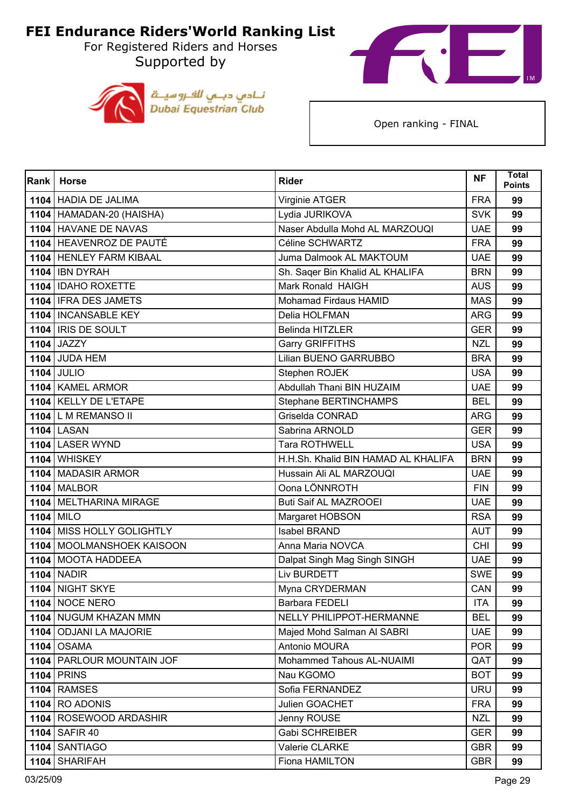For Registered Riders and Horses Supported by





| Rank | <b>Horse</b>                | <b>Rider</b>                        | <b>NF</b>  | <b>Total</b><br><b>Points</b> |
|------|-----------------------------|-------------------------------------|------------|-------------------------------|
|      | 1104 HADIA DE JALIMA        | Virginie ATGER                      | <b>FRA</b> | 99                            |
|      | 1104   HAMADAN-20 (HAISHA)  | Lydia JURIKOVA                      | <b>SVK</b> | 99                            |
|      | 1104 HAVANE DE NAVAS        | Naser Abdulla Mohd AL MARZOUQI      | <b>UAE</b> | 99                            |
|      | 1104 HEAVENROZ DE PAUTÉ     | Céline SCHWARTZ                     | <b>FRA</b> | 99                            |
|      | 1104 HENLEY FARM KIBAAL     | Juma Dalmook AL MAKTOUM             | <b>UAE</b> | 99                            |
|      | 1104   IBN DYRAH            | Sh. Saqer Bin Khalid AL KHALIFA     | <b>BRN</b> | 99                            |
|      | 1104 IDAHO ROXETTE          | Mark Ronald HAIGH                   | <b>AUS</b> | 99                            |
|      | 1104   IFRA DES JAMETS      | Mohamad Firdaus HAMID               | <b>MAS</b> | 99                            |
|      | 1104   INCANSABLE KEY       | Delia HOLFMAN                       | <b>ARG</b> | 99                            |
|      | 1104   IRIS DE SOULT        | <b>Belinda HITZLER</b>              | <b>GER</b> | 99                            |
|      | 1104 JAZZY                  | Garry GRIFFITHS                     | <b>NZL</b> | 99                            |
|      | <b>1104 JUDA HEM</b>        | Lilian BUENO GARRUBBO               | <b>BRA</b> | 99                            |
|      | <b>1104 JULIO</b>           | Stephen ROJEK                       | <b>USA</b> | 99                            |
|      | 1104 KAMEL ARMOR            | Abdullah Thani BIN HUZAIM           | <b>UAE</b> | 99                            |
|      | 1104 KELLY DE L'ETAPE       | Stephane BERTINCHAMPS               | <b>BEL</b> | 99                            |
|      | 1104 L M REMANSO II         | Griselda CONRAD                     | <b>ARG</b> | 99                            |
|      | <b>1104 LASAN</b>           | Sabrina ARNOLD                      | <b>GER</b> | 99                            |
|      | 1104 LASER WYND             | <b>Tara ROTHWELL</b>                | <b>USA</b> | 99                            |
|      | 1104 WHISKEY                | H.H.Sh. Khalid BIN HAMAD AL KHALIFA | <b>BRN</b> | 99                            |
|      | 1104 MADASIR ARMOR          | Hussain Ali AL MARZOUQI             | <b>UAE</b> | 99                            |
|      | <b>1104   MALBOR</b>        | Oona LÖNNROTH                       | <b>FIN</b> | 99                            |
|      | 1104   MELTHARINA MIRAGE    | <b>Buti Saif AL MAZROOEI</b>        | <b>UAE</b> | 99                            |
|      | 1104 MILO                   | Margaret HOBSON                     | <b>RSA</b> | 99                            |
|      | 1104 MISS HOLLY GOLIGHTLY   | <b>Isabel BRAND</b>                 | <b>AUT</b> | 99                            |
|      | 1104 MOOLMANSHOEK KAISOON   | Anna Maria NOVCA                    | <b>CHI</b> | 99                            |
|      | 1104 MOOTA HADDEEA          | Dalpat Singh Mag Singh SINGH        | <b>UAE</b> | 99                            |
|      | <b>1104   NADIR</b>         | Liv BURDETT                         | <b>SWE</b> | 99                            |
|      | 1104 NIGHT SKYE             | Myna CRYDERMAN                      | CAN        | 99                            |
|      | <b>1104   NOCE NERO</b>     | Barbara FEDELI                      | <b>ITA</b> | 99                            |
|      | 1104 NUGUM KHAZAN MMN       | NELLY PHILIPPOT-HERMANNE            | <b>BEL</b> | 99                            |
|      | 1104   ODJANI LA MAJORIE    | Majed Mohd Salman Al SABRI          | <b>UAE</b> | 99                            |
|      | <b>1104   OSAMA</b>         | Antonio MOURA                       | <b>POR</b> | 99                            |
|      | 1104   PARLOUR MOUNTAIN JOF | Mohammed Tahous AL-NUAIMI           | QAT        | 99                            |
|      | <b>1104 PRINS</b>           | Nau KGOMO                           | <b>BOT</b> | 99                            |
|      | <b>1104 RAMSES</b>          | Sofia FERNANDEZ                     | <b>URU</b> | 99                            |
|      | $1104$ RO ADONIS            | Julien GOACHET                      | <b>FRA</b> | 99                            |
|      | 1104 ROSEWOOD ARDASHIR      | Jenny ROUSE                         | <b>NZL</b> | 99                            |
|      | 1104 SAFIR 40               | <b>Gabi SCHREIBER</b>               | <b>GER</b> | 99                            |
|      | 1104 SANTIAGO               | Valerie CLARKE                      | <b>GBR</b> | 99                            |
|      | 1104 SHARIFAH               | Fiona HAMILTON                      | <b>GBR</b> | 99                            |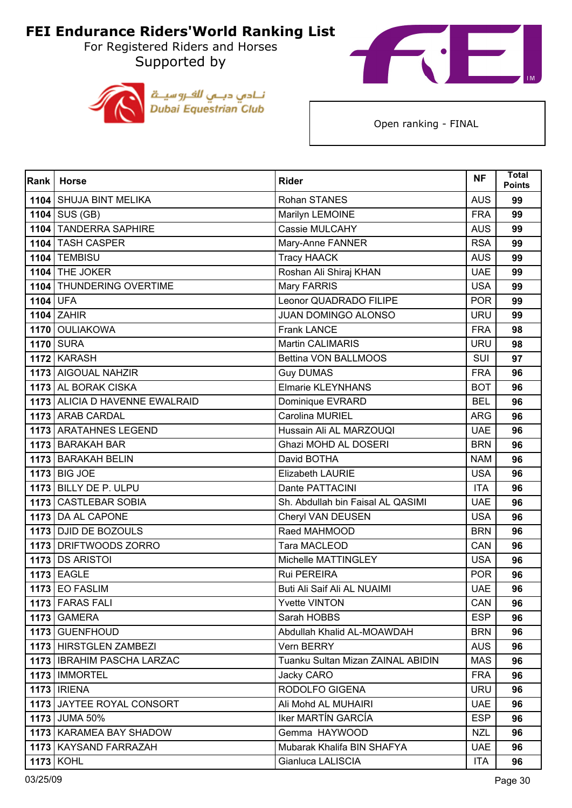For Registered Riders and Horses Supported by





| Rank     | <b>Horse</b>                   | <b>Rider</b>                      | <b>NF</b>  | Total<br><b>Points</b> |
|----------|--------------------------------|-----------------------------------|------------|------------------------|
|          | 1104 SHUJA BINT MELIKA         | <b>Rohan STANES</b>               | <b>AUS</b> | 99                     |
|          | $1104$ SUS (GB)                | Marilyn LEMOINE                   | <b>FRA</b> | 99                     |
|          | 1104 TANDERRA SAPHIRE          | Cassie MULCAHY                    | <b>AUS</b> | 99                     |
|          | 1104 TASH CASPER               | Mary-Anne FANNER                  | <b>RSA</b> | 99                     |
|          | <b>1104 TEMBISU</b>            | <b>Tracy HAACK</b>                | <b>AUS</b> | 99                     |
|          | 1104 THE JOKER                 | Roshan Ali Shiraj KHAN            | <b>UAE</b> | 99                     |
|          | 1104 THUNDERING OVERTIME       | Mary FARRIS                       | <b>USA</b> | 99                     |
| 1104 UFA |                                | Leonor QUADRADO FILIPE            | <b>POR</b> | 99                     |
|          | $1104$ ZAHIR                   | <b>JUAN DOMINGO ALONSO</b>        | <b>URU</b> | 99                     |
|          | 1170 OULIAKOWA                 | <b>Frank LANCE</b>                | <b>FRA</b> | 98                     |
|          | <b>1170 SURA</b>               | Martin CALIMARIS                  | <b>URU</b> | 98                     |
|          | 1172 KARASH                    | Bettina VON BALLMOOS              | <b>SUI</b> | 97                     |
|          | 1173 AIGOUAL NAHZIR            | <b>Guy DUMAS</b>                  | <b>FRA</b> | 96                     |
|          | 1173 AL BORAK CISKA            | <b>Elmarie KLEYNHANS</b>          | <b>BOT</b> | 96                     |
|          | 1173 ALICIA D HAVENNE EWALRAID | Dominique EVRARD                  | <b>BEL</b> | 96                     |
|          | 1173 ARAB CARDAL               | Carolina MURIEL                   | <b>ARG</b> | 96                     |
|          | 1173 ARATAHNES LEGEND          | Hussain Ali AL MARZOUQI           | <b>UAE</b> | 96                     |
|          | 1173 BARAKAH BAR               | Ghazi MOHD AL DOSERI              | <b>BRN</b> | 96                     |
|          | 1173 BARAKAH BELIN             | David BOTHA                       | <b>NAM</b> | 96                     |
|          | <b>1173 BIG JOE</b>            | Elizabeth LAURIE                  | <b>USA</b> | 96                     |
|          | 1173 BILLY DE P. ULPU          | Dante PATTACINI                   | <b>ITA</b> | 96                     |
|          | 1173 CASTLEBAR SOBIA           | Sh. Abdullah bin Faisal AL QASIMI | <b>UAE</b> | 96                     |
|          | 1173 DA AL CAPONE              | Cheryl VAN DEUSEN                 | <b>USA</b> | 96                     |
|          | 1173 DJID DE BOZOULS           | Raed MAHMOOD                      | <b>BRN</b> | 96                     |
|          | 1173 DRIFTWOODS ZORRO          | Tara MACLEOD                      | CAN        | 96                     |
|          | 1173 DS ARISTOI                | Michelle MATTINGLEY               | <b>USA</b> | 96                     |
|          | <b>1173 EAGLE</b>              | <b>Rui PEREIRA</b>                | <b>POR</b> | 96                     |
|          | <b>1173 EO FASLIM</b>          | Buti Ali Saif Ali AL NUAIMI       | <b>UAE</b> | 96                     |
|          | 1173 FARAS FALI                | <b>Yvette VINTON</b>              | CAN        | 96                     |
|          | <b>1173 GAMERA</b>             | Sarah HOBBS                       | <b>ESP</b> | 96                     |
|          | 1173 GUENFHOUD                 | Abdullah Khalid AL-MOAWDAH        | <b>BRN</b> | 96                     |
|          | 1173 HIRSTGLEN ZAMBEZI         | Vern BERRY                        | <b>AUS</b> | 96                     |
|          | 1173   IBRAHIM PASCHA LARZAC   | Tuanku Sultan Mizan ZAINAL ABIDIN | <b>MAS</b> | 96                     |
|          | 1173   IMMORTEL                | Jacky CARO                        | <b>FRA</b> | 96                     |
|          | <b>1173   IRIENA</b>           | RODOLFO GIGENA                    | <b>URU</b> | 96                     |
|          | 1173 JAYTEE ROYAL CONSORT      | Ali Mohd AL MUHAIRI               | <b>UAE</b> | 96                     |
|          | 1173 JUMA 50%                  | Iker MARTÍN GARCÍA                | <b>ESP</b> | 96                     |
|          | 1173   KARAMEA BAY SHADOW      | Gemma HAYWOOD                     | <b>NZL</b> | 96                     |
|          | 1173   KAYSAND FARRAZAH        | Mubarak Khalifa BIN SHAFYA        | <b>UAE</b> | 96                     |
|          | <b>1173 KOHL</b>               | Gianluca LALISCIA                 | <b>ITA</b> | 96                     |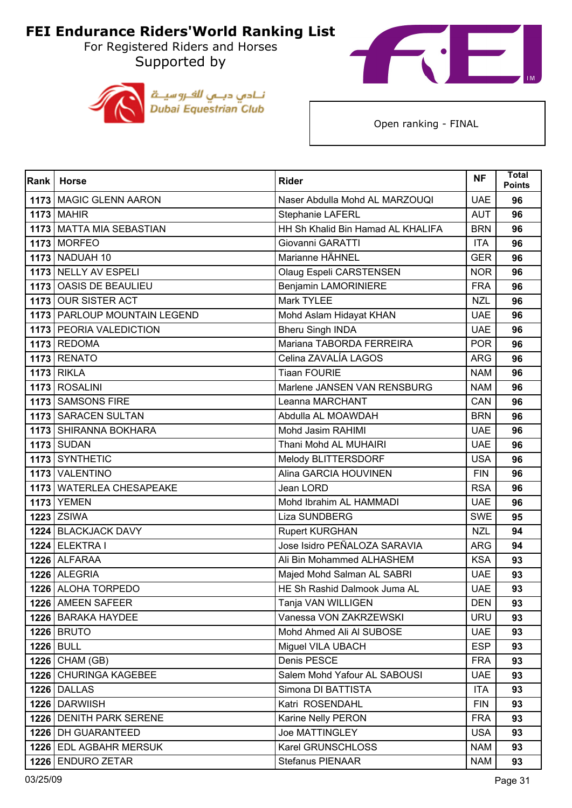For Registered Riders and Horses Supported by



نــادي دبــي للفــروسيـــة<br>Dubai Equestrian Club

| Rank | <b>Horse</b>                 | <b>Rider</b>                      | <b>NF</b>  | Total<br><b>Points</b> |
|------|------------------------------|-----------------------------------|------------|------------------------|
|      | 1173   MAGIC GLENN AARON     | Naser Abdulla Mohd AL MARZOUQI    | <b>UAE</b> | 96                     |
|      | <b>1173 MAHIR</b>            | Stephanie LAFERL                  | <b>AUT</b> | 96                     |
|      | 1173 MATTA MIA SEBASTIAN     | HH Sh Khalid Bin Hamad AL KHALIFA | <b>BRN</b> | 96                     |
|      | <b>1173 MORFEO</b>           | Giovanni GARATTI                  | <b>ITA</b> | 96                     |
|      | <b>1173 NADUAH 10</b>        | Marianne HÄHNEL                   | <b>GER</b> | 96                     |
|      | 1173 NELLY AV ESPELI         | Olaug Espeli CARSTENSEN           | <b>NOR</b> | 96                     |
|      | 1173 OASIS DE BEAULIEU       | <b>Benjamin LAMORINIERE</b>       | <b>FRA</b> | 96                     |
|      | 1173 OUR SISTER ACT          | <b>Mark TYLEE</b>                 | <b>NZL</b> | 96                     |
|      | 1173 PARLOUP MOUNTAIN LEGEND | Mohd Aslam Hidayat KHAN           | <b>UAE</b> | 96                     |
|      | 1173 PEORIA VALEDICTION      | <b>Bheru Singh INDA</b>           | <b>UAE</b> | 96                     |
|      | 1173 REDOMA                  | Mariana TABORDA FERREIRA          | <b>POR</b> | 96                     |
|      | 1173 RENATO                  | Celina ZAVALÍA LAGOS              | <b>ARG</b> | 96                     |
|      | <b>1173 RIKLA</b>            | <b>Tiaan FOURIE</b>               | <b>NAM</b> | 96                     |
|      | 1173 ROSALINI                | Marlene JANSEN VAN RENSBURG       | <b>NAM</b> | 96                     |
|      | 1173 SAMSONS FIRE            | Leanna MARCHANT                   | CAN        | 96                     |
|      | 1173 SARACEN SULTAN          | Abdulla AL MOAWDAH                | <b>BRN</b> | 96                     |
|      | 1173 SHIRANNA BOKHARA        | Mohd Jasim RAHIMI                 | <b>UAE</b> | 96                     |
|      | <b>1173 SUDAN</b>            | Thani Mohd AL MUHAIRI             | <b>UAE</b> | 96                     |
|      | 1173 SYNTHETIC               | Melody BLITTERSDORF               | <b>USA</b> | 96                     |
|      | 1173 VALENTINO               | Alina GARCIA HOUVINEN             | <b>FIN</b> | 96                     |
|      | 1173 WATERLEA CHESAPEAKE     | Jean LORD                         | <b>RSA</b> | 96                     |
|      | <b>1173 YEMEN</b>            | Mohd Ibrahim AL HAMMADI           | <b>UAE</b> | 96                     |
|      | $1223$ ZSIWA                 | <b>Liza SUNDBERG</b>              | <b>SWE</b> | 95                     |
|      | 1224 BLACKJACK DAVY          | <b>Rupert KURGHAN</b>             | <b>NZL</b> | 94                     |
|      | 1224 ELEKTRA I               | Jose Isidro PEÑALOZA SARAVIA      | <b>ARG</b> | 94                     |
|      | 1226 ALFARAA                 | Ali Bin Mohammed ALHASHEM         | <b>KSA</b> | 93                     |
|      | 1226 ALEGRIA                 | Majed Mohd Salman AL SABRI        | <b>UAE</b> | 93                     |
|      | 1226 ALOHA TORPEDO           | HE Sh Rashid Dalmook Juma AL      | <b>UAE</b> | 93                     |
|      | 1226   AMEEN SAFEER          | Tanja VAN WILLIGEN                | <b>DEN</b> | 93                     |
|      | 1226 BARAKA HAYDEE           | Vanessa VON ZAKRZEWSKI            | <b>URU</b> | 93                     |
|      | <b>1226 BRUTO</b>            | Mohd Ahmed Ali Al SUBOSE          | <b>UAE</b> | 93                     |
|      | <b>1226 BULL</b>             | Miguel VILA UBACH                 | <b>ESP</b> | 93                     |
|      | $1226$ CHAM (GB)             | Denis PESCE                       | <b>FRA</b> | 93                     |
|      | 1226 CHURINGA KAGEBEE        | Salem Mohd Yafour AL SABOUSI      | <b>UAE</b> | 93                     |
|      | <b>1226 DALLAS</b>           | Simona DI BATTISTA                | <b>ITA</b> | 93                     |
|      | 1226 DARWIISH                | Katri ROSENDAHL                   | <b>FIN</b> | 93                     |
|      | 1226 DENITH PARK SERENE      | Karine Nelly PERON                | <b>FRA</b> | 93                     |
|      | 1226   DH GUARANTEED         | <b>Joe MATTINGLEY</b>             | <b>USA</b> | 93                     |
|      | 1226 EDL AGBAHR MERSUK       | Karel GRUNSCHLOSS                 | <b>NAM</b> | 93                     |
|      | 1226 ENDURO ZETAR            | <b>Stefanus PIENAAR</b>           | <b>NAM</b> | 93                     |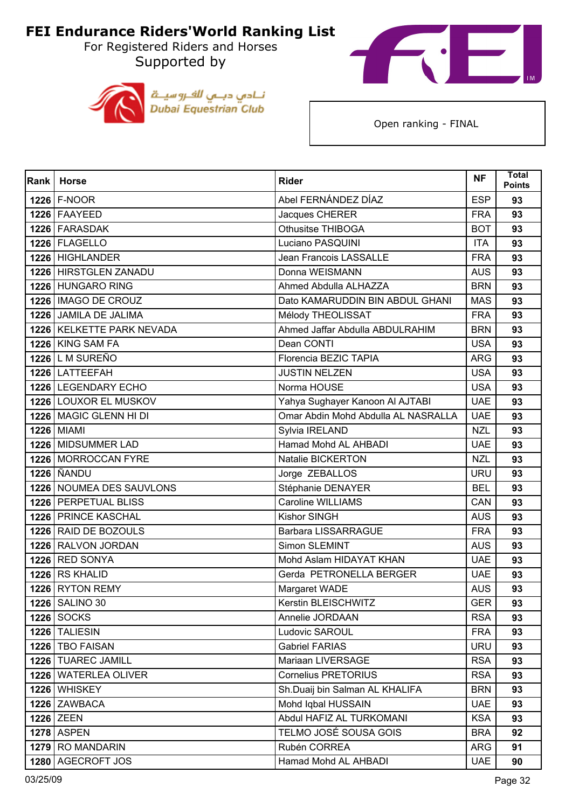For Registered Riders and Horses Supported by





| <b>Rank</b> | <b>Horse</b>              | <b>Rider</b>                        | <b>NF</b>  | Total<br><b>Points</b> |
|-------------|---------------------------|-------------------------------------|------------|------------------------|
|             | $1226$ F-NOOR             | Abel FERNÁNDEZ DÍAZ                 | <b>ESP</b> | 93                     |
|             | 1226 FAAYEED              | Jacques CHERER                      | <b>FRA</b> | 93                     |
|             | 1226 FARASDAK             | Othusitse THIBOGA                   | <b>BOT</b> | 93                     |
|             | 1226 FLAGELLO             | Luciano PASQUINI                    | <b>ITA</b> | 93                     |
|             | 1226 HIGHLANDER           | <b>Jean Francois LASSALLE</b>       | <b>FRA</b> | 93                     |
|             | 1226 HIRSTGLEN ZANADU     | Donna WEISMANN                      | <b>AUS</b> | 93                     |
|             | 1226 HUNGARO RING         | Ahmed Abdulla ALHAZZA               | <b>BRN</b> | 93                     |
|             | 1226   IMAGO DE CROUZ     | Dato KAMARUDDIN BIN ABDUL GHANI     | <b>MAS</b> | 93                     |
|             | 1226 JAMILA DE JALIMA     | Mélody THEOLISSAT                   | <b>FRA</b> | 93                     |
|             | 1226 KELKETTE PARK NEVADA | Ahmed Jaffar Abdulla ABDULRAHIM     | <b>BRN</b> | 93                     |
|             | 1226 KING SAM FA          | Dean CONTI                          | <b>USA</b> | 93                     |
|             | 1226 L M SUREÑO           | Florencia BEZIC TAPIA               | <b>ARG</b> | 93                     |
|             | 1226 LATTEEFAH            | <b>JUSTIN NELZEN</b>                | <b>USA</b> | 93                     |
|             | 1226 LEGENDARY ECHO       | Norma HOUSE                         | <b>USA</b> | 93                     |
|             | 1226 LOUXOR EL MUSKOV     | Yahya Sughayer Kanoon Al AJTABI     | <b>UAE</b> | 93                     |
|             | 1226 MAGIC GLENN HI DI    | Omar Abdin Mohd Abdulla AL NASRALLA | <b>UAE</b> | 93                     |
|             | <b>1226</b> MIAMI         | Sylvia IRELAND                      | <b>NZL</b> | 93                     |
|             | 1226 MIDSUMMER LAD        | Hamad Mohd AL AHBADI                | <b>UAE</b> | 93                     |
|             | 1226 MORROCCAN FYRE       | Natalie BICKERTON                   | <b>NZL</b> | 93                     |
|             | <b>1226   ÑANDU</b>       | Jorge ZEBALLOS                      | <b>URU</b> | 93                     |
|             | 1226 NOUMEA DES SAUVLONS  | Stéphanie DENAYER                   | <b>BEL</b> | 93                     |
|             | 1226 PERPETUAL BLISS      | <b>Caroline WILLIAMS</b>            | CAN        | 93                     |
|             | 1226 PRINCE KASCHAL       | Kishor SINGH                        | <b>AUS</b> | 93                     |
|             | 1226 RAID DE BOZOULS      | <b>Barbara LISSARRAGUE</b>          | <b>FRA</b> | 93                     |
|             | 1226 RALVON JORDAN        | Simon SLEMINT                       | <b>AUS</b> | 93                     |
|             | 1226 RED SONYA            | Mohd Aslam HIDAYAT KHAN             | <b>UAE</b> | 93                     |
|             | 1226 RS KHALID            | Gerda PETRONELLA BERGER             | <b>UAE</b> | 93                     |
|             | 1226 RYTON REMY           | Margaret WADE                       | <b>AUS</b> | 93                     |
|             | 1226   SALINO 30          | Kerstin BLEISCHWITZ                 | <b>GER</b> | 93                     |
|             | <b>1226 SOCKS</b>         | Annelie JORDAAN                     | <b>RSA</b> | 93                     |
|             | 1226 TALIESIN             | Ludovic SAROUL                      | <b>FRA</b> | 93                     |
|             | 1226   TBO FAISAN         | <b>Gabriel FARIAS</b>               | <b>URU</b> | 93                     |
|             | 1226   TUAREC JAMILL      | Mariaan LIVERSAGE                   | <b>RSA</b> | 93                     |
|             | 1226 WATERLEA OLIVER      | <b>Cornelius PRETORIUS</b>          | <b>RSA</b> | 93                     |
|             | 1226 WHISKEY              | Sh.Duaij bin Salman AL KHALIFA      | <b>BRN</b> | 93                     |
|             | 1226 ZAWBACA              | Mohd Iqbal HUSSAIN                  | <b>UAE</b> | 93                     |
|             | 1226 ZEEN                 | Abdul HAFIZ AL TURKOMANI            | <b>KSA</b> | 93                     |
|             | <b>1278 ASPEN</b>         | TELMO JOSÉ SOUSA GOIS               | <b>BRA</b> | 92                     |
|             | 1279 RO MANDARIN          | Rubén CORREA                        | ARG        | 91                     |
|             | 1280 AGECROFT JOS         | Hamad Mohd AL AHBADI                | <b>UAE</b> | 90                     |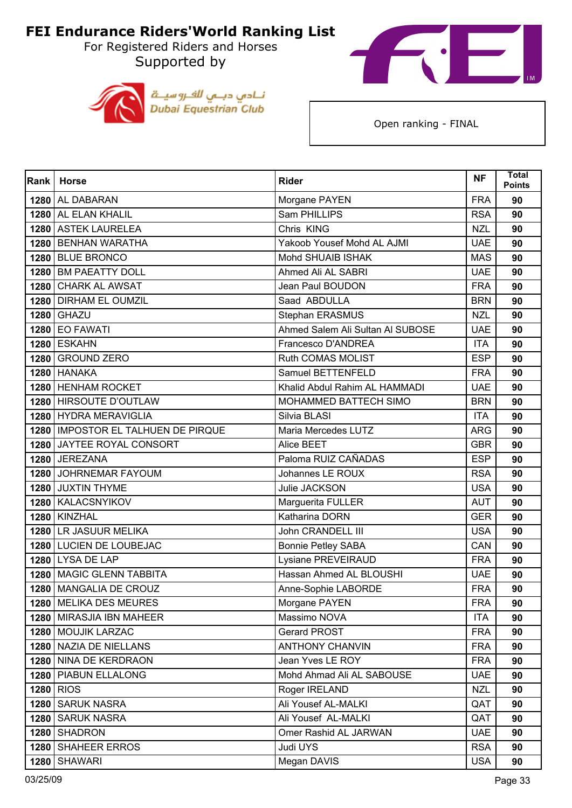For Registered Riders and Horses Supported by





| <b>Rank</b> | <b>Horse</b>                         | <b>Rider</b>                     | <b>NF</b>  | <b>Total</b><br><b>Points</b> |
|-------------|--------------------------------------|----------------------------------|------------|-------------------------------|
|             | 1280 AL DABARAN                      | Morgane PAYEN                    | <b>FRA</b> | 90                            |
|             | 1280 AL ELAN KHALIL                  | Sam PHILLIPS                     | <b>RSA</b> | 90                            |
|             | 1280 ASTEK LAURELEA                  | Chris KING                       | <b>NZL</b> | 90                            |
|             | 1280 BENHAN WARATHA                  | Yakoob Yousef Mohd AL AJMI       | <b>UAE</b> | 90                            |
|             | 1280 BLUE BRONCO                     | Mohd SHUAIB ISHAK                | <b>MAS</b> | 90                            |
|             | 1280 BM PAEATTY DOLL                 | Ahmed Ali AL SABRI               | <b>UAE</b> | 90                            |
| 1280        | <b>CHARK AL AWSAT</b>                | Jean Paul BOUDON                 | <b>FRA</b> | 90                            |
|             | 1280 DIRHAM EL OUMZIL                | Saad ABDULLA                     | <b>BRN</b> | 90                            |
|             | <b>1280 GHAZU</b>                    | Stephan ERASMUS                  | <b>NZL</b> | 90                            |
|             | <b>1280 EO FAWATI</b>                | Ahmed Salem Ali Sultan Al SUBOSE | <b>UAE</b> | 90                            |
|             | <b>1280 ESKAHN</b>                   | Francesco D'ANDREA               | <b>ITA</b> | 90                            |
|             | 1280 GROUND ZERO                     | Ruth COMAS MOLIST                | <b>ESP</b> | 90                            |
|             | 1280 HANAKA                          | Samuel BETTENFELD                | <b>FRA</b> | 90                            |
|             | 1280 HENHAM ROCKET                   | Khalid Abdul Rahim AL HAMMADI    | <b>UAE</b> | 90                            |
|             | 1280 HIRSOUTE D'OUTLAW               | MOHAMMED BATTECH SIMO            | <b>BRN</b> | 90                            |
|             | 1280 HYDRA MERAVIGLIA                | Silvia BLASI                     | <b>ITA</b> | 90                            |
|             | 1280   IMPOSTOR EL TALHUEN DE PIRQUE | Maria Mercedes LUTZ              | <b>ARG</b> | 90                            |
|             | 1280 JAYTEE ROYAL CONSORT            | Alice BEET                       | <b>GBR</b> | 90                            |
|             | 1280 JEREZANA                        | Paloma RUIZ CAÑADAS              | <b>ESP</b> | 90                            |
|             | 1280 JOHRNEMAR FAYOUM                | Johannes LE ROUX                 | <b>RSA</b> | 90                            |
|             | 1280 JUXTIN THYME                    | Julie JACKSON                    | <b>USA</b> | 90                            |
|             | 1280 KALACSNYIKOV                    | Marguerita FULLER                | <b>AUT</b> | 90                            |
| 1280        | <b>KINZHAL</b>                       | Katharina DORN                   | <b>GER</b> | 90                            |
|             | 1280 LR JASUUR MELIKA                | John CRANDELL III                | <b>USA</b> | 90                            |
|             | 1280 LUCIEN DE LOUBEJAC              | <b>Bonnie Petley SABA</b>        | CAN        | 90                            |
|             | 1280 LYSA DE LAP                     | Lysiane PREVEIRAUD               | <b>FRA</b> | 90                            |
|             | 1280   MAGIC GLENN TABBITA           | Hassan Ahmed AL BLOUSHI          | <b>UAE</b> | 90                            |
|             | 1280 MANGALIA DE CROUZ               | Anne-Sophie LABORDE              | <b>FRA</b> | 90                            |
|             | 1280   MELIKA DES MEURES             | Morgane PAYEN                    | <b>FRA</b> | 90                            |
|             | 1280 MIRASJIA IBN MAHEER             | Massimo NOVA                     | <b>ITA</b> | 90                            |
|             | 1280   MOUJIK LARZAC                 | Gerard PROST                     | <b>FRA</b> | 90                            |
|             | 1280 NAZIA DE NIELLANS               | <b>ANTHONY CHANVIN</b>           | <b>FRA</b> | 90                            |
|             | 1280 NINA DE KERDRAON                | Jean Yves LE ROY                 | <b>FRA</b> | 90                            |
|             | 1280   PIABUN ELLALONG               | Mohd Ahmad Ali AL SABOUSE        | <b>UAE</b> | 90                            |
|             | 1280 RIOS                            | Roger IRELAND                    | <b>NZL</b> | 90                            |
|             | 1280 SARUK NASRA                     | Ali Yousef AL-MALKI              | QAT        | 90                            |
| 1280        | <b>SARUK NASRA</b>                   | Ali Yousef AL-MALKI              | QAT        | 90                            |
|             | 1280 SHADRON                         | Omer Rashid AL JARWAN            | <b>UAE</b> | 90                            |
|             | 1280 SHAHEER ERROS                   | Judi UYS                         | <b>RSA</b> | 90                            |
| 1280        | <b>SHAWARI</b>                       | Megan DAVIS                      | <b>USA</b> | 90                            |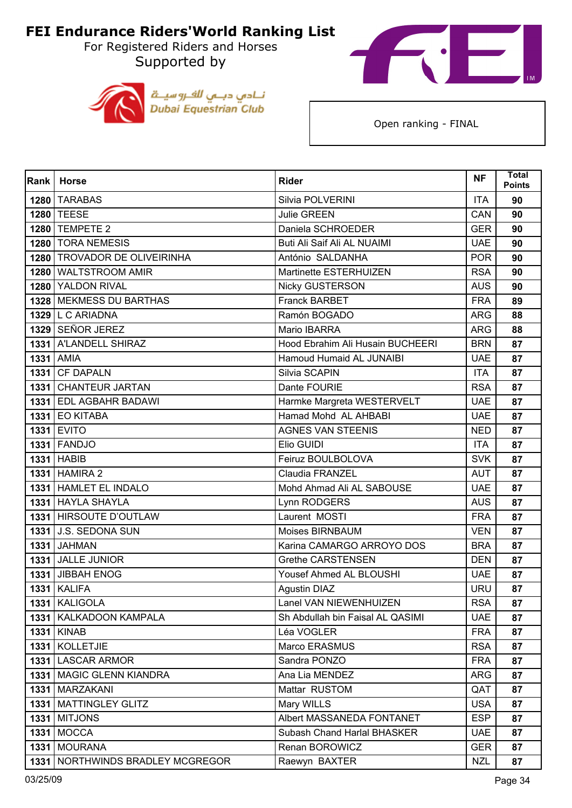For Registered Riders and Horses Supported by





| Rank | <b>Horse</b>                 | <b>Rider</b>                     | <b>NF</b>  | <b>Total</b><br><b>Points</b> |
|------|------------------------------|----------------------------------|------------|-------------------------------|
|      | 1280 TARABAS                 | Silvia POLVERINI                 | <b>ITA</b> | 90                            |
|      | 1280 TEESE                   | Julie GREEN                      | CAN        | 90                            |
|      | 1280 TEMPETE 2               | Daniela SCHROEDER                | <b>GER</b> | 90                            |
|      | 1280 TORA NEMESIS            | Buti Ali Saif Ali AL NUAIMI      | <b>UAE</b> | 90                            |
|      | 1280 TROVADOR DE OLIVEIRINHA | António SALDANHA                 | <b>POR</b> | 90                            |
|      | 1280 WALTSTROOM AMIR         | Martinette ESTERHUIZEN           | <b>RSA</b> | 90                            |
|      | 1280 YALDON RIVAL            | <b>Nicky GUSTERSON</b>           | <b>AUS</b> | 90                            |
|      | 1328 MEKMESS DU BARTHAS      | <b>Franck BARBET</b>             | <b>FRA</b> | 89                            |
|      | 1329 L C ARIADNA             | Ramón BOGADO                     | <b>ARG</b> | 88                            |
|      | 1329 SEÑOR JEREZ             | Mario IBARRA                     | <b>ARG</b> | 88                            |
|      | 1331   A'LANDELL SHIRAZ      | Hood Ebrahim Ali Husain BUCHEERI | <b>BRN</b> | 87                            |
|      | <b>1331 AMIA</b>             | Hamoud Humaid AL JUNAIBI         | <b>UAE</b> | 87                            |
|      | 1331 CF DAPALN               | Silvia SCAPIN                    | <b>ITA</b> | 87                            |
|      | 1331 CHANTEUR JARTAN         | Dante FOURIE                     | <b>RSA</b> | 87                            |
|      | 1331 EDL AGBAHR BADAWI       | Harmke Margreta WESTERVELT       | <b>UAE</b> | 87                            |
|      | <b>1331 EO KITABA</b>        | Hamad Mohd AL AHBABI             | <b>UAE</b> | 87                            |
|      | <b>1331 EVITO</b>            | <b>AGNES VAN STEENIS</b>         | <b>NED</b> | 87                            |
|      | <b>1331 FANDJO</b>           | Elio GUIDI                       | <b>ITA</b> | 87                            |
|      | <b>1331 HABIB</b>            | Feiruz BOULBOLOVA                | <b>SVK</b> | 87                            |
|      | <b>1331 HAMIRA 2</b>         | Claudia FRANZEL                  | <b>AUT</b> | 87                            |
|      | 1331 HAMLET EL INDALO        | Mohd Ahmad Ali AL SABOUSE        | <b>UAE</b> | 87                            |
|      | 1331 HAYLA SHAYLA            | Lynn RODGERS                     | <b>AUS</b> | 87                            |
|      | 1331 HIRSOUTE D'OUTLAW       | Laurent MOSTI                    | <b>FRA</b> | 87                            |
|      | <b>1331 J.S. SEDONA SUN</b>  | Moises BIRNBAUM                  | <b>VEN</b> | 87                            |
|      | <b>1331 JAHMAN</b>           | Karina CAMARGO ARROYO DOS        | <b>BRA</b> | 87                            |
|      | 1331 JALLE JUNIOR            | <b>Grethe CARSTENSEN</b>         | <b>DEN</b> | 87                            |
|      | 1331 JIBBAH ENOG             | Yousef Ahmed AL BLOUSHI          | <b>UAE</b> | 87                            |
|      | <b>1331   KALIFA</b>         | Agustin DIAZ                     | <b>URU</b> | 87                            |
|      | 1331   KALIGOLA              | Lanel VAN NIEWENHUIZEN           | <b>RSA</b> | 87                            |
|      | 1331   KALKADOON KAMPALA     | Sh Abdullah bin Faisal AL QASIMI | <b>UAE</b> | 87                            |
|      | 1331 KINAB                   | Léa VOGLER                       | <b>FRA</b> | 87                            |
|      | 1331 KOLLETJIE               | Marco ERASMUS                    | <b>RSA</b> | 87                            |
| 1331 | <b>LASCAR ARMOR</b>          | Sandra PONZO                     | <b>FRA</b> | 87                            |
|      | 1331   MAGIC GLENN KIANDRA   | Ana Lia MENDEZ                   | ARG        | 87                            |
|      | 1331   MARZAKANI             | Mattar RUSTOM                    | QAT        | 87                            |
|      | 1331   MATTINGLEY GLITZ      | Mary WILLS                       | <b>USA</b> | 87                            |
| 1331 | <b>MITJONS</b>               | Albert MASSANEDA FONTANET        | <b>ESP</b> | 87                            |
|      | <b>1331 MOCCA</b>            | Subash Chand Harlal BHASKER      | <b>UAE</b> | 87                            |
|      | 1331   MOURANA               | Renan BOROWICZ                   | <b>GER</b> | 87                            |
| 1331 | NORTHWINDS BRADLEY MCGREGOR  | Raewyn BAXTER                    | <b>NZL</b> | 87                            |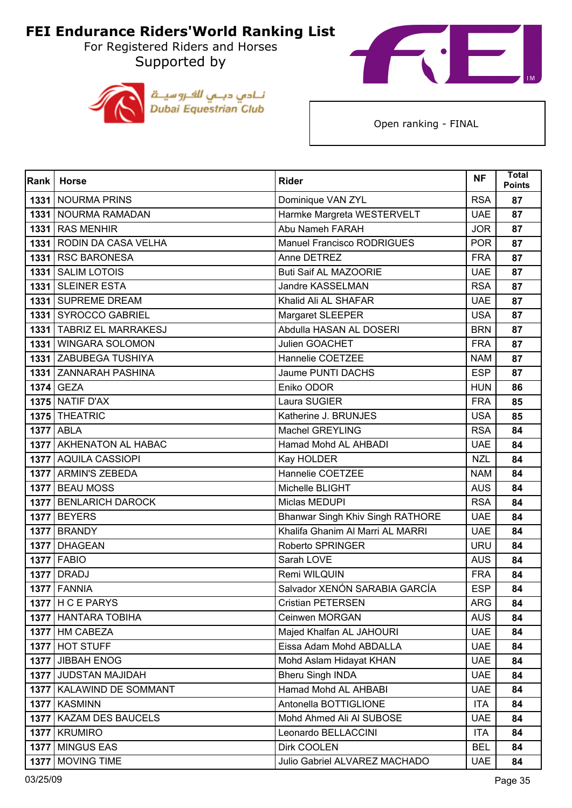For Registered Riders and Horses Supported by





| Rank | <b>Horse</b>               | <b>Rider</b>                     | <b>NF</b>  | Total<br><b>Points</b> |
|------|----------------------------|----------------------------------|------------|------------------------|
| 1331 | <b>NOURMA PRINS</b>        | Dominique VAN ZYL                | <b>RSA</b> | 87                     |
|      | 1331   NOURMA RAMADAN      | Harmke Margreta WESTERVELT       | <b>UAE</b> | 87                     |
| 1331 | <b>RAS MENHIR</b>          | Abu Nameh FARAH                  | <b>JOR</b> | 87                     |
|      | 1331 RODIN DA CASA VELHA   | Manuel Francisco RODRIGUES       | <b>POR</b> | 87                     |
| 1331 | <b>RSC BARONESA</b>        | Anne DETREZ                      | <b>FRA</b> | 87                     |
| 1331 | <b>SALIM LOTOIS</b>        | <b>Buti Saif AL MAZOORIE</b>     | <b>UAE</b> | 87                     |
| 1331 | <b>SLEINER ESTA</b>        | Jandre KASSELMAN                 | <b>RSA</b> | 87                     |
|      | 1331 SUPREME DREAM         | Khalid Ali AL SHAFAR             | <b>UAE</b> | 87                     |
|      | 1331 SYROCCO GABRIEL       | Margaret SLEEPER                 | <b>USA</b> | 87                     |
|      | 1331 TABRIZ EL MARRAKESJ   | Abdulla HASAN AL DOSERI          | <b>BRN</b> | 87                     |
| 1331 | <b>WINGARA SOLOMON</b>     | Julien GOACHET                   | <b>FRA</b> | 87                     |
|      | 1331 ZABUBEGA TUSHIYA      | Hannelie COETZEE                 | <b>NAM</b> | 87                     |
|      | 1331 ZANNARAH PASHINA      | <b>Jaume PUNTI DACHS</b>         | <b>ESP</b> | 87                     |
|      | 1374 GEZA                  | Eniko ODOR                       | <b>HUN</b> | 86                     |
|      | <b>1375 NATIF D'AX</b>     | Laura SUGIER                     | <b>FRA</b> | 85                     |
|      | 1375 THEATRIC              | Katherine J. BRUNJES             | <b>USA</b> | 85                     |
|      | <b>1377 ABLA</b>           | <b>Machel GREYLING</b>           | <b>RSA</b> | 84                     |
|      | 1377 AKHENATON AL HABAC    | Hamad Mohd AL AHBADI             | <b>UAE</b> | 84                     |
|      | 1377 AQUILA CASSIOPI       | Kay HOLDER                       | <b>NZL</b> | 84                     |
|      | 1377 ARMIN'S ZEBEDA        | Hannelie COETZEE                 | <b>NAM</b> | 84                     |
|      | 1377 BEAU MOSS             | Michelle BLIGHT                  | <b>AUS</b> | 84                     |
|      | 1377 BENLARICH DAROCK      | Miclas MEDUPI                    | <b>RSA</b> | 84                     |
|      | <b>1377 BEYERS</b>         | Bhanwar Singh Khiv Singh RATHORE | <b>UAE</b> | 84                     |
|      | 1377 BRANDY                | Khalifa Ghanim Al Marri AL MARRI | <b>UAE</b> | 84                     |
|      | 1377 DHAGEAN               | Roberto SPRINGER                 | <b>URU</b> | 84                     |
|      | <b>1377 FABIO</b>          | Sarah LOVE                       | <b>AUS</b> | 84                     |
| 1377 | <b>DRADJ</b>               | Remi WILQUIN                     | <b>FRA</b> | 84                     |
|      | 1377 FANNIA                | Salvador XENÓN SARABIA GARCÍA    | <b>ESP</b> | 84                     |
|      | 1377 $H C E PARYS$         | Cristian PETERSEN                | ARG        | 84                     |
|      | 1377 HANTARA TOBIHA        | Ceinwen MORGAN                   | <b>AUS</b> | 84                     |
|      | 1377   HM CABEZA           | Majed Khalfan AL JAHOURI         | <b>UAE</b> | 84                     |
|      | 1377 HOT STUFF             | Eissa Adam Mohd ABDALLA          | <b>UAE</b> | 84                     |
|      | 1377 JIBBAH ENOG           | Mohd Aslam Hidayat KHAN          | <b>UAE</b> | 84                     |
|      | 1377 JUDSTAN MAJIDAH       | <b>Bheru Singh INDA</b>          | <b>UAE</b> | 84                     |
|      | 1377   KALAWIND DE SOMMANT | Hamad Mohd AL AHBABI             | <b>UAE</b> | 84                     |
|      | 1377 KASMINN               | Antonella BOTTIGLIONE            | <b>ITA</b> | 84                     |
| 1377 | <b>KAZAM DES BAUCELS</b>   | Mohd Ahmed Ali Al SUBOSE         | <b>UAE</b> | 84                     |
|      | 1377 KRUMIRO               | Leonardo BELLACCINI              | <b>ITA</b> | 84                     |
|      | 1377 MINGUS EAS            | Dirk COOLEN                      | <b>BEL</b> | 84                     |
|      | 1377 MOVING TIME           | Julio Gabriel ALVAREZ MACHADO    | <b>UAE</b> | 84                     |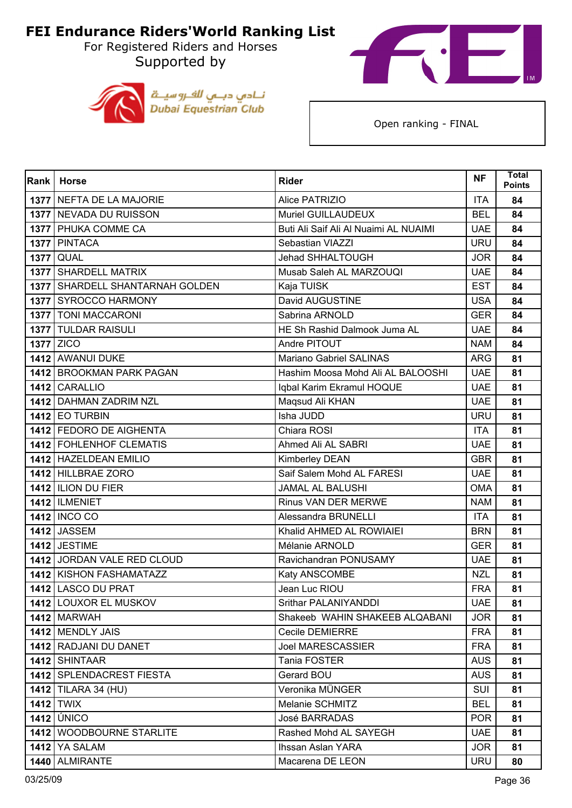For Registered Riders and Horses Supported by





| <b>Rank</b> | <b>Horse</b>                      | <b>Rider</b>                          | <b>NF</b>  | <b>Total</b><br><b>Points</b> |
|-------------|-----------------------------------|---------------------------------------|------------|-------------------------------|
|             | 1377 NEFTA DE LA MAJORIE          | Alice PATRIZIO                        | <b>ITA</b> | 84                            |
|             | 1377 NEVADA DU RUISSON            | Muriel GUILLAUDEUX                    | <b>BEL</b> | 84                            |
|             | 1377   PHUKA COMME CA             | Buti Ali Saif Ali Al Nuaimi AL NUAIMI | <b>UAE</b> | 84                            |
|             | 1377 PINTACA                      | Sebastian VIAZZI                      | <b>URU</b> | 84                            |
|             | <b>1377 QUAL</b>                  | Jehad SHHALTOUGH                      | <b>JOR</b> | 84                            |
|             | 1377 SHARDELL MATRIX              | Musab Saleh AL MARZOUQI               | <b>UAE</b> | 84                            |
|             | 1377   SHARDELL SHANTARNAH GOLDEN | Kaja TUISK                            | <b>EST</b> | 84                            |
|             | 1377 SYROCCO HARMONY              | David AUGUSTINE                       | <b>USA</b> | 84                            |
|             | <b>1377   TONI MACCARONI</b>      | Sabrina ARNOLD                        | <b>GER</b> | 84                            |
|             | 1377 TULDAR RAISULI               | HE Sh Rashid Dalmook Juma AL          | <b>UAE</b> | 84                            |
|             | <b>1377 ZICO</b>                  | Andre PITOUT                          | <b>NAM</b> | 84                            |
|             | 1412 AWANUI DUKE                  | Mariano Gabriel SALINAS               | <b>ARG</b> | 81                            |
|             | 1412 BROOKMAN PARK PAGAN          | Hashim Moosa Mohd Ali AL BALOOSHI     | <b>UAE</b> | 81                            |
|             | 1412 CARALLIO                     | Iqbal Karim Ekramul HOQUE             | <b>UAE</b> | 81                            |
|             | 1412 DAHMAN ZADRIM NZL            | Maqsud Ali KHAN                       | <b>UAE</b> | 81                            |
|             | $1412$ EO TURBIN                  | Isha JUDD                             | <b>URU</b> | 81                            |
|             | 1412 FEDORO DE AIGHENTA           | Chiara ROSI                           | <b>ITA</b> | 81                            |
|             | 1412 FOHLENHOF CLEMATIS           | Ahmed Ali AL SABRI                    | <b>UAE</b> | 81                            |
|             | 1412 HAZELDEAN EMILIO             | Kimberley DEAN                        | <b>GBR</b> | 81                            |
|             | 1412 HILLBRAE ZORO                | Saif Salem Mohd AL FARESI             | <b>UAE</b> | 81                            |
|             | 1412 ILION DU FIER                | <b>JAMAL AL BALUSHI</b>               | <b>OMA</b> | 81                            |
|             | <b>1412   ILMENIET</b>            | Rinus VAN DER MERWE                   | <b>NAM</b> | 81                            |
|             | 1412 INCO CO                      | Alessandra BRUNELLI                   | <b>ITA</b> | 81                            |
|             | <b>1412 JASSEM</b>                | Khalid AHMED AL ROWIAIEI              | <b>BRN</b> | 81                            |
|             | <b>1412 JESTIME</b>               | Mélanie ARNOLD                        | <b>GER</b> | 81                            |
|             | 1412 JORDAN VALE RED CLOUD        | Ravichandran PONUSAMY                 | <b>UAE</b> | 81                            |
|             | 1412   KISHON FASHAMATAZZ         | Katy ANSCOMBE                         | <b>NZL</b> | 81                            |
|             | 1412 LASCO DU PRAT                | Jean Luc RIOU                         | <b>FRA</b> | 81                            |
|             | 1412 LOUXOR EL MUSKOV             | Srithar PALANIYANDDI                  | <b>UAE</b> | 81                            |
|             | <b>1412 MARWAH</b>                | Shakeeb WAHIN SHAKEEB ALQABANI        | <b>JOR</b> | 81                            |
|             | 1412 MENDLY JAIS                  | Cecile DEMIERRE                       | <b>FRA</b> | 81                            |
|             | 1412 RADJANI DU DANET             | <b>Joel MARESCASSIER</b>              | <b>FRA</b> | 81                            |
|             | 1412 SHINTAAR                     | Tania FOSTER                          | <b>AUS</b> | 81                            |
|             | 1412 SPLENDACREST FIESTA          | Gerard BOU                            | <b>AUS</b> | 81                            |
|             | <b>1412</b> TILARA 34 (HU)        | Veronika MÜNGER                       | <b>SUI</b> | 81                            |
|             | $1412$ TWIX                       | Melanie SCHMITZ                       | <b>BEL</b> | 81                            |
|             | <b>1412 ÚNICO</b>                 | <b>José BARRADAS</b>                  | <b>POR</b> | 81                            |
|             | 1412 WOODBOURNE STARLITE          | Rashed Mohd AL SAYEGH                 | <b>UAE</b> | 81                            |
|             | <b>1412   YA SALAM</b>            | Ihssan Aslan YARA                     | <b>JOR</b> | 81                            |
|             | 1440 ALMIRANTE                    | Macarena DE LEON                      | <b>URU</b> | 80                            |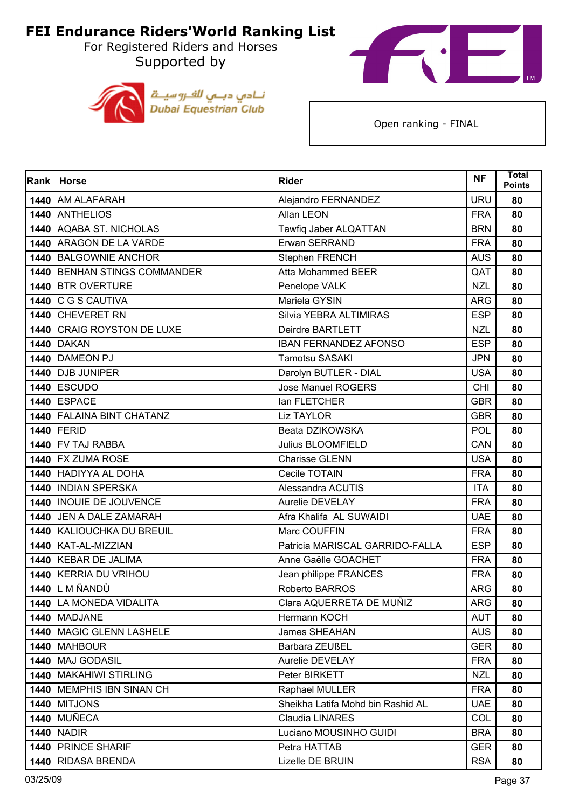For Registered Riders and Horses Supported by





| <b>Rank</b> | <b>Horse</b>                 | <b>Rider</b>                      | <b>NF</b>  | <b>Total</b><br><b>Points</b> |
|-------------|------------------------------|-----------------------------------|------------|-------------------------------|
|             | 1440 AM ALAFARAH             | Alejandro FERNANDEZ               | <b>URU</b> | 80                            |
|             | 1440 ANTHELIOS               | Allan LEON                        | <b>FRA</b> | 80                            |
| 1440        | <b>AQABA ST. NICHOLAS</b>    | Tawfiq Jaber ALQATTAN             | <b>BRN</b> | 80                            |
|             | 1440 ARAGON DE LA VARDE      | Erwan SERRAND                     | <b>FRA</b> | 80                            |
|             | 1440   BALGOWNIE ANCHOR      | Stephen FRENCH                    | <b>AUS</b> | 80                            |
|             | 1440 BENHAN STINGS COMMANDER | <b>Atta Mohammed BEER</b>         | QAT        | 80                            |
| 1440        | <b>BTR OVERTURE</b>          | Penelope VALK                     | <b>NZL</b> | 80                            |
| 1440        | C G S CAUTIVA                | Mariela GYSIN                     | <b>ARG</b> | 80                            |
|             | 1440 CHEVERET RN             | Silvia YEBRA ALTIMIRAS            | <b>ESP</b> | 80                            |
| 1440        | <b>CRAIG ROYSTON DE LUXE</b> | Deirdre BARTLETT                  | <b>NZL</b> | 80                            |
| 1440        | <b>DAKAN</b>                 | <b>IBAN FERNANDEZ AFONSO</b>      | <b>ESP</b> | 80                            |
|             | 1440 DAMEON PJ               | <b>Tamotsu SASAKI</b>             | <b>JPN</b> | 80                            |
|             | 1440   DJB JUNIPER           | Darolyn BUTLER - DIAL             | <b>USA</b> | 80                            |
|             | <b>1440 ESCUDO</b>           | <b>Jose Manuel ROGERS</b>         | <b>CHI</b> | 80                            |
|             | <b>1440 ESPACE</b>           | lan FLETCHER                      | <b>GBR</b> | 80                            |
|             | 1440   FALAINA BINT CHATANZ  | <b>Liz TAYLOR</b>                 | <b>GBR</b> | 80                            |
|             | <b>1440 FERID</b>            | Beata DZIKOWSKA                   | <b>POL</b> | 80                            |
|             | 1440 FV TAJ RABBA            | <b>Julius BLOOMFIELD</b>          | CAN        | 80                            |
|             | 1440 FX ZUMA ROSE            | <b>Charisse GLENN</b>             | <b>USA</b> | 80                            |
|             | 1440 HADIYYA AL DOHA         | Cecile TOTAIN                     | <b>FRA</b> | 80                            |
|             | 1440   INDIAN SPERSKA        | Alessandra ACUTIS                 | <b>ITA</b> | 80                            |
|             | 1440   INOUIE DE JOUVENCE    | Aurelie DEVELAY                   | <b>FRA</b> | 80                            |
| 1440        | JEN A DALE ZAMARAH           | Afra Khalifa AL SUWAIDI           | <b>UAE</b> | 80                            |
|             | 1440   KALIOUCHKA DU BREUIL  | Marc COUFFIN                      | <b>FRA</b> | 80                            |
|             | 1440   KAT-AL-MIZZIAN        | Patricia MARISCAL GARRIDO-FALLA   | <b>ESP</b> | 80                            |
|             | 1440   KEBAR DE JALIMA       | Anne Gaëlle GOACHET               | <b>FRA</b> | 80                            |
|             | 1440 KERRIA DU VRIHOU        | Jean philippe FRANCES             | <b>FRA</b> | 80                            |
|             | <b>1440 L M ÑANDÙ</b>        | Roberto BARROS                    | <b>ARG</b> | 80                            |
|             | 1440 LA MONEDA VIDALITA      | Clara AQUERRETA DE MUÑIZ          | <b>ARG</b> | 80                            |
|             | 1440 MADJANE                 | Hermann KOCH                      | <b>AUT</b> | 80                            |
|             | 1440   MAGIC GLENN LASHELE   | <b>James SHEAHAN</b>              | <b>AUS</b> | 80                            |
|             | 1440 MAHBOUR                 | Barbara ZEUßEL                    | <b>GER</b> | 80                            |
|             | 1440   MAJ GODASIL           | <b>Aurelie DEVELAY</b>            | <b>FRA</b> | 80                            |
|             | 1440   MAKAHIWI STIRLING     | Peter BIRKETT                     | <b>NZL</b> | 80                            |
|             | 1440   MEMPHIS IBN SINAN CH  | Raphael MULLER                    | <b>FRA</b> | 80                            |
|             | <b>1440 MITJONS</b>          | Sheikha Latifa Mohd bin Rashid AL | <b>UAE</b> | 80                            |
|             | <b>1440 MUÑECA</b>           | Claudia LINARES                   | <b>COL</b> | 80                            |
|             | <b>1440   NADIR</b>          | Luciano MOUSINHO GUIDI            | <b>BRA</b> | 80                            |
|             | 1440 PRINCE SHARIF           | Petra HATTAB                      | <b>GER</b> | 80                            |
|             | 1440 RIDASA BRENDA           | Lizelle DE BRUIN                  | <b>RSA</b> | 80                            |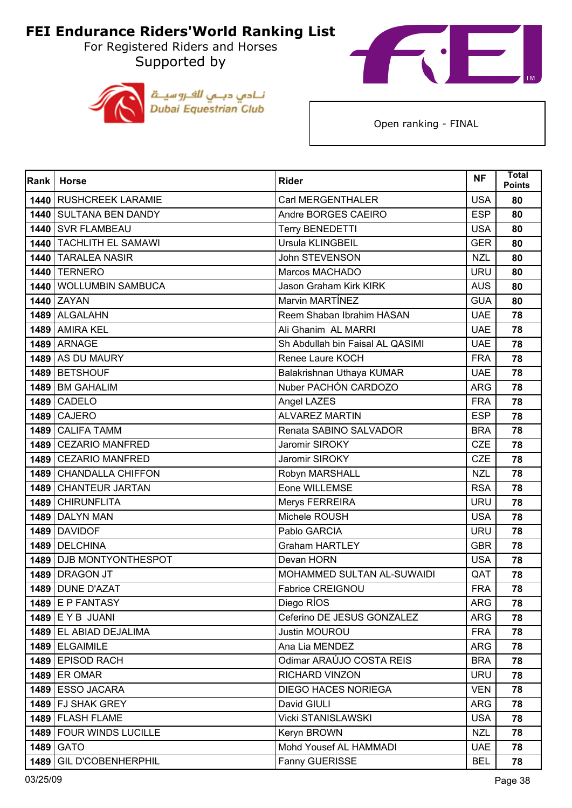For Registered Riders and Horses Supported by





| Rank | <b>Horse</b>              | <b>Rider</b>                     | <b>NF</b>  | <b>Total</b><br><b>Points</b> |
|------|---------------------------|----------------------------------|------------|-------------------------------|
|      | 1440 RUSHCREEK LARAMIE    | Carl MERGENTHALER                | <b>USA</b> | 80                            |
|      | 1440 SULTANA BEN DANDY    | Andre BORGES CAEIRO              | <b>ESP</b> | 80                            |
|      | 1440 SVR FLAMBEAU         | <b>Terry BENEDETTI</b>           | <b>USA</b> | 80                            |
|      | 1440 TACHLITH EL SAMAWI   | Ursula KLINGBEIL                 | <b>GER</b> | 80                            |
|      | 1440 TARALEA NASIR        | John STEVENSON                   | <b>NZL</b> | 80                            |
|      | <b>1440 TERNERO</b>       | Marcos MACHADO                   | <b>URU</b> | 80                            |
|      | 1440 WOLLUMBIN SAMBUCA    | <b>Jason Graham Kirk KIRK</b>    | <b>AUS</b> | 80                            |
|      | 1440 ZAYAN                | Marvin MARTÍNEZ                  | <b>GUA</b> | 80                            |
|      | 1489 ALGALAHN             | Reem Shaban Ibrahim HASAN        | <b>UAE</b> | 78                            |
|      | 1489 AMIRA KEL            | Ali Ghanim AL MARRI              | <b>UAE</b> | 78                            |
|      | 1489 ARNAGE               | Sh Abdullah bin Faisal AL QASIMI | <b>UAE</b> | 78                            |
|      | 1489 AS DU MAURY          | Renee Laure KOCH                 | <b>FRA</b> | 78                            |
|      | 1489 BETSHOUF             | Balakrishnan Uthaya KUMAR        | <b>UAE</b> | 78                            |
|      | 1489 BM GAHALIM           | Nuber PACHÓN CARDOZO             | <b>ARG</b> | 78                            |
| 1489 | <b>CADELO</b>             | Angel LAZES                      | <b>FRA</b> | 78                            |
|      | <b>1489 CAJERO</b>        | <b>ALVAREZ MARTIN</b>            | <b>ESP</b> | 78                            |
|      | 1489 CALIFA TAMM          | Renata SABINO SALVADOR           | <b>BRA</b> | 78                            |
|      | 1489 CEZARIO MANFRED      | Jaromir SIROKY                   | <b>CZE</b> | 78                            |
|      | 1489 CEZARIO MANFRED      | Jaromir SIROKY                   | <b>CZE</b> | 78                            |
|      | 1489 CHANDALLA CHIFFON    | Robyn MARSHALL                   | <b>NZL</b> | 78                            |
|      | 1489 CHANTEUR JARTAN      | Eone WILLEMSE                    | <b>RSA</b> | 78                            |
|      | 1489 CHIRUNFLITA          | Merys FERREIRA                   | <b>URU</b> | 78                            |
| 1489 | <b>DALYN MAN</b>          | Michele ROUSH                    | <b>USA</b> | 78                            |
|      | 1489 DAVIDOF              | Pablo GARCIA                     | <b>URU</b> | 78                            |
|      | 1489 DELCHINA             | <b>Graham HARTLEY</b>            | <b>GBR</b> | 78                            |
|      | 1489 DJB MONTYONTHESPOT   | Devan HORN                       | <b>USA</b> | 78                            |
| 1489 | <b>DRAGON JT</b>          | MOHAMMED SULTAN AL-SUWAIDI       | QAT        | 78                            |
|      | 1489 DUNE D'AZAT          | Fabrice CREIGNOU                 | <b>FRA</b> | 78                            |
|      | $1489$ E P FANTASY        | Diego RIOS                       | <b>ARG</b> | 78                            |
|      | $1489$ E Y B JUANI        | Ceferino DE JESUS GONZALEZ       | <b>ARG</b> | 78                            |
|      | 1489 EL ABIAD DEJALIMA    | Justin MOUROU                    | <b>FRA</b> | 78                            |
|      | 1489 ELGAIMILE            | Ana Lia MENDEZ                   | <b>ARG</b> | 78                            |
|      | 1489 EPISOD RACH          | Odimar ARAÚJO COSTA REIS         | <b>BRA</b> | 78                            |
|      | 1489 ER OMAR              | RICHARD VINZON                   | <b>URU</b> | 78                            |
|      | 1489 ESSO JACARA          | <b>DIEGO HACES NORIEGA</b>       | <b>VEN</b> | 78                            |
|      | 1489 FJ SHAK GREY         | David GIULI                      | <b>ARG</b> | 78                            |
|      | 1489 FLASH FLAME          | <b>Vicki STANISLAWSKI</b>        | <b>USA</b> | 78                            |
|      | 1489 FOUR WINDS LUCILLE   | Keryn BROWN                      | <b>NZL</b> | 78                            |
|      | 1489 GATO                 | Mohd Yousef AL HAMMADI           | <b>UAE</b> | 78                            |
| 1489 | <b>GIL D'COBENHERPHIL</b> | Fanny GUERISSE                   | <b>BEL</b> | 78                            |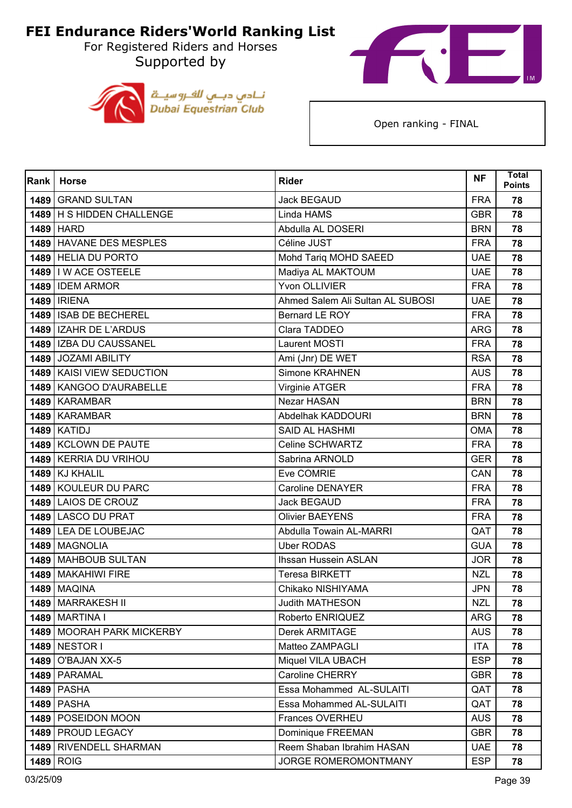For Registered Riders and Horses Supported by





| Rank <sup>I</sup> | <b>Horse</b>              | <b>Rider</b>                     | <b>NF</b>  | <b>Total</b><br><b>Points</b> |
|-------------------|---------------------------|----------------------------------|------------|-------------------------------|
|                   | 1489 GRAND SULTAN         | <b>Jack BEGAUD</b>               | <b>FRA</b> | 78                            |
|                   | 1489 H S HIDDEN CHALLENGE | Linda HAMS                       | <b>GBR</b> | 78                            |
|                   | 1489 HARD                 | Abdulla AL DOSERI                | <b>BRN</b> | 78                            |
|                   | 1489 HAVANE DES MESPLES   | Céline JUST                      | <b>FRA</b> | 78                            |
|                   | 1489 HELIA DU PORTO       | Mohd Tariq MOHD SAEED            | <b>UAE</b> | 78                            |
|                   | 1489   I W ACE OSTEELE    | Madiya AL MAKTOUM                | <b>UAE</b> | 78                            |
|                   | 1489 IDEM ARMOR           | Yvon OLLIVIER                    | <b>FRA</b> | 78                            |
|                   | <b>1489   IRIENA</b>      | Ahmed Salem Ali Sultan AL SUBOSI | <b>UAE</b> | 78                            |
|                   | 1489 ISAB DE BECHEREL     | Bernard LE ROY                   | <b>FRA</b> | 78                            |
|                   | 1489   IZAHR DE L'ARDUS   | Clara TADDEO                     | <b>ARG</b> | 78                            |
|                   | 1489   IZBA DU CAUSSANEL  | Laurent MOSTI                    | <b>FRA</b> | 78                            |
|                   | 1489 JOZAMI ABILITY       | Ami (Jnr) DE WET                 | <b>RSA</b> | 78                            |
|                   | 1489 KAISI VIEW SEDUCTION | Simone KRAHNEN                   | <b>AUS</b> | 78                            |
|                   | 1489   KANGOO D'AURABELLE | Virginie ATGER                   | <b>FRA</b> | 78                            |
|                   | 1489 KARAMBAR             | Nezar HASAN                      | <b>BRN</b> | 78                            |
|                   | 1489 KARAMBAR             | Abdelhak KADDOURI                | <b>BRN</b> | 78                            |
|                   | <b>1489   KATIDJ</b>      | <b>SAID AL HASHMI</b>            | <b>OMA</b> | 78                            |
|                   | 1489 KCLOWN DE PAUTE      | Celine SCHWARTZ                  | <b>FRA</b> | 78                            |
|                   | 1489 KERRIA DU VRIHOU     | Sabrina ARNOLD                   | <b>GER</b> | 78                            |
|                   | 1489 KJ KHALIL            | Eve COMRIE                       | CAN        | 78                            |
|                   | 1489 KOULEUR DU PARC      | <b>Caroline DENAYER</b>          | <b>FRA</b> | 78                            |
|                   | 1489 LAIOS DE CROUZ       | <b>Jack BEGAUD</b>               | <b>FRA</b> | 78                            |
|                   | 1489 LASCO DU PRAT        | <b>Olivier BAEYENS</b>           | <b>FRA</b> | 78                            |
|                   | 1489 LEA DE LOUBEJAC      | Abdulla Towain AL-MARRI          | QAT        | 78                            |
|                   | 1489 MAGNOLIA             | <b>Uber RODAS</b>                | <b>GUA</b> | 78                            |
|                   | 1489 MAHBOUB SULTAN       | <b>Ihssan Hussein ASLAN</b>      | <b>JOR</b> | 78                            |
|                   | 1489   MAKAHIWI FIRE      | <b>Teresa BIRKETT</b>            | <b>NZL</b> | 78                            |
|                   | <b>1489   MAQINA</b>      | Chikako NISHIYAMA                | <b>JPN</b> | 78                            |
|                   | 1489   MARRAKESH II       | <b>Judith MATHESON</b>           | <b>NZL</b> | 78                            |
|                   | <b>1489   MARTINA I</b>   | Roberto ENRIQUEZ                 | <b>ARG</b> | 78                            |
|                   | 1489 MOORAH PARK MICKERBY | <b>Derek ARMITAGE</b>            | <b>AUS</b> | 78                            |
|                   | 1489 NESTOR I             | Matteo ZAMPAGLI                  | <b>ITA</b> | 78                            |
| 1489              | <b>O'BAJAN XX-5</b>       | Miquel VILA UBACH                | <b>ESP</b> | 78                            |
|                   | 1489   PARAMAL            | Caroline CHERRY                  | <b>GBR</b> | 78                            |
|                   | <b>1489 PASHA</b>         | Essa Mohammed AL-SULAITI         | QAT        | 78                            |
|                   | <b>1489 PASHA</b>         | Essa Mohammed AL-SULAITI         | QAT        | 78                            |
| 1489              | POSEIDON MOON             | Frances OVERHEU                  | <b>AUS</b> | 78                            |
|                   | 1489   PROUD LEGACY       | Dominique FREEMAN                | <b>GBR</b> | 78                            |
|                   | 1489 RIVENDELL SHARMAN    | Reem Shaban Ibrahim HASAN        | <b>UAE</b> | 78                            |
|                   | 1489 ROIG                 | JORGE ROMEROMONTMANY             | <b>ESP</b> | 78                            |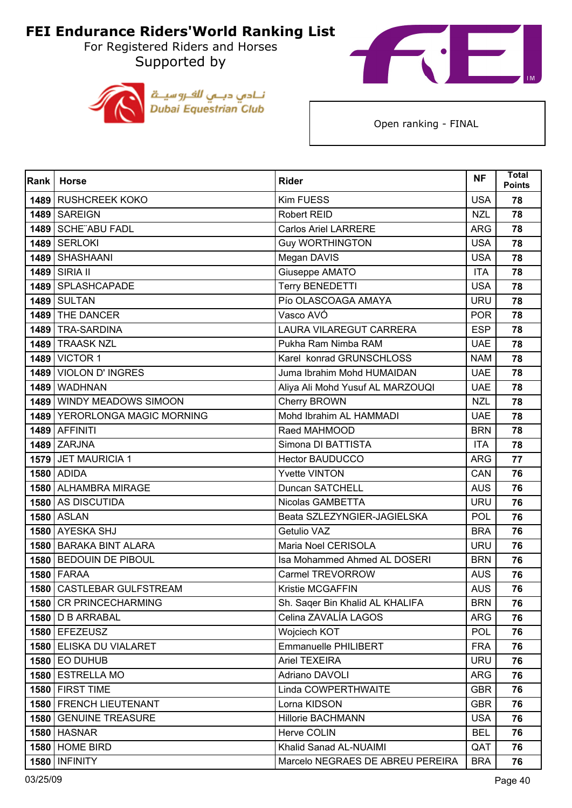For Registered Riders and Horses Supported by





| Rank | <b>Horse</b>                  | <b>Rider</b>                     | <b>NF</b>  | <b>Total</b><br><b>Points</b> |
|------|-------------------------------|----------------------------------|------------|-------------------------------|
|      | 1489 RUSHCREEK KOKO           | Kim FUESS                        | <b>USA</b> | 78                            |
|      | 1489 SAREIGN                  | Robert REID                      | <b>NZL</b> | 78                            |
| 1489 | <b>SCHE ABU FADL</b>          | <b>Carlos Ariel LARRERE</b>      | <b>ARG</b> | 78                            |
|      | <b>1489 SERLOKI</b>           | <b>Guy WORTHINGTON</b>           | <b>USA</b> | 78                            |
|      | 1489 SHASHAANI                | Megan DAVIS                      | <b>USA</b> | 78                            |
|      | 1489 SIRIA II                 | Giuseppe AMATO                   | <b>ITA</b> | 78                            |
|      | 1489 SPLASHCAPADE             | <b>Terry BENEDETTI</b>           | <b>USA</b> | 78                            |
|      | <b>1489 SULTAN</b>            | Pío OLASCOAGA AMAYA              | <b>URU</b> | 78                            |
|      | 1489   THE DANCER             | Vasco AVÓ                        | <b>POR</b> | 78                            |
|      | 1489   TRA-SARDINA            | <b>LAURA VILAREGUT CARRERA</b>   | <b>ESP</b> | 78                            |
|      | 1489 TRAASK NZL               | Pukha Ram Nimba RAM              | <b>UAE</b> | 78                            |
|      | <b>1489 VICTOR 1</b>          | Karel konrad GRUNSCHLOSS         | <b>NAM</b> | 78                            |
|      | 1489 VIOLON D'INGRES          | Juma Ibrahim Mohd HUMAIDAN       | <b>UAE</b> | 78                            |
| 1489 | <b>WADHNAN</b>                | Aliya Ali Mohd Yusuf AL MARZOUQI | <b>UAE</b> | 78                            |
| 1489 | <b>WINDY MEADOWS SIMOON</b>   | Cherry BROWN                     | <b>NZL</b> | 78                            |
|      | 1489 YERORLONGA MAGIC MORNING | Mohd Ibrahim AL HAMMADI          | <b>UAE</b> | 78                            |
|      | 1489 AFFINITI                 | Raed MAHMOOD                     | <b>BRN</b> | 78                            |
|      | <b>1489 ZARJNA</b>            | Simona DI BATTISTA               | <b>ITA</b> | 78                            |
|      | 1579 JET MAURICIA 1           | <b>Hector BAUDUCCO</b>           | <b>ARG</b> | 77                            |
|      | <b>1580 ADIDA</b>             | <b>Yvette VINTON</b>             | CAN        | 76                            |
|      | 1580 ALHAMBRA MIRAGE          | Duncan SATCHELL                  | <b>AUS</b> | 76                            |
|      | 1580 AS DISCUTIDA             | Nicolas GAMBETTA                 | <b>URU</b> | 76                            |
| 1580 | <b>ASLAN</b>                  | Beata SZLEZYNGIER-JAGIELSKA      | POL        | 76                            |
|      | 1580 AYESKA SHJ               | Getulio VAZ                      | <b>BRA</b> | 76                            |
|      | 1580 BARAKA BINT ALARA        | Maria Noel CERISOLA              | <b>URU</b> | 76                            |
|      | 1580   BEDOUIN DE PIBOUL      | Isa Mohammed Ahmed AL DOSERI     | <b>BRN</b> | 76                            |
|      | <b>1580 FARAA</b>             | <b>Carmel TREVORROW</b>          | <b>AUS</b> | 76                            |
| 1580 | CASTLEBAR GULFSTREAM          | Kristie MCGAFFIN                 | <b>AUS</b> | 76                            |
|      | 1580 CR PRINCECHARMING        | Sh. Sager Bin Khalid AL KHALIFA  | <b>BRN</b> | 76                            |
|      | 1580   D B ARRABAL            | Celina ZAVALÍA LAGOS             | <b>ARG</b> | 76                            |
|      | 1580 EFEZEUSZ                 | Wojciech KOT                     | <b>POL</b> | 76                            |
|      | 1580 ELISKA DU VIALARET       | Emmanuelle PHILIBERT             | <b>FRA</b> | 76                            |
|      | <b>1580 EO DUHUB</b>          | <b>Ariel TEXEIRA</b>             | <b>URU</b> | 76                            |
|      | 1580 ESTRELLA MO              | Adriano DAVOLI                   | <b>ARG</b> | 76                            |
|      | 1580 FIRST TIME               | Linda COWPERTHWAITE              | <b>GBR</b> | 76                            |
|      | 1580 FRENCH LIEUTENANT        | Lorna KIDSON                     | <b>GBR</b> | 76                            |
| 1580 | <b>GENUINE TREASURE</b>       | <b>Hillorie BACHMANN</b>         | <b>USA</b> | 76                            |
|      | <b>1580 HASNAR</b>            | Herve COLIN                      | <b>BEL</b> | 76                            |
|      | 1580 HOME BIRD                | Khalid Sanad AL-NUAIMI           | QAT        | 76                            |
|      | <b>1580 INFINITY</b>          | Marcelo NEGRAES DE ABREU PEREIRA | <b>BRA</b> | 76                            |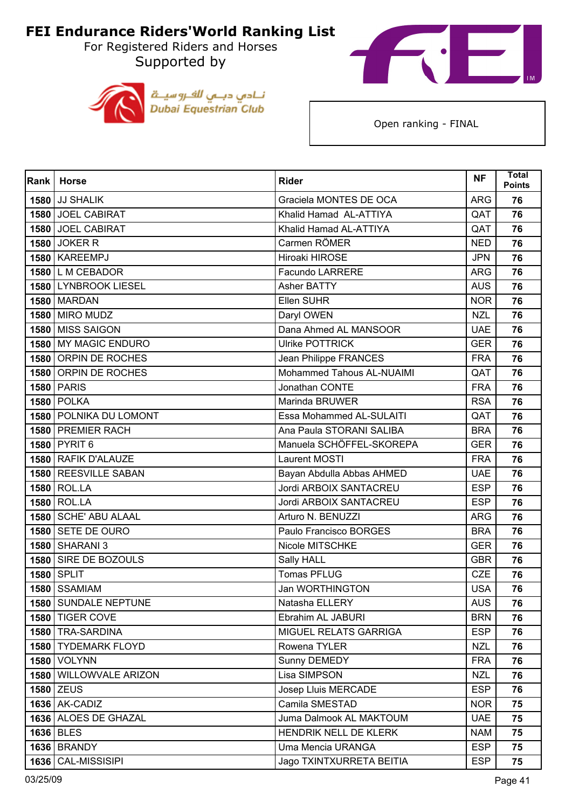For Registered Riders and Horses Supported by





| <b>Rank</b> | <b>Horse</b>           | <b>Rider</b>              | <b>NF</b>  | <b>Total</b><br><b>Points</b> |
|-------------|------------------------|---------------------------|------------|-------------------------------|
|             | <b>1580 JJ SHALIK</b>  | Graciela MONTES DE OCA    | <b>ARG</b> | 76                            |
|             | 1580 JOEL CABIRAT      | Khalid Hamad AL-ATTIYA    | QAT        | 76                            |
|             | 1580 JOEL CABIRAT      | Khalid Hamad AL-ATTIYA    | QAT        | 76                            |
|             | <b>1580 JOKER R</b>    | Carmen RÖMER              | <b>NED</b> | 76                            |
|             | 1580 KAREEMPJ          | Hiroaki HIROSE            | <b>JPN</b> | 76                            |
|             | 1580 L M CEBADOR       | <b>Facundo LARRERE</b>    | <b>ARG</b> | 76                            |
|             | 1580 LYNBROOK LIESEL   | <b>Asher BATTY</b>        | <b>AUS</b> | 76                            |
|             | <b>1580 MARDAN</b>     | Ellen SUHR                | <b>NOR</b> | 76                            |
|             | <b>1580 MIRO MUDZ</b>  | Daryl OWEN                | <b>NZL</b> | 76                            |
|             | 1580 MISS SAIGON       | Dana Ahmed AL MANSOOR     | <b>UAE</b> | 76                            |
| 1580        | <b>MY MAGIC ENDURO</b> | <b>Ulrike POTTRICK</b>    | <b>GER</b> | 76                            |
|             | 1580 ORPIN DE ROCHES   | Jean Philippe FRANCES     | <b>FRA</b> | 76                            |
| 1580        | <b>ORPIN DE ROCHES</b> | Mohammed Tahous AL-NUAIMI | QAT        | 76                            |
|             | <b>1580 PARIS</b>      | Jonathan CONTE            | <b>FRA</b> | 76                            |
|             | <b>1580 POLKA</b>      | Marinda BRUWER            | <b>RSA</b> | 76                            |
|             | 1580 POLNIKA DU LOMONT | Essa Mohammed AL-SULAITI  | QAT        | 76                            |
|             | 1580 PREMIER RACH      | Ana Paula STORANI SALIBA  | <b>BRA</b> | 76                            |
|             | 1580 PYRIT 6           | Manuela SCHÖFFEL-SKOREPA  | <b>GER</b> | 76                            |
|             | 1580 RAFIK D'ALAUZE    | Laurent MOSTI             | <b>FRA</b> | 76                            |
|             | 1580 REESVILLE SABAN   | Bayan Abdulla Abbas AHMED | <b>UAE</b> | 76                            |
|             | 1580 ROL.LA            | Jordi ARBOIX SANTACREU    | <b>ESP</b> | 76                            |
|             | 1580 ROL.LA            | Jordi ARBOIX SANTACREU    | <b>ESP</b> | 76                            |
| 1580        | <b>SCHE' ABU ALAAL</b> | Arturo N. BENUZZI         | <b>ARG</b> | 76                            |
|             | 1580 SETE DE OURO      | Paulo Francisco BORGES    | <b>BRA</b> | 76                            |
|             | 1580 SHARANI 3         | Nicole MITSCHKE           | <b>GER</b> | 76                            |
|             | 1580 SIRE DE BOZOULS   | Sally HALL                | <b>GBR</b> | 76                            |
| 1580        | <b>SPLIT</b>           | Tomas PFLUG               | <b>CZE</b> | 76                            |
|             | 1580 SSAMIAM           | Jan WORTHINGTON           | <b>USA</b> | 76                            |
|             | 1580 SUNDALE NEPTUNE   | Natasha ELLERY            | <b>AUS</b> | 76                            |
|             | 1580 TIGER COVE        | Ebrahim AL JABURI         | <b>BRN</b> | 76                            |
|             | 1580   TRA-SARDINA     | MIGUEL RELATS GARRIGA     | <b>ESP</b> | 76                            |
|             | 1580 TYDEMARK FLOYD    | Rowena TYLER              | <b>NZL</b> | 76                            |
|             | <b>1580   VOLYNN</b>   | Sunny DEMEDY              | <b>FRA</b> | 76                            |
|             | 1580 WILLOWVALE ARIZON | Lisa SIMPSON              | <b>NZL</b> | 76                            |
|             | <b>1580 ZEUS</b>       | Josep Lluis MERCADE       | <b>ESP</b> | 76                            |
|             | <b>1636 AK-CADIZ</b>   | Camila SMESTAD            | <b>NOR</b> | 75                            |
|             | 1636 ALOES DE GHAZAL   | Juma Dalmook AL MAKTOUM   | <b>UAE</b> | 75                            |
|             | 1636 BLES              | HENDRIK NELL DE KLERK     | <b>NAM</b> | 75                            |
|             | <b>1636 BRANDY</b>     | Uma Mencia URANGA         | <b>ESP</b> | 75                            |
| 1636        | <b>CAL-MISSISIPI</b>   | Jago TXINTXURRETA BEITIA  | <b>ESP</b> | 75                            |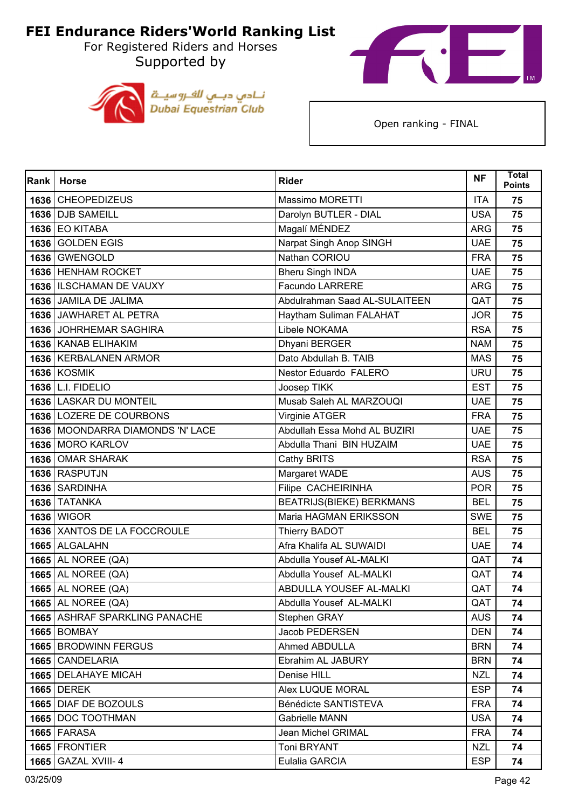For Registered Riders and Horses Supported by





| Rank | <b>Horse</b>                       | <b>Rider</b>                    | <b>NF</b>  | <b>Total</b><br><b>Points</b> |
|------|------------------------------------|---------------------------------|------------|-------------------------------|
|      | 1636 CHEOPEDIZEUS                  | Massimo MORETTI                 | <b>ITA</b> | 75                            |
|      | 1636 DJB SAMEILL                   | Darolyn BUTLER - DIAL           | <b>USA</b> | 75                            |
|      | 1636 EO KITABA                     | Magalí MÉNDEZ                   | <b>ARG</b> | 75                            |
|      | 1636 GOLDEN EGIS                   | Narpat Singh Anop SINGH         | <b>UAE</b> | 75                            |
|      | 1636 GWENGOLD                      | Nathan CORIOU                   | <b>FRA</b> | 75                            |
|      | 1636 HENHAM ROCKET                 | <b>Bheru Singh INDA</b>         | <b>UAE</b> | 75                            |
|      | 1636   ILSCHAMAN DE VAUXY          | Facundo LARRERE                 | <b>ARG</b> | 75                            |
|      | 1636 JAMILA DE JALIMA              | Abdulrahman Saad AL-SULAITEEN   | QAT        | 75                            |
|      | 1636 JAWHARET AL PETRA             | Haytham Suliman FALAHAT         | <b>JOR</b> | 75                            |
|      | 1636 JOHRHEMAR SAGHIRA             | Libele NOKAMA                   | <b>RSA</b> | 75                            |
|      | 1636   KANAB ELIHAKIM              | Dhyani BERGER                   | <b>NAM</b> | 75                            |
|      | 1636   KERBALANEN ARMOR            | Dato Abdullah B. TAIB           | <b>MAS</b> | 75                            |
|      | <b>1636 KOSMIK</b>                 | Nestor Eduardo FALERO           | <b>URU</b> | 75                            |
|      | 1636 L.I. FIDELIO                  | Joosep TIKK                     | <b>EST</b> | 75                            |
|      | 1636   LASKAR DU MONTEIL           | Musab Saleh AL MARZOUQI         | <b>UAE</b> | 75                            |
|      | 1636 LOZERE DE COURBONS            | Virginie ATGER                  | <b>FRA</b> | 75                            |
|      | 1636   MOONDARRA DIAMONDS 'N' LACE | Abdullah Essa Mohd AL BUZIRI    | <b>UAE</b> | 75                            |
|      | 1636 MORO KARLOV                   | Abdulla Thani BIN HUZAIM        | <b>UAE</b> | 75                            |
|      | 1636 OMAR SHARAK                   | Cathy BRITS                     | <b>RSA</b> | 75                            |
|      | 1636 RASPUTJN                      | Margaret WADE                   | <b>AUS</b> | 75                            |
|      | 1636 SARDINHA                      | <b>Filipe CACHEIRINHA</b>       | <b>POR</b> | 75                            |
|      | 1636 TATANKA                       | <b>BEATRIJS(BIEKE) BERKMANS</b> | <b>BEL</b> | 75                            |
|      | <b>1636   WIGOR</b>                | Maria HAGMAN ERIKSSON           | <b>SWE</b> | 75                            |
|      | 1636 XANTOS DE LA FOCCROULE        | Thierry BADOT                   | <b>BEL</b> | 75                            |
|      | 1665 ALGALAHN                      | Afra Khalifa AL SUWAIDI         | <b>UAE</b> | 74                            |
|      | <b>1665</b> AL NOREE (QA)          | Abdulla Yousef AL-MALKI         | QAT        | 74                            |
|      | <b>1665</b> AL NOREE (QA)          | Abdulla Yousef AL-MALKI         | QAT        | 74                            |
|      | <b>1665 AL NOREE (QA)</b>          | ABDULLA YOUSEF AL-MALKI         | QAT        | 74                            |
|      | <b>1665   AL NOREE (QA)</b>        | Abdulla Yousef AL-MALKI         | QAT        | 74                            |
|      | 1665 ASHRAF SPARKLING PANACHE      | Stephen GRAY                    | <b>AUS</b> | 74                            |
|      | <b>1665 BOMBAY</b>                 | Jacob PEDERSEN                  | <b>DEN</b> | 74                            |
|      | 1665 BRODWINN FERGUS               | Ahmed ABDULLA                   | <b>BRN</b> | 74                            |
|      | 1665 CANDELARIA                    | Ebrahim AL JABURY               | <b>BRN</b> | 74                            |
|      | 1665   DELAHAYE MICAH              | Denise HILL                     | <b>NZL</b> | 74                            |
|      | <b>1665 DEREK</b>                  | Alex LUQUE MORAL                | <b>ESP</b> | 74                            |
|      | 1665 DIAF DE BOZOULS               | Bénédicte SANTISTEVA            | <b>FRA</b> | 74                            |
|      | 1665   DOC TOOTHMAN                | Gabrielle MANN                  | <b>USA</b> | 74                            |
|      | <b>1665 FARASA</b>                 | Jean Michel GRIMAL              | <b>FRA</b> | 74                            |
|      | 1665 FRONTIER                      | Toni BRYANT                     | <b>NZL</b> | 74                            |
|      | <b>1665   GAZAL XVIII-4</b>        | Eulalia GARCIA                  | <b>ESP</b> | 74                            |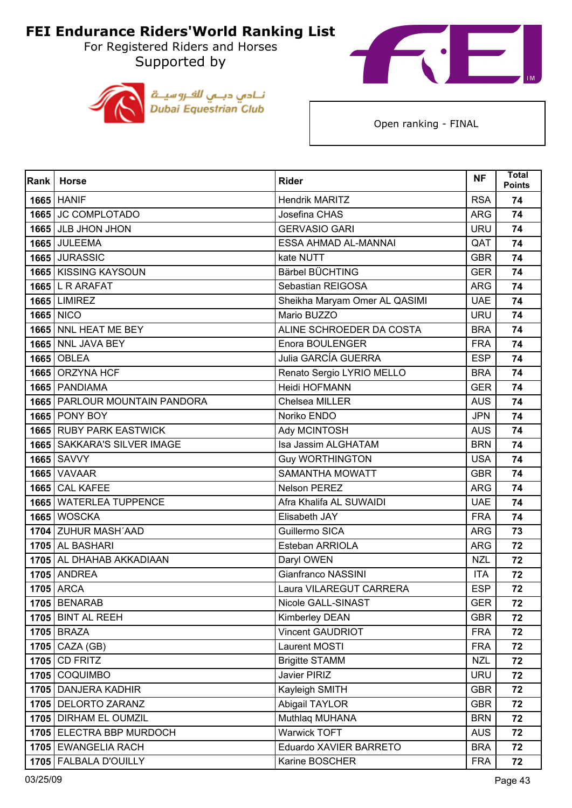For Registered Riders and Horses Supported by





| Rank | <b>Horse</b>                         | <b>Rider</b>                  | <b>NF</b>  | <b>Total</b><br><b>Points</b> |
|------|--------------------------------------|-------------------------------|------------|-------------------------------|
|      | <b>1665 HANIF</b>                    | <b>Hendrik MARITZ</b>         | <b>RSA</b> | 74                            |
|      | 1665 JC COMPLOTADO                   | Josefina CHAS                 | <b>ARG</b> | 74                            |
|      | 1665 JLB JHON JHON                   | <b>GERVASIO GARI</b>          | <b>URU</b> | 74                            |
|      | <b>1665 JULEEMA</b>                  | ESSA AHMAD AL-MANNAI          | QAT        | 74                            |
|      | 1665 JURASSIC                        | kate NUTT                     | <b>GBR</b> | 74                            |
|      | 1665 KISSING KAYSOUN                 | Bärbel BÜCHTING               | <b>GER</b> | 74                            |
|      | $1665$ L R ARAFAT                    | Sebastian REIGOSA             | <b>ARG</b> | 74                            |
|      | <b>1665 LIMIREZ</b>                  | Sheikha Maryam Omer AL QASIMI | <b>UAE</b> | 74                            |
|      | <b>1665 NICO</b>                     | Mario BUZZO                   | <b>URU</b> | 74                            |
|      | 1665 NNL HEAT ME BEY                 | ALINE SCHROEDER DA COSTA      | <b>BRA</b> | 74                            |
|      | 1665 NNL JAVA BEY                    | Enora BOULENGER               | <b>FRA</b> | 74                            |
|      | <b>1665 OBLEA</b>                    | Julia GARCÍA GUERRA           | <b>ESP</b> | 74                            |
|      | 1665 ORZYNA HCF                      | Renato Sergio LYRIO MELLO     | <b>BRA</b> | 74                            |
|      | 1665 PANDIAMA                        | Heidi HOFMANN                 | <b>GER</b> | 74                            |
|      | 1665   PARLOUR MOUNTAIN PANDORA      | Chelsea MILLER                | <b>AUS</b> | 74                            |
|      | <b>1665 PONY BOY</b>                 | Noriko ENDO                   | <b>JPN</b> | 74                            |
|      | 1665 RUBY PARK EASTWICK              | Ady MCINTOSH                  | <b>AUS</b> | 74                            |
|      | <b>1665   SAKKARA'S SILVER IMAGE</b> | Isa Jassim ALGHATAM           | <b>BRN</b> | 74                            |
|      | <b>1665 SAVVY</b>                    | <b>Guy WORTHINGTON</b>        | <b>USA</b> | 74                            |
|      | <b>1665 VAVAAR</b>                   | <b>SAMANTHA MOWATT</b>        | <b>GBR</b> | 74                            |
|      | 1665 CAL KAFEE                       | Nelson PEREZ                  | <b>ARG</b> | 74                            |
|      | 1665 WATERLEA TUPPENCE               | Afra Khalifa AL SUWAIDI       | <b>UAE</b> | 74                            |
|      | 1665 WOSCKA                          | Elisabeth JAY                 | <b>FRA</b> | 74                            |
|      | 1704 ZUHUR MASH'AAD                  | Guillermo SICA                | <b>ARG</b> | 73                            |
|      | 1705 AL BASHARI                      | Esteban ARRIOLA               | <b>ARG</b> | 72                            |
|      | 1705 AL DHAHAB AKKADIAAN             | Daryl OWEN                    | <b>NZL</b> | 72                            |
|      | <b>1705 ANDREA</b>                   | Gianfranco NASSINI            | <b>ITA</b> | 72                            |
|      | <b>1705 ARCA</b>                     | Laura VILAREGUT CARRERA       | <b>ESP</b> | 72                            |
|      | <b>1705 BENARAB</b>                  | Nicole GALL-SINAST            | <b>GER</b> | 72                            |
|      | 1705 BINT AL REEH                    | Kimberley DEAN                | <b>GBR</b> | 72                            |
|      | $1705$ BRAZA                         | <b>Vincent GAUDRIOT</b>       | <b>FRA</b> | 72                            |
|      | $1705$ CAZA (GB)                     | Laurent MOSTI                 | <b>FRA</b> | 72                            |
|      | 1705 CD FRITZ                        | <b>Brigitte STAMM</b>         | <b>NZL</b> | 72                            |
|      | 1705 COQUIMBO                        | Javier PIRIZ                  | <b>URU</b> | 72                            |
|      | 1705 DANJERA KADHIR                  | Kayleigh SMITH                | <b>GBR</b> | 72                            |
|      | 1705 DELORTO ZARANZ                  | Abigail TAYLOR                | <b>GBR</b> | 72                            |
|      | 1705   DIRHAM EL OUMZIL              | Muthlaq MUHANA                | <b>BRN</b> | 72                            |
|      | 1705 ELECTRA BBP MURDOCH             | Warwick TOFT                  | <b>AUS</b> | 72                            |
|      | 1705 EWANGELIA RACH                  | Eduardo XAVIER BARRETO        | <b>BRA</b> | 72                            |
|      | 1705   FALBALA D'OUILLY              | Karine BOSCHER                | <b>FRA</b> | 72                            |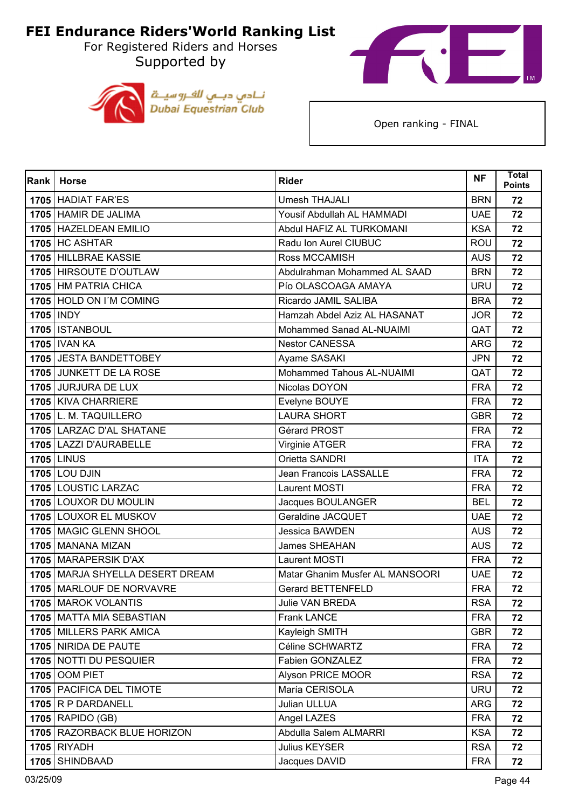For Registered Riders and Horses Supported by





| Rank | <b>Horse</b>                    | <b>Rider</b>                    | <b>NF</b>  | <b>Total</b><br><b>Points</b> |
|------|---------------------------------|---------------------------------|------------|-------------------------------|
|      | 1705 HADIAT FAR'ES              | <b>Umesh THAJALI</b>            | <b>BRN</b> | 72                            |
|      | 1705 HAMIR DE JALIMA            | Yousif Abdullah AL HAMMADI      | <b>UAE</b> | 72                            |
|      | 1705 HAZELDEAN EMILIO           | Abdul HAFIZ AL TURKOMANI        | <b>KSA</b> | 72                            |
|      | <b>1705 HC ASHTAR</b>           | Radu Ion Aurel CIUBUC           | <b>ROU</b> | 72                            |
|      | 1705 HILLBRAE KASSIE            | Ross MCCAMISH                   | <b>AUS</b> | 72                            |
|      | 1705 HIRSOUTE D'OUTLAW          | Abdulrahman Mohammed AL SAAD    | <b>BRN</b> | 72                            |
|      | 1705 HM PATRIA CHICA            | Pío OLASCOAGA AMAYA             | <b>URU</b> | 72                            |
|      | 1705 HOLD ON I'M COMING         | Ricardo JAMIL SALIBA            | <b>BRA</b> | 72                            |
|      | 1705   INDY                     | Hamzah Abdel Aziz AL HASANAT    | <b>JOR</b> | 72                            |
|      | 1705   ISTANBOUL                | Mohammed Sanad AL-NUAIMI        | QAT        | 72                            |
|      | <b>1705   IVAN KA</b>           | <b>Nestor CANESSA</b>           | <b>ARG</b> | 72                            |
|      | 1705 JESTA BANDETTOBEY          | Ayame SASAKI                    | <b>JPN</b> | 72                            |
|      | 1705 JUNKETT DE LA ROSE         | Mohammed Tahous AL-NUAIMI       | QAT        | 72                            |
|      | 1705 JURJURA DE LUX             | Nicolas DOYON                   | <b>FRA</b> | 72                            |
|      | 1705 KIVA CHARRIERE             | Evelyne BOUYE                   | <b>FRA</b> | 72                            |
|      | 1705 L. M. TAQUILLERO           | <b>LAURA SHORT</b>              | <b>GBR</b> | 72                            |
|      | 1705 LARZAC D'AL SHATANE        | Gérard PROST                    | <b>FRA</b> | 72                            |
|      | 1705   LAZZI D'AURABELLE        | Virginie ATGER                  | <b>FRA</b> | 72                            |
|      | <b>1705 LINUS</b>               | Orietta SANDRI                  | <b>ITA</b> | 72                            |
|      | <b>1705 LOU DJIN</b>            | Jean Francois LASSALLE          | <b>FRA</b> | 72                            |
|      | 1705 LOUSTIC LARZAC             | Laurent MOSTI                   | <b>FRA</b> | 72                            |
|      | 1705 LOUXOR DU MOULIN           | Jacques BOULANGER               | <b>BEL</b> | 72                            |
|      | 1705 LOUXOR EL MUSKOV           | Geraldine JACQUET               | <b>UAE</b> | 72                            |
|      | 1705 MAGIC GLENN SHOOL          | <b>Jessica BAWDEN</b>           | <b>AUS</b> | 72                            |
|      | 1705   MANANA MIZAN             | James SHEAHAN                   | <b>AUS</b> | 72                            |
|      | 1705   MARAPERSIK D'AX          | Laurent MOSTI                   | <b>FRA</b> | 72                            |
|      | 1705 MARJA SHYELLA DESERT DREAM | Matar Ghanim Musfer AL MANSOORI | <b>UAE</b> | 72                            |
|      | 1705 MARLOUF DE NORVAVRE        | <b>Gerard BETTENFELD</b>        | <b>FRA</b> | 72                            |
|      | 1705   MAROK VOLANTIS           | <b>Julie VAN BREDA</b>          | <b>RSA</b> | 72                            |
|      | 1705 MATTA MIA SEBASTIAN        | <b>Frank LANCE</b>              | <b>FRA</b> | 72                            |
|      | 1705 MILLERS PARK AMICA         | Kayleigh SMITH                  | <b>GBR</b> | 72                            |
|      | 1705 NIRIDA DE PAUTE            | Céline SCHWARTZ                 | <b>FRA</b> | 72                            |
|      | 1705 NOTTI DU PESQUIER          | Fabien GONZALEZ                 | <b>FRA</b> | 72                            |
|      | <b>1705 OOM PIET</b>            | Alyson PRICE MOOR               | <b>RSA</b> | 72                            |
|      | 1705   PACIFICA DEL TIMOTE      | María CERISOLA                  | <b>URU</b> | 72                            |
|      | $1705$ R P DARDANELL            | Julian ULLUA                    | <b>ARG</b> | 72                            |
|      | $1705$ RAPIDO (GB)              | Angel LAZES                     | <b>FRA</b> | 72                            |
|      | 1705 RAZORBACK BLUE HORIZON     | Abdulla Salem ALMARRI           | <b>KSA</b> | 72                            |
|      | <b>1705 RIYADH</b>              | Julius KEYSER                   | <b>RSA</b> | 72                            |
|      | 1705 SHINDBAAD                  | Jacques DAVID                   | <b>FRA</b> | 72                            |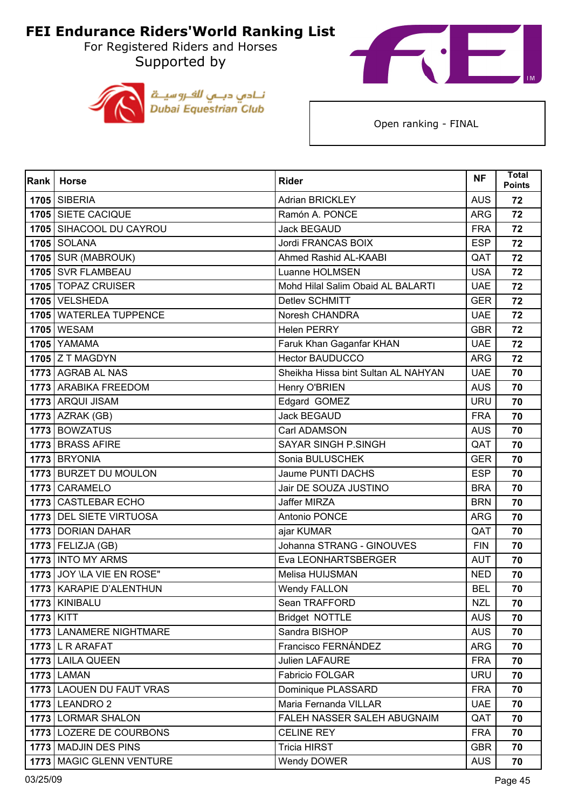For Registered Riders and Horses Supported by





| Rank      | <b>Horse</b>               | <b>Rider</b>                        | <b>NF</b>  | <b>Total</b><br><b>Points</b> |
|-----------|----------------------------|-------------------------------------|------------|-------------------------------|
|           | <b>1705 SIBERIA</b>        | <b>Adrian BRICKLEY</b>              | <b>AUS</b> | 72                            |
|           | 1705 SIETE CACIQUE         | Ramón A. PONCE                      | <b>ARG</b> | 72                            |
|           | 1705 SIHACOOL DU CAYROU    | <b>Jack BEGAUD</b>                  | <b>FRA</b> | 72                            |
|           | <b>1705 SOLANA</b>         | Jordi FRANCAS BOIX                  | <b>ESP</b> | 72                            |
|           | 1705 SUR (MABROUK)         | Ahmed Rashid AL-KAABI               | QAT        | 72                            |
|           | 1705 SVR FLAMBEAU          | Luanne HOLMSEN                      | <b>USA</b> | 72                            |
|           | 1705 TOPAZ CRUISER         | Mohd Hilal Salim Obaid AL BALARTI   | <b>UAE</b> | 72                            |
|           | 1705 VELSHEDA              | Detlev SCHMITT                      | <b>GER</b> | 72                            |
|           | 1705 WATERLEA TUPPENCE     | Noresh CHANDRA                      | <b>UAE</b> | 72                            |
|           | <b>1705 WESAM</b>          | <b>Helen PERRY</b>                  | <b>GBR</b> | 72                            |
|           | <b>1705 YAMAMA</b>         | Faruk Khan Gaganfar KHAN            | <b>UAE</b> | 72                            |
|           | $1705$ Z T MAGDYN          | <b>Hector BAUDUCCO</b>              | <b>ARG</b> | 72                            |
|           | 1773 AGRAB AL NAS          | Sheikha Hissa bint Sultan AL NAHYAN | <b>UAE</b> | 70                            |
|           | 1773 ARABIKA FREEDOM       | Henry O'BRIEN                       | <b>AUS</b> | 70                            |
|           | 1773 ARQUI JISAM           | Edgard GOMEZ                        | <b>URU</b> | 70                            |
|           | <b>1773</b> AZRAK (GB)     | <b>Jack BEGAUD</b>                  | <b>FRA</b> | 70                            |
|           | 1773 BOWZATUS              | Carl ADAMSON                        | <b>AUS</b> | 70                            |
|           | 1773 BRASS AFIRE           | <b>SAYAR SINGH P.SINGH</b>          | QAT        | 70                            |
|           | 1773 BRYONIA               | Sonia BULUSCHEK                     | <b>GER</b> | 70                            |
|           | 1773 BURZET DU MOULON      | Jaume PUNTI DACHS                   | <b>ESP</b> | 70                            |
|           | 1773 CARAMELO              | Jair DE SOUZA JUSTINO               | <b>BRA</b> | 70                            |
|           | 1773 CASTLEBAR ECHO        | Jaffer MIRZA                        | <b>BRN</b> | 70                            |
|           | 1773 DEL SIETE VIRTUOSA    | Antonio PONCE                       | <b>ARG</b> | 70                            |
|           | 1773 DORIAN DAHAR          | ajar KUMAR                          | QAT        | 70                            |
|           | $1773$ FELIZJA (GB)        | Johanna STRANG - GINOUVES           | <b>FIN</b> | 70                            |
|           | 1773   INTO MY ARMS        | Eva LEONHARTSBERGER                 | <b>AUT</b> | 70                            |
|           | 1773 JOY \LA VIE EN ROSE"  | Melisa HUIJSMAN                     | <b>NED</b> | 70                            |
|           | 1773 KARAPIE D'ALENTHUN    | <b>Wendy FALLON</b>                 | <b>BEL</b> | 70                            |
|           | 1773   KINIBALU            | Sean TRAFFORD                       | <b>NZL</b> | 70                            |
| 1773 KITT |                            | Bridget NOTTLE                      | <b>AUS</b> | 70                            |
|           | 1773 LANAMERE NIGHTMARE    | Sandra BISHOP                       | <b>AUS</b> | 70                            |
|           | $1773$ L R ARAFAT          | Francisco FERNÁNDEZ                 | <b>ARG</b> | 70                            |
|           | 1773 LAILA QUEEN           | <b>Julien LAFAURE</b>               | <b>FRA</b> | 70                            |
|           | <b>1773 LAMAN</b>          | Fabricio FOLGAR                     | <b>URU</b> | 70                            |
|           | 1773 LAOUEN DU FAUT VRAS   | Dominique PLASSARD                  | <b>FRA</b> | 70                            |
|           | <b>1773 LEANDRO 2</b>      | Maria Fernanda VILLAR               | <b>UAE</b> | 70                            |
|           | 1773 LORMAR SHALON         | FALEH NASSER SALEH ABUGNAIM         | QAT        | 70                            |
|           | 1773 LOZERE DE COURBONS    | <b>CELINE REY</b>                   | <b>FRA</b> | 70                            |
|           | 1773 MADJIN DES PINS       | <b>Tricia HIRST</b>                 | <b>GBR</b> | 70                            |
|           | 1773   MAGIC GLENN VENTURE | Wendy DOWER                         | <b>AUS</b> | 70                            |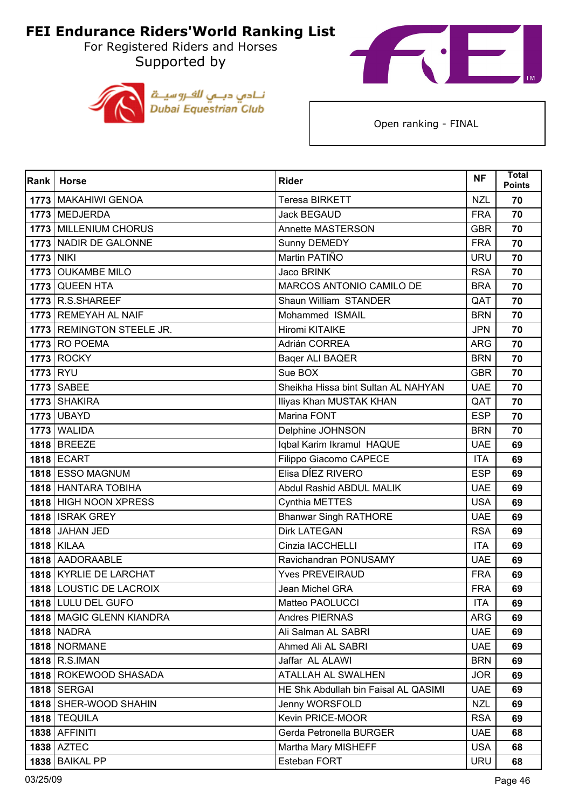For Registered Riders and Horses Supported by





| <b>Rank</b>      | <b>Horse</b>              | <b>Rider</b>                         | <b>NF</b>  | <b>Total</b><br><b>Points</b> |
|------------------|---------------------------|--------------------------------------|------------|-------------------------------|
|                  | 1773   MAKAHIWI GENOA     | <b>Teresa BIRKETT</b>                | <b>NZL</b> | 70                            |
|                  | 1773 MEDJERDA             | <b>Jack BEGAUD</b>                   | <b>FRA</b> | 70                            |
|                  | 1773 MILLENIUM CHORUS     | <b>Annette MASTERSON</b>             | <b>GBR</b> | 70                            |
|                  | 1773 NADIR DE GALONNE     | Sunny DEMEDY                         | <b>FRA</b> | 70                            |
| <b>1773 NIKI</b> |                           | Martin PATIÑO                        | <b>URU</b> | 70                            |
|                  | 1773 OUKAMBE MILO         | <b>Jaco BRINK</b>                    | <b>RSA</b> | 70                            |
| 1773             | <b>QUEEN HTA</b>          | MARCOS ANTONIO CAMILO DE             | <b>BRA</b> | 70                            |
|                  | 1773 R.S.SHAREEF          | Shaun William STANDER                | QAT        | 70                            |
|                  | 1773 REMEYAH AL NAIF      | Mohammed ISMAIL                      | <b>BRN</b> | 70                            |
|                  | 1773 REMINGTON STEELE JR. | Hiromi KITAIKE                       | <b>JPN</b> | 70                            |
|                  | <b>1773 RO POEMA</b>      | Adrián CORREA                        | <b>ARG</b> | 70                            |
|                  | <b>1773 ROCKY</b>         | Baqer ALI BAQER                      | <b>BRN</b> | 70                            |
| <b>1773 RYU</b>  |                           | Sue BOX                              | <b>GBR</b> | 70                            |
|                  | 1773 SABEE                | Sheikha Hissa bint Sultan AL NAHYAN  | <b>UAE</b> | 70                            |
|                  | 1773 SHAKIRA              | Iliyas Khan MUSTAK KHAN              | QAT        | 70                            |
|                  | <b>1773 UBAYD</b>         | Marina FONT                          | <b>ESP</b> | 70                            |
|                  | 1773 WALIDA               | Delphine JOHNSON                     | <b>BRN</b> | 70                            |
|                  | 1818 BREEZE               | Iqbal Karim Ikramul HAQUE            | <b>UAE</b> | 69                            |
|                  | <b>1818 ECART</b>         | Filippo Giacomo CAPECE               | <b>ITA</b> | 69                            |
|                  | 1818 ESSO MAGNUM          | Elisa DÍEZ RIVERO                    | <b>ESP</b> | 69                            |
|                  | 1818 HANTARA TOBIHA       | Abdul Rashid ABDUL MALIK             | <b>UAE</b> | 69                            |
|                  | 1818 HIGH NOON XPRESS     | Cynthia METTES                       | <b>USA</b> | 69                            |
|                  | 1818 ISRAK GREY           | <b>Bhanwar Singh RATHORE</b>         | <b>UAE</b> | 69                            |
|                  | 1818 JAHAN JED            | <b>Dirk LATEGAN</b>                  | <b>RSA</b> | 69                            |
|                  | <b>1818 KILAA</b>         | Cinzia IACCHELLI                     | <b>ITA</b> | 69                            |
|                  | 1818 AADORAABLE           | Ravichandran PONUSAMY                | <b>UAE</b> | 69                            |
|                  | 1818 KYRLIE DE LARCHAT    | <b>Yves PREVEIRAUD</b>               | <b>FRA</b> | 69                            |
|                  | 1818 LOUSTIC DE LACROIX   | Jean Michel GRA                      | <b>FRA</b> | 69                            |
|                  | 1818 LULU DEL GUFO        | Matteo PAOLUCCI                      | <b>ITA</b> | 69                            |
|                  | 1818 MAGIC GLENN KIANDRA  | Andres PIERNAS                       | <b>ARG</b> | 69                            |
|                  | <b>1818 NADRA</b>         | Ali Salman AL SABRI                  | <b>UAE</b> | 69                            |
|                  | 1818 NORMANE              | Ahmed Ali AL SABRI                   | <b>UAE</b> | 69                            |
|                  | 1818 R.S.IMAN             | Jaffar AL ALAWI                      | <b>BRN</b> | 69                            |
|                  | 1818   ROKEWOOD SHASADA   | ATALLAH AL SWALHEN                   | <b>JOR</b> | 69                            |
|                  | <b>1818   SERGAI</b>      | HE Shk Abdullah bin Faisal AL QASIMI | <b>UAE</b> | 69                            |
|                  | 1818 SHER-WOOD SHAHIN     | Jenny WORSFOLD                       | <b>NZL</b> | 69                            |
|                  | 1818   TEQUILA            | Kevin PRICE-MOOR                     | <b>RSA</b> | 69                            |
|                  | $1838$ AFFINITI           | Gerda Petronella BURGER              | <b>UAE</b> | 68                            |
|                  | <b>1838 AZTEC</b>         | Martha Mary MISHEFF                  | <b>USA</b> | 68                            |
|                  | 1838 BAIKAL PP            | Esteban FORT                         | <b>URU</b> | 68                            |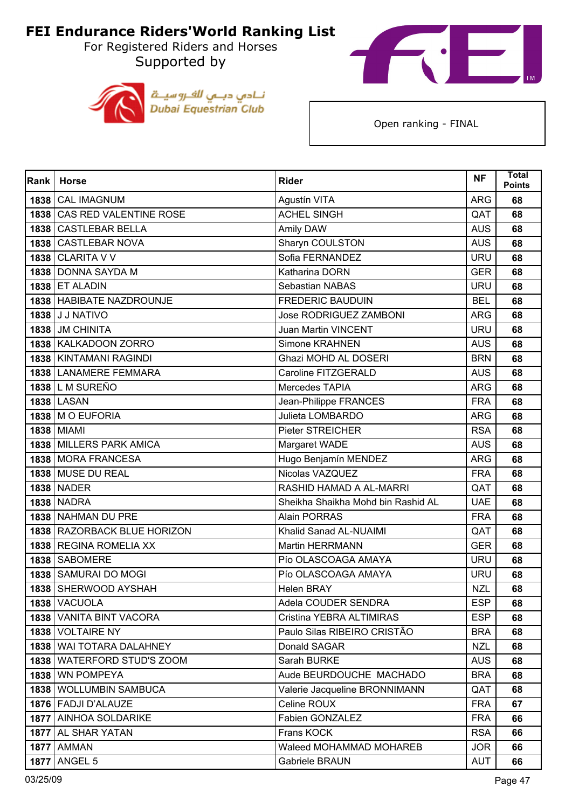For Registered Riders and Horses Supported by





| Rank | <b>Horse</b>                 | <b>Rider</b>                       | <b>NF</b>  | <b>Total</b><br><b>Points</b> |
|------|------------------------------|------------------------------------|------------|-------------------------------|
| 1838 | <b>CAL IMAGNUM</b>           | Agustín VITA                       | <b>ARG</b> | 68                            |
| 1838 | CAS RED VALENTINE ROSE       | <b>ACHEL SINGH</b>                 | QAT        | 68                            |
| 1838 | <b>CASTLEBAR BELLA</b>       | Amily DAW                          | <b>AUS</b> | 68                            |
|      | 1838   CASTLEBAR NOVA        | Sharyn COULSTON                    | <b>AUS</b> | 68                            |
|      | <b>1838 CLARITA V V</b>      | Sofia FERNANDEZ                    | <b>URU</b> | 68                            |
|      | 1838 DONNA SAYDA M           | Katharina DORN                     | <b>GER</b> | 68                            |
|      | <b>1838 ET ALADIN</b>        | Sebastian NABAS                    | <b>URU</b> | 68                            |
|      | 1838   HABIBATE NAZDROUNJE   | <b>FREDERIC BAUDUIN</b>            | <b>BEL</b> | 68                            |
|      | 1838 J J NATIVO              | <b>Jose RODRIGUEZ ZAMBONI</b>      | <b>ARG</b> | 68                            |
|      | 1838 JM CHINITA              | <b>Juan Martin VINCENT</b>         | <b>URU</b> | 68                            |
|      | 1838   KALKADOON ZORRO       | Simone KRAHNEN                     | <b>AUS</b> | 68                            |
|      | 1838 KINTAMANI RAGINDI       | Ghazi MOHD AL DOSERI               | <b>BRN</b> | 68                            |
|      | 1838 LANAMERE FEMMARA        | Caroline FITZGERALD                | <b>AUS</b> | 68                            |
|      | 1838 L M SUREÑO              | Mercedes TAPIA                     | <b>ARG</b> | 68                            |
|      | <b>1838 LASAN</b>            | Jean-Philippe FRANCES              | <b>FRA</b> | 68                            |
|      | 1838   M O EUFORIA           | Julieta LOMBARDO                   | <b>ARG</b> | 68                            |
|      | <b>1838 MIAMI</b>            | <b>Pieter STREICHER</b>            | <b>RSA</b> | 68                            |
|      | 1838 MILLERS PARK AMICA      | Margaret WADE                      | <b>AUS</b> | 68                            |
|      | 1838 MORA FRANCESA           | Hugo Benjamín MENDEZ               | <b>ARG</b> | 68                            |
|      | 1838 MUSE DU REAL            | Nicolas VAZQUEZ                    | <b>FRA</b> | 68                            |
|      | <b>1838   NADER</b>          | RASHID HAMAD A AL-MARRI            | QAT        | 68                            |
|      | <b>1838 NADRA</b>            | Sheikha Shaikha Mohd bin Rashid AL | <b>UAE</b> | 68                            |
|      | 1838 NAHMAN DU PRE           | <b>Alain PORRAS</b>                | <b>FRA</b> | 68                            |
|      | 1838 RAZORBACK BLUE HORIZON  | Khalid Sanad AL-NUAIMI             | QAT        | 68                            |
|      | 1838 REGINA ROMELIA XX       | <b>Martin HERRMANN</b>             | <b>GER</b> | 68                            |
|      | 1838 SABOMERE                | Pío OLASCOAGA AMAYA                | <b>URU</b> | 68                            |
|      | 1838   SAMURAI DO MOGI       | Pío OLASCOAGA AMAYA                | <b>URU</b> | 68                            |
|      | 1838 SHERWOOD AYSHAH         | <b>Helen BRAY</b>                  | <b>NZL</b> | 68                            |
|      | 1838 VACUOLA                 | Adela COUDER SENDRA                | <b>ESP</b> | 68                            |
|      | 1838 VANITA BINT VACORA      | Cristina YEBRA ALTIMIRAS           | <b>ESP</b> | 68                            |
|      | 1838 VOLTAIRE NY             | Paulo Silas RIBEIRO CRISTÃO        | <b>BRA</b> | 68                            |
|      | 1838 WAI TOTARA DALAHNEY     | Donald SAGAR                       | <b>NZL</b> | 68                            |
|      | 1838   WATERFORD STUD'S ZOOM | Sarah BURKE                        | <b>AUS</b> | 68                            |
|      | 1838   WN POMPEYA            | Aude BEURDOUCHE MACHADO            | <b>BRA</b> | 68                            |
|      | 1838 WOLLUMBIN SAMBUCA       | Valerie Jacqueline BRONNIMANN      | QAT        | 68                            |
|      | 1876   FADJI D'ALAUZE        | Celine ROUX                        | <b>FRA</b> | 67                            |
|      | 1877 AINHOA SOLDARIKE        | Fabien GONZALEZ                    | <b>FRA</b> | 66                            |
|      | 1877   AL SHAR YATAN         | Frans KOCK                         | <b>RSA</b> | 66                            |
|      | <b>1877   AMMAN</b>          | Waleed MOHAMMAD MOHAREB            | <b>JOR</b> | 66                            |
| 1877 | ANGEL 5                      | Gabriele BRAUN                     | <b>AUT</b> | 66                            |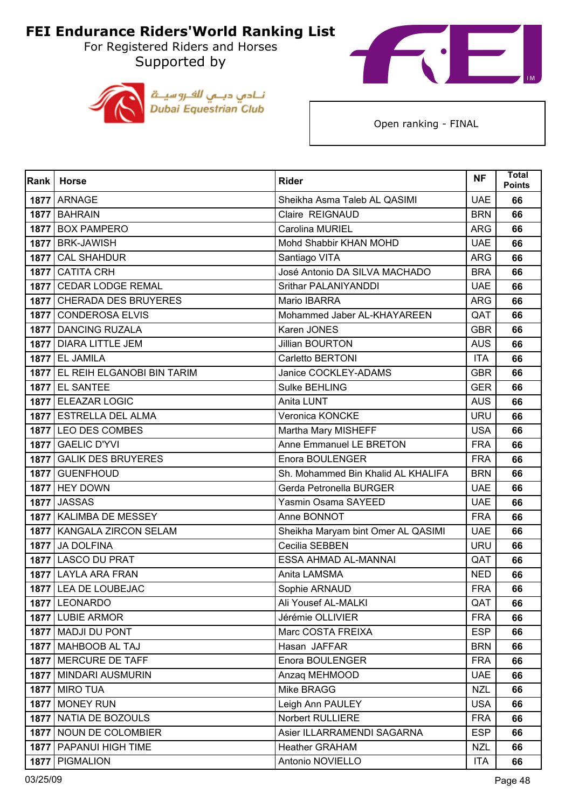For Registered Riders and Horses Supported by





| Rank | <b>Horse</b>                    | <b>Rider</b>                       | <b>NF</b>  | <b>Total</b><br><b>Points</b> |
|------|---------------------------------|------------------------------------|------------|-------------------------------|
|      | 1877 ARNAGE                     | Sheikha Asma Taleb AL QASIMI       | <b>UAE</b> | 66                            |
|      | 1877 BAHRAIN                    | Claire REIGNAUD                    | <b>BRN</b> | 66                            |
| 1877 | <b>BOX PAMPERO</b>              | Carolina MURIEL                    | <b>ARG</b> | 66                            |
|      | 1877 BRK-JAWISH                 | Mohd Shabbir KHAN MOHD             | <b>UAE</b> | 66                            |
| 1877 | <b>CAL SHAHDUR</b>              | Santiago VITA                      | <b>ARG</b> | 66                            |
|      | 1877 CATITA CRH                 | José Antonio DA SILVA MACHADO      | <b>BRA</b> | 66                            |
| 1877 | <b>CEDAR LODGE REMAL</b>        | Srithar PALANIYANDDI               | <b>UAE</b> | 66                            |
|      | 1877 CHERADA DES BRUYERES       | Mario IBARRA                       | <b>ARG</b> | 66                            |
| 1877 | <b>CONDEROSA ELVIS</b>          | Mohammed Jaber AL-KHAYAREEN        | QAT        | 66                            |
|      | 1877 DANCING RUZALA             | Karen JONES                        | <b>GBR</b> | 66                            |
|      | 1877   DIARA LITTLE JEM         | <b>Jillian BOURTON</b>             | <b>AUS</b> | 66                            |
|      | <b>1877 EL JAMILA</b>           | Carletto BERTONI                   | <b>ITA</b> | 66                            |
|      | 1877 EL REIH ELGANOBI BIN TARIM | Janice COCKLEY-ADAMS               | <b>GBR</b> | 66                            |
|      | <b>1877 EL SANTEE</b>           | Sulke BEHLING                      | <b>GER</b> | 66                            |
|      | 1877 ELEAZAR LOGIC              | Anita LUNT                         | <b>AUS</b> | 66                            |
|      | 1877 ESTRELLA DEL ALMA          | Veronica KONCKE                    | <b>URU</b> | 66                            |
|      | 1877 LEO DES COMBES             | Martha Mary MISHEFF                | <b>USA</b> | 66                            |
|      | 1877 GAELIC D'YVI               | Anne Emmanuel LE BRETON            | <b>FRA</b> | 66                            |
| 1877 | <b>GALIK DES BRUYERES</b>       | Enora BOULENGER                    | <b>FRA</b> | 66                            |
|      | 1877 GUENFHOUD                  | Sh. Mohammed Bin Khalid AL KHALIFA | <b>BRN</b> | 66                            |
|      | <b>1877 HEY DOWN</b>            | Gerda Petronella BURGER            | <b>UAE</b> | 66                            |
|      | 1877 JASSAS                     | Yasmin Osama SAYEED                | <b>UAE</b> | 66                            |
|      | 1877 KALIMBA DE MESSEY          | Anne BONNOT                        | <b>FRA</b> | 66                            |
|      | 1877   KANGALA ZIRCON SELAM     | Sheikha Maryam bint Omer AL QASIMI | <b>UAE</b> | 66                            |
| 1877 | JA DOLFINA                      | Cecilia SEBBEN                     | <b>URU</b> | 66                            |
|      | 1877 LASCO DU PRAT              | ESSA AHMAD AL-MANNAI               | QAT        | 66                            |
|      | 1877 LAYLA ARA FRAN             | Anita LAMSMA                       | <b>NED</b> | 66                            |
|      | 1877 LEA DE LOUBEJAC            | Sophie ARNAUD                      | <b>FRA</b> | 66                            |
|      | 1877 LEONARDO                   | Ali Yousef AL-MALKI                | QAT        | 66                            |
|      | 1877 LUBIE ARMOR                | Jérémie OLLIVIER                   | <b>FRA</b> | 66                            |
|      | 1877   MADJI DU PONT            | Marc COSTA FREIXA                  | <b>ESP</b> | 66                            |
|      | 1877   MAHBOOB AL TAJ           | Hasan JAFFAR                       | <b>BRN</b> | 66                            |
|      | 1877   MERCURE DE TAFF          | Enora BOULENGER                    | <b>FRA</b> | 66                            |
|      | 1877   MINDARI AUSMURIN         | Anzaq MEHMOOD                      | <b>UAE</b> | 66                            |
|      | <b>1877   MIRO TUA</b>          | Mike BRAGG                         | <b>NZL</b> | 66                            |
|      | 1877   MONEY RUN                | Leigh Ann PAULEY                   | <b>USA</b> | 66                            |
|      | 1877   NATIA DE BOZOULS         | Norbert RULLIERE                   | <b>FRA</b> | 66                            |
|      | 1877 NOUN DE COLOMBIER          | Asier ILLARRAMENDI SAGARNA         | <b>ESP</b> | 66                            |
|      | 1877   PAPANUI HIGH TIME        | <b>Heather GRAHAM</b>              | <b>NZL</b> | 66                            |
|      | 1877   PIGMALION                | Antonio NOVIELLO                   | <b>ITA</b> | 66                            |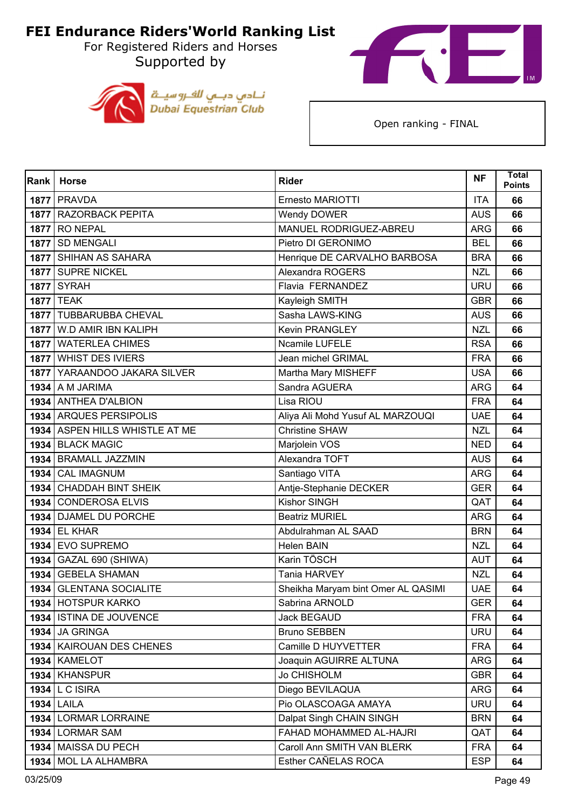For Registered Riders and Horses Supported by





| Rank | <b>Horse</b>                   | <b>Rider</b>                       | <b>NF</b>  | Total<br><b>Points</b> |
|------|--------------------------------|------------------------------------|------------|------------------------|
|      | <b>1877   PRAVDA</b>           | Ernesto MARIOTTI                   | <b>ITA</b> | 66                     |
|      | 1877 RAZORBACK PEPITA          | Wendy DOWER                        | <b>AUS</b> | 66                     |
| 1877 | <b>RO NEPAL</b>                | MANUEL RODRIGUEZ-ABREU             | <b>ARG</b> | 66                     |
|      | 1877 SD MENGALI                | Pietro DI GERONIMO                 | <b>BEL</b> | 66                     |
|      | 1877   SHIHAN AS SAHARA        | Henrique DE CARVALHO BARBOSA       | <b>BRA</b> | 66                     |
|      | 1877 SUPRE NICKEL              | Alexandra ROGERS                   | <b>NZL</b> | 66                     |
|      | <b>1877 SYRAH</b>              | Flavia FERNANDEZ                   | <b>URU</b> | 66                     |
|      | <b>1877 TEAK</b>               | Kayleigh SMITH                     | <b>GBR</b> | 66                     |
|      | 1877   TUBBARUBBA CHEVAL       | Sasha LAWS-KING                    | <b>AUS</b> | 66                     |
|      | 1877   W.D AMIR IBN KALIPH     | <b>Kevin PRANGLEY</b>              | <b>NZL</b> | 66                     |
|      | 1877   WATERLEA CHIMES         | Ncamile LUFELE                     | <b>RSA</b> | 66                     |
|      | 1877 WHIST DES IVIERS          | Jean michel GRIMAL                 | <b>FRA</b> | 66                     |
|      | 1877 YARAANDOO JAKARA SILVER   | Martha Mary MISHEFF                | <b>USA</b> | 66                     |
|      | <b>1934</b> A M JARIMA         | Sandra AGUERA                      | <b>ARG</b> | 64                     |
|      | 1934 ANTHEA D'ALBION           | Lisa RIOU                          | <b>FRA</b> | 64                     |
|      | 1934 ARQUES PERSIPOLIS         | Aliya Ali Mohd Yusuf AL MARZOUQI   | <b>UAE</b> | 64                     |
|      | 1934 ASPEN HILLS WHISTLE AT ME | <b>Christine SHAW</b>              | <b>NZL</b> | 64                     |
|      | 1934 BLACK MAGIC               | Marjolein VOS                      | <b>NED</b> | 64                     |
|      | 1934 BRAMALL JAZZMIN           | Alexandra TOFT                     | <b>AUS</b> | 64                     |
|      | 1934 CAL IMAGNUM               | Santiago VITA                      | <b>ARG</b> | 64                     |
|      | 1934 CHADDAH BINT SHEIK        | Antje-Stephanie DECKER             | <b>GER</b> | 64                     |
|      | 1934 CONDEROSA ELVIS           | <b>Kishor SINGH</b>                | QAT        | 64                     |
| 1934 | <b>DJAMEL DU PORCHE</b>        | <b>Beatriz MURIEL</b>              | <b>ARG</b> | 64                     |
|      | <b>1934 EL KHAR</b>            | Abdulrahman AL SAAD                | <b>BRN</b> | 64                     |
|      | 1934 EVO SUPREMO               | <b>Helen BAIN</b>                  | <b>NZL</b> | 64                     |
|      | 1934 GAZAL 690 (SHIWA)         | Karin TÖSCH                        | <b>AUT</b> | 64                     |
| 1934 | <b>GEBELA SHAMAN</b>           | Tania HARVEY                       | <b>NZL</b> | 64                     |
|      | 1934 GLENTANA SOCIALITE        | Sheikha Maryam bint Omer AL QASIMI | <b>UAE</b> | 64                     |
|      | 1934 HOTSPUR KARKO             | Sabrina ARNOLD                     | <b>GER</b> | 64                     |
|      | 1934 ISTINA DE JOUVENCE        | <b>Jack BEGAUD</b>                 | <b>FRA</b> | 64                     |
|      | <b>1934 JA GRINGA</b>          | <b>Bruno SEBBEN</b>                | <b>URU</b> | 64                     |
|      | 1934   KAIROUAN DES CHENES     | Camille D HUYVETTER                | <b>FRA</b> | 64                     |
|      | <b>1934   KAMELOT</b>          | Joaquin AGUIRRE ALTUNA             | <b>ARG</b> | 64                     |
|      | 1934   KHANSPUR                | <b>Jo CHISHOLM</b>                 | <b>GBR</b> | 64                     |
|      | 1934 L C ISIRA                 | Diego BEVILAQUA                    | <b>ARG</b> | 64                     |
|      | <b>1934 LAILA</b>              | Pio OLASCOAGA AMAYA                | <b>URU</b> | 64                     |
|      | 1934 LORMAR LORRAINE           | Dalpat Singh CHAIN SINGH           | <b>BRN</b> | 64                     |
|      | 1934 LORMAR SAM                | FAHAD MOHAMMED AL-HAJRI            | QAT        | 64                     |
|      | 1934   MAISSA DU PECH          | Caroll Ann SMITH VAN BLERK         | <b>FRA</b> | 64                     |
|      | 1934 MOL LA ALHAMBRA           | Esther CAÑELAS ROCA                | <b>ESP</b> | 64                     |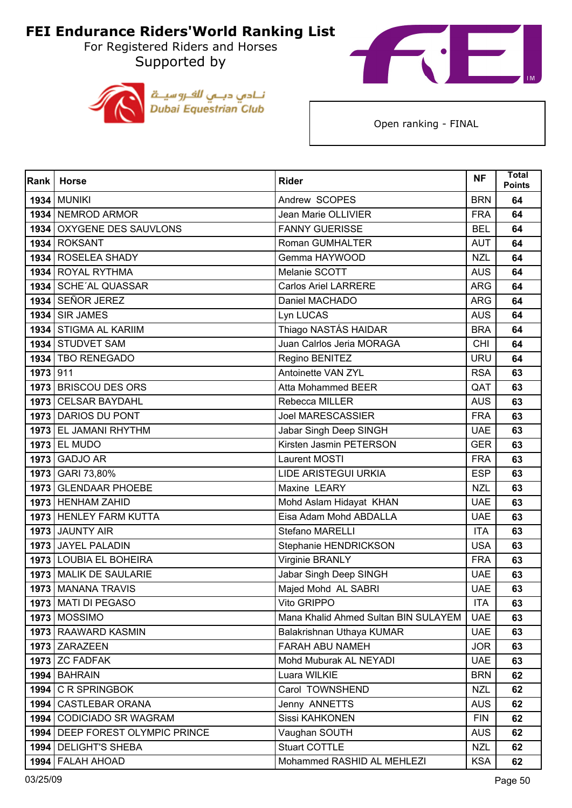For Registered Riders and Horses Supported by





| Rank     | <b>Horse</b>                      | <b>Rider</b>                         | <b>NF</b>  | <b>Total</b><br><b>Points</b> |
|----------|-----------------------------------|--------------------------------------|------------|-------------------------------|
|          | <b>1934 MUNIKI</b>                | Andrew SCOPES                        | <b>BRN</b> | 64                            |
|          | 1934 NEMROD ARMOR                 | <b>Jean Marie OLLIVIER</b>           | <b>FRA</b> | 64                            |
| 1934     | OXYGENE DES SAUVLONS              | <b>FANNY GUERISSE</b>                | <b>BEL</b> | 64                            |
|          | 1934 ROKSANT                      | Roman GUMHALTER                      | <b>AUT</b> | 64                            |
|          | 1934 ROSELEA SHADY                | Gemma HAYWOOD                        | <b>NZL</b> | 64                            |
|          | 1934 ROYAL RYTHMA                 | Melanie SCOTT                        | <b>AUS</b> | 64                            |
|          | 1934 SCHE'AL QUASSAR              | <b>Carlos Ariel LARRERE</b>          | <b>ARG</b> | 64                            |
|          | 1934 SEÑOR JEREZ                  | Daniel MACHADO                       | <b>ARG</b> | 64                            |
|          | <b>1934 SIR JAMES</b>             | Lyn LUCAS                            | <b>AUS</b> | 64                            |
|          | 1934 STIGMA AL KARIIM             | Thiago NASTÁS HAIDAR                 | <b>BRA</b> | 64                            |
|          | 1934 STUDVET SAM                  | Juan Calrlos Jeria MORAGA            | <b>CHI</b> | 64                            |
|          | 1934   TBO RENEGADO               | Regino BENITEZ                       | <b>URU</b> | 64                            |
| 1973 911 |                                   | Antoinette VAN ZYL                   | <b>RSA</b> | 63                            |
|          | 1973 BRISCOU DES ORS              | <b>Atta Mohammed BEER</b>            | QAT        | 63                            |
| 1973     | <b>CELSAR BAYDAHL</b>             | Rebecca MILLER                       | <b>AUS</b> | 63                            |
|          | 1973 DARIOS DU PONT               | <b>Joel MARESCASSIER</b>             | <b>FRA</b> | 63                            |
|          | 1973 EL JAMANI RHYTHM             | Jabar Singh Deep SINGH               | <b>UAE</b> | 63                            |
|          | <b>1973 EL MUDO</b>               | Kirsten Jasmin PETERSON              | <b>GER</b> | 63                            |
| 1973     | <b>GADJO AR</b>                   | Laurent MOSTI                        | <b>FRA</b> | 63                            |
|          | 1973 GARI 73,80%                  | <b>LIDE ARISTEGUI URKIA</b>          | <b>ESP</b> | 63                            |
|          | 1973 GLENDAAR PHOEBE              | Maxine LEARY                         | <b>NZL</b> | 63                            |
|          | 1973 HENHAM ZAHID                 | Mohd Aslam Hidayat KHAN              | <b>UAE</b> | 63                            |
|          | 1973 HENLEY FARM KUTTA            | Eisa Adam Mohd ABDALLA               | <b>UAE</b> | 63                            |
|          | 1973 JAUNTY AIR                   | Stefano MARELLI                      | <b>ITA</b> | 63                            |
|          | 1973 JAYEL PALADIN                | Stephanie HENDRICKSON                | <b>USA</b> | 63                            |
|          | 1973 LOUBIA EL BOHEIRA            | Virginie BRANLY                      | <b>FRA</b> | 63                            |
|          | 1973 MALIK DE SAULARIE            | Jabar Singh Deep SINGH               | <b>UAE</b> | 63                            |
|          | 1973   MANANA TRAVIS              | Majed Mohd AL SABRI                  | <b>UAE</b> | 63                            |
|          | 1973   MATI DI PEGASO             | Vito GRIPPO                          | <b>ITA</b> | 63                            |
|          | <b>1973 MOSSIMO</b>               | Mana Khalid Ahmed Sultan BIN SULAYEM | <b>UAE</b> | 63                            |
|          | 1973 RAAWARD KASMIN               | Balakrishnan Uthaya KUMAR            | <b>UAE</b> | 63                            |
|          | 1973 ZARAZEEN                     | FARAH ABU NAMEH                      | <b>JOR</b> | 63                            |
|          | $1973$ ZC FADFAK                  | Mohd Muburak AL NEYADI               | <b>UAE</b> | 63                            |
|          | 1994 BAHRAIN                      | Luara WILKIE                         | <b>BRN</b> | 62                            |
|          | 1994 C R SPRINGBOK                | Carol TOWNSHEND                      | <b>NZL</b> | 62                            |
|          | 1994   CASTLEBAR ORANA            | Jenny ANNETTS                        | <b>AUS</b> | 62                            |
|          | 1994 CODICIADO SR WAGRAM          | Sissi KAHKONEN                       | <b>FIN</b> | 62                            |
|          | 1994   DEEP FOREST OLYMPIC PRINCE | Vaughan SOUTH                        | <b>AUS</b> | 62                            |
|          | 1994   DELIGHT'S SHEBA            | Stuart COTTLE                        | <b>NZL</b> | 62                            |
|          | 1994   FALAH AHOAD                | Mohammed RASHID AL MEHLEZI           | <b>KSA</b> | 62                            |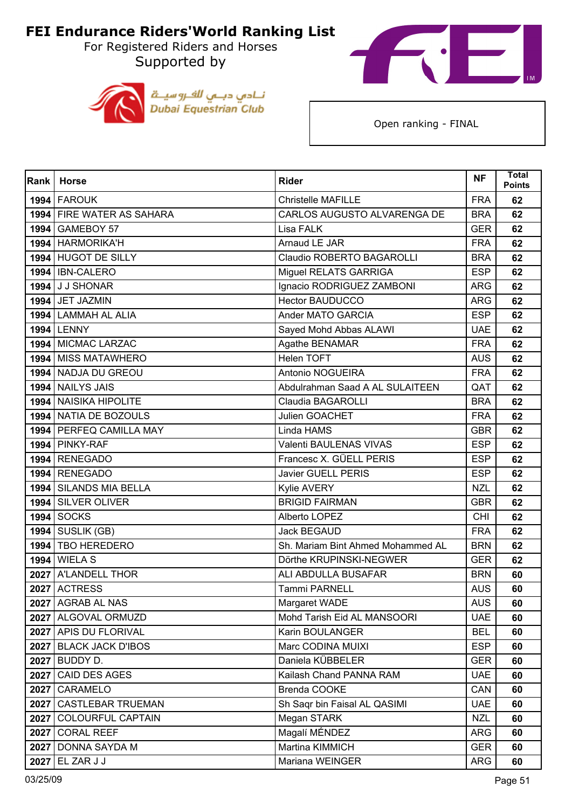For Registered Riders and Horses Supported by





| Rank | <b>Horse</b>              | <b>Rider</b>                      | <b>NF</b>  | <b>Total</b><br><b>Points</b> |
|------|---------------------------|-----------------------------------|------------|-------------------------------|
|      | 1994 FAROUK               | Christelle MAFILLE                | <b>FRA</b> | 62                            |
|      | 1994 FIRE WATER AS SAHARA | CARLOS AUGUSTO ALVARENGA DE       | <b>BRA</b> | 62                            |
|      | 1994 GAMEBOY 57           | Lisa FALK                         | <b>GER</b> | 62                            |
|      | 1994 HARMORIKA'H          | Arnaud LE JAR                     | <b>FRA</b> | 62                            |
|      | 1994 HUGOT DE SILLY       | Claudio ROBERTO BAGAROLLI         | <b>BRA</b> | 62                            |
|      | 1994   IBN-CALERO         | Miguel RELATS GARRIGA             | <b>ESP</b> | 62                            |
|      | 1994 J J SHONAR           | Ignacio RODRIGUEZ ZAMBONI         | <b>ARG</b> | 62                            |
|      | 1994 JET JAZMIN           | <b>Hector BAUDUCCO</b>            | <b>ARG</b> | 62                            |
|      | 1994 LAMMAH AL ALIA       | Ander MATO GARCIA                 | <b>ESP</b> | 62                            |
|      | <b>1994 LENNY</b>         | Sayed Mohd Abbas ALAWI            | <b>UAE</b> | 62                            |
|      | 1994 MICMAC LARZAC        | Agathe BENAMAR                    | <b>FRA</b> | 62                            |
|      | 1994 MISS MATAWHERO       | Helen TOFT                        | <b>AUS</b> | 62                            |
|      | 1994 NADJA DU GREOU       | Antonio NOGUEIRA                  | <b>FRA</b> | 62                            |
|      | 1994 NAILYS JAIS          | Abdulrahman Saad A AL SULAITEEN   | QAT        | 62                            |
|      | 1994 NAISIKA HIPOLITE     | <b>Claudia BAGAROLLI</b>          | <b>BRA</b> | 62                            |
|      | 1994 NATIA DE BOZOULS     | Julien GOACHET                    | <b>FRA</b> | 62                            |
|      | 1994 PERFEQ CAMILLA MAY   | Linda HAMS                        | <b>GBR</b> | 62                            |
|      | 1994 PINKY-RAF            | Valenti BAULENAS VIVAS            | <b>ESP</b> | 62                            |
|      | 1994 RENEGADO             | Francesc X. GÜELL PERIS           | <b>ESP</b> | 62                            |
|      | 1994 RENEGADO             | <b>Javier GUELL PERIS</b>         | <b>ESP</b> | 62                            |
|      | 1994   SILANDS MIA BELLA  | Kylie AVERY                       | <b>NZL</b> | 62                            |
|      | 1994 SILVER OLIVER        | <b>BRIGID FAIRMAN</b>             | <b>GBR</b> | 62                            |
| 1994 | <b>SOCKS</b>              | Alberto LOPEZ                     | <b>CHI</b> | 62                            |
|      | <b>1994   SUSLIK (GB)</b> | <b>Jack BEGAUD</b>                | <b>FRA</b> | 62                            |
|      | 1994 TBO HEREDERO         | Sh. Mariam Bint Ahmed Mohammed AL | <b>BRN</b> | 62                            |
|      | <b>1994 WIELA S</b>       | Dörthe KRUPINSKI-NEGWER           | <b>GER</b> | 62                            |
|      | 2027 A'LANDELL THOR       | ALI ABDULLA BUSAFAR               | <b>BRN</b> | 60                            |
|      | 2027 ACTRESS              | Tammi PARNELL                     | <b>AUS</b> | 60                            |
|      | 2027   AGRAB AL NAS       | Margaret WADE                     | <b>AUS</b> | 60                            |
|      | 2027   ALGOVAL ORMUZD     | Mohd Tarish Eid AL MANSOORI       | <b>UAE</b> | 60                            |
|      | 2027   APIS DU FLORIVAL   | Karin BOULANGER                   | <b>BEL</b> | 60                            |
|      | 2027 BLACK JACK D'IBOS    | Marc CODINA MUIXI                 | <b>ESP</b> | 60                            |
|      | 2027 BUDDY D.             | Daniela KÜBBELER                  | <b>GER</b> | 60                            |
|      | 2027 CAID DES AGES        | Kailash Chand PANNA RAM           | <b>UAE</b> | 60                            |
|      | 2027 CARAMELO             | Brenda COOKE                      | CAN        | 60                            |
|      | 2027   CASTLEBAR TRUEMAN  | Sh Saqr bin Faisal AL QASIMI      | <b>UAE</b> | 60                            |
| 2027 | <b>COLOURFUL CAPTAIN</b>  | Megan STARK                       | <b>NZL</b> | 60                            |
|      | 2027 CORAL REEF           | Magalí MÉNDEZ                     | <b>ARG</b> | 60                            |
|      | 2027   DONNA SAYDA M      | Martina KIMMICH                   | <b>GER</b> | 60                            |
|      | 2027 EL ZAR J J           | Mariana WEINGER                   | <b>ARG</b> | 60                            |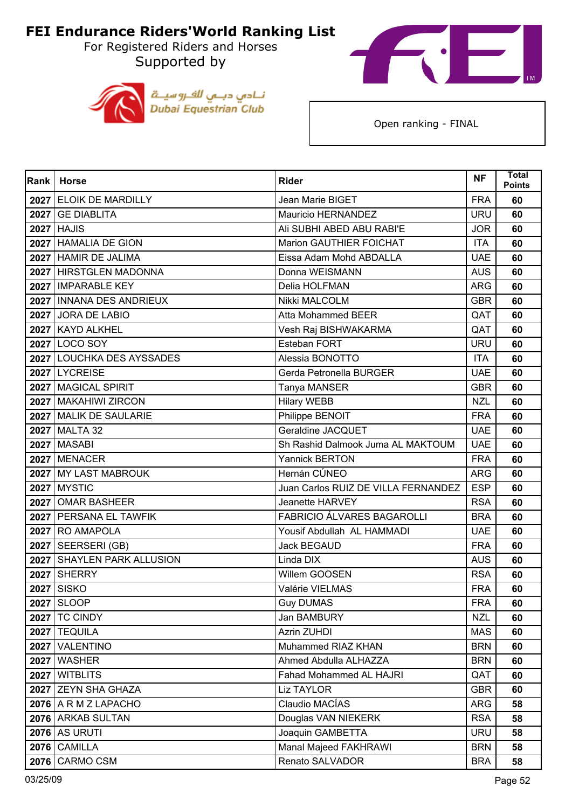For Registered Riders and Horses Supported by





| Rank | <b>Horse</b>               | <b>Rider</b>                        | <b>NF</b>  | <b>Total</b><br><b>Points</b> |
|------|----------------------------|-------------------------------------|------------|-------------------------------|
|      | 2027 ELOIK DE MARDILLY     | Jean Marie BIGET                    | <b>FRA</b> | 60                            |
|      | 2027 GE DIABLITA           | Mauricio HERNANDEZ                  | <b>URU</b> | 60                            |
| 2027 | <b>HAJIS</b>               | Ali SUBHI ABED ABU RABI'E           | <b>JOR</b> | 60                            |
|      | 2027 HAMALIA DE GION       | Marion GAUTHIER FOICHAT             | <b>ITA</b> | 60                            |
|      | 2027 HAMIR DE JALIMA       | Eissa Adam Mohd ABDALLA             | <b>UAE</b> | 60                            |
|      | 2027 HIRSTGLEN MADONNA     | Donna WEISMANN                      | <b>AUS</b> | 60                            |
|      | 2027 IMPARABLE KEY         | Delia HOLFMAN                       | <b>ARG</b> | 60                            |
|      | 2027 INNANA DES ANDRIEUX   | Nikki MALCOLM                       | <b>GBR</b> | 60                            |
|      | 2027 JORA DE LABIO         | Atta Mohammed BEER                  | QAT        | 60                            |
|      | 2027 KAYD ALKHEL           | Vesh Raj BISHWAKARMA                | QAT        | 60                            |
|      | 2027 LOCO SOY              | Esteban FORT                        | <b>URU</b> | 60                            |
|      | 2027 LOUCHKA DES AYSSADES  | Alessia BONOTTO                     | <b>ITA</b> | 60                            |
|      | 2027 LYCREISE              | Gerda Petronella BURGER             | <b>UAE</b> | 60                            |
|      | 2027   MAGICAL SPIRIT      | Tanya MANSER                        | <b>GBR</b> | 60                            |
|      | 2027   MAKAHIWI ZIRCON     | <b>Hilary WEBB</b>                  | <b>NZL</b> | 60                            |
|      | 2027 MALIK DE SAULARIE     | Philippe BENOIT                     | <b>FRA</b> | 60                            |
|      | 2027 MALTA 32              | Geraldine JACQUET                   | <b>UAE</b> | 60                            |
|      | <b>2027</b> MASABI         | Sh Rashid Dalmook Juma AL MAKTOUM   | <b>UAE</b> | 60                            |
|      | 2027 MENACER               | Yannick BERTON                      | <b>FRA</b> | 60                            |
|      | 2027 MY LAST MABROUK       | Hernán CÚNEO                        | <b>ARG</b> | 60                            |
|      | <b>2027 MYSTIC</b>         | Juan Carlos RUIZ DE VILLA FERNANDEZ | <b>ESP</b> | 60                            |
|      | 2027 OMAR BASHEER          | Jeanette HARVEY                     | <b>RSA</b> | 60                            |
|      | 2027 PERSANA EL TAWFIK     | <b>FABRICIO ÁLVARES BAGAROLLI</b>   | <b>BRA</b> | 60                            |
|      | 2027 RO AMAPOLA            | Yousif Abdullah AL HAMMADI          | <b>UAE</b> | 60                            |
|      | 2027   SEERSERI (GB)       | <b>Jack BEGAUD</b>                  | <b>FRA</b> | 60                            |
|      | 2027 SHAYLEN PARK ALLUSION | Linda DIX                           | <b>AUS</b> | 60                            |
| 2027 | <b>SHERRY</b>              | Willem GOOSEN                       | <b>RSA</b> | 60                            |
|      | <b>2027 SISKO</b>          | Valérie VIELMAS                     | <b>FRA</b> | 60                            |
|      | 2027 SLOOP                 | <b>Guy DUMAS</b>                    | <b>FRA</b> | 60                            |
|      | <b>2027 TC CINDY</b>       | Jan BAMBURY                         | <b>NZL</b> | 60                            |
|      | 2027 TEQUILA               | Azrin ZUHDI                         | <b>MAS</b> | 60                            |
|      | 2027 VALENTINO             | Muhammed RIAZ KHAN                  | <b>BRN</b> | 60                            |
|      | <b>2027</b> WASHER         | Ahmed Abdulla ALHAZZA               | <b>BRN</b> | 60                            |
|      | 2027   WITBLITS            | Fahad Mohammed AL HAJRI             | QAT        | 60                            |
|      | 2027 ZEYN SHA GHAZA        | <b>Liz TAYLOR</b>                   | <b>GBR</b> | 60                            |
|      | 2076 A R M Z LAPACHO       | Claudio MACÍAS                      | ARG        | 58                            |
|      | 2076 ARKAB SULTAN          | Douglas VAN NIEKERK                 | <b>RSA</b> | 58                            |
|      | <b>2076 AS URUTI</b>       | Joaquin GAMBETTA                    | <b>URU</b> | 58                            |
|      | 2076 CAMILLA               | Manal Majeed FAKHRAWI               | <b>BRN</b> | 58                            |
|      | <b>2076 CARMO CSM</b>      | Renato SALVADOR                     | <b>BRA</b> | 58                            |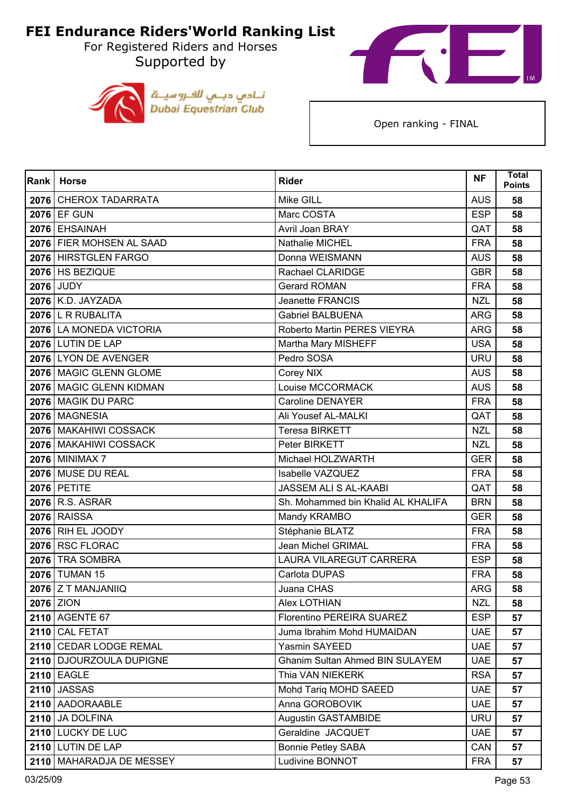For Registered Riders and Horses Supported by





| Rank | <b>Horse</b>               | <b>Rider</b>                           | <b>NF</b>  | <b>Total</b><br><b>Points</b> |
|------|----------------------------|----------------------------------------|------------|-------------------------------|
|      | 2076 CHEROX TADARRATA      | Mike GILL                              | <b>AUS</b> | 58                            |
|      | 2076 EF GUN                | Marc COSTA                             | <b>ESP</b> | 58                            |
|      | 2076 EHSAINAH              | Avril Joan BRAY                        | QAT        | 58                            |
|      | 2076 FIER MOHSEN AL SAAD   | Nathalie MICHEL                        | <b>FRA</b> | 58                            |
|      | 2076 HIRSTGLEN FARGO       | Donna WEISMANN                         | <b>AUS</b> | 58                            |
|      | 2076 HS BEZIQUE            | Rachael CLARIDGE                       | <b>GBR</b> | 58                            |
|      | <b>2076 JUDY</b>           | <b>Gerard ROMAN</b>                    | <b>FRA</b> | 58                            |
|      | 2076 K.D. JAYZADA          | Jeanette FRANCIS                       | <b>NZL</b> | 58                            |
|      | 2076 L R RUBALITA          | <b>Gabriel BALBUENA</b>                | <b>ARG</b> | 58                            |
|      | 2076 LA MONEDA VICTORIA    | Roberto Martin PERES VIEYRA            | <b>ARG</b> | 58                            |
|      | 2076 LUTIN DE LAP          | Martha Mary MISHEFF                    | <b>USA</b> | 58                            |
|      | 2076 LYON DE AVENGER       | Pedro SOSA                             | <b>URU</b> | 58                            |
|      | 2076 MAGIC GLENN GLOME     | Corey NIX                              | <b>AUS</b> | 58                            |
|      | 2076 MAGIC GLENN KIDMAN    | Louise MCCORMACK                       | <b>AUS</b> | 58                            |
|      | 2076 MAGIK DU PARC         | <b>Caroline DENAYER</b>                | <b>FRA</b> | 58                            |
|      | 2076 MAGNESIA              | Ali Yousef AL-MALKI                    | QAT        | 58                            |
|      | 2076   MAKAHIWI COSSACK    | <b>Teresa BIRKETT</b>                  | <b>NZL</b> | 58                            |
|      | 2076 MAKAHIWI COSSACK      | Peter BIRKETT                          | <b>NZL</b> | 58                            |
|      | <b>2076 MINIMAX 7</b>      | Michael HOLZWARTH                      | <b>GER</b> | 58                            |
|      | 2076 MUSE DU REAL          | Isabelle VAZQUEZ                       | <b>FRA</b> | 58                            |
|      | 2076 PETITE                | JASSEM ALI S AL-KAABI                  | QAT        | 58                            |
|      | 2076 R.S. ASRAR            | Sh. Mohammed bin Khalid AL KHALIFA     | <b>BRN</b> | 58                            |
|      | <b>2076 RAISSA</b>         | Mandy KRAMBO                           | <b>GER</b> | 58                            |
|      | 2076 RIH EL JOODY          | Stéphanie BLATZ                        | <b>FRA</b> | 58                            |
|      | 2076 RSC FLORAC            | Jean Michel GRIMAL                     | <b>FRA</b> | 58                            |
|      | 2076 TRA SOMBRA            | <b>LAURA VILAREGUT CARRERA</b>         | <b>ESP</b> | 58                            |
|      | 2076 TUMAN 15              | Carlota DUPAS                          | <b>FRA</b> | 58                            |
|      | 2076 Z T MANJANIIQ         | Juana CHAS                             | <b>ARG</b> | 58                            |
|      | 2076 ZION                  | Alex LOTHIAN                           | <b>NZL</b> | 58                            |
|      | 2110 AGENTE 67             | Florentino PEREIRA SUAREZ              | <b>ESP</b> | 57                            |
|      | 2110 CAL FETAT             | Juma Ibrahim Mohd HUMAIDAN             | <b>UAE</b> | 57                            |
|      | 2110 CEDAR LODGE REMAL     | Yasmin SAYEED                          | <b>UAE</b> | 57                            |
|      | 2110 DJOURZOULA DUPIGNE    | <b>Ghanim Sultan Ahmed BIN SULAYEM</b> | <b>UAE</b> | 57                            |
|      | <b>2110 EAGLE</b>          | Thia VAN NIEKERK                       | <b>RSA</b> | 57                            |
|      | <b>2110 JASSAS</b>         | Mohd Tariq MOHD SAEED                  | <b>UAE</b> | 57                            |
|      | 2110 AADORAABLE            | Anna GOROBOVIK                         | <b>UAE</b> | 57                            |
|      | 2110 JA DOLFINA            | Augustin GASTAMBIDE                    | <b>URU</b> | 57                            |
|      | 2110 LUCKY DE LUC          | Geraldine JACQUET                      | <b>UAE</b> | 57                            |
|      | 2110 LUTIN DE LAP          | <b>Bonnie Petley SABA</b>              | CAN        | 57                            |
|      | 2110   MAHARADJA DE MESSEY | Ludivine BONNOT                        | <b>FRA</b> | 57                            |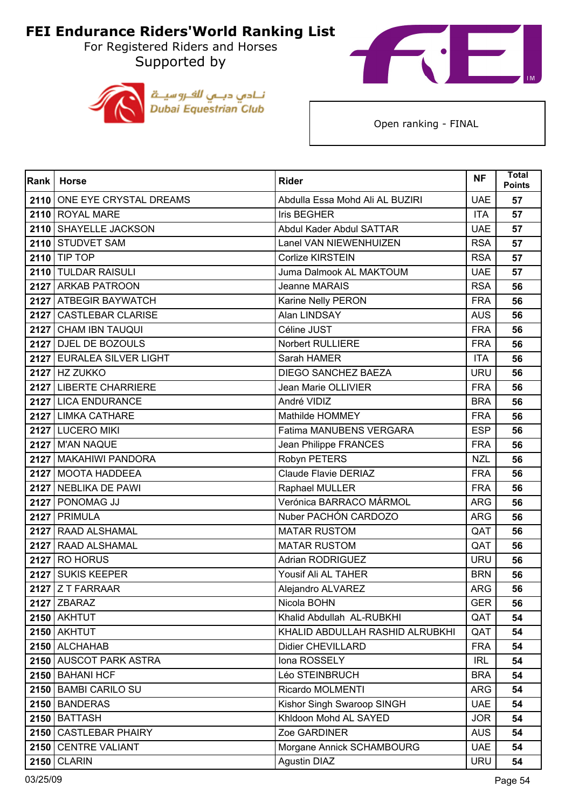For Registered Riders and Horses Supported by





| Rank | <b>Horse</b>                | <b>Rider</b>                    | <b>NF</b>  | Total<br><b>Points</b> |
|------|-----------------------------|---------------------------------|------------|------------------------|
|      | 2110 ONE EYE CRYSTAL DREAMS | Abdulla Essa Mohd Ali AL BUZIRI | <b>UAE</b> | 57                     |
|      | 2110 ROYAL MARE             | Iris BEGHER                     | <b>ITA</b> | 57                     |
|      | 2110 SHAYELLE JACKSON       | Abdul Kader Abdul SATTAR        | <b>UAE</b> | 57                     |
|      | 2110 STUDVET SAM            | Lanel VAN NIEWENHUIZEN          | <b>RSA</b> | 57                     |
|      | 2110 TIP TOP                | Corlize KIRSTEIN                | <b>RSA</b> | 57                     |
|      | 2110 TULDAR RAISULI         | Juma Dalmook AL MAKTOUM         | <b>UAE</b> | 57                     |
|      | 2127 ARKAB PATROON          | Jeanne MARAIS                   | <b>RSA</b> | 56                     |
|      | 2127 ATBEGIR BAYWATCH       | Karine Nelly PERON              | <b>FRA</b> | 56                     |
|      | 2127 CASTLEBAR CLARISE      | Alan LINDSAY                    | <b>AUS</b> | 56                     |
|      | 2127 CHAM IBN TAUQUI        | Céline JUST                     | <b>FRA</b> | 56                     |
|      | 2127 DJEL DE BOZOULS        | Norbert RULLIERE                | <b>FRA</b> | 56                     |
|      | 2127 EURALEA SILVER LIGHT   | Sarah HAMER                     | <b>ITA</b> | 56                     |
|      | <b>2127 HZ ZUKKO</b>        | <b>DIEGO SANCHEZ BAEZA</b>      | <b>URU</b> | 56                     |
|      | 2127 LIBERTE CHARRIERE      | Jean Marie OLLIVIER             | <b>FRA</b> | 56                     |
|      | 2127 LICA ENDURANCE         | André VIDIZ                     | <b>BRA</b> | 56                     |
|      | 2127 LIMKA CATHARE          | Mathilde HOMMEY                 | <b>FRA</b> | 56                     |
|      | 2127 LUCERO MIKI            | Fatima MANUBENS VERGARA         | <b>ESP</b> | 56                     |
|      | <b>2127   M'AN NAQUE</b>    | Jean Philippe FRANCES           | <b>FRA</b> | 56                     |
|      | 2127 MAKAHIWI PANDORA       | Robyn PETERS                    | <b>NZL</b> | 56                     |
|      | 2127 MOOTA HADDEEA          | Claude Flavie DERIAZ            | <b>FRA</b> | 56                     |
|      | 2127 NEBLIKA DE PAWI        | Raphael MULLER                  | <b>FRA</b> | 56                     |
|      | 2127 PONOMAG JJ             | Verónica BARRACO MÁRMOL         | <b>ARG</b> | 56                     |
|      | 2127 PRIMULA                | Nuber PACHÓN CARDOZO            | <b>ARG</b> | 56                     |
|      | 2127 RAAD ALSHAMAL          | <b>MATAR RUSTOM</b>             | QAT        | 56                     |
|      | 2127 RAAD ALSHAMAL          | <b>MATAR RUSTOM</b>             | QAT        | 56                     |
|      | <b>2127 RO HORUS</b>        | <b>Adrian RODRIGUEZ</b>         | <b>URU</b> | 56                     |
|      | 2127 SUKIS KEEPER           | Yousif Ali AL TAHER             | <b>BRN</b> | 56                     |
|      | 2127 Z T FARRAAR            | Alejandro ALVAREZ               | <b>ARG</b> | 56                     |
|      | <b>2127 ZBARAZ</b>          | Nicola BOHN                     | <b>GER</b> | 56                     |
|      | 2150 AKHTUT                 | Khalid Abdullah AL-RUBKHI       | QAT        | 54                     |
|      | <b>2150 AKHTUT</b>          | KHALID ABDULLAH RASHID ALRUBKHI | QAT        | 54                     |
|      | 2150 ALCHAHAB               | <b>Didier CHEVILLARD</b>        | <b>FRA</b> | 54                     |
|      | 2150 AUSCOT PARK ASTRA      | Iona ROSSELY                    | <b>IRL</b> | 54                     |
|      | 2150 BAHANI HCF             | Léo STEINBRUCH                  | <b>BRA</b> | 54                     |
|      | 2150 BAMBI CARILO SU        | Ricardo MOLMENTI                | <b>ARG</b> | 54                     |
|      | 2150 BANDERAS               | Kishor Singh Swaroop SINGH      | <b>UAE</b> | 54                     |
| 2150 | <b>BATTASH</b>              | Khldoon Mohd AL SAYED           | <b>JOR</b> | 54                     |
|      | 2150 CASTLEBAR PHAIRY       | Zoe GARDINER                    | <b>AUS</b> | 54                     |
|      | 2150 CENTRE VALIANT         | Morgane Annick SCHAMBOURG       | <b>UAE</b> | 54                     |
| 2150 | <b>CLARIN</b>               | Agustin DIAZ                    | <b>URU</b> | 54                     |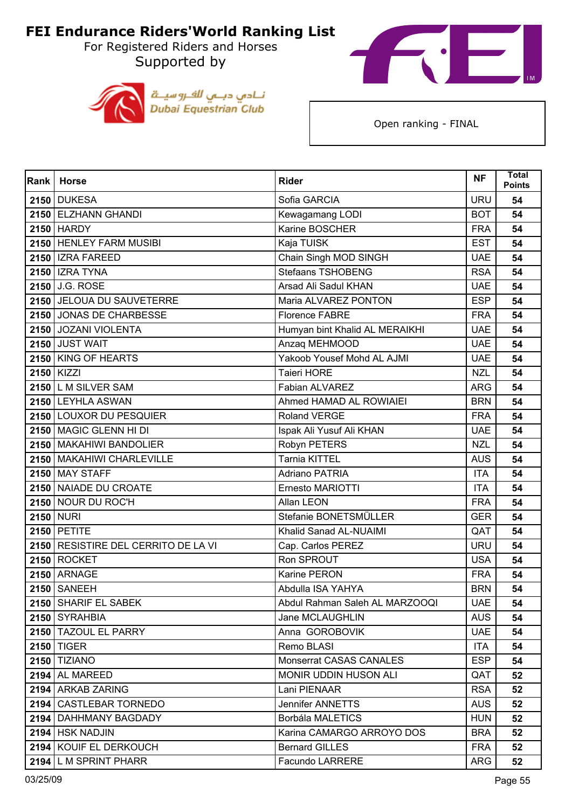For Registered Riders and Horses Supported by





| Rank | <b>Horse</b>                        | <b>Rider</b>                   | <b>NF</b>  | Total<br><b>Points</b> |
|------|-------------------------------------|--------------------------------|------------|------------------------|
|      | <b>2150 DUKESA</b>                  | Sofia GARCIA                   | <b>URU</b> | 54                     |
|      | 2150 ELZHANN GHANDI                 | Kewagamang LODI                | <b>BOT</b> | 54                     |
|      | 2150 HARDY                          | Karine BOSCHER                 | <b>FRA</b> | 54                     |
|      | 2150 HENLEY FARM MUSIBI             | Kaja TUISK                     | <b>EST</b> | 54                     |
|      | 2150   IZRA FAREED                  | Chain Singh MOD SINGH          | <b>UAE</b> | 54                     |
|      | <b>2150   IZRA TYNA</b>             | <b>Stefaans TSHOBENG</b>       | <b>RSA</b> | 54                     |
|      | 2150 J.G. ROSE                      | Arsad Ali Sadul KHAN           | <b>UAE</b> | 54                     |
|      | 2150 JELOUA DU SAUVETERRE           | Maria ALVAREZ PONTON           | <b>ESP</b> | 54                     |
|      | 2150 JONAS DE CHARBESSE             | <b>Florence FABRE</b>          | <b>FRA</b> | 54                     |
|      | 2150 JOZANI VIOLENTA                | Humyan bint Khalid AL MERAIKHI | <b>UAE</b> | 54                     |
|      | <b>2150 JUST WAIT</b>               | Anzaq MEHMOOD                  | <b>UAE</b> | 54                     |
|      | 2150 KING OF HEARTS                 | Yakoob Yousef Mohd AL AJMI     | <b>UAE</b> | 54                     |
|      | 2150 KIZZI                          | <b>Taieri HORE</b>             | <b>NZL</b> | 54                     |
|      | 2150 L M SILVER SAM                 | Fabian ALVAREZ                 | <b>ARG</b> | 54                     |
|      | 2150 LEYHLA ASWAN                   | Ahmed HAMAD AL ROWIAIEI        | <b>BRN</b> | 54                     |
|      | 2150 LOUXOR DU PESQUIER             | <b>Roland VERGE</b>            | <b>FRA</b> | 54                     |
|      | 2150 MAGIC GLENN HI DI              | Ispak Ali Yusuf Ali KHAN       | <b>UAE</b> | 54                     |
|      | 2150   MAKAHIWI BANDOLIER           | Robyn PETERS                   | <b>NZL</b> | 54                     |
|      | 2150 MAKAHIWI CHARLEVILLE           | <b>Tarnia KITTEL</b>           | <b>AUS</b> | 54                     |
|      | <b>2150 MAY STAFF</b>               | <b>Adriano PATRIA</b>          | <b>ITA</b> | 54                     |
|      | 2150 NAIADE DU CROATE               | Ernesto MARIOTTI               | <b>ITA</b> | 54                     |
|      | 2150 NOUR DU ROC'H                  | Allan LEON                     | <b>FRA</b> | 54                     |
|      | <b>2150 NURI</b>                    | Stefanie BONETSMÜLLER          | <b>GER</b> | 54                     |
|      | 2150 PETITE                         | Khalid Sanad AL-NUAIMI         | QAT        | 54                     |
|      | 2150 RESISTIRE DEL CERRITO DE LA VI | Cap. Carlos PEREZ              | <b>URU</b> | 54                     |
|      | <b>2150 ROCKET</b>                  | Ron SPROUT                     | <b>USA</b> | 54                     |
|      | <b>2150 ARNAGE</b>                  | Karine PERON                   | <b>FRA</b> | 54                     |
|      | <b>2150 SANEEH</b>                  | Abdulla ISA YAHYA              | <b>BRN</b> | 54                     |
|      | 2150 SHARIF EL SABEK                | Abdul Rahman Saleh AL MARZOOQI | <b>UAE</b> | 54                     |
|      | 2150 SYRAHBIA                       | Jane MCLAUGHLIN                | <b>AUS</b> | 54                     |
|      | 2150 TAZOUL EL PARRY                | Anna GOROBOVIK                 | <b>UAE</b> | 54                     |
|      | <b>2150 TIGER</b>                   | Remo BLASI                     | <b>ITA</b> | 54                     |
|      | <b>2150 TIZIANO</b>                 | Monserrat CASAS CANALES        | <b>ESP</b> | 54                     |
|      | <b>2194 AL MAREED</b>               | MONIR UDDIN HUSON ALI          | QAT        | 52                     |
|      | 2194 ARKAB ZARING                   | Lani PIENAAR                   | <b>RSA</b> | 52                     |
|      | 2194 CASTLEBAR TORNEDO              | Jennifer ANNETTS               | <b>AUS</b> | 52                     |
|      | 2194   DAHHMANY BAGDADY             | Borbála MALETICS               | <b>HUN</b> | 52                     |
|      | 2194 HSK NADJIN                     | Karina CAMARGO ARROYO DOS      | <b>BRA</b> | 52                     |
|      | 2194 KOUIF EL DERKOUCH              | <b>Bernard GILLES</b>          | <b>FRA</b> | 52                     |
|      | 2194 L M SPRINT PHARR               | <b>Facundo LARRERE</b>         | <b>ARG</b> | 52                     |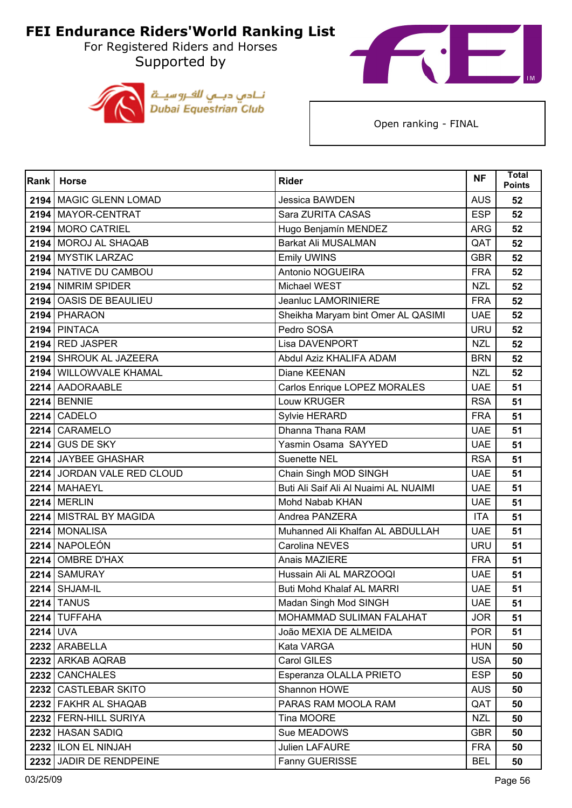For Registered Riders and Horses Supported by





| Rank     | <b>Horse</b>               | <b>Rider</b>                          | <b>NF</b>  | <b>Total</b><br><b>Points</b> |
|----------|----------------------------|---------------------------------------|------------|-------------------------------|
|          | 2194   MAGIC GLENN LOMAD   | Jessica BAWDEN                        | <b>AUS</b> | 52                            |
|          | 2194 MAYOR-CENTRAT         | Sara ZURITA CASAS                     | <b>ESP</b> | 52                            |
|          | 2194 MORO CATRIEL          | Hugo Benjamín MENDEZ                  | <b>ARG</b> | 52                            |
|          | 2194 MOROJ AL SHAQAB       | <b>Barkat Ali MUSALMAN</b>            | QAT        | 52                            |
|          | 2194 MYSTIK LARZAC         | <b>Emily UWINS</b>                    | <b>GBR</b> | 52                            |
|          | 2194 NATIVE DU CAMBOU      | Antonio NOGUEIRA                      | <b>FRA</b> | 52                            |
|          | 2194 NIMRIM SPIDER         | Michael WEST                          | <b>NZL</b> | 52                            |
|          | 2194 OASIS DE BEAULIEU     | Jeanluc LAMORINIERE                   | <b>FRA</b> | 52                            |
|          | 2194 PHARAON               | Sheikha Maryam bint Omer AL QASIMI    | <b>UAE</b> | 52                            |
|          | 2194 PINTACA               | Pedro SOSA                            | <b>URU</b> | 52                            |
|          | 2194 RED JASPER            | Lisa DAVENPORT                        | <b>NZL</b> | 52                            |
|          | 2194 SHROUK AL JAZEERA     | Abdul Aziz KHALIFA ADAM               | <b>BRN</b> | 52                            |
|          | 2194 WILLOWVALE KHAMAL     | Diane KEENAN                          | <b>NZL</b> | 52                            |
|          | 2214 AADORAABLE            | Carlos Enrique LOPEZ MORALES          | <b>UAE</b> | 51                            |
|          | 2214 BENNIE                | Louw KRUGER                           | <b>RSA</b> | 51                            |
|          | <b>2214 CADELO</b>         | Sylvie HERARD                         | <b>FRA</b> | 51                            |
|          | 2214 CARAMELO              | Dhanna Thana RAM                      | <b>UAE</b> | 51                            |
|          | $2214$ GUS DE SKY          | Yasmin Osama SAYYED                   | <b>UAE</b> | 51                            |
|          | 2214 JAYBEE GHASHAR        | <b>Suenette NEL</b>                   | <b>RSA</b> | 51                            |
|          | 2214 JORDAN VALE RED CLOUD | Chain Singh MOD SINGH                 | <b>UAE</b> | 51                            |
|          | 2214 MAHAEYL               | Buti Ali Saif Ali Al Nuaimi AL NUAIMI | <b>UAE</b> | 51                            |
|          | <b>2214 MERLIN</b>         | Mohd Nabab KHAN                       | <b>UAE</b> | 51                            |
|          | 2214 MISTRAL BY MAGIDA     | Andrea PANZERA                        | <b>ITA</b> | 51                            |
|          | 2214 MONALISA              | Muhanned Ali Khalfan AL ABDULLAH      | <b>UAE</b> | 51                            |
|          | 2214 NAPOLEÓN              | Carolina NEVES                        | <b>URU</b> | 51                            |
|          | 2214 OMBRE D'HAX           | Anais MAZIERE                         | <b>FRA</b> | 51                            |
|          | 2214 SAMURAY               | Hussain Ali AL MARZOOQI               | <b>UAE</b> | 51                            |
|          | 2214 SHJAM-IL              | <b>Buti Mohd Khalaf AL MARRI</b>      | <b>UAE</b> | 51                            |
|          | <b>2214 TANUS</b>          | Madan Singh Mod SINGH                 | <b>UAE</b> | 51                            |
|          | 2214 TUFFAHA               | MOHAMMAD SULIMAN FALAHAT              | <b>JOR</b> | 51                            |
| 2214 UVA |                            | João MEXIA DE ALMEIDA                 | <b>POR</b> | 51                            |
|          | 2232 ARABELLA              | Kata VARGA                            | <b>HUN</b> | 50                            |
|          | 2232 ARKAB AQRAB           | Carol GILES                           | <b>USA</b> | 50                            |
|          | 2232 CANCHALES             | Esperanza OLALLA PRIETO               | <b>ESP</b> | 50                            |
|          | 2232 CASTLEBAR SKITO       | Shannon HOWE                          | <b>AUS</b> | 50                            |
|          | 2232 FAKHR AL SHAQAB       | PARAS RAM MOOLA RAM                   | QAT        | 50                            |
|          | 2232 FERN-HILL SURIYA      | Tina MOORE                            | <b>NZL</b> | 50                            |
|          | 2232 HASAN SADIQ           | Sue MEADOWS                           | <b>GBR</b> | 50                            |
|          | 2232 ILON EL NINJAH        | <b>Julien LAFAURE</b>                 | <b>FRA</b> | 50                            |
|          | 2232 JADIR DE RENDPEINE    | Fanny GUERISSE                        | <b>BEL</b> | 50                            |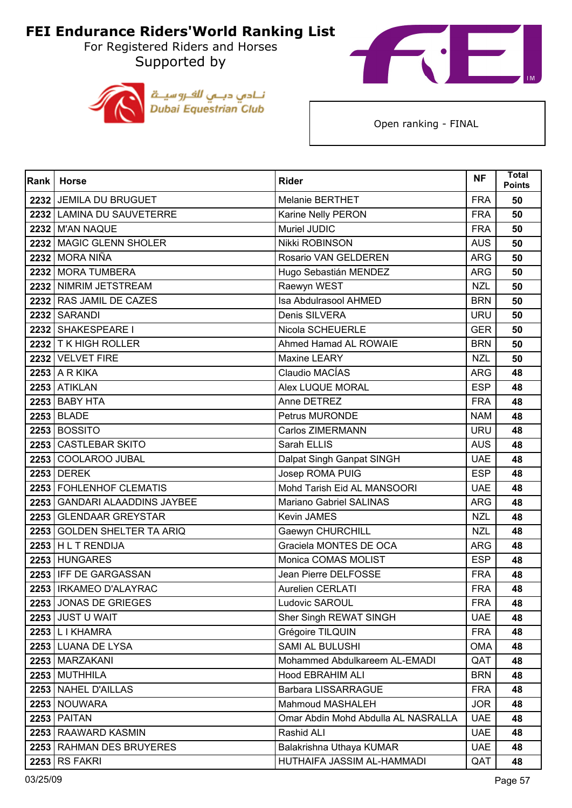For Registered Riders and Horses Supported by





| Rank | <b>Horse</b>                  | <b>Rider</b>                        | <b>NF</b>  | Total<br><b>Points</b> |
|------|-------------------------------|-------------------------------------|------------|------------------------|
|      | 2232 JEMILA DU BRUGUET        | <b>Melanie BERTHET</b>              | <b>FRA</b> | 50                     |
|      | 2232 LAMINA DU SAUVETERRE     | Karine Nelly PERON                  | <b>FRA</b> | 50                     |
|      | 2232 M'AN NAQUE               | Muriel JUDIC                        | <b>FRA</b> | 50                     |
|      | 2232 MAGIC GLENN SHOLER       | Nikki ROBINSON                      | <b>AUS</b> | 50                     |
|      | <b>2232 MORA NIÑA</b>         | Rosario VAN GELDEREN                | <b>ARG</b> | 50                     |
|      | 2232 MORA TUMBERA             | Hugo Sebastián MENDEZ               | <b>ARG</b> | 50                     |
|      | 2232 NIMRIM JETSTREAM         | Raewyn WEST                         | <b>NZL</b> | 50                     |
|      | 2232 RAS JAMIL DE CAZES       | Isa Abdulrasool AHMED               | <b>BRN</b> | 50                     |
|      | 2232 SARANDI                  | Denis SILVERA                       | <b>URU</b> | 50                     |
|      | 2232 SHAKESPEARE I            | Nicola SCHEUERLE                    | <b>GER</b> | 50                     |
|      | 2232 T K HIGH ROLLER          | Ahmed Hamad AL ROWAIE               | <b>BRN</b> | 50                     |
|      | 2232 VELVET FIRE              | Maxine LEARY                        | <b>NZL</b> | 50                     |
|      | $2253$ A R KIKA               | Claudio MACÍAS                      | <b>ARG</b> | 48                     |
|      | <b>2253 ATIKLAN</b>           | Alex LUQUE MORAL                    | <b>ESP</b> | 48                     |
|      | <b>2253 BABY HTA</b>          | Anne DETREZ                         | <b>FRA</b> | 48                     |
|      | 2253 BLADE                    | <b>Petrus MURONDE</b>               | <b>NAM</b> | 48                     |
|      | <b>2253 BOSSITO</b>           | Carlos ZIMERMANN                    | <b>URU</b> | 48                     |
|      | 2253 CASTLEBAR SKITO          | Sarah ELLIS                         | <b>AUS</b> | 48                     |
|      | 2253 COOLAROO JUBAL           | Dalpat Singh Ganpat SINGH           | <b>UAE</b> | 48                     |
|      | <b>2253 DEREK</b>             | Josep ROMA PUIG                     | <b>ESP</b> | 48                     |
|      | 2253 FOHLENHOF CLEMATIS       | Mohd Tarish Eid AL MANSOORI         | <b>UAE</b> | 48                     |
|      | 2253 GANDARI ALAADDINS JAYBEE | Mariano Gabriel SALINAS             | <b>ARG</b> | 48                     |
| 2253 | <b>GLENDAAR GREYSTAR</b>      | Kevin JAMES                         | <b>NZL</b> | 48                     |
|      | 2253 GOLDEN SHELTER TA ARIQ   | Gaewyn CHURCHILL                    | <b>NZL</b> | 48                     |
|      | 2253 HL T RENDIJA             | Graciela MONTES DE OCA              | <b>ARG</b> | 48                     |
|      | 2253 HUNGARES                 | Monica COMAS MOLIST                 | <b>ESP</b> | 48                     |
|      | 2253 IFF DE GARGASSAN         | <b>Jean Pierre DELFOSSE</b>         | <b>FRA</b> | 48                     |
|      | 2253   IRKAMEO D'ALAYRAC      | Aurelien CERLATI                    | <b>FRA</b> | 48                     |
|      | 2253 JONAS DE GRIEGES         | Ludovic SAROUL                      | <b>FRA</b> | 48                     |
|      | <b>2253 JUST U WAIT</b>       | Sher Singh REWAT SINGH              | <b>UAE</b> | 48                     |
|      | 2253   L I KHAMRA             | Grégoire TILQUIN                    | <b>FRA</b> | 48                     |
|      | 2253 LUANA DE LYSA            | SAMI AL BULUSHI                     | <b>OMA</b> | 48                     |
|      | 2253   MARZAKANI              | Mohammed Abdulkareem AL-EMADI       | QAT        | 48                     |
|      | 2253 MUTHHILA                 | Hood EBRAHIM ALI                    | <b>BRN</b> | 48                     |
|      | 2253 NAHEL D'AILLAS           | Barbara LISSARRAGUE                 | <b>FRA</b> | 48                     |
|      | 2253 NOUWARA                  | Mahmoud MASHALEH                    | <b>JOR</b> | 48                     |
|      | <b>2253 PAITAN</b>            | Omar Abdin Mohd Abdulla AL NASRALLA | <b>UAE</b> | 48                     |
|      | 2253 RAAWARD KASMIN           | Rashid ALI                          | <b>UAE</b> | 48                     |
|      | 2253 RAHMAN DES BRUYERES      | Balakrishna Uthaya KUMAR            | <b>UAE</b> | 48                     |
|      | <b>2253 RS FAKRI</b>          | HUTHAIFA JASSIM AL-HAMMADI          | QAT        | 48                     |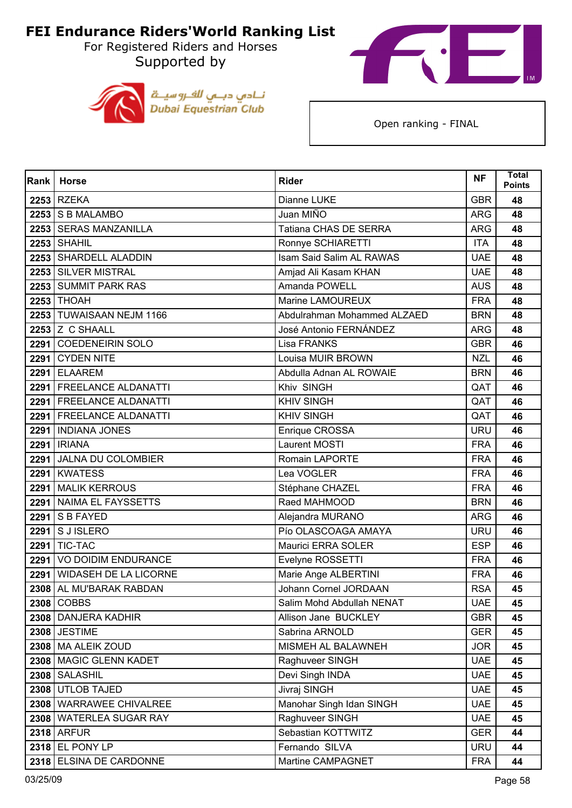For Registered Riders and Horses Supported by





| Rank | <b>Horse</b>                 | <b>Rider</b>                | <b>NF</b>  | <b>Total</b><br><b>Points</b> |
|------|------------------------------|-----------------------------|------------|-------------------------------|
|      | 2253 RZEKA                   | Dianne LUKE                 | <b>GBR</b> | 48                            |
|      | 2253 S B MALAMBO             | Juan MIÑO                   | <b>ARG</b> | 48                            |
|      | 2253 SERAS MANZANILLA        | Tatiana CHAS DE SERRA       | <b>ARG</b> | 48                            |
|      | $2253$ SHAHIL                | Ronnye SCHIARETTI           | <b>ITA</b> | 48                            |
|      | 2253 SHARDELL ALADDIN        | Isam Said Salim AL RAWAS    | <b>UAE</b> | 48                            |
|      | 2253 SILVER MISTRAL          | Amjad Ali Kasam KHAN        | <b>UAE</b> | 48                            |
|      | 2253 SUMMIT PARK RAS         | Amanda POWELL               | <b>AUS</b> | 48                            |
|      | <b>2253 THOAH</b>            | Marine LAMOUREUX            | <b>FRA</b> | 48                            |
|      | 2253 TUWAISAAN NEJM 1166     | Abdulrahman Mohammed ALZAED | <b>BRN</b> | 48                            |
|      | <b>2253 Z C SHAALL</b>       | José Antonio FERNÁNDEZ      | <b>ARG</b> | 48                            |
| 2291 | <b>COEDENEIRIN SOLO</b>      | Lisa FRANKS                 | <b>GBR</b> | 46                            |
|      | 2291 CYDEN NITE              | Louisa MUIR BROWN           | <b>NZL</b> | 46                            |
|      | 2291 ELAAREM                 | Abdulla Adnan AL ROWAIE     | <b>BRN</b> | 46                            |
|      | 2291 FREELANCE ALDANATTI     | Khiv SINGH                  | QAT        | 46                            |
|      | 2291   FREELANCE ALDANATTI   | <b>KHIV SINGH</b>           | QAT        | 46                            |
|      | 2291   FREELANCE ALDANATTI   | <b>KHIV SINGH</b>           | QAT        | 46                            |
|      | 2291   INDIANA JONES         | Enrique CROSSA              | <b>URU</b> | 46                            |
|      | <b>2291   IRIANA</b>         | Laurent MOSTI               | <b>FRA</b> | 46                            |
| 2291 | JALNA DU COLOMBIER           | Romain LAPORTE              | <b>FRA</b> | 46                            |
|      | 2291 KWATESS                 | Lea VOGLER                  | <b>FRA</b> | 46                            |
| 2291 | <b>MALIK KERROUS</b>         | Stéphane CHAZEL             | <b>FRA</b> | 46                            |
|      | 2291 NAIMA EL FAYSSETTS      | Raed MAHMOOD                | <b>BRN</b> | 46                            |
| 2291 | <b>S B FAYED</b>             | Alejandra MURANO            | <b>ARG</b> | 46                            |
|      | 2291 S J ISLERO              | Pío OLASCOAGA AMAYA         | <b>URU</b> | 46                            |
|      | <b>2291 TIC-TAC</b>          | Maurici ERRA SOLER          | <b>ESP</b> | 46                            |
|      | 2291 VO DOIDIM ENDURANCE     | Evelyne ROSSETTI            | <b>FRA</b> | 46                            |
| 2291 | <b>WIDASEH DE LA LICORNE</b> | Marie Ange ALBERTINI        | <b>FRA</b> | 46                            |
|      | 2308 AL MU'BARAK RABDAN      | Johann Cornel JORDAAN       | <b>RSA</b> | 45                            |
|      | 2308 COBBS                   | Salim Mohd Abdullah NENAT   | <b>UAE</b> | 45                            |
|      | 2308   DANJERA KADHIR        | Allison Jane BUCKLEY        | <b>GBR</b> | 45                            |
|      | <b>2308 JESTIME</b>          | Sabrina ARNOLD              | <b>GER</b> | 45                            |
|      | 2308   MA ALEIK ZOUD         | MISMEH AL BALAWNEH          | <b>JOR</b> | 45                            |
|      | 2308   MAGIC GLENN KADET     | Raghuveer SINGH             | <b>UAE</b> | 45                            |
|      | 2308 SALASHIL                | Devi Singh INDA             | <b>UAE</b> | 45                            |
|      | 2308 UTLOB TAJED             | Jivraj SINGH                | <b>UAE</b> | 45                            |
|      | 2308 WARRAWEE CHIVALREE      | Manohar Singh Idan SINGH    | <b>UAE</b> | 45                            |
|      | 2308 WATERLEA SUGAR RAY      | Raghuveer SINGH             | <b>UAE</b> | 45                            |
|      | <b>2318 ARFUR</b>            | Sebastian KOTTWITZ          | <b>GER</b> | 44                            |
|      | 2318 EL PONY LP              | Fernando SILVA              | <b>URU</b> | 44                            |
|      | 2318 ELSINA DE CARDONNE      | Martine CAMPAGNET           | <b>FRA</b> | 44                            |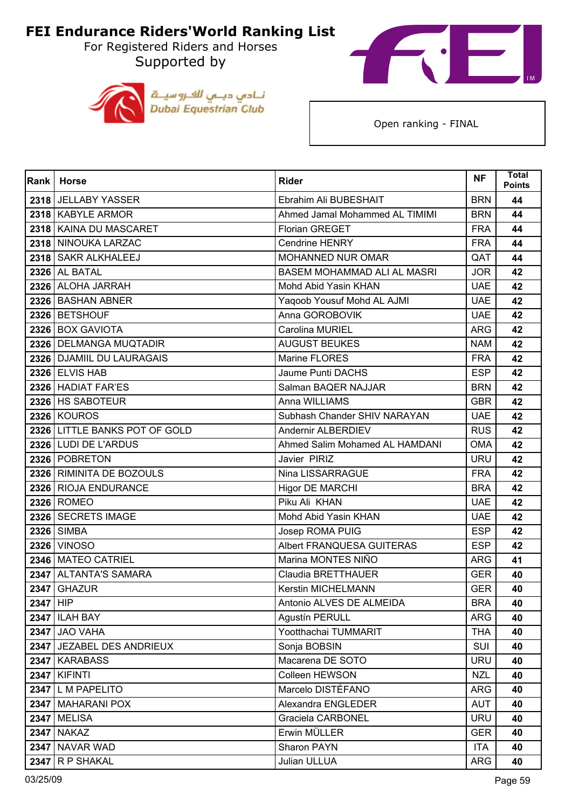For Registered Riders and Horses Supported by





| Rank     | <b>Horse</b>                  | <b>Rider</b>                   | <b>NF</b>  | <b>Total</b><br><b>Points</b> |
|----------|-------------------------------|--------------------------------|------------|-------------------------------|
|          | 2318 JELLABY YASSER           | Ebrahim Ali BUBESHAIT          | <b>BRN</b> | 44                            |
|          | 2318   KABYLE ARMOR           | Ahmed Jamal Mohammed AL TIMIMI | <b>BRN</b> | 44                            |
|          | 2318   KAINA DU MASCARET      | Florian GREGET                 | <b>FRA</b> | 44                            |
|          | 2318 NINOUKA LARZAC           | Cendrine HENRY                 | <b>FRA</b> | 44                            |
|          | 2318   SAKR ALKHALEEJ         | MOHANNED NUR OMAR              | QAT        | 44                            |
|          | <b>2326 AL BATAL</b>          | BASEM MOHAMMAD ALI AL MASRI    | <b>JOR</b> | 42                            |
|          | 2326 ALOHA JARRAH             | Mohd Abid Yasin KHAN           | <b>UAE</b> | 42                            |
|          | 2326 BASHAN ABNER             | Yaqoob Yousuf Mohd AL AJMI     | <b>UAE</b> | 42                            |
|          | 2326 BETSHOUF                 | Anna GOROBOVIK                 | <b>UAE</b> | 42                            |
|          | 2326 BOX GAVIOTA              | Carolina MURIEL                | <b>ARG</b> | 42                            |
|          | 2326   DELMANGA MUQTADIR      | <b>AUGUST BEUKES</b>           | <b>NAM</b> | 42                            |
|          | 2326   DJAMIIL DU LAURAGAIS   | Marine FLORES                  | <b>FRA</b> | 42                            |
|          | <b>2326 ELVIS HAB</b>         | Jaume Punti DACHS              | <b>ESP</b> | 42                            |
|          | 2326 HADIAT FAR'ES            | Salman BAQER NAJJAR            | <b>BRN</b> | 42                            |
|          | 2326 HS SABOTEUR              | Anna WILLIAMS                  | <b>GBR</b> | 42                            |
|          | 2326 KOUROS                   | Subhash Chander SHIV NARAYAN   | <b>UAE</b> | 42                            |
|          | 2326 LITTLE BANKS POT OF GOLD | Andernir ALBERDIEV             | <b>RUS</b> | 42                            |
|          | 2326 LUDI DE L'ARDUS          | Ahmed Salim Mohamed AL HAMDANI | <b>OMA</b> | 42                            |
|          | 2326   POBRETON               | Javier PIRIZ                   | <b>URU</b> | 42                            |
|          | 2326   RIMINITA DE BOZOULS    | Nina LISSARRAGUE               | <b>FRA</b> | 42                            |
|          | 2326 RIOJA ENDURANCE          | <b>Higor DE MARCHI</b>         | <b>BRA</b> | 42                            |
|          | 2326 ROMEO                    | Piku Ali KHAN                  | <b>UAE</b> | 42                            |
|          | 2326 SECRETS IMAGE            | Mohd Abid Yasin KHAN           | <b>UAE</b> | 42                            |
|          | 2326 SIMBA                    | Josep ROMA PUIG                | <b>ESP</b> | 42                            |
|          | <b>2326 VINOSO</b>            | Albert FRANQUESA GUITERAS      | <b>ESP</b> | 42                            |
|          | 2346 MATEO CATRIEL            | Marina MONTES NIÑO             | <b>ARG</b> | 41                            |
| 2347     | <b>ALTANTA'S SAMARA</b>       | Claudia BRETTHAUER             | <b>GER</b> | 40                            |
|          | $2347$ GHAZUR                 | <b>Kerstin MICHELMANN</b>      | <b>GER</b> | 40                            |
| 2347 HIP |                               | Antonio ALVES DE ALMEIDA       | <b>BRA</b> | 40                            |
|          | <b>2347   ILAH BAY</b>        | <b>Agustín PERULL</b>          | <b>ARG</b> | 40                            |
|          | <b>2347 JAO VAHA</b>          | Yootthachai TUMMARIT           | <b>THA</b> | 40                            |
|          | 2347 JEZABEL DES ANDRIEUX     | Sonja BOBSIN                   | <b>SUI</b> | 40                            |
|          | 2347   KARABASS               | Macarena DE SOTO               | <b>URU</b> | 40                            |
|          | <b>2347   KIFINTI</b>         | Colleen HEWSON                 | <b>NZL</b> | 40                            |
|          | 2347 L M PAPELITO             | Marcelo DISTÉFANO              | <b>ARG</b> | 40                            |
|          | 2347   MAHARANI POX           | Alexandra ENGLEDER             | <b>AUT</b> | 40                            |
| 2347     | <b>MELISA</b>                 | Graciela CARBONEL              | <b>URU</b> | 40                            |
|          | <b>2347   NAKAZ</b>           | Erwin MÜLLER                   | <b>GER</b> | 40                            |
|          | 2347 NAVAR WAD                | Sharon PAYN                    | <b>ITA</b> | 40                            |
|          | $2347$ R P SHAKAL             | Julian ULLUA                   | <b>ARG</b> | 40                            |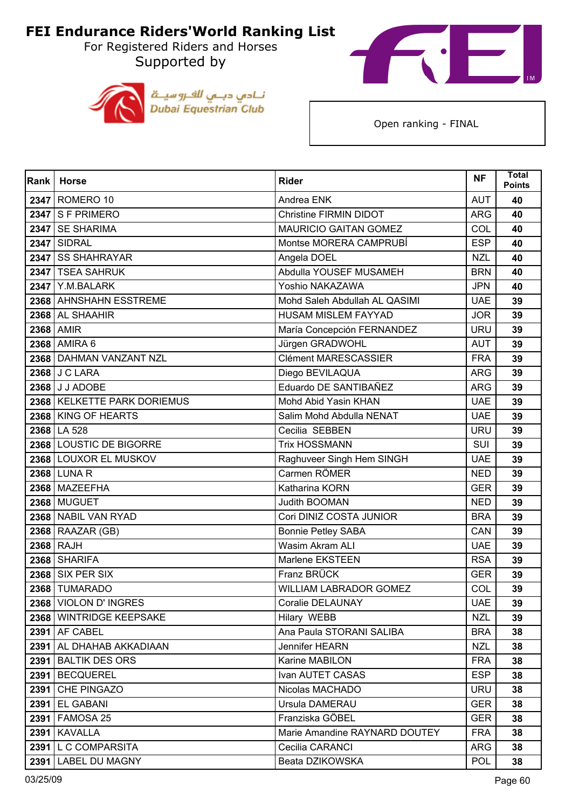For Registered Riders and Horses Supported by





| Rank | <b>Horse</b>                | <b>Rider</b>                  | <b>NF</b>  | Total<br><b>Points</b> |
|------|-----------------------------|-------------------------------|------------|------------------------|
|      | 2347 ROMERO 10              | Andrea ENK                    | <b>AUT</b> | 40                     |
|      | $2347$ S F PRIMERO          | <b>Christine FIRMIN DIDOT</b> | <b>ARG</b> | 40                     |
| 2347 | <b>SE SHARIMA</b>           | <b>MAURICIO GAITAN GOMEZ</b>  | COL        | 40                     |
|      | <b>2347 SIDRAL</b>          | Montse MORERA CAMPRUBÍ        | <b>ESP</b> | 40                     |
|      | 2347 SS SHAHRAYAR           | Angela DOEL                   | <b>NZL</b> | 40                     |
|      | 2347   TSEA SAHRUK          | Abdulla YOUSEF MUSAMEH        | <b>BRN</b> | 40                     |
|      | <b>2347   Y.M.BALARK</b>    | Yoshio NAKAZAWA               | <b>JPN</b> | 40                     |
|      | 2368 AHNSHAHN ESSTREME      | Mohd Saleh Abdullah AL QASIMI | <b>UAE</b> | 39                     |
|      | 2368 AL SHAAHIR             | <b>HUSAM MISLEM FAYYAD</b>    | <b>JOR</b> | 39                     |
|      | 2368 AMIR                   | María Concepción FERNANDEZ    | <b>URU</b> | 39                     |
|      | 2368 AMIRA 6                | Jürgen GRADWOHL               | <b>AUT</b> | 39                     |
|      | 2368 DAHMAN VANZANT NZL     | <b>Clément MARESCASSIER</b>   | <b>FRA</b> | 39                     |
|      | 2368 J C LARA               | Diego BEVILAQUA               | <b>ARG</b> | 39                     |
|      | 2368 J J ADOBE              | Eduardo DE SANTIBAÑEZ         | <b>ARG</b> | 39                     |
|      | 2368 KELKETTE PARK DORIEMUS | Mohd Abid Yasin KHAN          | <b>UAE</b> | 39                     |
|      | 2368 KING OF HEARTS         | Salim Mohd Abdulla NENAT      | <b>UAE</b> | 39                     |
|      | 2368 LA 528                 | Cecilia SEBBEN                | <b>URU</b> | 39                     |
|      | 2368 LOUSTIC DE BIGORRE     | <b>Trix HOSSMANN</b>          | SUI        | 39                     |
|      | 2368 LOUXOR EL MUSKOV       | Raghuveer Singh Hem SINGH     | <b>UAE</b> | 39                     |
|      | 2368 LUNA R                 | Carmen RÖMER                  | <b>NED</b> | 39                     |
|      | 2368 MAZEEFHA               | Katharina KORN                | <b>GER</b> | 39                     |
|      | <b>2368 MUGUET</b>          | Judith BOOMAN                 | <b>NED</b> | 39                     |
|      | 2368 NABIL VAN RYAD         | Cori DINIZ COSTA JUNIOR       | <b>BRA</b> | 39                     |
|      | $2368$ RAAZAR (GB)          | <b>Bonnie Petley SABA</b>     | CAN        | 39                     |
|      | 2368 RAJH                   | <b>Wasim Akram ALI</b>        | <b>UAE</b> | 39                     |
|      | 2368 SHARIFA                | Marlene EKSTEEN               | <b>RSA</b> | 39                     |
| 2368 | SIX PER SIX                 | Franz BRÜCK                   | <b>GER</b> | 39                     |
|      | 2368 TUMARADO               | WILLIAM LABRADOR GOMEZ        | COL        | 39                     |
|      | 2368   VIOLON D' INGRES     | Coralie DELAUNAY              | <b>UAE</b> | 39                     |
|      | 2368 WINTRIDGE KEEPSAKE     | Hilary WEBB                   | <b>NZL</b> | 39                     |
|      | <b>2391   AF CABEL</b>      | Ana Paula STORANI SALIBA      | <b>BRA</b> | 38                     |
|      | 2391 AL DHAHAB AKKADIAAN    | Jennifer HEARN                | <b>NZL</b> | 38                     |
| 2391 | <b>BALTIK DES ORS</b>       | Karine MABILON                | <b>FRA</b> | 38                     |
|      | 2391   BECQUEREL            | Ivan AUTET CASAS              | <b>ESP</b> | 38                     |
|      | 2391 CHE PINGAZO            | Nicolas MACHADO               | <b>URU</b> | 38                     |
|      | 2391 EL GABANI              | Ursula DAMERAU                | <b>GER</b> | 38                     |
| 2391 | FAMOSA 25                   | Franziska GÖBEL               | <b>GER</b> | 38                     |
|      | <b>2391   KAVALLA</b>       | Marie Amandine RAYNARD DOUTEY | <b>FRA</b> | 38                     |
|      | 2391 L C COMPARSITA         | Cecilia CARANCI               | ARG        | 38                     |
|      | 2391 LABEL DU MAGNY         | Beata DZIKOWSKA               | <b>POL</b> | 38                     |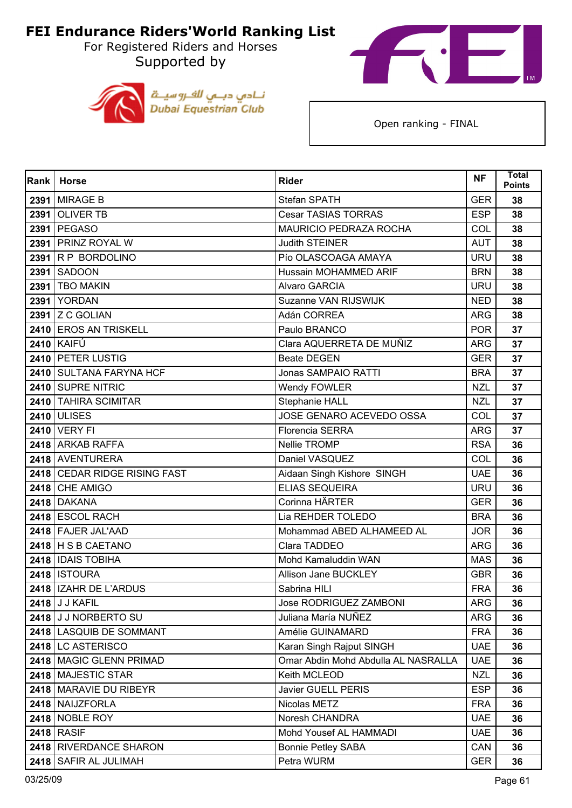For Registered Riders and Horses Supported by





| Rank | <b>Horse</b>                 | <b>Rider</b>                        | <b>NF</b>  | <b>Total</b><br><b>Points</b> |
|------|------------------------------|-------------------------------------|------------|-------------------------------|
|      | <b>2391 MIRAGE B</b>         | Stefan SPATH                        | <b>GER</b> | 38                            |
|      | <b>2391 OLIVER TB</b>        | Cesar TASIAS TORRAS                 | <b>ESP</b> | 38                            |
| 2391 | <b>PEGASO</b>                | MAURICIO PEDRAZA ROCHA              | COL        | 38                            |
|      | 2391 PRINZ ROYAL W           | Judith STEINER                      | <b>AUT</b> | 38                            |
|      | 2391 R P BORDOLINO           | Pío OLASCOAGA AMAYA                 | <b>URU</b> | 38                            |
|      | 2391 SADOON                  | Hussain MOHAMMED ARIF               | <b>BRN</b> | 38                            |
| 2391 | <b>TBO MAKIN</b>             | Alvaro GARCIA                       | <b>URU</b> | 38                            |
|      | <b>2391 YORDAN</b>           | Suzanne VAN RIJSWIJK                | <b>NED</b> | 38                            |
|      | $2391$ Z C GOLIAN            | Adán CORREA                         | <b>ARG</b> | 38                            |
|      | 2410 EROS AN TRISKELL        | Paulo BRANCO                        | <b>POR</b> | 37                            |
|      | <b>2410 KAIFÚ</b>            | Clara AQUERRETA DE MUÑIZ            | <b>ARG</b> | 37                            |
|      | 2410 PETER LUSTIG            | <b>Beate DEGEN</b>                  | <b>GER</b> | 37                            |
|      | 2410 SULTANA FARYNA HCF      | Jonas SAMPAIO RATTI                 | <b>BRA</b> | 37                            |
|      | 2410 SUPRE NITRIC            | Wendy FOWLER                        | <b>NZL</b> | 37                            |
|      | 2410 TAHIRA SCIMITAR         | Stephanie HALL                      | <b>NZL</b> | 37                            |
|      | <b>2410 ULISES</b>           | JOSE GENARO ACEVEDO OSSA            | COL        | 37                            |
|      | <b>2410 VERY FI</b>          | <b>Florencia SERRA</b>              | <b>ARG</b> | 37                            |
|      | 2418 ARKAB RAFFA             | Nellie TROMP                        | <b>RSA</b> | 36                            |
|      | 2418 AVENTURERA              | Daniel VASQUEZ                      | COL        | 36                            |
|      | 2418 CEDAR RIDGE RISING FAST | Aidaan Singh Kishore SINGH          | <b>UAE</b> | 36                            |
|      | 2418 CHE AMIGO               | <b>ELIAS SEQUEIRA</b>               | <b>URU</b> | 36                            |
|      | <b>2418 DAKANA</b>           | Corinna HÄRTER                      | <b>GER</b> | 36                            |
|      | 2418 ESCOL RACH              | Lia REHDER TOLEDO                   | <b>BRA</b> | 36                            |
|      | 2418 FAJER JAL'AAD           | Mohammad ABED ALHAMEED AL           | <b>JOR</b> | 36                            |
|      | $2418$ H S B CAETANO         | Clara TADDEO                        | <b>ARG</b> | 36                            |
|      | 2418   IDAIS TOBIHA          | Mohd Kamaluddin WAN                 | <b>MAS</b> | 36                            |
|      | <b>2418   ISTOURA</b>        | Allison Jane BUCKLEY                | <b>GBR</b> | 36                            |
|      | 2418   IZAHR DE L'ARDUS      | Sabrina HILI                        | <b>FRA</b> | 36                            |
|      | 2418 J J KAFIL               | Jose RODRIGUEZ ZAMBONI              | ARG        | 36                            |
|      | 2418 J J NORBERTO SU         | Juliana María NUÑEZ                 | <b>ARG</b> | 36                            |
|      | 2418 LASQUIB DE SOMMANT      | Amélie GUINAMARD                    | <b>FRA</b> | 36                            |
|      | 2418 LC ASTERISCO            | Karan Singh Rajput SINGH            | <b>UAE</b> | 36                            |
|      | 2418 MAGIC GLENN PRIMAD      | Omar Abdin Mohd Abdulla AL NASRALLA | <b>UAE</b> | 36                            |
|      | 2418   MAJESTIC STAR         | Keith MCLEOD                        | <b>NZL</b> | 36                            |
|      | 2418   MARAVIE DU RIBEYR     | Javier GUELL PERIS                  | <b>ESP</b> | 36                            |
|      | 2418 NAIJZFORLA              | Nicolas METZ                        | <b>FRA</b> | 36                            |
|      | <b>2418   NOBLE ROY</b>      | Noresh CHANDRA                      | <b>UAE</b> | 36                            |
|      | <b>2418 RASIF</b>            | Mohd Yousef AL HAMMADI              | <b>UAE</b> | 36                            |
|      | 2418 RIVERDANCE SHARON       | <b>Bonnie Petley SABA</b>           | CAN        | 36                            |
| 2418 | SAFIR AL JULIMAH             | Petra WURM                          | <b>GER</b> | 36                            |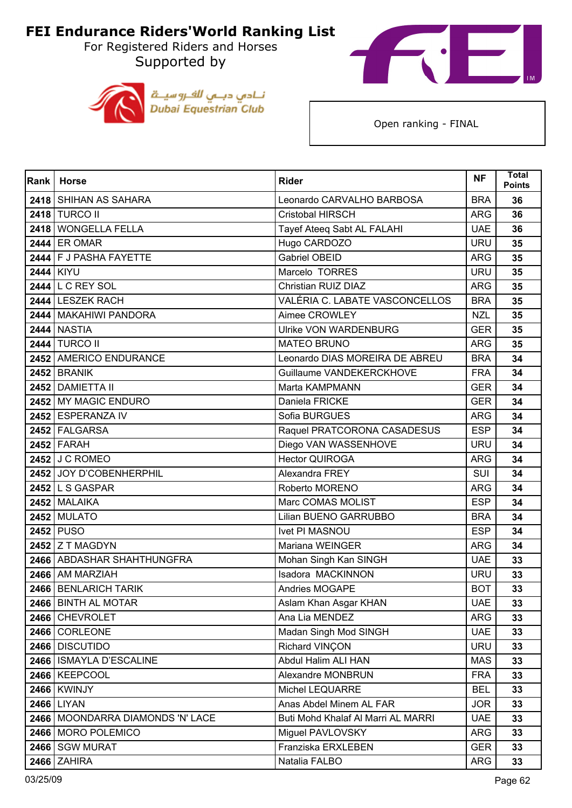For Registered Riders and Horses Supported by





| Rank | <b>Horse</b>                     | <b>Rider</b>                       | <b>NF</b>  | <b>Total</b><br><b>Points</b> |
|------|----------------------------------|------------------------------------|------------|-------------------------------|
|      | 2418 SHIHAN AS SAHARA            | Leonardo CARVALHO BARBOSA          | <b>BRA</b> | 36                            |
|      | 2418 TURCO II                    | Cristobal HIRSCH                   | <b>ARG</b> | 36                            |
|      | 2418 WONGELLA FELLA              | Tayef Ateeq Sabt AL FALAHI         | <b>UAE</b> | 36                            |
|      | 2444 ER OMAR                     | Hugo CARDOZO                       | <b>URU</b> | 35                            |
|      | 2444 F J PASHA FAYETTE           | <b>Gabriel OBEID</b>               | <b>ARG</b> | 35                            |
|      | 2444 KIYU                        | Marcelo TORRES                     | <b>URU</b> | 35                            |
|      | 2444 L C REY SOL                 | Christian RUIZ DIAZ                | <b>ARG</b> | 35                            |
|      | 2444 LESZEK RACH                 | VALÉRIA C. LABATE VASCONCELLOS     | <b>BRA</b> | 35                            |
|      | 2444   MAKAHIWI PANDORA          | Aimee CROWLEY                      | <b>NZL</b> | 35                            |
|      | <b>2444 NASTIA</b>               | <b>Ulrike VON WARDENBURG</b>       | <b>GER</b> | 35                            |
|      | <b>2444 TURCO II</b>             | <b>MATEO BRUNO</b>                 | <b>ARG</b> | 35                            |
|      | 2452 AMERICO ENDURANCE           | Leonardo DIAS MOREIRA DE ABREU     | <b>BRA</b> | 34                            |
|      | 2452 BRANIK                      | Guillaume VANDEKERCKHOVE           | <b>FRA</b> | 34                            |
|      | 2452 DAMIETTA II                 | Marta KAMPMANN                     | <b>GER</b> | 34                            |
|      | 2452 MY MAGIC ENDURO             | Daniela FRICKE                     | <b>GER</b> | 34                            |
|      | 2452 ESPERANZA IV                | Sofia BURGUES                      | <b>ARG</b> | 34                            |
|      | 2452 FALGARSA                    | Raquel PRATCORONA CASADESUS        | <b>ESP</b> | 34                            |
|      | <b>2452 FARAH</b>                | Diego VAN WASSENHOVE               | <b>URU</b> | 34                            |
|      | <b>2452 J C ROMEO</b>            | <b>Hector QUIROGA</b>              | <b>ARG</b> | 34                            |
|      | 2452 JOY D'COBENHERPHIL          | Alexandra FREY                     | <b>SUI</b> | 34                            |
|      | 2452 L S GASPAR                  | Roberto MORENO                     | <b>ARG</b> | 34                            |
|      | 2452 MALAIKA                     | Marc COMAS MOLIST                  | <b>ESP</b> | 34                            |
|      | <b>2452 MULATO</b>               | Lilian BUENO GARRUBBO              | <b>BRA</b> | 34                            |
|      | 2452 PUSO                        | <b>Ivet PI MASNOU</b>              | <b>ESP</b> | 34                            |
|      | 2452 $Z$ T MAGDYN                | Mariana WEINGER                    | <b>ARG</b> | 34                            |
|      | 2466   ABDASHAR SHAHTHUNGFRA     | Mohan Singh Kan SINGH              | <b>UAE</b> | 33                            |
|      | 2466 AM MARZIAH                  | Isadora MACKINNON                  | <b>URU</b> | 33                            |
|      | 2466   BENLARICH TARIK           | <b>Andries MOGAPE</b>              | <b>BOT</b> | 33                            |
|      | 2466 BINTH AL MOTAR              | Aslam Khan Asgar KHAN              | <b>UAE</b> | 33                            |
|      | 2466 CHEVROLET                   | Ana Lia MENDEZ                     | <b>ARG</b> | 33                            |
|      | 2466 CORLEONE                    | Madan Singh Mod SINGH              | <b>UAE</b> | 33                            |
|      | 2466 DISCUTIDO                   | Richard VINÇON                     | <b>URU</b> | 33                            |
|      | 2466   ISMAYLA D'ESCALINE        | Abdul Halim ALI HAN                | <b>MAS</b> | 33                            |
|      | 2466 KEEPCOOL                    | Alexandre MONBRUN                  | <b>FRA</b> | 33                            |
|      | <b>2466 KWINJY</b>               | <b>Michel LEQUARRE</b>             | <b>BEL</b> | 33                            |
|      | 2466 LIYAN                       | Anas Abdel Minem AL FAR            | <b>JOR</b> | 33                            |
|      | 2466 MOONDARRA DIAMONDS 'N' LACE | Buti Mohd Khalaf Al Marri AL MARRI | <b>UAE</b> | 33                            |
|      | 2466 MORO POLEMICO               | Miguel PAVLOVSKY                   | <b>ARG</b> | 33                            |
|      | 2466 SGW MURAT                   | Franziska ERXLEBEN                 | <b>GER</b> | 33                            |
|      | <b>2466 ZAHIRA</b>               | Natalia FALBO                      | <b>ARG</b> | 33                            |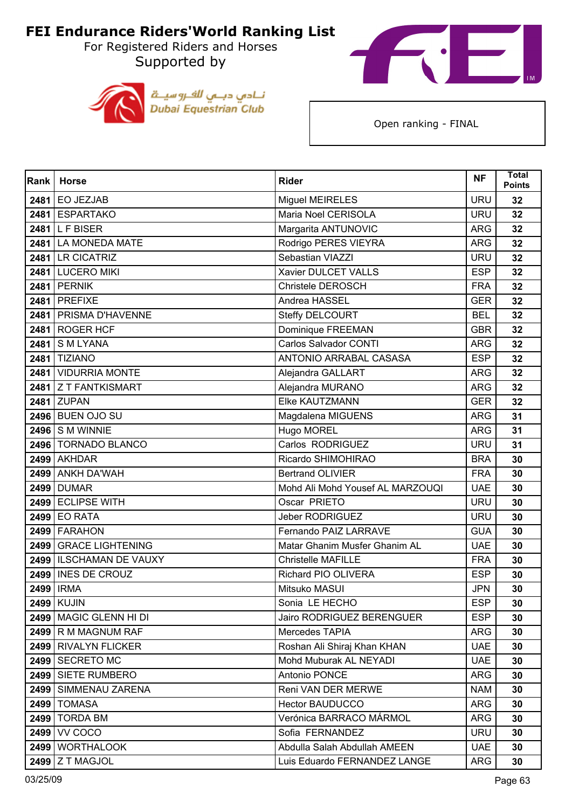For Registered Riders and Horses Supported by





| Rank | <b>Horse</b>              | <b>Rider</b>                     | <b>NF</b>  | <b>Total</b><br><b>Points</b> |
|------|---------------------------|----------------------------------|------------|-------------------------------|
| 2481 | <b>EO JEZJAB</b>          | Miguel MEIRELES                  | <b>URU</b> | 32                            |
|      | 2481 ESPARTAKO            | Maria Noel CERISOLA              | <b>URU</b> | 32                            |
| 2481 | <b>LFBISER</b>            | Margarita ANTUNOVIC              | <b>ARG</b> | 32                            |
|      | 2481 LA MONEDA MATE       | Rodrigo PERES VIEYRA             | <b>ARG</b> | 32                            |
|      | 2481 LR CICATRIZ          | Sebastian VIAZZI                 | <b>URU</b> | 32                            |
|      | 2481 LUCERO MIKI          | Xavier DULCET VALLS              | <b>ESP</b> | 32                            |
| 2481 | <b>PERNIK</b>             | <b>Christele DEROSCH</b>         | <b>FRA</b> | 32                            |
| 2481 | <b>PREFIXE</b>            | Andrea HASSEL                    | <b>GER</b> | 32                            |
| 2481 | PRISMA D'HAVENNE          | Steffy DELCOURT                  | <b>BEL</b> | 32                            |
|      | 2481 ROGER HCF            | Dominique FREEMAN                | <b>GBR</b> | 32                            |
| 2481 | <b>SMLYANA</b>            | <b>Carlos Salvador CONTI</b>     | <b>ARG</b> | 32                            |
|      | <b>2481 TIZIANO</b>       | ANTONIO ARRABAL CASASA           | <b>ESP</b> | 32                            |
| 2481 | <b>VIDURRIA MONTE</b>     | Alejandra GALLART                | <b>ARG</b> | 32                            |
|      | 2481 Z T FANTKISMART      | Alejandra MURANO                 | <b>ARG</b> | 32                            |
| 2481 | <b>ZUPAN</b>              | <b>Elke KAUTZMANN</b>            | <b>GER</b> | 32                            |
|      | <b>2496 BUEN OJO SU</b>   | Magdalena MIGUENS                | <b>ARG</b> | 31                            |
|      | $2496$ S M WINNIE         | Hugo MOREL                       | <b>ARG</b> | 31                            |
|      | 2496 TORNADO BLANCO       | Carlos RODRIGUEZ                 | <b>URU</b> | 31                            |
|      | 2499 AKHDAR               | Ricardo SHIMOHIRAO               | <b>BRA</b> | 30                            |
|      | 2499 ANKH DA'WAH          | <b>Bertrand OLIVIER</b>          | <b>FRA</b> | 30                            |
|      | <b>2499 DUMAR</b>         | Mohd Ali Mohd Yousef AL MARZOUQI | <b>UAE</b> | 30                            |
|      | 2499 ECLIPSE WITH         | Oscar PRIETO                     | <b>URU</b> | 30                            |
| 2499 | <b>EO RATA</b>            | <b>Jeber RODRIGUEZ</b>           | <b>URU</b> | 30                            |
|      | 2499 FARAHON              | Fernando PAIZ LARRAVE            | <b>GUA</b> | 30                            |
|      | 2499 GRACE LIGHTENING     | Matar Ghanim Musfer Ghanim AL    | <b>UAE</b> | 30                            |
|      | 2499   ILSCHAMAN DE VAUXY | <b>Christelle MAFILLE</b>        | <b>FRA</b> | 30                            |
| 2499 | INES DE CROUZ             | Richard PIO OLIVERA              | <b>ESP</b> | 30                            |
|      | 2499 <b>IRMA</b>          | Mitsuko MASUI                    | <b>JPN</b> | 30                            |
|      | <b>2499   KUJIN</b>       | Sonia LE HECHO                   | ESP        | 30                            |
|      | 2499 MAGIC GLENN HI DI    | <b>Jairo RODRIGUEZ BERENGUER</b> | <b>ESP</b> | 30                            |
|      | 2499 R M MAGNUM RAF       | Mercedes TAPIA                   | <b>ARG</b> | 30                            |
|      | 2499 RIVALYN FLICKER      | Roshan Ali Shiraj Khan KHAN      | <b>UAE</b> | 30                            |
|      | 2499   SECRETO MC         | Mohd Muburak AL NEYADI           | <b>UAE</b> | 30                            |
|      | 2499 SIETE RUMBERO        | Antonio PONCE                    | <b>ARG</b> | 30                            |
|      | 2499   SIMMENAU ZARENA    | Reni VAN DER MERWE               | <b>NAM</b> | 30                            |
|      | <b>2499   TOMASA</b>      | <b>Hector BAUDUCCO</b>           | <b>ARG</b> | 30                            |
|      | <b>2499   TORDA BM</b>    | Verónica BARRACO MÁRMOL          | <b>ARG</b> | 30                            |
|      | 2499 VV COCO              | Sofia FERNANDEZ                  | <b>URU</b> | 30                            |
|      | 2499 WORTHALOOK           | Abdulla Salah Abdullah AMEEN     | <b>UAE</b> | 30                            |
|      | 2499 Z T MAGJOL           | Luis Eduardo FERNANDEZ LANGE     | <b>ARG</b> | 30                            |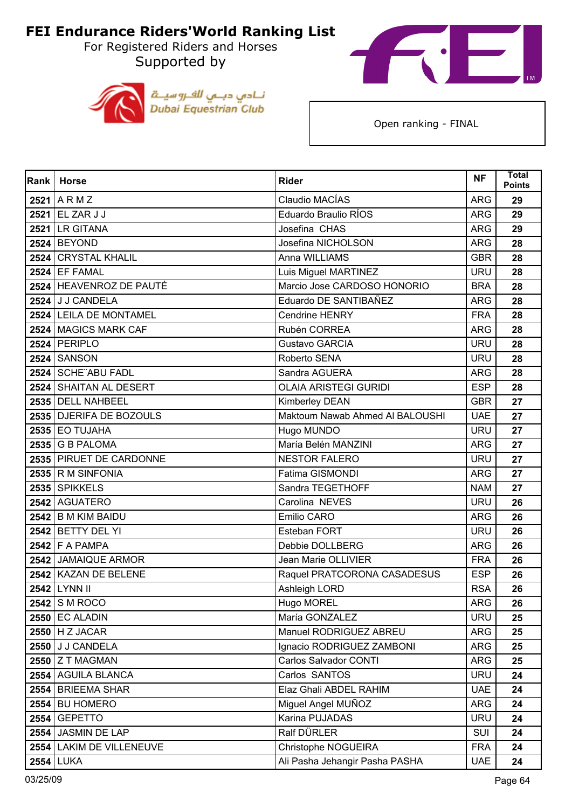For Registered Riders and Horses Supported by





| Rank | <b>Horse</b>             | <b>Rider</b>                    | <b>NF</b>  | <b>Total</b><br><b>Points</b> |
|------|--------------------------|---------------------------------|------------|-------------------------------|
|      | $2521$ ARMZ              | Claudio MACÍAS                  | <b>ARG</b> | 29                            |
|      | 2521 EL ZAR J J          | Eduardo Braulio RÍOS            | <b>ARG</b> | 29                            |
| 2521 | <b>LR GITANA</b>         | Josefina CHAS                   | <b>ARG</b> | 29                            |
|      | <b>2524 BEYOND</b>       | Josefina NICHOLSON              | <b>ARG</b> | 28                            |
|      | 2524 CRYSTAL KHALIL      | Anna WILLIAMS                   | <b>GBR</b> | 28                            |
|      | <b>2524 EF FAMAL</b>     | Luis Miguel MARTINEZ            | <b>URU</b> | 28                            |
|      | 2524 HEAVENROZ DE PAUTÉ  | Marcio Jose CARDOSO HONORIO     | <b>BRA</b> | 28                            |
|      | 2524 J J CANDELA         | Eduardo DE SANTIBAÑEZ           | <b>ARG</b> | 28                            |
|      | 2524 LEILA DE MONTAMEL   | <b>Cendrine HENRY</b>           | <b>FRA</b> | 28                            |
|      | 2524 MAGICS MARK CAF     | Rubén CORREA                    | <b>ARG</b> | 28                            |
|      | $2524$ PERIPLO           | <b>Gustavo GARCIA</b>           | <b>URU</b> | 28                            |
|      | <b>2524 SANSON</b>       | Roberto SENA                    | <b>URU</b> | 28                            |
|      | 2524 SCHE ABU FADL       | Sandra AGUERA                   | <b>ARG</b> | 28                            |
|      | 2524 SHAITAN AL DESERT   | <b>OLAIA ARISTEGI GURIDI</b>    | <b>ESP</b> | 28                            |
|      | 2535 DELL NAHBEEL        | Kimberley DEAN                  | <b>GBR</b> | 27                            |
|      | 2535 DJERIFA DE BOZOULS  | Maktoum Nawab Ahmed Al BALOUSHI | <b>UAE</b> | 27                            |
|      | $2535$ EO TUJAHA         | Hugo MUNDO                      | <b>URU</b> | 27                            |
|      | $2535$ G B PALOMA        | María Belén MANZINI             | <b>ARG</b> | 27                            |
|      | 2535 PIRUET DE CARDONNE  | <b>NESTOR FALERO</b>            | <b>URU</b> | 27                            |
|      | 2535 R M SINFONIA        | Fatima GISMONDI                 | <b>ARG</b> | 27                            |
|      | 2535 SPIKKELS            | Sandra TEGETHOFF                | <b>NAM</b> | 27                            |
|      | 2542 AGUATERO            | Carolina NEVES                  | <b>URU</b> | 26                            |
|      | 2542 B M KIM BAIDU       | Emilio CARO                     | <b>ARG</b> | 26                            |
|      | 2542 BETTY DEL YI        | Esteban FORT                    | <b>URU</b> | 26                            |
|      | 2542   F A PAMPA         | Debbie DOLLBERG                 | <b>ARG</b> | 26                            |
|      | 2542 JAMAIQUE ARMOR      | Jean Marie OLLIVIER             | <b>FRA</b> | 26                            |
|      | 2542 KAZAN DE BELENE     | Raquel PRATCORONA CASADESUS     | <b>ESP</b> | 26                            |
|      | 2542 LYNN II             | Ashleigh LORD                   | <b>RSA</b> | 26                            |
|      | 2542 S M ROCO            | Hugo MOREL                      | <b>ARG</b> | 26                            |
|      | <b>2550 EC ALADIN</b>    | María GONZALEZ                  | <b>URU</b> | 25                            |
|      | $2550$ H Z JACAR         | Manuel RODRIGUEZ ABREU          | <b>ARG</b> | 25                            |
|      | 2550 J J CANDELA         | Ignacio RODRIGUEZ ZAMBONI       | <b>ARG</b> | 25                            |
|      | 2550 Z T MAGMAN          | Carlos Salvador CONTI           | <b>ARG</b> | 25                            |
|      | 2554 AGUILA BLANCA       | Carlos SANTOS                   | <b>URU</b> | 24                            |
|      | 2554 BRIEEMA SHAR        | Elaz Ghali ABDEL RAHIM          | <b>UAE</b> | 24                            |
|      | <b>2554 BU HOMERO</b>    | Miguel Angel MUÑOZ              | <b>ARG</b> | 24                            |
|      | 2554 GEPETTO             | Karina PUJADAS                  | <b>URU</b> | 24                            |
|      | 2554 JASMIN DE LAP       | Ralf DÜRLER                     | <b>SUI</b> | 24                            |
|      | 2554 LAKIM DE VILLENEUVE | Christophe NOGUEIRA             | <b>FRA</b> | 24                            |
|      | 2554 LUKA                | Ali Pasha Jehangir Pasha PASHA  | <b>UAE</b> | 24                            |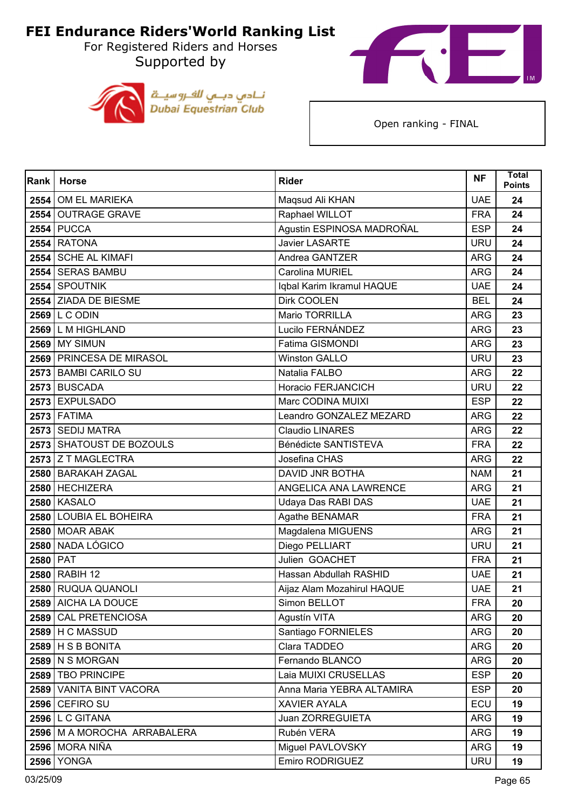For Registered Riders and Horses Supported by





| Rank | <b>Horse</b>                  | <b>Rider</b>               | <b>NF</b>  | <b>Total</b><br><b>Points</b> |
|------|-------------------------------|----------------------------|------------|-------------------------------|
|      | 2554 OM EL MARIEKA            | Maqsud Ali KHAN            | <b>UAE</b> | 24                            |
|      | 2554 OUTRAGE GRAVE            | Raphael WILLOT             | <b>FRA</b> | 24                            |
| 2554 | <b>PUCCA</b>                  | Agustin ESPINOSA MADROÑAL  | <b>ESP</b> | 24                            |
|      | <b>2554 RATONA</b>            | Javier LASARTE             | <b>URU</b> | 24                            |
|      | 2554 SCHE AL KIMAFI           | Andrea GANTZER             | <b>ARG</b> | 24                            |
|      | 2554 SERAS BAMBU              | Carolina MURIEL            | <b>ARG</b> | 24                            |
|      | 2554 SPOUTNIK                 | Iqbal Karim Ikramul HAQUE  | <b>UAE</b> | 24                            |
|      | 2554 ZIADA DE BIESME          | Dirk COOLEN                | <b>BEL</b> | 24                            |
|      | $2569$ L C ODIN               | Mario TORRILLA             | <b>ARG</b> | 23                            |
|      | 2569 L M HIGHLAND             | Lucilo FERNÁNDEZ           | <b>ARG</b> | 23                            |
|      | <b>2569 MY SIMUN</b>          | Fatima GISMONDI            | <b>ARG</b> | 23                            |
|      | 2569 PRINCESA DE MIRASOL      | <b>Winston GALLO</b>       | <b>URU</b> | 23                            |
|      | 2573 BAMBI CARILO SU          | Natalia FALBO              | <b>ARG</b> | 22                            |
|      | 2573 BUSCADA                  | Horacio FERJANCICH         | <b>URU</b> | 22                            |
|      | 2573 EXPULSADO                | Marc CODINA MUIXI          | <b>ESP</b> | 22                            |
|      | <b>2573 FATIMA</b>            | Leandro GONZALEZ MEZARD    | <b>ARG</b> | 22                            |
|      | 2573 SEDIJ MATRA              | <b>Claudio LINARES</b>     | <b>ARG</b> | 22                            |
|      | 2573 SHATOUST DE BOZOULS      | Bénédicte SANTISTEVA       | <b>FRA</b> | 22                            |
|      | 2573 Z T MAGLECTRA            | Josefina CHAS              | <b>ARG</b> | 22                            |
|      | 2580 BARAKAH ZAGAL            | <b>DAVID JNR BOTHA</b>     | <b>NAM</b> | 21                            |
|      | 2580 HECHIZERA                | ANGELICA ANA LAWRENCE      | <b>ARG</b> | 21                            |
|      | <b>2580 KASALO</b>            | Udaya Das RABI DAS         | <b>UAE</b> | 21                            |
| 2580 | <b>LOUBIA EL BOHEIRA</b>      | Agathe BENAMAR             | <b>FRA</b> | 21                            |
|      | 2580 MOAR ABAK                | Magdalena MIGUENS          | <b>ARG</b> | 21                            |
| 2580 | NADA LÓGICO                   | Diego PELLIART             | <b>URU</b> | 21                            |
| 2580 | PAT                           | Julien GOACHET             | <b>FRA</b> | 21                            |
| 2580 | RABIH 12                      | Hassan Abdullah RASHID     | <b>UAE</b> | 21                            |
|      | 2580 RUQUA QUANOLI            | Aijaz Alam Mozahirul HAQUE | <b>UAE</b> | 21                            |
|      | 2589 AICHA LA DOUCE           | Simon BELLOT               | <b>FRA</b> | 20                            |
|      | 2589 CAL PRETENCIOSA          | Agustín VITA               | <b>ARG</b> | 20                            |
|      | $2589$ H C MASSUD             | Santiago FORNIELES         | ARG        | 20                            |
|      | $2589$ H S B BONITA           | Clara TADDEO               | <b>ARG</b> | 20                            |
|      | 2589   N S MORGAN             | Fernando BLANCO            | <b>ARG</b> | 20                            |
|      | 2589 TBO PRINCIPE             | Laia MUIXI CRUSELLAS       | <b>ESP</b> | 20                            |
|      | 2589 VANITA BINT VACORA       | Anna Maria YEBRA ALTAMIRA  | <b>ESP</b> | 20                            |
|      | 2596 CEFIRO SU                | <b>XAVIER AYALA</b>        | ECU        | 19                            |
|      | 2596 L C GITANA               | Juan ZORREGUIETA           | <b>ARG</b> | 19                            |
|      | 2596   M A MOROCHA ARRABALERA | Rubén VERA                 | <b>ARG</b> | 19                            |
|      | 2596 MORA NIÑA                | Miguel PAVLOVSKY           | <b>ARG</b> | 19                            |
|      | <b>2596 YONGA</b>             | Emiro RODRIGUEZ            | <b>URU</b> | 19                            |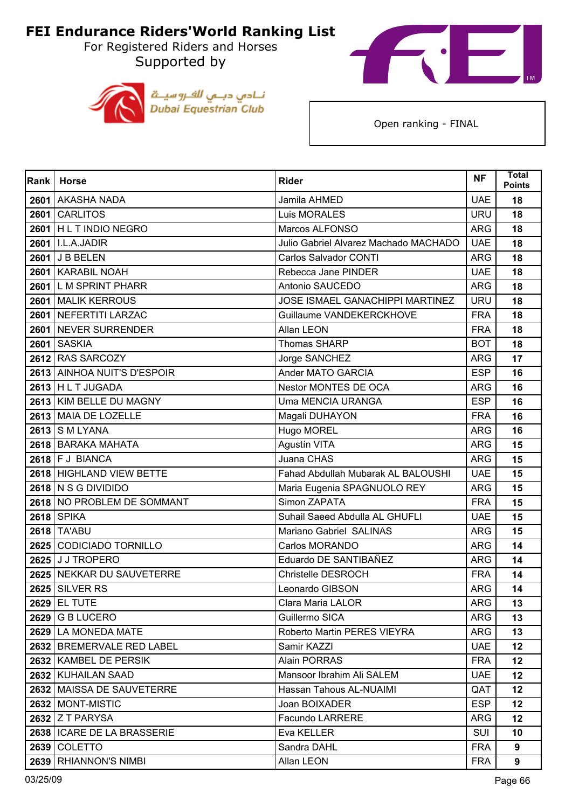For Registered Riders and Horses Supported by





| Rank | <b>Horse</b>                 | <b>Rider</b>                           | <b>NF</b>  | <b>Total</b><br><b>Points</b> |
|------|------------------------------|----------------------------------------|------------|-------------------------------|
| 2601 | <b>AKASHA NADA</b>           | Jamila AHMED                           | <b>UAE</b> | 18                            |
| 2601 | <b>CARLITOS</b>              | Luis MORALES                           | <b>URU</b> | 18                            |
| 2601 | <b>HLT INDIO NEGRO</b>       | Marcos ALFONSO                         | <b>ARG</b> | 18                            |
|      | 2601   I.L.A.JADIR           | Julio Gabriel Alvarez Machado MACHADO  | <b>UAE</b> | 18                            |
|      | 2601 J B BELEN               | <b>Carlos Salvador CONTI</b>           | <b>ARG</b> | 18                            |
|      | 2601   KARABIL NOAH          | Rebecca Jane PINDER                    | <b>UAE</b> | 18                            |
| 2601 | <b>LM SPRINT PHARR</b>       | Antonio SAUCEDO                        | <b>ARG</b> | 18                            |
|      | 2601 MALIK KERROUS           | <b>JOSE ISMAEL GANACHIPPI MARTINEZ</b> | <b>URU</b> | 18                            |
|      | 2601 NEFERTITI LARZAC        | Guillaume VANDEKERCKHOVE               | <b>FRA</b> | 18                            |
|      | 2601   NEVER SURRENDER       | Allan LEON                             | <b>FRA</b> | 18                            |
| 2601 | <b>SASKIA</b>                | <b>Thomas SHARP</b>                    | <b>BOT</b> | 18                            |
|      | 2612 RAS SARCOZY             | Jorge SANCHEZ                          | <b>ARG</b> | 17                            |
|      | 2613 AINHOA NUIT'S D'ESPOIR  | Ander MATO GARCIA                      | <b>ESP</b> | 16                            |
|      | $2613$ H L T JUGADA          | Nestor MONTES DE OCA                   | <b>ARG</b> | 16                            |
|      | 2613 KIM BELLE DU MAGNY      | <b>Uma MENCIA URANGA</b>               | <b>ESP</b> | 16                            |
|      | 2613 MAIA DE LOZELLE         | Magali DUHAYON                         | <b>FRA</b> | 16                            |
|      | 2613 S M LYANA               | Hugo MOREL                             | <b>ARG</b> | 16                            |
|      | 2618 BARAKA MAHATA           | Agustín VITA                           | <b>ARG</b> | 15                            |
|      | $2618$ F J BIANCA            | Juana CHAS                             | <b>ARG</b> | 15                            |
|      | 2618 HIGHLAND VIEW BETTE     | Fahad Abdullah Mubarak AL BALOUSHI     | <b>UAE</b> | 15                            |
|      | 2618 N S G DIVIDIDO          | Maria Eugenia SPAGNUOLO REY            | <b>ARG</b> | 15                            |
|      | 2618 NO PROBLEM DE SOMMANT   | Simon ZAPATA                           | <b>FRA</b> | 15                            |
|      | <b>2618 SPIKA</b>            | Suhail Saeed Abdulla AL GHUFLI         | <b>UAE</b> | 15                            |
|      | 2618 TA'ABU                  | Mariano Gabriel SALINAS                | <b>ARG</b> | 15                            |
|      | 2625 CODICIADO TORNILLO      | Carlos MORANDO                         | <b>ARG</b> | 14                            |
|      | 2625 J J TROPERO             | Eduardo DE SANTIBAÑEZ                  | <b>ARG</b> | 14                            |
|      | 2625 NEKKAR DU SAUVETERRE    | Christelle DESROCH                     | <b>FRA</b> | 14                            |
|      | <b>2625 SILVER RS</b>        | Leonardo GIBSON                        | <b>ARG</b> | 14                            |
|      | <b>2629 EL TUTE</b>          | Clara Maria LALOR                      | ARG        | 13                            |
|      | 2629 G B LUCERO              | Guillermo SICA                         | <b>ARG</b> | 13                            |
|      | 2629 LA MONEDA MATE          | Roberto Martin PERES VIEYRA            | <b>ARG</b> | 13                            |
|      | 2632 BREMERVALE RED LABEL    | Samir KAZZI                            | <b>UAE</b> | 12 <sub>2</sub>               |
|      | 2632 KAMBEL DE PERSIK        | <b>Alain PORRAS</b>                    | <b>FRA</b> | 12 <sup>2</sup>               |
|      | 2632 KUHAILAN SAAD           | Mansoor Ibrahim Ali SALEM              | <b>UAE</b> | 12                            |
|      | 2632   MAISSA DE SAUVETERRE  | Hassan Tahous AL-NUAIMI                | QAT        | 12 <sub>2</sub>               |
|      | 2632   MONT-MISTIC           | Joan BOIXADER                          | <b>ESP</b> | $12 \,$                       |
|      | 2632 Z T PARYSA              | Facundo LARRERE                        | <b>ARG</b> | 12                            |
|      | 2638   ICARE DE LA BRASSERIE | Eva KELLER                             | <b>SUI</b> | 10                            |
|      | 2639 COLETTO                 | Sandra DAHL                            | <b>FRA</b> | 9                             |
|      | 2639 RHIANNON'S NIMBI        | Allan LEON                             | <b>FRA</b> | 9                             |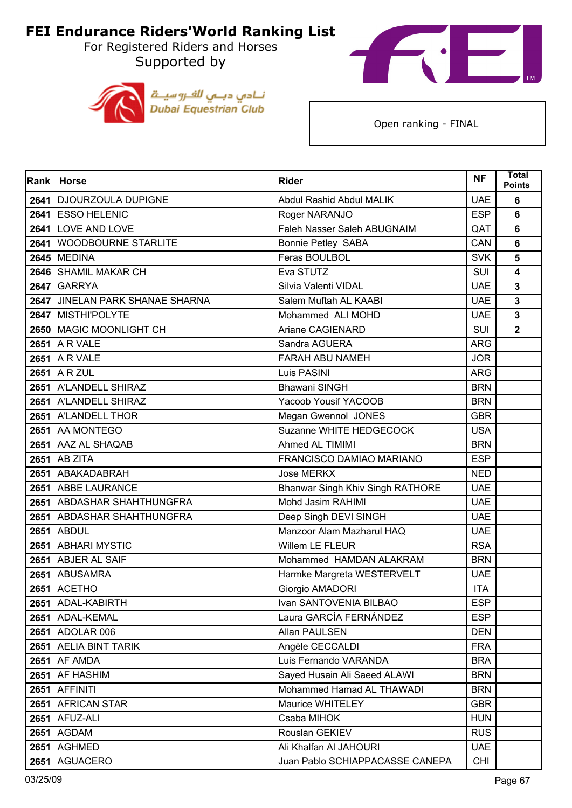For Registered Riders and Horses Supported by





| Rank | <b>Horse</b>                    | <b>Rider</b>                     | <b>NF</b>  | <b>Total</b><br><b>Points</b> |
|------|---------------------------------|----------------------------------|------------|-------------------------------|
| 2641 | DJOURZOULA DUPIGNE              | Abdul Rashid Abdul MALIK         | <b>UAE</b> | 6                             |
|      | 2641 ESSO HELENIC               | Roger NARANJO                    | <b>ESP</b> | 6                             |
| 2641 | LOVE AND LOVE                   | Faleh Nasser Saleh ABUGNAIM      | QAT        | $6\phantom{1}6$               |
| 2641 | WOODBOURNE STARLITE             | <b>Bonnie Petley SABA</b>        | CAN        | 6                             |
| 2645 | <b>MEDINA</b>                   | Feras BOULBOL                    | <b>SVK</b> | 5                             |
|      | 2646 SHAMIL MAKAR CH            | Eva STUTZ                        | <b>SUI</b> | $\overline{\mathbf{4}}$       |
| 2647 | <b>GARRYA</b>                   | Silvia Valenti VIDAL             | <b>UAE</b> | $\mathbf{3}$                  |
|      | 2647 JINELAN PARK SHANAE SHARNA | Salem Muftah AL KAABI            | <b>UAE</b> | 3                             |
|      | 2647 MISTHI'POLYTE              | Mohammed ALI MOHD                | <b>UAE</b> | $\mathbf{3}$                  |
|      | 2650 MAGIC MOONLIGHT CH         | Ariane CAGIENARD                 | <b>SUI</b> | $\overline{2}$                |
|      | 2651 A R VALE                   | Sandra AGUERA                    | <b>ARG</b> |                               |
|      | $2651$ A R VALE                 | FARAH ABU NAMEH                  | <b>JOR</b> |                               |
|      | 2651 A R ZUL                    | Luis PASINI                      | ARG        |                               |
|      | 2651 A'LANDELL SHIRAZ           | <b>Bhawani SINGH</b>             | <b>BRN</b> |                               |
|      | 2651 A'LANDELL SHIRAZ           | Yacoob Yousif YACOOB             | <b>BRN</b> |                               |
|      | 2651 A'LANDELL THOR             | Megan Gwennol JONES              | <b>GBR</b> |                               |
|      | 2651 AA MONTEGO                 | Suzanne WHITE HEDGECOCK          | <b>USA</b> |                               |
|      | 2651 AAZ AL SHAQAB              | Ahmed AL TIMIMI                  | <b>BRN</b> |                               |
| 2651 | <b>AB ZITA</b>                  | FRANCISCO DAMIAO MARIANO         | <b>ESP</b> |                               |
|      | 2651 ABAKADABRAH                | <b>Jose MERKX</b>                | <b>NED</b> |                               |
|      | 2651 ABBE LAURANCE              | Bhanwar Singh Khiv Singh RATHORE | <b>UAE</b> |                               |
|      | 2651 ABDASHAR SHAHTHUNGFRA      | Mohd Jasim RAHIMI                | <b>UAE</b> |                               |
| 2651 | ABDASHAR SHAHTHUNGFRA           | Deep Singh DEVI SINGH            | <b>UAE</b> |                               |
|      | <b>2651 ABDUL</b>               | Manzoor Alam Mazharul HAQ        | <b>UAE</b> |                               |
|      | 2651 ABHARI MYSTIC              | Willem LE FLEUR                  | <b>RSA</b> |                               |
|      | 2651 ABJER AL SAIF              | Mohammed HAMDAN ALAKRAM          | <b>BRN</b> |                               |
| 2651 | <b>ABUSAMRA</b>                 | Harmke Margreta WESTERVELT       | <b>UAE</b> |                               |
|      | <b>2651 ACETHO</b>              | Giorgio AMADORI                  | <b>ITA</b> |                               |
|      | 2651   ADAL-KABIRTH             | Ivan SANTOVENIA BILBAO           | ESP.       |                               |
|      | 2651 ADAL-KEMAL                 | Laura GARCÍA FERNÁNDEZ           | <b>ESP</b> |                               |
|      | 2651 ADOLAR 006                 | Allan PAULSEN                    | <b>DEN</b> |                               |
|      | 2651 AELIA BINT TARIK           | Angèle CECCALDI                  | <b>FRA</b> |                               |
|      | 2651 AF AMDA                    | Luis Fernando VARANDA            | <b>BRA</b> |                               |
|      | 2651 AF HASHIM                  | Sayed Husain Ali Saeed ALAWI     | <b>BRN</b> |                               |
|      | $2651$ AFFINITI                 | Mohammed Hamad AL THAWADI        | <b>BRN</b> |                               |
|      | 2651 AFRICAN STAR               | Maurice WHITELEY                 | <b>GBR</b> |                               |
| 2651 | AFUZ-ALI                        | Csaba MIHOK                      | <b>HUN</b> |                               |
|      | 2651 AGDAM                      | Rouslan GEKIEV                   | <b>RUS</b> |                               |
|      | <b>2651 AGHMED</b>              | Ali Khalfan Al JAHOURI           | <b>UAE</b> |                               |
|      | 2651 AGUACERO                   | Juan Pablo SCHIAPPACASSE CANEPA  | <b>CHI</b> |                               |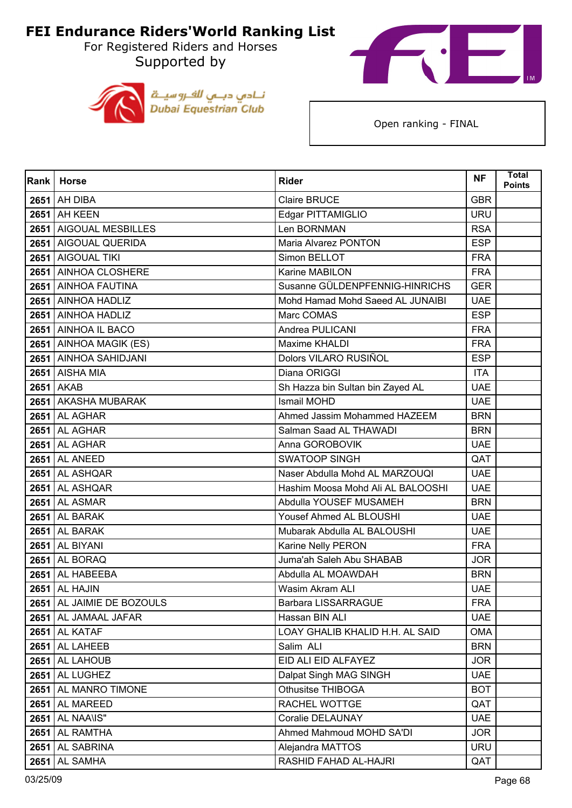For Registered Riders and Horses Supported by





| Rank | <b>Horse</b>                | <b>Rider</b>                      | <b>NF</b>  | <b>Total</b><br><b>Points</b> |
|------|-----------------------------|-----------------------------------|------------|-------------------------------|
| 2651 | AH DIBA                     | <b>Claire BRUCE</b>               | <b>GBR</b> |                               |
|      | <b>2651</b> AH KEEN         | Edgar PITTAMIGLIO                 | <b>URU</b> |                               |
| 2651 | <b>AIGOUAL MESBILLES</b>    | Len BORNMAN                       | <b>RSA</b> |                               |
|      | 2651 AIGOUAL QUERIDA        | Maria Alvarez PONTON              | <b>ESP</b> |                               |
| 2651 | <b>AIGOUAL TIKI</b>         | Simon BELLOT                      | <b>FRA</b> |                               |
|      | 2651 AINHOA CLOSHERE        | Karine MABILON                    | <b>FRA</b> |                               |
| 2651 | <b>AINHOA FAUTINA</b>       | Susanne GÜLDENPFENNIG-HINRICHS    | <b>GER</b> |                               |
|      | 2651 AINHOA HADLIZ          | Mohd Hamad Mohd Saeed AL JUNAIBI  | <b>UAE</b> |                               |
|      | 2651 AINHOA HADLIZ          | Marc COMAS                        | <b>ESP</b> |                               |
|      | 2651 AINHOA IL BACO         | Andrea PULICANI                   | <b>FRA</b> |                               |
| 2651 | AINHOA MAGIK (ES)           | Maxime KHALDI                     | <b>FRA</b> |                               |
|      | 2651 AINHOA SAHIDJANI       | Dolors VILARO RUSIÑOL             | <b>ESP</b> |                               |
|      | <b>2651</b> AISHA MIA       | Diana ORIGGI                      | <b>ITA</b> |                               |
|      | <b>2651 AKAB</b>            | Sh Hazza bin Sultan bin Zayed AL  | <b>UAE</b> |                               |
| 2651 | <b>AKASHA MUBARAK</b>       | <b>Ismail MOHD</b>                | <b>UAE</b> |                               |
|      | <b>2651</b> AL AGHAR        | Ahmed Jassim Mohammed HAZEEM      | <b>BRN</b> |                               |
|      | <b>2651</b> AL AGHAR        | Salman Saad AL THAWADI            | <b>BRN</b> |                               |
|      | <b>2651</b> AL AGHAR        | Anna GOROBOVIK                    | <b>UAE</b> |                               |
| 2651 | AL ANEED                    | <b>SWATOOP SINGH</b>              | QAT        |                               |
|      | $2651$ AL ASHQAR            | Naser Abdulla Mohd AL MARZOUQI    | <b>UAE</b> |                               |
|      | 2651 AL ASHQAR              | Hashim Moosa Mohd Ali AL BALOOSHI | <b>UAE</b> |                               |
|      | <b>2651</b> AL ASMAR        | Abdulla YOUSEF MUSAMEH            | <b>BRN</b> |                               |
| 2651 | AL BARAK                    | Yousef Ahmed AL BLOUSHI           | <b>UAE</b> |                               |
|      | <b>2651</b> AL BARAK        | Mubarak Abdulla AL BALOUSHI       | <b>UAE</b> |                               |
| 2651 | AL BIYANI                   | Karine Nelly PERON                | <b>FRA</b> |                               |
|      | <b>2651</b> AL BORAQ        | Juma'ah Saleh Abu SHABAB          | <b>JOR</b> |                               |
| 2651 | AL HABEEBA                  | Abdulla AL MOAWDAH                | <b>BRN</b> |                               |
| 2651 | <b>AL HAJIN</b>             | Wasim Akram ALI                   | <b>UAE</b> |                               |
|      | 2651   AL JAIMIE DE BOZOULS | Barbara LISSARRAGUE               | <b>FRA</b> |                               |
|      | 2651 AL JAMAAL JAFAR        | Hassan BIN ALI                    | <b>UAE</b> |                               |
|      | <b>2651 AL KATAF</b>        | LOAY GHALIB KHALID H.H. AL SAID   | OMA        |                               |
|      | 2651 AL LAHEEB              | Salim ALI                         | <b>BRN</b> |                               |
|      | $2651$ AL LAHOUB            | EID ALI EID ALFAYEZ               | <b>JOR</b> |                               |
|      | <b>2651</b> AL LUGHEZ       | Dalpat Singh MAG SINGH            | <b>UAE</b> |                               |
|      | 2651 AL MANRO TIMONE        | <b>Othusitse THIBOGA</b>          | <b>BOT</b> |                               |
|      | <b>2651</b> AL MAREED       | RACHEL WOTTGE                     | QAT        |                               |
| 2651 | AL NAA\IS"                  | Coralie DELAUNAY                  | <b>UAE</b> |                               |
|      | 2651 AL RAMTHA              | Ahmed Mahmoud MOHD SA'DI          | <b>JOR</b> |                               |
|      | 2651 AL SABRINA             | Alejandra MATTOS                  | <b>URU</b> |                               |
|      | <b>2651</b> AL SAMHA        | RASHID FAHAD AL-HAJRI             | QAT        |                               |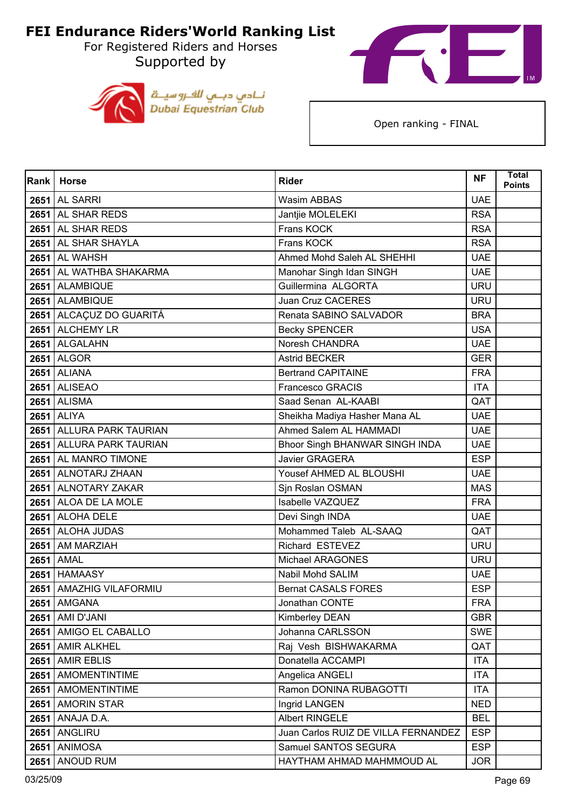For Registered Riders and Horses Supported by





| Rank | <b>Horse</b>              | <b>Rider</b>                        | <b>NF</b>  | <b>Total</b><br><b>Points</b> |
|------|---------------------------|-------------------------------------|------------|-------------------------------|
| 2651 | <b>AL SARRI</b>           | <b>Wasim ABBAS</b>                  | <b>UAE</b> |                               |
|      | 2651 AL SHAR REDS         | Jantjie MOLELEKI                    | <b>RSA</b> |                               |
| 2651 | AL SHAR REDS              | Frans KOCK                          | <b>RSA</b> |                               |
|      | 2651 AL SHAR SHAYLA       | Frans KOCK                          | <b>RSA</b> |                               |
|      | <b>2651</b> AL WAHSH      | Ahmed Mohd Saleh AL SHEHHI          | <b>UAE</b> |                               |
|      | 2651 AL WATHBA SHAKARMA   | Manohar Singh Idan SINGH            | <b>UAE</b> |                               |
|      | 2651 ALAMBIQUE            | Guillermina ALGORTA                 | <b>URU</b> |                               |
|      | 2651 ALAMBIQUE            | Juan Cruz CACERES                   | <b>URU</b> |                               |
|      | 2651   ALCAÇUZ DO GUARITÁ | Renata SABINO SALVADOR              | <b>BRA</b> |                               |
|      | 2651 ALCHEMY LR           | <b>Becky SPENCER</b>                | <b>USA</b> |                               |
|      | 2651 ALGALAHN             | Noresh CHANDRA                      | <b>UAE</b> |                               |
|      | 2651 ALGOR                | <b>Astrid BECKER</b>                | <b>GER</b> |                               |
|      | <b>2651</b> ALIANA        | <b>Bertrand CAPITAINE</b>           | <b>FRA</b> |                               |
|      | <b>2651 ALISEAO</b>       | <b>Francesco GRACIS</b>             | <b>ITA</b> |                               |
| 2651 | <b>ALISMA</b>             | Saad Senan AL-KAABI                 | QAT        |                               |
|      | <b>2651 ALIYA</b>         | Sheikha Madiya Hasher Mana AL       | <b>UAE</b> |                               |
|      | 2651 ALLURA PARK TAURIAN  | Ahmed Salem AL HAMMADI              | <b>UAE</b> |                               |
|      | 2651 ALLURA PARK TAURIAN  | Bhoor Singh BHANWAR SINGH INDA      | <b>UAE</b> |                               |
| 2651 | <b>AL MANRO TIMONE</b>    | <b>Javier GRAGERA</b>               | <b>ESP</b> |                               |
|      | 2651 ALNOTARJ ZHAAN       | Yousef AHMED AL BLOUSHI             | <b>UAE</b> |                               |
|      | 2651 ALNOTARY ZAKAR       | Sjn Roslan OSMAN                    | <b>MAS</b> |                               |
|      | 2651 ALOA DE LA MOLE      | Isabelle VAZQUEZ                    | <b>FRA</b> |                               |
| 2651 | <b>ALOHA DELE</b>         | Devi Singh INDA                     | <b>UAE</b> |                               |
|      | 2651 ALOHA JUDAS          | Mohammed Taleb AL-SAAQ              | QAT        |                               |
|      | 2651 AM MARZIAH           | Richard ESTEVEZ                     | <b>URU</b> |                               |
|      | 2651 AMAL                 | Michael ARAGONES                    | <b>URU</b> |                               |
| 2651 | <b>HAMAASY</b>            | Nabil Mohd SALIM                    | <b>UAE</b> |                               |
|      | 2651 AMAZHIG VILAFORMIU   | <b>Bernat CASALS FORES</b>          | <b>ESP</b> |                               |
|      | <b>2651   AMGANA</b>      | Jonathan CONTE                      | FRA        |                               |
|      | 2651 AMI D'JANI           | Kimberley DEAN                      | <b>GBR</b> |                               |
|      | 2651 AMIGO EL CABALLO     | Johanna CARLSSON                    | <b>SWE</b> |                               |
|      | 2651 AMIR ALKHEL          | Raj Vesh BISHWAKARMA                | QAT        |                               |
| 2651 | <b>AMIR EBLIS</b>         | Donatella ACCAMPI                   | <b>ITA</b> |                               |
|      | 2651 AMOMENTINTIME        | Angelica ANGELI                     | <b>ITA</b> |                               |
|      | 2651 AMOMENTINTIME        | Ramon DONINA RUBAGOTTI              | <b>ITA</b> |                               |
|      | 2651 AMORIN STAR          | Ingrid LANGEN                       | <b>NED</b> |                               |
| 2651 | ANAJA D.A.                | Albert RINGELE                      | <b>BEL</b> |                               |
|      | <b>2651 ANGLIRU</b>       | Juan Carlos RUIZ DE VILLA FERNANDEZ | <b>ESP</b> |                               |
| 2651 | <b>ANIMOSA</b>            | Samuel SANTOS SEGURA                | <b>ESP</b> |                               |
|      | 2651 ANOUD RUM            | HAYTHAM AHMAD MAHMMOUD AL           | <b>JOR</b> |                               |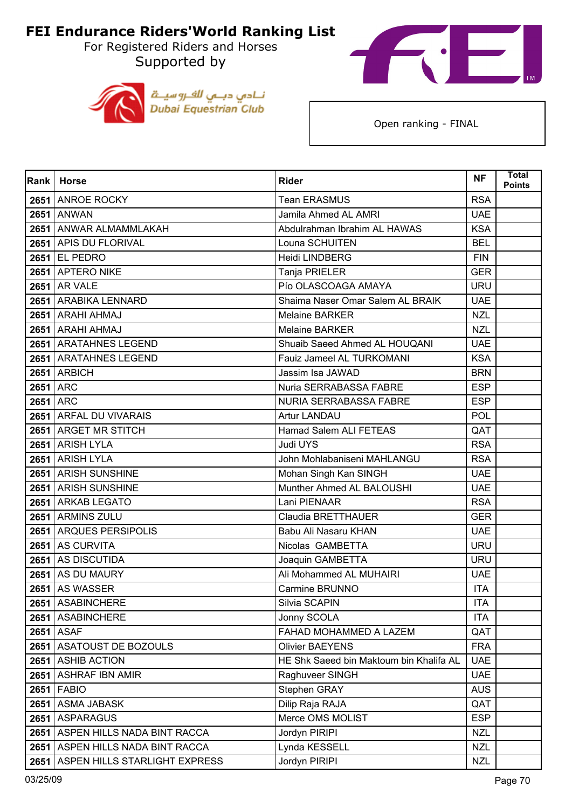For Registered Riders and Horses Supported by





| Rank     | <b>Horse</b>                       | <b>Rider</b>                            | <b>NF</b>  | <b>Total</b><br><b>Points</b> |
|----------|------------------------------------|-----------------------------------------|------------|-------------------------------|
|          | 2651 ANROE ROCKY                   | <b>Tean ERASMUS</b>                     | <b>RSA</b> |                               |
|          | <b>2651 ANWAN</b>                  | Jamila Ahmed AL AMRI                    | <b>UAE</b> |                               |
| 2651     | ANWAR ALMAMMLAKAH                  | Abdulrahman Ibrahim AL HAWAS            | <b>KSA</b> |                               |
|          | 2651 APIS DU FLORIVAL              | Louna SCHUITEN                          | <b>BEL</b> |                               |
|          | 2651 EL PEDRO                      | Heidi LINDBERG                          | <b>FIN</b> |                               |
|          | 2651 APTERO NIKE                   | Tanja PRIELER                           | <b>GER</b> |                               |
| 2651     | <b>AR VALE</b>                     | Pío OLASCOAGA AMAYA                     | <b>URU</b> |                               |
|          | 2651 ARABIKA LENNARD               | Shaima Naser Omar Salem AL BRAIK        | <b>UAE</b> |                               |
|          | 2651 ARAHI AHMAJ                   | <b>Melaine BARKER</b>                   | <b>NZL</b> |                               |
|          | 2651 ARAHI AHMAJ                   | <b>Melaine BARKER</b>                   | <b>NZL</b> |                               |
|          | 2651 ARATAHNES LEGEND              | Shuaib Saeed Ahmed AL HOUQANI           | <b>UAE</b> |                               |
|          | 2651 ARATAHNES LEGEND              | Fauiz Jameel AL TURKOMANI               | <b>KSA</b> |                               |
|          | <b>2651 ARBICH</b>                 | Jassim Isa JAWAD                        | <b>BRN</b> |                               |
| 2651 ARC |                                    | Nuria SERRABASSA FABRE                  | <b>ESP</b> |                               |
|          | <b>2651 ARC</b>                    | NURIA SERRABASSA FABRE                  | <b>ESP</b> |                               |
|          | 2651 ARFAL DU VIVARAIS             | <b>Artur LANDAU</b>                     | POL        |                               |
|          | 2651 ARGET MR STITCH               | Hamad Salem ALI FETEAS                  | QAT        |                               |
|          | 2651 ARISH LYLA                    | Judi UYS                                | <b>RSA</b> |                               |
| 2651     | <b>ARISH LYLA</b>                  | John Mohlabaniseni MAHLANGU             | <b>RSA</b> |                               |
|          | 2651 ARISH SUNSHINE                | Mohan Singh Kan SINGH                   | <b>UAE</b> |                               |
|          | 2651 ARISH SUNSHINE                | Munther Ahmed AL BALOUSHI               | <b>UAE</b> |                               |
|          | 2651 ARKAB LEGATO                  | Lani PIENAAR                            | <b>RSA</b> |                               |
| 2651     | <b>ARMINS ZULU</b>                 | Claudia BRETTHAUER                      | <b>GER</b> |                               |
|          | 2651 ARQUES PERSIPOLIS             | Babu Ali Nasaru KHAN                    | <b>UAE</b> |                               |
| 2651     | <b>AS CURVITA</b>                  | Nicolas GAMBETTA                        | <b>URU</b> |                               |
|          | 2651 AS DISCUTIDA                  | Joaquin GAMBETTA                        | <b>URU</b> |                               |
| 2651     | AS DU MAURY                        | Ali Mohammed AL MUHAIRI                 | <b>UAE</b> |                               |
|          | 2651 AS WASSER                     | <b>Carmine BRUNNO</b>                   | <b>ITA</b> |                               |
|          | 2651 ASABINCHERE                   | Silvia SCAPIN                           | <b>ITA</b> |                               |
|          | 2651 ASABINCHERE                   | Jonny SCOLA                             | <b>ITA</b> |                               |
|          | <b>2651 ASAF</b>                   | FAHAD MOHAMMED A LAZEM                  | QAT        |                               |
|          | 2651 ASATOUST DE BOZOULS           | <b>Olivier BAEYENS</b>                  | <b>FRA</b> |                               |
| 2651     | <b>ASHIB ACTION</b>                | HE Shk Saeed bin Maktoum bin Khalifa AL | <b>UAE</b> |                               |
|          | 2651 ASHRAF IBN AMIR               | Raghuveer SINGH                         | <b>UAE</b> |                               |
|          | 2651 FABIO                         | Stephen GRAY                            | <b>AUS</b> |                               |
|          | 2651 ASMA JABASK                   | Dilip Raja RAJA                         | QAT        |                               |
| 2651     | <b>ASPARAGUS</b>                   | Merce OMS MOLIST                        | <b>ESP</b> |                               |
|          | 2651   ASPEN HILLS NADA BINT RACCA | Jordyn PIRIPI                           | <b>NZL</b> |                               |
| 2651     | ASPEN HILLS NADA BINT RACCA        | Lynda KESSELL                           | <b>NZL</b> |                               |
| 2651     | ASPEN HILLS STARLIGHT EXPRESS      | Jordyn PIRIPI                           | <b>NZL</b> |                               |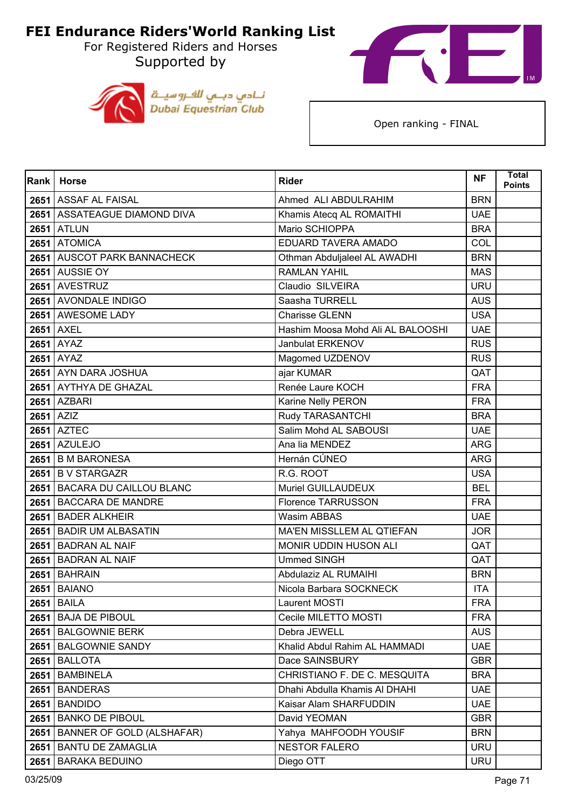For Registered Riders and Horses Supported by





| <b>Rank</b> | <b>Horse</b>                     | <b>Rider</b>                      | <b>NF</b>  | <b>Total</b><br><b>Points</b> |
|-------------|----------------------------------|-----------------------------------|------------|-------------------------------|
|             | 2651 ASSAF AL FAISAL             | Ahmed ALI ABDULRAHIM              | <b>BRN</b> |                               |
|             | 2651 ASSATEAGUE DIAMOND DIVA     | Khamis Atecq AL ROMAITHI          | <b>UAE</b> |                               |
|             | <b>2651 ATLUN</b>                | Mario SCHIOPPA                    | <b>BRA</b> |                               |
|             | 2651 ATOMICA                     | EDUARD TAVERA AMADO               | COL        |                               |
|             | 2651 AUSCOT PARK BANNACHECK      | Othman Abduljaleel AL AWADHI      | <b>BRN</b> |                               |
|             | <b>2651</b> AUSSIE OY            | <b>RAMLAN YAHIL</b>               | <b>MAS</b> |                               |
|             | 2651 AVESTRUZ                    | Claudio SILVEIRA                  | <b>URU</b> |                               |
|             | 2651 AVONDALE INDIGO             | Saasha TURRELL                    | <b>AUS</b> |                               |
|             | 2651 AWESOME LADY                | <b>Charisse GLENN</b>             | <b>USA</b> |                               |
|             | <b>2651 AXEL</b>                 | Hashim Moosa Mohd Ali AL BALOOSHI | <b>UAE</b> |                               |
|             | <b>2651 AYAZ</b>                 | Janbulat ERKENOV                  | <b>RUS</b> |                               |
|             | <b>2651 AYAZ</b>                 | Magomed UZDENOV                   | <b>RUS</b> |                               |
|             | 2651 AYN DARA JOSHUA             | ajar KUMAR                        | QAT        |                               |
|             | 2651 AYTHYA DE GHAZAL            | Renée Laure KOCH                  | <b>FRA</b> |                               |
|             | <b>2651 AZBARI</b>               | Karine Nelly PERON                | <b>FRA</b> |                               |
|             | $2651$ $AZIZ$                    | Rudy TARASANTCHI                  | <b>BRA</b> |                               |
|             | <b>2651 AZTEC</b>                | Salim Mohd AL SABOUSI             | <b>UAE</b> |                               |
|             | <b>2651 AZULEJO</b>              | Ana lia MENDEZ                    | <b>ARG</b> |                               |
| 2651        | <b>B M BARONESA</b>              | Hernán CÚNEO                      | <b>ARG</b> |                               |
|             | 2651 B V STARGAZR                | R.G. ROOT                         | <b>USA</b> |                               |
|             | 2651 BACARA DU CAILLOU BLANC     | Muriel GUILLAUDEUX                | <b>BEL</b> |                               |
| 2651        | <b>BACCARA DE MANDRE</b>         | <b>Florence TARRUSSON</b>         | <b>FRA</b> |                               |
| 2651        | <b>BADER ALKHEIR</b>             | <b>Wasim ABBAS</b>                | <b>UAE</b> |                               |
|             | 2651 BADIR UM ALBASATIN          | MA'EN MISSLLEM AL QTIEFAN         | <b>JOR</b> |                               |
|             | 2651 BADRAN AL NAIF              | MONIR UDDIN HUSON ALI             | QAT        |                               |
|             | 2651 BADRAN AL NAIF              | <b>Ummed SINGH</b>                | QAT        |                               |
| 2651        | <b>BAHRAIN</b>                   | Abdulaziz AL RUMAIHI              | <b>BRN</b> |                               |
| 2651        | <b>BAIANO</b>                    | Nicola Barbara SOCKNECK           | <b>ITA</b> |                               |
|             | <b>2651 BAILA</b>                | Laurent MOSTI                     | <b>FRA</b> |                               |
| 2651        | <b>BAJA DE PIBOUL</b>            | Cecile MILETTO MOSTI              | <b>FRA</b> |                               |
|             | 2651 BALGOWNIE BERK              | Debra JEWELL                      | <b>AUS</b> |                               |
| 2651        | <b>BALGOWNIE SANDY</b>           | Khalid Abdul Rahim AL HAMMADI     | <b>UAE</b> |                               |
| 2651        | <b>BALLOTA</b>                   | Dace SAINSBURY                    | <b>GBR</b> |                               |
| 2651        | <b>BAMBINELA</b>                 | CHRISTIANO F. DE C. MESQUITA      | <b>BRA</b> |                               |
| 2651        | <b>BANDERAS</b>                  | Dhahi Abdulla Khamis Al DHAHI     | <b>UAE</b> |                               |
| 2651        | <b>BANDIDO</b>                   | Kaisar Alam SHARFUDDIN            | <b>UAE</b> |                               |
| 2651        | <b>BANKO DE PIBOUL</b>           | David YEOMAN                      | <b>GBR</b> |                               |
| 2651        | <b>BANNER OF GOLD (ALSHAFAR)</b> | Yahya MAHFOODH YOUSIF             | <b>BRN</b> |                               |
| 2651        | <b>BANTU DE ZAMAGLIA</b>         | <b>NESTOR FALERO</b>              | <b>URU</b> |                               |
| 2651        | <b>BARAKA BEDUINO</b>            | Diego OTT                         | <b>URU</b> |                               |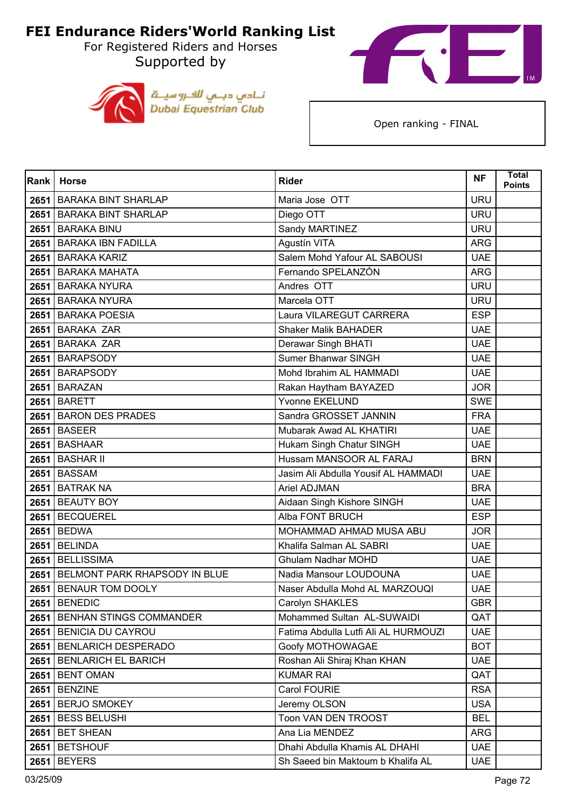For Registered Riders and Horses Supported by





| Rank | <b>Horse</b>                  | <b>Rider</b>                         | <b>NF</b>  | <b>Total</b><br><b>Points</b> |
|------|-------------------------------|--------------------------------------|------------|-------------------------------|
|      | 2651   BARAKA BINT SHARLAP    | Maria Jose OTT                       | <b>URU</b> |                               |
|      | 2651 BARAKA BINT SHARLAP      | Diego OTT                            | <b>URU</b> |                               |
| 2651 | <b>BARAKA BINU</b>            | Sandy MARTINEZ                       | <b>URU</b> |                               |
|      | 2651 BARAKA IBN FADILLA       | Agustín VITA                         | <b>ARG</b> |                               |
|      | 2651 BARAKA KARIZ             | Salem Mohd Yafour AL SABOUSI         | <b>UAE</b> |                               |
|      | 2651 BARAKA MAHATA            | Fernando SPELANZÓN                   | <b>ARG</b> |                               |
| 2651 | <b>BARAKA NYURA</b>           | Andres OTT                           | <b>URU</b> |                               |
|      | 2651 BARAKA NYURA             | Marcela OTT                          | <b>URU</b> |                               |
|      | 2651 BARAKA POESIA            | Laura VILAREGUT CARRERA              | <b>ESP</b> |                               |
|      | 2651 BARAKA ZAR               | <b>Shaker Malik BAHADER</b>          | <b>UAE</b> |                               |
| 2651 | <b>BARAKA ZAR</b>             | Derawar Singh BHATI                  | <b>UAE</b> |                               |
|      | 2651 BARAPSODY                | Sumer Bhanwar SINGH                  | <b>UAE</b> |                               |
|      | 2651 BARAPSODY                | Mohd Ibrahim AL HAMMADI              | <b>UAE</b> |                               |
|      | 2651 BARAZAN                  | Rakan Haytham BAYAZED                | <b>JOR</b> |                               |
| 2651 | <b>BARETT</b>                 | Yvonne EKELUND                       | <b>SWE</b> |                               |
|      | 2651 BARON DES PRADES         | Sandra GROSSET JANNIN                | <b>FRA</b> |                               |
|      | <b>2651 BASEER</b>            | Mubarak Awad AL KHATIRI              | <b>UAE</b> |                               |
|      | 2651 BASHAAR                  | Hukam Singh Chatur SINGH             | <b>UAE</b> |                               |
| 2651 | <b>BASHAR II</b>              | Hussam MANSOOR AL FARAJ              | <b>BRN</b> |                               |
|      | <b>2651 BASSAM</b>            | Jasim Ali Abdulla Yousif AL HAMMADI  | <b>UAE</b> |                               |
| 2651 | <b>BATRAK NA</b>              | Ariel ADJMAN                         | <b>BRA</b> |                               |
|      | 2651 BEAUTY BOY               | Aidaan Singh Kishore SINGH           | <b>UAE</b> |                               |
| 2651 | <b>BECQUEREL</b>              | Alba FONT BRUCH                      | <b>ESP</b> |                               |
|      | 2651 BEDWA                    | MOHAMMAD AHMAD MUSA ABU              | <b>JOR</b> |                               |
| 2651 | <b>BELINDA</b>                | Khalifa Salman AL SABRI              | <b>UAE</b> |                               |
|      | 2651 BELLISSIMA               | Ghulam Nadhar MOHD                   | <b>UAE</b> |                               |
| 2651 | BELMONT PARK RHAPSODY IN BLUE | Nadia Mansour LOUDOUNA               | <b>UAE</b> |                               |
| 2651 | <b>BENAUR TOM DOOLY</b>       | Naser Abdulla Mohd AL MARZOUQI       | <b>UAE</b> |                               |
|      | <b>2651 BENEDIC</b>           | Carolyn SHAKLES                      | <b>GBR</b> |                               |
|      | 2651 BENHAN STINGS COMMANDER  | Mohammed Sultan AL-SUWAIDI           | QAT        |                               |
|      | 2651   BENICIA DU CAYROU      | Fatima Abdulla Lutfi Ali AL HURMOUZI | <b>UAE</b> |                               |
|      | 2651 BENLARICH DESPERADO      | Goofy MOTHOWAGAE                     | <b>BOT</b> |                               |
| 2651 | <b>BENLARICH EL BARICH</b>    | Roshan Ali Shiraj Khan KHAN          | <b>UAE</b> |                               |
|      | <b>2651 BENT OMAN</b>         | <b>KUMAR RAI</b>                     | QAT        |                               |
| 2651 | <b>BENZINE</b>                | Carol FOURIE                         | <b>RSA</b> |                               |
|      | 2651 BERJO SMOKEY             | Jeremy OLSON                         | <b>USA</b> |                               |
| 2651 | <b>BESS BELUSHI</b>           | Toon VAN DEN TROOST                  | <b>BEL</b> |                               |
|      | 2651 BET SHEAN                | Ana Lia MENDEZ                       | <b>ARG</b> |                               |
| 2651 | <b>BETSHOUF</b>               | Dhahi Abdulla Khamis AL DHAHI        | <b>UAE</b> |                               |
| 2651 | <b>BEYERS</b>                 | Sh Saeed bin Maktoum b Khalifa AL    | <b>UAE</b> |                               |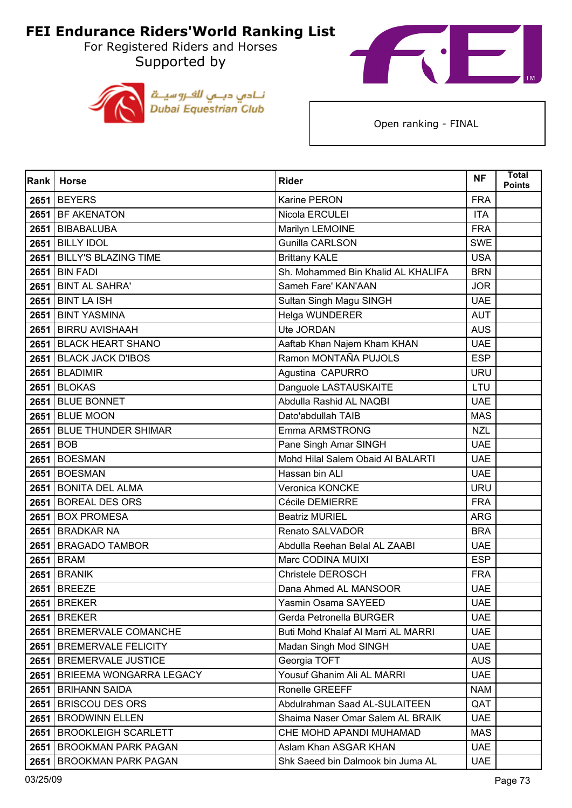For Registered Riders and Horses Supported by





| Rank | <b>Horse</b>                   | <b>Rider</b>                       | <b>NF</b>  | <b>Total</b><br><b>Points</b> |
|------|--------------------------------|------------------------------------|------------|-------------------------------|
| 2651 | <b>BEYERS</b>                  | Karine PERON                       | <b>FRA</b> |                               |
|      | 2651 BF AKENATON               | Nicola ERCULEI                     | <b>ITA</b> |                               |
| 2651 | <b>BIBABALUBA</b>              | Marilyn LEMOINE                    | <b>FRA</b> |                               |
|      | 2651 BILLY IDOL                | <b>Gunilla CARLSON</b>             | <b>SWE</b> |                               |
| 2651 | <b>BILLY'S BLAZING TIME</b>    | <b>Brittany KALE</b>               | <b>USA</b> |                               |
| 2651 | <b>BIN FADI</b>                | Sh. Mohammed Bin Khalid AL KHALIFA | <b>BRN</b> |                               |
| 2651 | <b>BINT AL SAHRA'</b>          | Sameh Fare' KAN'AAN                | <b>JOR</b> |                               |
|      | <b>2651 BINT LA ISH</b>        | Sultan Singh Magu SINGH            | <b>UAE</b> |                               |
|      | 2651 BINT YASMINA              | Helga WUNDERER                     | <b>AUT</b> |                               |
|      | 2651 BIRRU AVISHAAH            | Ute JORDAN                         | <b>AUS</b> |                               |
| 2651 | <b>BLACK HEART SHANO</b>       | Aaftab Khan Najem Kham KHAN        | <b>UAE</b> |                               |
|      | 2651 BLACK JACK D'IBOS         | Ramon MONTAÑA PUJOLS               | <b>ESP</b> |                               |
|      | 2651 BLADIMIR                  | Agustina CAPURRO                   | <b>URU</b> |                               |
| 2651 | <b>BLOKAS</b>                  | Danguole LASTAUSKAITE              | LTU        |                               |
| 2651 | <b>BLUE BONNET</b>             | Abdulla Rashid AL NAQBI            | <b>UAE</b> |                               |
|      | <b>2651 BLUE MOON</b>          | Dato'abdullah TAIB                 | <b>MAS</b> |                               |
|      | 2651 BLUE THUNDER SHIMAR       | Emma ARMSTRONG                     | <b>NZL</b> |                               |
| 2651 | <b>BOB</b>                     | Pane Singh Amar SINGH              | <b>UAE</b> |                               |
| 2651 | <b>BOESMAN</b>                 | Mohd Hilal Salem Obaid Al BALARTI  | <b>UAE</b> |                               |
|      | 2651 BOESMAN                   | Hassan bin ALI                     | <b>UAE</b> |                               |
|      | 2651 BONITA DEL ALMA           | Veronica KONCKE                    | <b>URU</b> |                               |
| 2651 | <b>BOREAL DES ORS</b>          | Cécile DEMIERRE                    | <b>FRA</b> |                               |
| 2651 | <b>BOX PROMESA</b>             | <b>Beatriz MURIEL</b>              | <b>ARG</b> |                               |
|      | 2651 BRADKAR NA                | Renato SALVADOR                    | <b>BRA</b> |                               |
|      | 2651 BRAGADO TAMBOR            | Abdulla Reehan Belal AL ZAABI      | <b>UAE</b> |                               |
| 2651 | <b>BRAM</b>                    | Marc CODINA MUIXI                  | <b>ESP</b> |                               |
| 2651 | <b>BRANIK</b>                  | Christele DEROSCH                  | <b>FRA</b> |                               |
| 2651 | <b>BREEZE</b>                  | Dana Ahmed AL MANSOOR              | <b>UAE</b> |                               |
|      | <b>2651 BREKER</b>             | Yasmin Osama SAYEED                | <b>UAE</b> |                               |
|      | <b>2651 BREKER</b>             | Gerda Petronella BURGER            | <b>UAE</b> |                               |
|      | 2651   BREMERVALE COMANCHE     | Buti Mohd Khalaf Al Marri AL MARRI | <b>UAE</b> |                               |
|      | 2651   BREMERVALE FELICITY     | Madan Singh Mod SINGH              | <b>UAE</b> |                               |
| 2651 | <b>BREMERVALE JUSTICE</b>      | Georgia TOFT                       | <b>AUS</b> |                               |
|      | 2651   BRIEEMA WONGARRA LEGACY | Yousuf Ghanim Ali AL MARRI         | <b>UAE</b> |                               |
| 2651 | <b>BRIHANN SAIDA</b>           | Ronelle GREEFF                     | <b>NAM</b> |                               |
| 2651 | <b>BRISCOU DES ORS</b>         | Abdulrahman Saad AL-SULAITEEN      | QAT        |                               |
| 2651 | <b>BRODWINN ELLEN</b>          | Shaima Naser Omar Salem AL BRAIK   | <b>UAE</b> |                               |
|      | 2651   BROOKLEIGH SCARLETT     | CHE MOHD APANDI MUHAMAD            | <b>MAS</b> |                               |
| 2651 | <b>BROOKMAN PARK PAGAN</b>     | Aslam Khan ASGAR KHAN              | <b>UAE</b> |                               |
| 2651 | <b>BROOKMAN PARK PAGAN</b>     | Shk Saeed bin Dalmook bin Juma AL  | <b>UAE</b> |                               |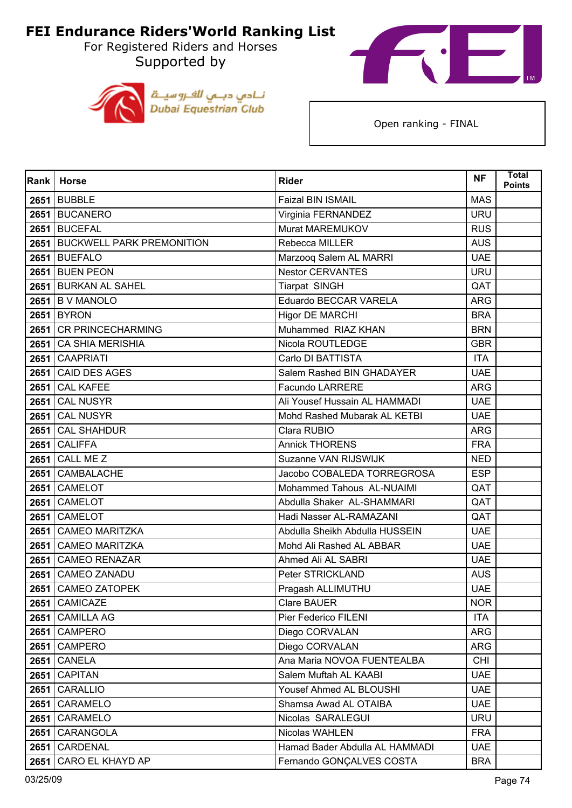For Registered Riders and Horses Supported by





| Rank | <b>Horse</b>                   | <b>Rider</b>                   | <b>NF</b>  | <b>Total</b><br><b>Points</b> |
|------|--------------------------------|--------------------------------|------------|-------------------------------|
|      | <b>2651 BUBBLE</b>             | Faizal BIN ISMAIL              | <b>MAS</b> |                               |
|      | 2651 BUCANERO                  | Virginia FERNANDEZ             | <b>URU</b> |                               |
| 2651 | <b>BUCEFAL</b>                 | Murat MAREMUKOV                | <b>RUS</b> |                               |
|      | 2651 BUCKWELL PARK PREMONITION | Rebecca MILLER                 | <b>AUS</b> |                               |
|      | 2651 BUEFALO                   | Marzooq Salem AL MARRI         | <b>UAE</b> |                               |
|      | <b>2651 BUEN PEON</b>          | <b>Nestor CERVANTES</b>        | <b>URU</b> |                               |
|      | 2651 BURKAN AL SAHEL           | <b>Tiarpat SINGH</b>           | QAT        |                               |
|      | $2651$ B V MANOLO              | Eduardo BECCAR VARELA          | <b>ARG</b> |                               |
|      | <b>2651 BYRON</b>              | <b>Higor DE MARCHI</b>         | <b>BRA</b> |                               |
|      | 2651 CR PRINCECHARMING         | Muhammed RIAZ KHAN             | <b>BRN</b> |                               |
| 2651 | <b>CA SHIA MERISHIA</b>        | Nicola ROUTLEDGE               | <b>GBR</b> |                               |
| 2651 | <b>CAAPRIATI</b>               | Carlo DI BATTISTA              | <b>ITA</b> |                               |
| 2651 | <b>CAID DES AGES</b>           | Salem Rashed BIN GHADAYER      | <b>UAE</b> |                               |
| 2651 | <b>CAL KAFEE</b>               | Facundo LARRERE                | <b>ARG</b> |                               |
| 2651 | <b>CAL NUSYR</b>               | Ali Yousef Hussain AL HAMMADI  | <b>UAE</b> |                               |
| 2651 | <b>CAL NUSYR</b>               | Mohd Rashed Mubarak AL KETBI   | <b>UAE</b> |                               |
| 2651 | <b>CAL SHAHDUR</b>             | Clara RUBIO                    | <b>ARG</b> |                               |
| 2651 | <b>CALIFFA</b>                 | <b>Annick THORENS</b>          | <b>FRA</b> |                               |
| 2651 | CALL ME Z                      | Suzanne VAN RIJSWIJK           | <b>NED</b> |                               |
| 2651 | <b>CAMBALACHE</b>              | Jacobo COBALEDA TORREGROSA     | <b>ESP</b> |                               |
| 2651 | <b>CAMELOT</b>                 | Mohammed Tahous AL-NUAIMI      | QAT        |                               |
| 2651 | CAMELOT                        | Abdulla Shaker AL-SHAMMARI     | QAT        |                               |
| 2651 | CAMELOT                        | Hadi Nasser AL-RAMAZANI        | QAT        |                               |
| 2651 | <b>CAMEO MARITZKA</b>          | Abdulla Sheikh Abdulla HUSSEIN | <b>UAE</b> |                               |
| 2651 | <b>CAMEO MARITZKA</b>          | Mohd Ali Rashed AL ABBAR       | <b>UAE</b> |                               |
| 2651 | <b>CAMEO RENAZAR</b>           | Ahmed Ali AL SABRI             | <b>UAE</b> |                               |
| 2651 | <b>CAMEO ZANADU</b>            | Peter STRICKLAND               | <b>AUS</b> |                               |
| 2651 | <b>CAMEO ZATOPEK</b>           | Pragash ALLIMUTHU              | <b>UAE</b> |                               |
|      | 2651 CAMICAZE                  | <b>Clare BAUER</b>             | <b>NOR</b> |                               |
| 2651 | <b>CAMILLA AG</b>              | Pier Federico FILENI           | <b>ITA</b> |                               |
|      | 2651 CAMPERO                   | Diego CORVALAN                 | ARG        |                               |
| 2651 | <b>CAMPERO</b>                 | Diego CORVALAN                 | <b>ARG</b> |                               |
| 2651 | <b>CANELA</b>                  | Ana Maria NOVOA FUENTEALBA     | <b>CHI</b> |                               |
| 2651 | <b>CAPITAN</b>                 | Salem Muftah AL KAABI          | <b>UAE</b> |                               |
| 2651 | <b>CARALLIO</b>                | Yousef Ahmed AL BLOUSHI        | <b>UAE</b> |                               |
| 2651 | CARAMELO                       | Shamsa Awad AL OTAIBA          | <b>UAE</b> |                               |
| 2651 | CARAMELO                       | Nicolas SARALEGUI              | <b>URU</b> |                               |
| 2651 | CARANGOLA                      | Nicolas WAHLEN                 | <b>FRA</b> |                               |
| 2651 | CARDENAL                       | Hamad Bader Abdulla AL HAMMADI | <b>UAE</b> |                               |
| 2651 | CARO EL KHAYD AP               | Fernando GONÇALVES COSTA       | <b>BRA</b> |                               |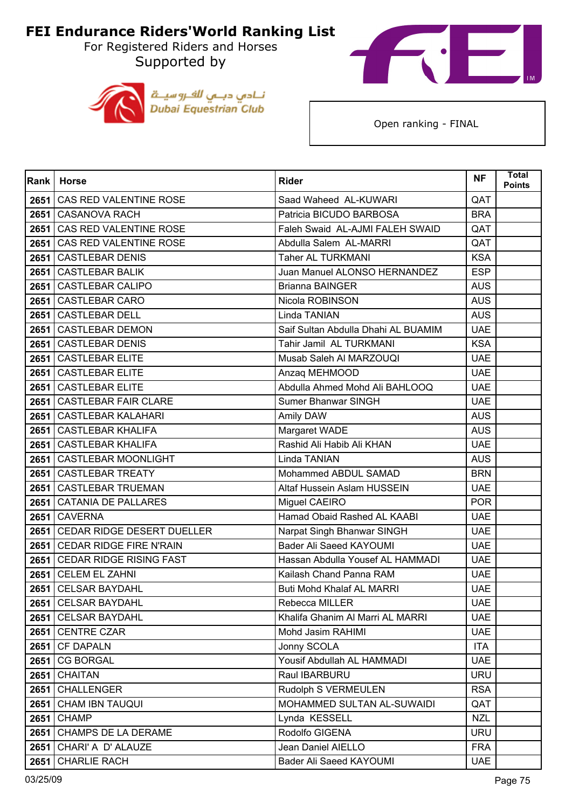For Registered Riders and Horses Supported by





| Rank | <b>Horse</b>                   | <b>Rider</b>                        | <b>NF</b>  | <b>Total</b><br><b>Points</b> |
|------|--------------------------------|-------------------------------------|------------|-------------------------------|
| 2651 | CAS RED VALENTINE ROSE         | Saad Waheed AL-KUWARI               | QAT        |                               |
| 2651 | <b>CASANOVA RACH</b>           | Patricia BICUDO BARBOSA             | <b>BRA</b> |                               |
| 2651 | CAS RED VALENTINE ROSE         | Faleh Swaid AL-AJMI FALEH SWAID     | QAT        |                               |
| 2651 | CAS RED VALENTINE ROSE         | Abdulla Salem AL-MARRI              | QAT        |                               |
| 2651 | <b>CASTLEBAR DENIS</b>         | <b>Taher AL TURKMANI</b>            | <b>KSA</b> |                               |
| 2651 | <b>CASTLEBAR BALIK</b>         | Juan Manuel ALONSO HERNANDEZ        | <b>ESP</b> |                               |
| 2651 | <b>CASTLEBAR CALIPO</b>        | <b>Brianna BAINGER</b>              | <b>AUS</b> |                               |
| 2651 | <b>CASTLEBAR CARO</b>          | Nicola ROBINSON                     | <b>AUS</b> |                               |
| 2651 | <b>CASTLEBAR DELL</b>          | Linda TANIAN                        | <b>AUS</b> |                               |
| 2651 | <b>CASTLEBAR DEMON</b>         | Saif Sultan Abdulla Dhahi AL BUAMIM | <b>UAE</b> |                               |
| 2651 | <b>CASTLEBAR DENIS</b>         | Tahir Jamil AL TURKMANI             | <b>KSA</b> |                               |
| 2651 | <b>CASTLEBAR ELITE</b>         | Musab Saleh Al MARZOUQI             | <b>UAE</b> |                               |
| 2651 | <b>CASTLEBAR ELITE</b>         | Anzaq MEHMOOD                       | <b>UAE</b> |                               |
| 2651 | <b>CASTLEBAR ELITE</b>         | Abdulla Ahmed Mohd Ali BAHLOOQ      | <b>UAE</b> |                               |
| 2651 | <b>CASTLEBAR FAIR CLARE</b>    | Sumer Bhanwar SINGH                 | <b>UAE</b> |                               |
| 2651 | <b>CASTLEBAR KALAHARI</b>      | Amily DAW                           | <b>AUS</b> |                               |
| 2651 | <b>CASTLEBAR KHALIFA</b>       | Margaret WADE                       | <b>AUS</b> |                               |
| 2651 | <b>CASTLEBAR KHALIFA</b>       | Rashid Ali Habib Ali KHAN           | <b>UAE</b> |                               |
| 2651 | <b>CASTLEBAR MOONLIGHT</b>     | Linda TANIAN                        | <b>AUS</b> |                               |
| 2651 | <b>CASTLEBAR TREATY</b>        | Mohammed ABDUL SAMAD                | <b>BRN</b> |                               |
| 2651 | <b>CASTLEBAR TRUEMAN</b>       | Altaf Hussein Aslam HUSSEIN         | <b>UAE</b> |                               |
| 2651 | <b>CATANIA DE PALLARES</b>     | Miguel CAEIRO                       | <b>POR</b> |                               |
| 2651 | <b>CAVERNA</b>                 | Hamad Obaid Rashed AL KAABI         | <b>UAE</b> |                               |
| 2651 | CEDAR RIDGE DESERT DUELLER     | Narpat Singh Bhanwar SINGH          | <b>UAE</b> |                               |
| 2651 | <b>CEDAR RIDGE FIRE N'RAIN</b> | Bader Ali Saeed KAYOUMI             | <b>UAE</b> |                               |
| 2651 | <b>CEDAR RIDGE RISING FAST</b> | Hassan Abdulla Yousef AL HAMMADI    | <b>UAE</b> |                               |
| 2651 | <b>CELEM EL ZAHNI</b>          | Kailash Chand Panna RAM             | <b>UAE</b> |                               |
| 2651 | <b>CELSAR BAYDAHL</b>          | <b>Buti Mohd Khalaf AL MARRI</b>    | <b>UAE</b> |                               |
|      | 2651 CELSAR BAYDAHL            | Rebecca MILLER                      | <b>UAE</b> |                               |
|      | 2651 CELSAR BAYDAHL            | Khalifa Ghanim Al Marri AL MARRI    | <b>UAE</b> |                               |
|      | 2651 CENTRE CZAR               | Mohd Jasim RAHIMI                   | <b>UAE</b> |                               |
|      | 2651 CF DAPALN                 | Jonny SCOLA                         | <b>ITA</b> |                               |
| 2651 | <b>CG BORGAL</b>               | Yousif Abdullah AL HAMMADI          | <b>UAE</b> |                               |
| 2651 | <b>CHAITAN</b>                 | Raul IBARBURU                       | <b>URU</b> |                               |
| 2651 | <b>CHALLENGER</b>              | Rudolph S VERMEULEN                 | <b>RSA</b> |                               |
| 2651 | <b>CHAM IBN TAUQUI</b>         | MOHAMMED SULTAN AL-SUWAIDI          | QAT        |                               |
| 2651 | <b>CHAMP</b>                   | Lynda KESSELL                       | <b>NZL</b> |                               |
|      | 2651 CHAMPS DE LA DERAME       | Rodolfo GIGENA                      | <b>URU</b> |                               |
| 2651 | CHARI' A D' ALAUZE             | Jean Daniel AIELLO                  | <b>FRA</b> |                               |
| 2651 | <b>CHARLIE RACH</b>            | Bader Ali Saeed KAYOUMI             | <b>UAE</b> |                               |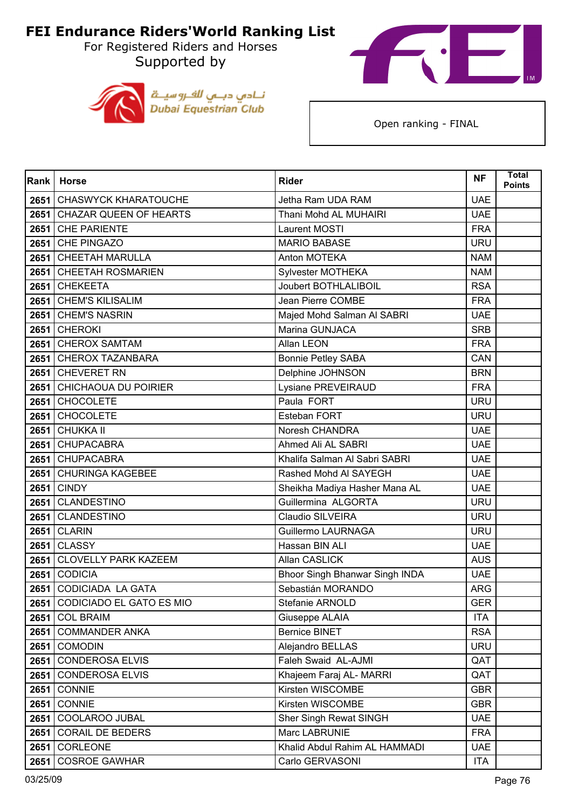For Registered Riders and Horses Supported by





| Rank | <b>Horse</b>                    | <b>Rider</b>                   | <b>NF</b>  | <b>Total</b><br><b>Points</b> |
|------|---------------------------------|--------------------------------|------------|-------------------------------|
| 2651 | <b>CHASWYCK KHARATOUCHE</b>     | Jetha Ram UDA RAM              | <b>UAE</b> |                               |
|      | 2651 CHAZAR QUEEN OF HEARTS     | Thani Mohd AL MUHAIRI          | <b>UAE</b> |                               |
| 2651 | <b>CHE PARIENTE</b>             | Laurent MOSTI                  | <b>FRA</b> |                               |
|      | 2651 CHE PINGAZO                | <b>MARIO BABASE</b>            | <b>URU</b> |                               |
| 2651 | <b>CHEETAH MARULLA</b>          | Anton MOTEKA                   | <b>NAM</b> |                               |
|      | 2651 CHEETAH ROSMARIEN          | Sylvester MOTHEKA              | <b>NAM</b> |                               |
| 2651 | <b>CHEKEETA</b>                 | <b>Joubert BOTHLALIBOIL</b>    | <b>RSA</b> |                               |
|      | 2651 CHEM'S KILISALIM           | Jean Pierre COMBE              | <b>FRA</b> |                               |
|      | 2651 CHEM'S NASRIN              | Majed Mohd Salman Al SABRI     | <b>UAE</b> |                               |
|      | $2651$ CHEROKI                  | Marina GUNJACA                 | <b>SRB</b> |                               |
| 2651 | <b>CHEROX SAMTAM</b>            | Allan LEON                     | <b>FRA</b> |                               |
|      | 2651 CHEROX TAZANBARA           | <b>Bonnie Petley SABA</b>      | CAN        |                               |
| 2651 | <b>CHEVERET RN</b>              | Delphine JOHNSON               | <b>BRN</b> |                               |
|      | 2651 CHICHAOUA DU POIRIER       | Lysiane PREVEIRAUD             | <b>FRA</b> |                               |
| 2651 | <b>CHOCOLETE</b>                | Paula FORT                     | <b>URU</b> |                               |
|      | 2651 CHOCOLETE                  | Esteban FORT                   | <b>URU</b> |                               |
| 2651 | <b>CHUKKA II</b>                | Noresh CHANDRA                 | <b>UAE</b> |                               |
|      | 2651 CHUPACABRA                 | Ahmed Ali AL SABRI             | <b>UAE</b> |                               |
| 2651 | <b>CHUPACABRA</b>               | Khalifa Salman Al Sabri SABRI  | <b>UAE</b> |                               |
|      | 2651 CHURINGA KAGEBEE           | Rashed Mohd AI SAYEGH          | <b>UAE</b> |                               |
| 2651 | <b>CINDY</b>                    | Sheikha Madiya Hasher Mana AL  | <b>UAE</b> |                               |
|      | 2651 CLANDESTINO                | Guillermina ALGORTA            | <b>URU</b> |                               |
| 2651 | CLANDESTINO                     | Claudio SILVEIRA               | <b>URU</b> |                               |
|      | <b>2651 CLARIN</b>              | Guillermo LAURNAGA             | <b>URU</b> |                               |
| 2651 | <b>CLASSY</b>                   | Hassan BIN ALI                 | <b>UAE</b> |                               |
| 2651 | <b>CLOVELLY PARK KAZEEM</b>     | Allan CASLICK                  | <b>AUS</b> |                               |
| 2651 | <b>CODICIA</b>                  | Bhoor Singh Bhanwar Singh INDA | <b>UAE</b> |                               |
| 2651 | CODICIADA LA GATA               | Sebastián MORANDO              | <b>ARG</b> |                               |
|      | 2651   CODICIADO EL GATO ES MIO | Stefanie ARNOLD                | GER        |                               |
|      | <b>2651 COL BRAIM</b>           | Giuseppe ALAIA                 | <b>ITA</b> |                               |
|      | 2651 COMMANDER ANKA             | <b>Bernice BINET</b>           | <b>RSA</b> |                               |
|      | <b>2651 COMODIN</b>             | Alejandro BELLAS               | <b>URU</b> |                               |
| 2651 | <b>CONDEROSA ELVIS</b>          | Faleh Swaid AL-AJMI            | QAT        |                               |
|      | 2651 CONDEROSA ELVIS            | Khajeem Faraj AL- MARRI        | QAT        |                               |
|      | <b>2651 CONNIE</b>              | Kirsten WISCOMBE               | <b>GBR</b> |                               |
|      | <b>2651 CONNIE</b>              | Kirsten WISCOMBE               | <b>GBR</b> |                               |
| 2651 | COOLAROO JUBAL                  | Sher Singh Rewat SINGH         | <b>UAE</b> |                               |
|      | 2651 CORAIL DE BEDERS           | Marc LABRUNIE                  | <b>FRA</b> |                               |
| 2651 | CORLEONE                        | Khalid Abdul Rahim AL HAMMADI  | <b>UAE</b> |                               |
| 2651 | <b>COSROE GAWHAR</b>            | Carlo GERVASONI                | <b>ITA</b> |                               |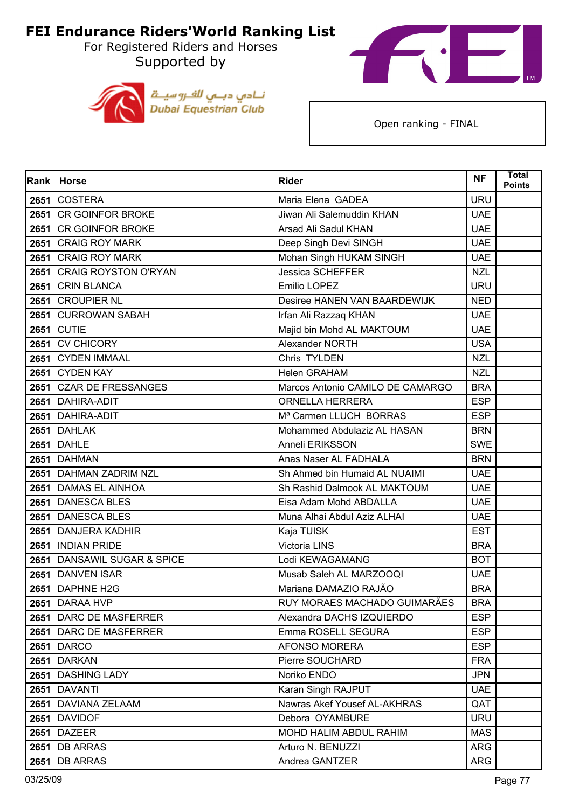For Registered Riders and Horses Supported by





| Rank | <b>Horse</b>                | <b>Rider</b>                       | <b>NF</b>  | <b>Total</b><br><b>Points</b> |
|------|-----------------------------|------------------------------------|------------|-------------------------------|
| 2651 | <b>COSTERA</b>              | Maria Elena GADEA                  | <b>URU</b> |                               |
| 2651 | <b>CR GOINFOR BROKE</b>     | Jiwan Ali Salemuddin KHAN          | <b>UAE</b> |                               |
| 2651 | <b>CR GOINFOR BROKE</b>     | Arsad Ali Sadul KHAN               | <b>UAE</b> |                               |
| 2651 | <b>CRAIG ROY MARK</b>       | Deep Singh Devi SINGH              | <b>UAE</b> |                               |
| 2651 | <b>CRAIG ROY MARK</b>       | Mohan Singh HUKAM SINGH            | <b>UAE</b> |                               |
| 2651 | <b>CRAIG ROYSTON O'RYAN</b> | <b>Jessica SCHEFFER</b>            | <b>NZL</b> |                               |
| 2651 | <b>CRIN BLANCA</b>          | Emilio LOPEZ                       | <b>URU</b> |                               |
| 2651 | <b>CROUPIER NL</b>          | Desiree HANEN VAN BAARDEWIJK       | <b>NED</b> |                               |
| 2651 | <b>CURROWAN SABAH</b>       | Irfan Ali Razzaq KHAN              | <b>UAE</b> |                               |
| 2651 | <b>CUTIE</b>                | Majid bin Mohd AL MAKTOUM          | <b>UAE</b> |                               |
| 2651 | <b>CV CHICORY</b>           | Alexander NORTH                    | <b>USA</b> |                               |
| 2651 | <b>CYDEN IMMAAL</b>         | Chris TYLDEN                       | <b>NZL</b> |                               |
| 2651 | <b>CYDEN KAY</b>            | <b>Helen GRAHAM</b>                | <b>NZL</b> |                               |
| 2651 | <b>CZAR DE FRESSANGES</b>   | Marcos Antonio CAMILO DE CAMARGO   | <b>BRA</b> |                               |
| 2651 | DAHIRA-ADIT                 | <b>ORNELLA HERRERA</b>             | <b>ESP</b> |                               |
|      | 2651   DAHIRA-ADIT          | M <sup>ª</sup> Carmen LLUCH BORRAS | <b>ESP</b> |                               |
|      | <b>2651   DAHLAK</b>        | Mohammed Abdulaziz AL HASAN        | <b>BRN</b> |                               |
|      | <b>2651 DAHLE</b>           | Anneli ERIKSSON                    | <b>SWE</b> |                               |
| 2651 | <b>DAHMAN</b>               | Anas Naser AL FADHALA              | <b>BRN</b> |                               |
|      | 2651 DAHMAN ZADRIM NZL      | Sh Ahmed bin Humaid AL NUAIMI      | <b>UAE</b> |                               |
|      | 2651 DAMAS EL AINHOA        | Sh Rashid Dalmook AL MAKTOUM       | <b>UAE</b> |                               |
|      | 2651 DANESCA BLES           | Eisa Adam Mohd ABDALLA             | <b>UAE</b> |                               |
| 2651 | <b>DANESCA BLES</b>         | Muna Alhai Abdul Aziz ALHAI        | <b>UAE</b> |                               |
|      | 2651 DANJERA KADHIR         | Kaja TUISK                         | <b>EST</b> |                               |
| 2651 | <b>INDIAN PRIDE</b>         | Victoria LINS                      | <b>BRA</b> |                               |
|      | 2651 DANSAWIL SUGAR & SPICE | Lodi KEWAGAMANG                    | <b>BOT</b> |                               |
| 2651 | <b>DANVEN ISAR</b>          | Musab Saleh AL MARZOOQI            | <b>UAE</b> |                               |
| 2651 | <b>DAPHNE H2G</b>           | Mariana DAMAZIO RAJÃO              | <b>BRA</b> |                               |
|      | 2651   DARAA HVP            | RUY MORAES MACHADO GUIMARAES       | <b>BRA</b> |                               |
|      | 2651 DARC DE MASFERRER      | Alexandra DACHS IZQUIERDO          | <b>ESP</b> |                               |
|      | 2651   DARC DE MASFERRER    | Emma ROSELL SEGURA                 | <b>ESP</b> |                               |
|      | <b>2651 DARCO</b>           | AFONSO MORERA                      | <b>ESP</b> |                               |
| 2651 | <b>DARKAN</b>               | Pierre SOUCHARD                    | <b>FRA</b> |                               |
|      | 2651 DASHING LADY           | Noriko ENDO                        | <b>JPN</b> |                               |
|      | <b>2651   DAVANTI</b>       | Karan Singh RAJPUT                 | <b>UAE</b> |                               |
|      | 2651   DAVIANA ZELAAM       | Nawras Akef Yousef AL-AKHRAS       | QAT        |                               |
| 2651 | <b>DAVIDOF</b>              | Debora OYAMBURE                    | <b>URU</b> |                               |
|      | <b>2651 DAZEER</b>          | MOHD HALIM ABDUL RAHIM             | <b>MAS</b> |                               |
|      | <b>2651 DB ARRAS</b>        | Arturo N. BENUZZI                  | ARG        |                               |
|      | <b>2651 DB ARRAS</b>        | Andrea GANTZER                     | ARG        |                               |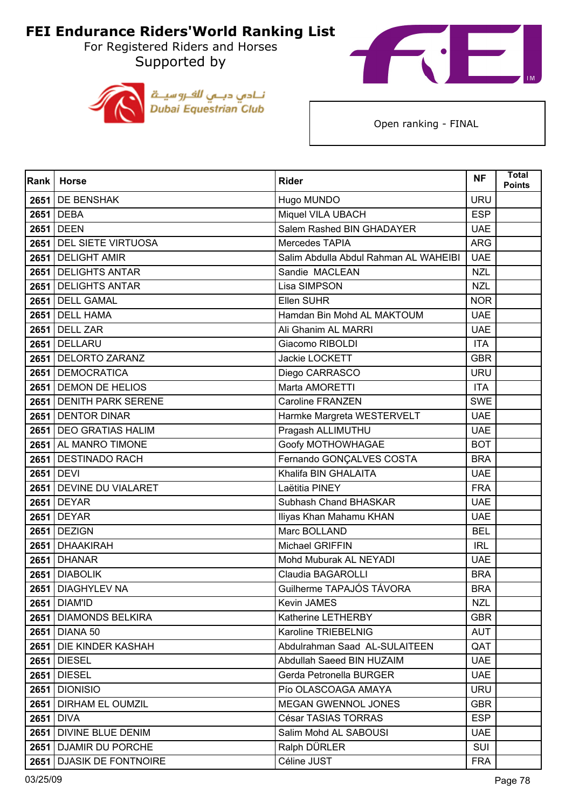For Registered Riders and Horses Supported by





| <b>Rank</b> | <b>Horse</b>              | <b>Rider</b>                          | <b>NF</b>  | <b>Total</b><br><b>Points</b> |
|-------------|---------------------------|---------------------------------------|------------|-------------------------------|
|             | 2651 DE BENSHAK           | Hugo MUNDO                            | <b>URU</b> |                               |
|             | 2651 DEBA                 | Miquel VILA UBACH                     | <b>ESP</b> |                               |
| 2651        | <b>DEEN</b>               | Salem Rashed BIN GHADAYER             | <b>UAE</b> |                               |
|             | 2651 DEL SIETE VIRTUOSA   | Mercedes TAPIA                        | <b>ARG</b> |                               |
| 2651        | <b>DELIGHT AMIR</b>       | Salim Abdulla Abdul Rahman AL WAHEIBI | <b>UAE</b> |                               |
|             | 2651 DELIGHTS ANTAR       | Sandie MACLEAN                        | <b>NZL</b> |                               |
| 2651        | <b>DELIGHTS ANTAR</b>     | Lisa SIMPSON                          | <b>NZL</b> |                               |
|             | 2651 DELL GAMAL           | Ellen SUHR                            | <b>NOR</b> |                               |
|             | 2651 DELL HAMA            | Hamdan Bin Mohd AL MAKTOUM            | <b>UAE</b> |                               |
|             | 2651 DELL ZAR             | Ali Ghanim AL MARRI                   | <b>UAE</b> |                               |
| 2651        | DELLARU                   | Giacomo RIBOLDI                       | <b>ITA</b> |                               |
|             | 2651   DELORTO ZARANZ     | Jackie LOCKETT                        | <b>GBR</b> |                               |
|             | 2651 DEMOCRATICA          | Diego CARRASCO                        | <b>URU</b> |                               |
|             | 2651 DEMON DE HELIOS      | Marta AMORETTI                        | <b>ITA</b> |                               |
| 2651        | <b>DENITH PARK SERENE</b> | <b>Caroline FRANZEN</b>               | <b>SWE</b> |                               |
|             | 2651 DENTOR DINAR         | Harmke Margreta WESTERVELT            | <b>UAE</b> |                               |
|             | 2651 DEO GRATIAS HALIM    | Pragash ALLIMUTHU                     | <b>UAE</b> |                               |
|             | 2651 AL MANRO TIMONE      | Goofy MOTHOWHAGAE                     | <b>BOT</b> |                               |
| 2651        | <b>DESTINADO RACH</b>     | Fernando GONÇALVES COSTA              | <b>BRA</b> |                               |
|             | 2651 DEVI                 | Khalifa BIN GHALAITA                  | <b>UAE</b> |                               |
|             | 2651 DEVINE DU VIALARET   | Laëtitia PINEY                        | <b>FRA</b> |                               |
|             | 2651 DEYAR                | Subhash Chand BHASKAR                 | <b>UAE</b> |                               |
| 2651        | <b>DEYAR</b>              | Iliyas Khan Mahamu KHAN               | <b>UAE</b> |                               |
|             | 2651 DEZIGN               | Marc BOLLAND                          | <b>BEL</b> |                               |
|             | 2651 DHAAKIRAH            | Michael GRIFFIN                       | <b>IRL</b> |                               |
|             | <b>2651 DHANAR</b>        | Mohd Muburak AL NEYADI                | <b>UAE</b> |                               |
| 2651        | <b>DIABOLIK</b>           | Claudia BAGAROLLI                     | <b>BRA</b> |                               |
|             | 2651   DIAGHYLEV NA       | Guilherme TAPAJÓS TÁVORA              | <b>BRA</b> |                               |
|             | <b>2651   DIAM'ID</b>     | Kevin JAMES                           | NZL        |                               |
|             | 2651 DIAMONDS BELKIRA     | Katherine LETHERBY                    | <b>GBR</b> |                               |
|             | 2651   DIANA 50           | Karoline TRIEBELNIG                   | AUT        |                               |
|             | 2651 DIE KINDER KASHAH    | Abdulrahman Saad AL-SULAITEEN         | QAT        |                               |
|             | <b>2651 DIESEL</b>        | Abdullah Saeed BIN HUZAIM             | <b>UAE</b> |                               |
|             | <b>2651 DIESEL</b>        | Gerda Petronella BURGER               | <b>UAE</b> |                               |
|             | <b>2651 DIONISIO</b>      | Pío OLASCOAGA AMAYA                   | <b>URU</b> |                               |
|             | 2651 DIRHAM EL OUMZIL     | MEGAN GWENNOL JONES                   | <b>GBR</b> |                               |
| 2651        | <b>DIVA</b>               | César TASIAS TORRAS                   | <b>ESP</b> |                               |
|             | 2651 DIVINE BLUE DENIM    | Salim Mohd AL SABOUSI                 | <b>UAE</b> |                               |
|             | 2651 DJAMIR DU PORCHE     | Ralph DÜRLER                          | SUI        |                               |
|             | 2651 DJASIK DE FONTNOIRE  | Céline JUST                           | <b>FRA</b> |                               |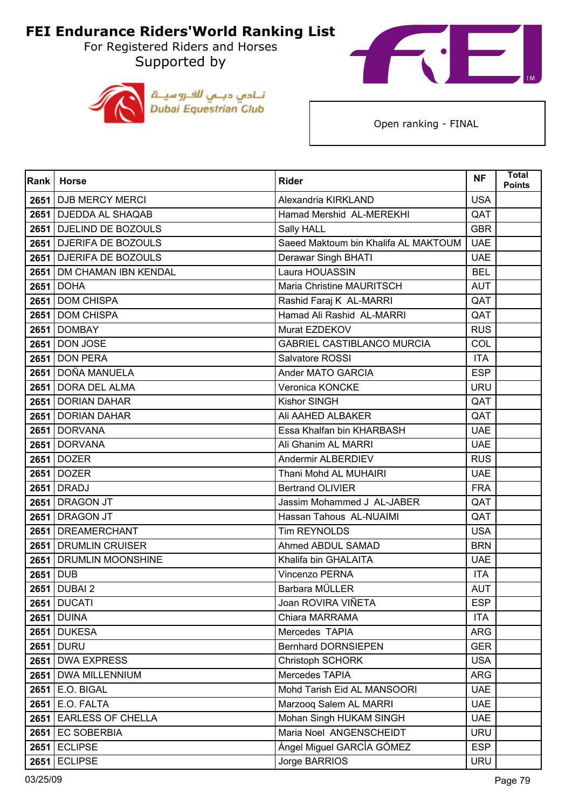For Registered Riders and Horses Supported by





| <b>Rank</b> | <b>Horse</b>              | <b>Rider</b>                         | <b>NF</b>  | <b>Total</b><br><b>Points</b> |
|-------------|---------------------------|--------------------------------------|------------|-------------------------------|
|             | 2651 DJB MERCY MERCI      | Alexandria KIRKLAND                  | <b>USA</b> |                               |
|             | 2651 DJEDDA AL SHAQAB     | Hamad Mershid AL-MEREKHI             | QAT        |                               |
| 2651        | <b>DJELIND DE BOZOULS</b> | Sally HALL                           | <b>GBR</b> |                               |
|             | 2651 DJERIFA DE BOZOULS   | Saeed Maktoum bin Khalifa AL MAKTOUM | <b>UAE</b> |                               |
| 2651        | <b>DJERIFA DE BOZOULS</b> | Derawar Singh BHATI                  | <b>UAE</b> |                               |
|             | 2651 DM CHAMAN IBN KENDAL | Laura HOUASSIN                       | <b>BEL</b> |                               |
| 2651        | <b>DOHA</b>               | Maria Christine MAURITSCH            | <b>AUT</b> |                               |
|             | 2651 DOM CHISPA           | Rashid Faraj K AL-MARRI              | QAT        |                               |
|             | 2651 DOM CHISPA           | Hamad Ali Rashid AL-MARRI            | QAT        |                               |
|             | <b>2651   DOMBAY</b>      | Murat EZDEKOV                        | <b>RUS</b> |                               |
| 2651        | <b>DON JOSE</b>           | <b>GABRIEL CASTIBLANCO MURCIA</b>    | COL        |                               |
|             | <b>2651 DON PERA</b>      | Salvatore ROSSI                      | <b>ITA</b> |                               |
|             | 2651   DOÑA MANUELA       | Ander MATO GARCIA                    | <b>ESP</b> |                               |
|             | 2651 DORA DEL ALMA        | Veronica KONCKE                      | <b>URU</b> |                               |
| 2651        | <b>DORIAN DAHAR</b>       | <b>Kishor SINGH</b>                  | QAT        |                               |
|             | 2651 DORIAN DAHAR         | Ali AAHED ALBAKER                    | QAT        |                               |
|             | 2651 DORVANA              | Essa Khalfan bin KHARBASH            | <b>UAE</b> |                               |
|             | 2651 DORVANA              | Ali Ghanim AL MARRI                  | <b>UAE</b> |                               |
| 2651        | <b>DOZER</b>              | Andermir ALBERDIEV                   | <b>RUS</b> |                               |
|             | 2651 DOZER                | Thani Mohd AL MUHAIRI                | <b>UAE</b> |                               |
|             | 2651 DRADJ                | <b>Bertrand OLIVIER</b>              | <b>FRA</b> |                               |
|             | 2651 DRAGON JT            | Jassim Mohammed J AL-JABER           | QAT        |                               |
| 2651        | <b>DRAGON JT</b>          | Hassan Tahous AL-NUAIMI              | QAT        |                               |
|             | 2651 DREAMERCHANT         | Tim REYNOLDS                         | <b>USA</b> |                               |
|             | 2651 DRUMLIN CRUISER      | Ahmed ABDUL SAMAD                    | <b>BRN</b> |                               |
|             | 2651 DRUMLIN MOONSHINE    | Khalifa bin GHALAITA                 | <b>UAE</b> |                               |
| 2651        | <b>DUB</b>                | Vincenzo PERNA                       | <b>ITA</b> |                               |
|             | 2651 DUBAI 2              | Barbara MÜLLER                       | <b>AUT</b> |                               |
|             | <b>2651   DUCATI</b>      | Joan ROVIRA VIÑETA                   | ESP        |                               |
|             | <b>2651 DUINA</b>         | Chiara MARRAMA                       | <b>ITA</b> |                               |
|             | <b>2651 DUKESA</b>        | Mercedes TAPIA                       | ARG        |                               |
|             | <b>2651 DURU</b>          | <b>Bernhard DORNSIEPEN</b>           | <b>GER</b> |                               |
|             | 2651   DWA EXPRESS        | Christoph SCHORK                     | <b>USA</b> |                               |
|             | 2651 DWA MILLENNIUM       | Mercedes TAPIA                       | <b>ARG</b> |                               |
|             | 2651 E.O. BIGAL           | Mohd Tarish Eid AL MANSOORI          | <b>UAE</b> |                               |
|             | $2651$ E.O. FALTA         | Marzoog Salem AL MARRI               | <b>UAE</b> |                               |
| 2651        | <b>EARLESS OF CHELLA</b>  | Mohan Singh HUKAM SINGH              | <b>UAE</b> |                               |
|             | 2651 EC SOBERBIA          | Maria Noel ANGENSCHEIDT              | <b>URU</b> |                               |
|             | $2651$ ECLIPSE            | Ángel Miguel GARCÍA GÓMEZ            | <b>ESP</b> |                               |
|             | <b>2651 ECLIPSE</b>       | Jorge BARRIOS                        | <b>URU</b> |                               |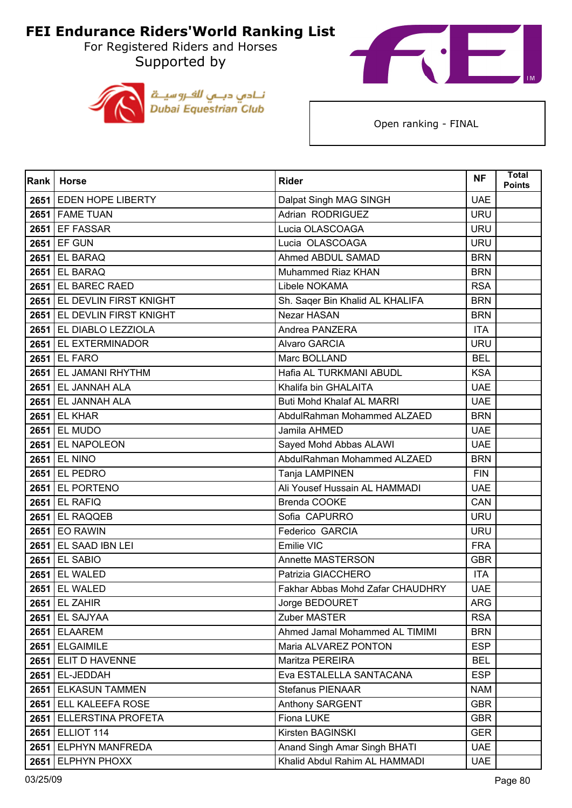For Registered Riders and Horses Supported by





| Rank | <b>Horse</b>                | <b>Rider</b>                     | <b>NF</b>  | <b>Total</b><br><b>Points</b> |
|------|-----------------------------|----------------------------------|------------|-------------------------------|
|      | 2651 EDEN HOPE LIBERTY      | Dalpat Singh MAG SINGH           | <b>UAE</b> |                               |
|      | 2651 FAME TUAN              | Adrian RODRIGUEZ                 | <b>URU</b> |                               |
| 2651 | <b>EF FASSAR</b>            | Lucia OLASCOAGA                  | <b>URU</b> |                               |
|      | 2651 EF GUN                 | Lucia OLASCOAGA                  | <b>URU</b> |                               |
| 2651 | <b>EL BARAQ</b>             | Ahmed ABDUL SAMAD                | <b>BRN</b> |                               |
|      | 2651 EL BARAQ               | Muhammed Riaz KHAN               | <b>BRN</b> |                               |
| 2651 | EL BAREC RAED               | Libele NOKAMA                    | <b>RSA</b> |                               |
|      | 2651 EL DEVLIN FIRST KNIGHT | Sh. Saqer Bin Khalid AL KHALIFA  | <b>BRN</b> |                               |
|      | 2651 EL DEVLIN FIRST KNIGHT | Nezar HASAN                      | <b>BRN</b> |                               |
|      | 2651 EL DIABLO LEZZIOLA     | Andrea PANZERA                   | <b>ITA</b> |                               |
| 2651 | <b>EL EXTERMINADOR</b>      | <b>Alvaro GARCIA</b>             | <b>URU</b> |                               |
|      | 2651 EL FARO                | Marc BOLLAND                     | <b>BEL</b> |                               |
|      | 2651 EL JAMANI RHYTHM       | Hafia AL TURKMANI ABUDL          | <b>KSA</b> |                               |
|      | 2651 EL JANNAH ALA          | Khalifa bin GHALAITA             | <b>UAE</b> |                               |
| 2651 | EL JANNAH ALA               | <b>Buti Mohd Khalaf AL MARRI</b> | <b>UAE</b> |                               |
|      | <b>2651 EL KHAR</b>         | AbdulRahman Mohammed ALZAED      | <b>BRN</b> |                               |
|      | <b>2651 EL MUDO</b>         | Jamila AHMED                     | <b>UAE</b> |                               |
|      | 2651 EL NAPOLEON            | Sayed Mohd Abbas ALAWI           | <b>UAE</b> |                               |
| 2651 | <b>EL NINO</b>              | AbdulRahman Mohammed ALZAED      | <b>BRN</b> |                               |
|      | <b>2651 EL PEDRO</b>        | Tanja LAMPINEN                   | <b>FIN</b> |                               |
|      | 2651 EL PORTENO             | Ali Yousef Hussain AL HAMMADI    | <b>UAE</b> |                               |
|      | 2651 EL RAFIQ               | Brenda COOKE                     | CAN        |                               |
| 2651 | EL RAQQEB                   | Sofia CAPURRO                    | <b>URU</b> |                               |
|      | 2651 EO RAWIN               | Federico GARCIA                  | <b>URU</b> |                               |
|      | 2651 EL SAAD IBN LEI        | Emilie VIC                       | <b>FRA</b> |                               |
|      | 2651 EL SABIO               | Annette MASTERSON                | <b>GBR</b> |                               |
| 2651 | EL WALED                    | Patrizia GIACCHERO               | <b>ITA</b> |                               |
| 2651 | <b>EL WALED</b>             | Fakhar Abbas Mohd Zafar CHAUDHRY | <b>UAE</b> |                               |
|      | $2651$ EL ZAHIR             | Jorge BEDOURET                   | ARG        |                               |
|      | <b>2651 EL SAJYAA</b>       | Zuber MASTER                     | <b>RSA</b> |                               |
|      | $2651$ ELAAREM              | Ahmed Jamal Mohammed AL TIMIMI   | <b>BRN</b> |                               |
|      | 2651 ELGAIMILE              | Maria ALVAREZ PONTON             | <b>ESP</b> |                               |
|      | 2651 ELIT D HAVENNE         | Maritza PEREIRA                  | <b>BEL</b> |                               |
|      | 2651 EL-JEDDAH              | Eva ESTALELLA SANTACANA          | <b>ESP</b> |                               |
|      | 2651 ELKASUN TAMMEN         | <b>Stefanus PIENAAR</b>          | <b>NAM</b> |                               |
|      | 2651 ELL KALEEFA ROSE       | <b>Anthony SARGENT</b>           | <b>GBR</b> |                               |
|      | 2651 ELLERSTINA PROFETA     | Fiona LUKE                       | <b>GBR</b> |                               |
|      | 2651 ELLIOT 114             | Kirsten BAGINSKI                 | <b>GER</b> |                               |
|      | 2651 ELPHYN MANFREDA        | Anand Singh Amar Singh BHATI     | <b>UAE</b> |                               |
|      | 2651 ELPHYN PHOXX           | Khalid Abdul Rahim AL HAMMADI    | <b>UAE</b> |                               |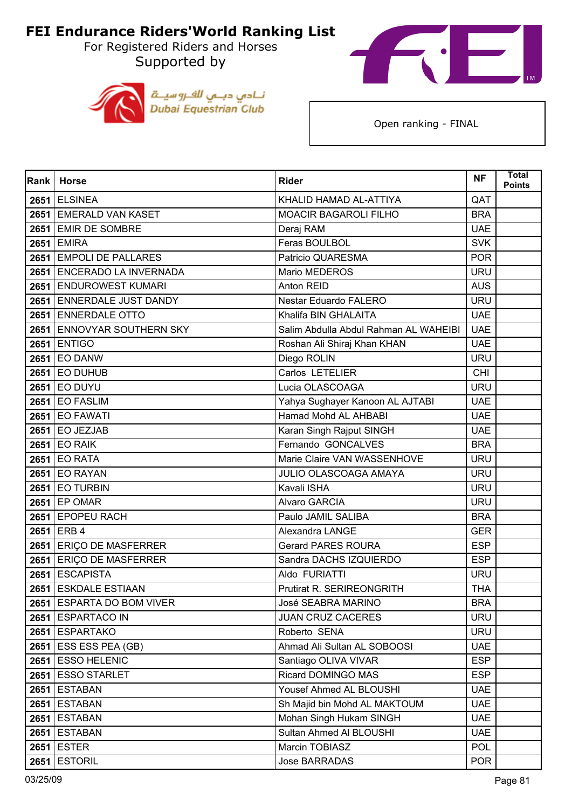For Registered Riders and Horses Supported by





| Rank | <b>Horse</b>               | <b>Rider</b>                          | <b>NF</b>  | <b>Total</b><br>Points |
|------|----------------------------|---------------------------------------|------------|------------------------|
|      | <b>2651 ELSINEA</b>        | KHALID HAMAD AL-ATTIYA                | QAT        |                        |
|      | 2651 EMERALD VAN KASET     | <b>MOACIR BAGAROLI FILHO</b>          | <b>BRA</b> |                        |
| 2651 | <b>EMIR DE SOMBRE</b>      | Deraj RAM                             | <b>UAE</b> |                        |
|      | 2651 EMIRA                 | Feras BOULBOL                         | <b>SVK</b> |                        |
|      | 2651 EMPOLI DE PALLARES    | Patricio QUARESMA                     | <b>POR</b> |                        |
|      | 2651 ENCERADO LA INVERNADA | Mario MEDEROS                         | <b>URU</b> |                        |
| 2651 | <b>ENDUROWEST KUMARI</b>   | Anton REID                            | <b>AUS</b> |                        |
|      | 2651 ENNERDALE JUST DANDY  | Nestar Eduardo FALERO                 | <b>URU</b> |                        |
|      | 2651 ENNERDALE OTTO        | Khalifa BIN GHALAITA                  | <b>UAE</b> |                        |
|      | 2651 ENNOVYAR SOUTHERN SKY | Salim Abdulla Abdul Rahman AL WAHEIBI | <b>UAE</b> |                        |
| 2651 | <b>ENTIGO</b>              | Roshan Ali Shiraj Khan KHAN           | <b>UAE</b> |                        |
|      | <b>2651 EO DANW</b>        | Diego ROLIN                           | <b>URU</b> |                        |
|      | <b>2651 EO DUHUB</b>       | Carlos LETELIER                       | <b>CHI</b> |                        |
|      | <b>2651 EO DUYU</b>        | Lucia OLASCOAGA                       | <b>URU</b> |                        |
| 2651 | <b>EO FASLIM</b>           | Yahya Sughayer Kanoon AL AJTABI       | <b>UAE</b> |                        |
|      | <b>2651 EO FAWATI</b>      | Hamad Mohd AL AHBABI                  | <b>UAE</b> |                        |
|      | 2651 EO JEZJAB             | Karan Singh Rajput SINGH              | <b>UAE</b> |                        |
|      | <b>2651 EO RAIK</b>        | Fernando GONCALVES                    | <b>BRA</b> |                        |
| 2651 | <b>EO RATA</b>             | Marie Claire VAN WASSENHOVE           | <b>URU</b> |                        |
|      | <b>2651 EO RAYAN</b>       | JULIO OLASCOAGA AMAYA                 | <b>URU</b> |                        |
| 2651 | <b>EO TURBIN</b>           | Kavali ISHA                           | <b>URU</b> |                        |
|      | 2651 EP OMAR               | <b>Alvaro GARCIA</b>                  | <b>URU</b> |                        |
| 2651 | <b>EPOPEU RACH</b>         | Paulo JAMIL SALIBA                    | <b>BRA</b> |                        |
|      | 2651 ERB 4                 | Alexandra LANGE                       | <b>GER</b> |                        |
|      | 2651 ERIÇO DE MASFERRER    | <b>Gerard PARES ROURA</b>             | <b>ESP</b> |                        |
|      | 2651 ERIÇO DE MASFERRER    | Sandra DACHS IZQUIERDO                | <b>ESP</b> |                        |
| 2651 | <b>ESCAPISTA</b>           | Aldo FURIATTI                         | <b>URU</b> |                        |
|      | 2651 ESKDALE ESTIAAN       | Prutirat R. SERIREONGRITH             | <b>THA</b> |                        |
|      | 2651 ESPARTA DO BOM VIVER  | José SEABRA MARINO                    | <b>BRA</b> |                        |
|      | 2651 ESPARTACO IN          | <b>JUAN CRUZ CACERES</b>              | <b>URU</b> |                        |
|      | 2651 ESPARTAKO             | Roberto SENA                          | <b>URU</b> |                        |
|      | $2651$ ESS ESS PEA (GB)    | Ahmad Ali Sultan AL SOBOOSI           | <b>UAE</b> |                        |
| 2651 | <b>ESSO HELENIC</b>        | Santiago OLIVA VIVAR                  | <b>ESP</b> |                        |
|      | 2651 ESSO STARLET          | Ricard DOMINGO MAS                    | <b>ESP</b> |                        |
|      | <b>2651 ESTABAN</b>        | Yousef Ahmed AL BLOUSHI               | <b>UAE</b> |                        |
|      | 2651 ESTABAN               | Sh Majid bin Mohd AL MAKTOUM          | <b>UAE</b> |                        |
| 2651 | <b>ESTABAN</b>             | Mohan Singh Hukam SINGH               | <b>UAE</b> |                        |
|      | <b>2651 ESTABAN</b>        | Sultan Ahmed Al BLOUSHI               | <b>UAE</b> |                        |
|      | <b>2651 ESTER</b>          | Marcin TOBIASZ                        | <b>POL</b> |                        |
| 2651 | <b>ESTORIL</b>             | <b>Jose BARRADAS</b>                  | <b>POR</b> |                        |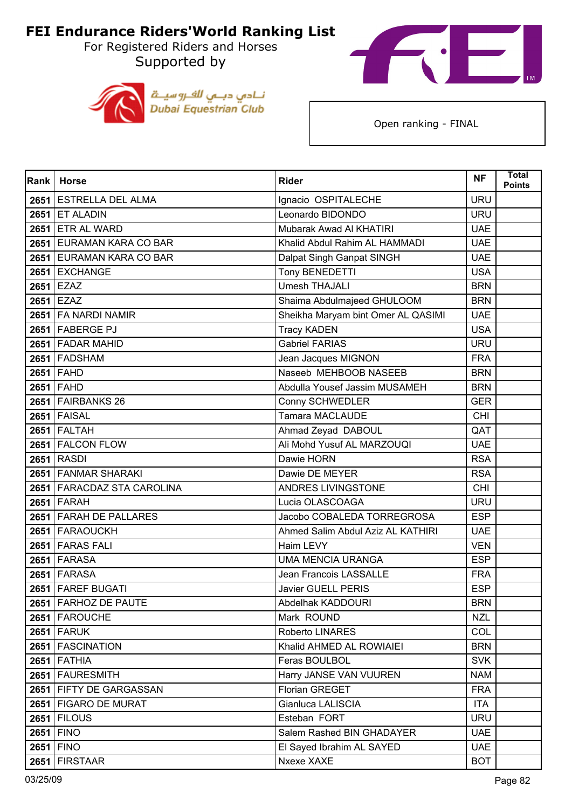For Registered Riders and Horses Supported by





| Rank | <b>Horse</b>                 | <b>Rider</b>                       | <b>NF</b>  | <b>Total</b><br><b>Points</b> |
|------|------------------------------|------------------------------------|------------|-------------------------------|
|      | 2651 ESTRELLA DEL ALMA       | Ignacio OSPITALECHE                | <b>URU</b> |                               |
|      | <b>2651 ET ALADIN</b>        | Leonardo BIDONDO                   | <b>URU</b> |                               |
|      | 2651 ETR AL WARD             | Mubarak Awad Al KHATIRI            | <b>UAE</b> |                               |
|      | 2651 EURAMAN KARA CO BAR     | Khalid Abdul Rahim AL HAMMADI      | <b>UAE</b> |                               |
|      | 2651 EURAMAN KARA CO BAR     | Dalpat Singh Ganpat SINGH          | <b>UAE</b> |                               |
|      | 2651 EXCHANGE                | Tony BENEDETTI                     | <b>USA</b> |                               |
|      | 2651 EZAZ                    | <b>Umesh THAJALI</b>               | <b>BRN</b> |                               |
|      | 2651 EZAZ                    | Shaima Abdulmajeed GHULOOM         | <b>BRN</b> |                               |
|      | 2651   FA NARDI NAMIR        | Sheikha Maryam bint Omer AL QASIMI | <b>UAE</b> |                               |
|      | 2651 FABERGE PJ              | <b>Tracy KADEN</b>                 | <b>USA</b> |                               |
|      | 2651 FADAR MAHID             | Gabriel FARIAS                     | <b>URU</b> |                               |
|      | 2651 FADSHAM                 | Jean Jacques MIGNON                | <b>FRA</b> |                               |
|      | 2651 FAHD                    | Naseeb MEHBOOB NASEEB              | <b>BRN</b> |                               |
|      | 2651 FAHD                    | Abdulla Yousef Jassim MUSAMEH      | <b>BRN</b> |                               |
|      | 2651 FAIRBANKS 26            | Conny SCHWEDLER                    | <b>GER</b> |                               |
|      | <b>2651 FAISAL</b>           | Tamara MACLAUDE                    | <b>CHI</b> |                               |
|      | $2651$ FALTAH                | Ahmad Zeyad DABOUL                 | QAT        |                               |
|      | 2651 FALCON FLOW             | Ali Mohd Yusuf AL MARZOUQI         | <b>UAE</b> |                               |
|      | <b>2651 RASDI</b>            | Dawie HORN                         | <b>RSA</b> |                               |
|      | 2651 FANMAR SHARAKI          | Dawie DE MEYER                     | <b>RSA</b> |                               |
|      | 2651   FARACDAZ STA CAROLINA | ANDRES LIVINGSTONE                 | <b>CHI</b> |                               |
|      | <b>2651 FARAH</b>            | Lucia OLASCOAGA                    | <b>URU</b> |                               |
|      | 2651 FARAH DE PALLARES       | Jacobo COBALEDA TORREGROSA         | <b>ESP</b> |                               |
|      | 2651 FARAOUCKH               | Ahmed Salim Abdul Aziz AL KATHIRI  | <b>UAE</b> |                               |
|      | 2651 FARAS FALI              | Haim LEVY                          | <b>VEN</b> |                               |
|      | <b>2651 FARASA</b>           | <b>UMA MENCIA URANGA</b>           | <b>ESP</b> |                               |
|      | <b>2651 FARASA</b>           | Jean Francois LASSALLE             | <b>FRA</b> |                               |
|      | 2651 FAREF BUGATI            | <b>Javier GUELL PERIS</b>          | <b>ESP</b> |                               |
|      | 2651 FARHOZ DE PAUTE         | Abdelhak KADDOURI                  | <b>BRN</b> |                               |
|      | 2651 FAROUCHE                | Mark ROUND                         | <b>NZL</b> |                               |
|      | <b>2651 FARUK</b>            | Roberto LINARES                    | <b>COL</b> |                               |
|      | 2651 FASCINATION             | Khalid AHMED AL ROWIAIEI           | <b>BRN</b> |                               |
|      | <b>2651 FATHIA</b>           | Feras BOULBOL                      | <b>SVK</b> |                               |
|      | 2651   FAURESMITH            | Harry JANSE VAN VUUREN             | <b>NAM</b> |                               |
|      | 2651 FIFTY DE GARGASSAN      | Florian GREGET                     | <b>FRA</b> |                               |
|      | 2651   FIGARO DE MURAT       | Gianluca LALISCIA                  | <b>ITA</b> |                               |
|      | <b>2651 FILOUS</b>           | Esteban FORT                       | <b>URU</b> |                               |
|      | 2651 FINO                    | Salem Rashed BIN GHADAYER          | <b>UAE</b> |                               |
|      | 2651 FINO                    | El Sayed Ibrahim AL SAYED          | <b>UAE</b> |                               |
|      | 2651 FIRSTAAR                | Nxexe XAXE                         | <b>BOT</b> |                               |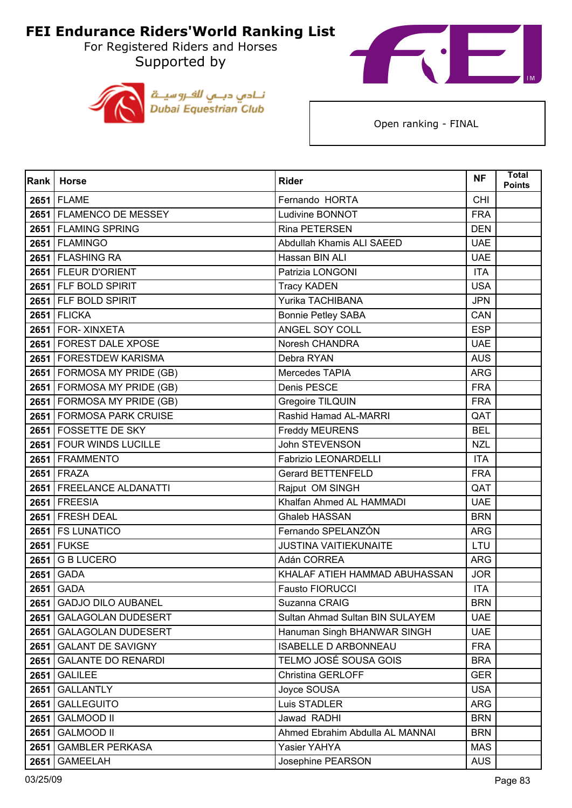For Registered Riders and Horses Supported by





| Rank | <b>Horse</b>               | <b>Rider</b>                    | <b>NF</b>  | <b>Total</b><br><b>Points</b> |
|------|----------------------------|---------------------------------|------------|-------------------------------|
|      | 2651 FLAME                 | Fernando HORTA                  | <b>CHI</b> |                               |
|      | 2651 FLAMENCO DE MESSEY    | Ludivine BONNOT                 | <b>FRA</b> |                               |
|      | 2651 FLAMING SPRING        | Rina PETERSEN                   | <b>DEN</b> |                               |
|      | 2651 FLAMINGO              | Abdullah Khamis ALI SAEED       | <b>UAE</b> |                               |
|      | 2651   FLASHING RA         | Hassan BIN ALI                  | <b>UAE</b> |                               |
|      | 2651 FLEUR D'ORIENT        | Patrizia LONGONI                | <b>ITA</b> |                               |
|      | 2651 FLF BOLD SPIRIT       | <b>Tracy KADEN</b>              | <b>USA</b> |                               |
|      | 2651 FLF BOLD SPIRIT       | Yurika TACHIBANA                | <b>JPN</b> |                               |
|      | <b>2651 FLICKA</b>         | <b>Bonnie Petley SABA</b>       | CAN        |                               |
|      | 2651   FOR-XINXETA         | ANGEL SOY COLL                  | <b>ESP</b> |                               |
|      | 2651 FOREST DALE XPOSE     | Noresh CHANDRA                  | <b>UAE</b> |                               |
|      | 2651   FORESTDEW KARISMA   | Debra RYAN                      | <b>AUS</b> |                               |
|      | 2651 FORMOSA MY PRIDE (GB) | Mercedes TAPIA                  | <b>ARG</b> |                               |
|      | 2651 FORMOSA MY PRIDE (GB) | Denis PESCE                     | <b>FRA</b> |                               |
|      | 2651 FORMOSA MY PRIDE (GB) | Gregoire TILQUIN                | <b>FRA</b> |                               |
|      | 2651 FORMOSA PARK CRUISE   | Rashid Hamad AL-MARRI           | QAT        |                               |
|      | 2651 FOSSETTE DE SKY       | Freddy MEURENS                  | <b>BEL</b> |                               |
|      | 2651 FOUR WINDS LUCILLE    | John STEVENSON                  | <b>NZL</b> |                               |
|      | 2651 FRAMMENTO             | <b>Fabrizio LEONARDELLI</b>     | <b>ITA</b> |                               |
|      | 2651 FRAZA                 | <b>Gerard BETTENFELD</b>        | <b>FRA</b> |                               |
|      | 2651   FREELANCE ALDANATTI | Rajput OM SINGH                 | QAT        |                               |
|      | 2651 FREESIA               | Khalfan Ahmed AL HAMMADI        | <b>UAE</b> |                               |
|      | 2651 FRESH DEAL            | <b>Ghaleb HASSAN</b>            | <b>BRN</b> |                               |
|      | 2651   FS LUNATICO         | Fernando SPELANZÓN              | <b>ARG</b> |                               |
|      | <b>2651 FUKSE</b>          | <b>JUSTINA VAITIEKUNAITE</b>    | LTU        |                               |
|      | 2651 G B LUCERO            | Adán CORREA                     | <b>ARG</b> |                               |
| 2651 | <b>GADA</b>                | KHALAF ATIEH HAMMAD ABUHASSAN   | <b>JOR</b> |                               |
| 2651 | <b>GADA</b>                | <b>Fausto FIORUCCI</b>          | <b>ITA</b> |                               |
|      | 2651 GADJO DILO AUBANEL    | Suzanna CRAIG                   | <b>BRN</b> |                               |
| 2651 | <b>GALAGOLAN DUDESERT</b>  | Sultan Ahmad Sultan BIN SULAYEM | <b>UAE</b> |                               |
| 2651 | <b>GALAGOLAN DUDESERT</b>  | Hanuman Singh BHANWAR SINGH     | <b>UAE</b> |                               |
| 2651 | <b>GALANT DE SAVIGNY</b>   | <b>ISABELLE D ARBONNEAU</b>     | <b>FRA</b> |                               |
| 2651 | <b>GALANTE DO RENARDI</b>  | TELMO JOSÉ SOUSA GOIS           | <b>BRA</b> |                               |
| 2651 | <b>GALILEE</b>             | Christina GERLOFF               | <b>GER</b> |                               |
| 2651 | <b>GALLANTLY</b>           | Joyce SOUSA                     | <b>USA</b> |                               |
| 2651 | <b>GALLEGUITO</b>          | Luis STADLER                    | ARG        |                               |
| 2651 | <b>GALMOOD II</b>          | Jawad RADHI                     | <b>BRN</b> |                               |
| 2651 | <b>GALMOOD II</b>          | Ahmed Ebrahim Abdulla AL MANNAI | <b>BRN</b> |                               |
| 2651 | <b>GAMBLER PERKASA</b>     | Yasier YAHYA                    | <b>MAS</b> |                               |
| 2651 | <b>GAMEELAH</b>            | Josephine PEARSON               | <b>AUS</b> |                               |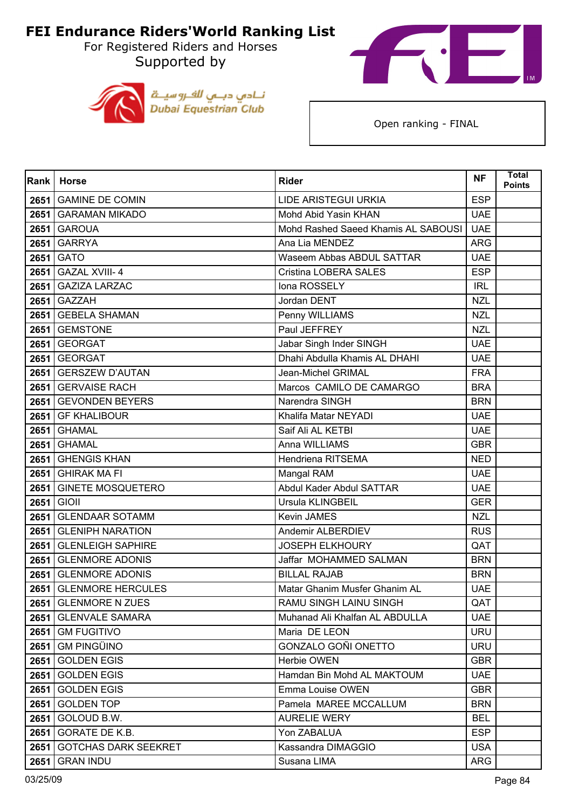For Registered Riders and Horses Supported by





|      | Rank   Horse                | <b>Rider</b>                        | <b>NF</b>  | <b>Total</b><br><b>Points</b> |
|------|-----------------------------|-------------------------------------|------------|-------------------------------|
| 2651 | <b>GAMINE DE COMIN</b>      | LIDE ARISTEGUI URKIA                | <b>ESP</b> |                               |
|      | 2651 GARAMAN MIKADO         | Mohd Abid Yasin KHAN                | <b>UAE</b> |                               |
| 2651 | <b>GAROUA</b>               | Mohd Rashed Saeed Khamis AL SABOUSI | <b>UAE</b> |                               |
| 2651 | <b>GARRYA</b>               | Ana Lia MENDEZ                      | <b>ARG</b> |                               |
| 2651 | <b>GATO</b>                 | Waseem Abbas ABDUL SATTAR           | <b>UAE</b> |                               |
| 2651 | <b>GAZAL XVIII-4</b>        | Cristina LOBERA SALES               | <b>ESP</b> |                               |
| 2651 | <b>GAZIZA LARZAC</b>        | Iona ROSSELY                        | <b>IRL</b> |                               |
| 2651 | <b>GAZZAH</b>               | Jordan DENT                         | <b>NZL</b> |                               |
| 2651 | <b>GEBELA SHAMAN</b>        | Penny WILLIAMS                      | <b>NZL</b> |                               |
| 2651 | <b>GEMSTONE</b>             | Paul JEFFREY                        | <b>NZL</b> |                               |
| 2651 | <b>GEORGAT</b>              | Jabar Singh Inder SINGH             | <b>UAE</b> |                               |
| 2651 | <b>GEORGAT</b>              | Dhahi Abdulla Khamis AL DHAHI       | <b>UAE</b> |                               |
| 2651 | <b>GERSZEW D'AUTAN</b>      | Jean-Michel GRIMAL                  | <b>FRA</b> |                               |
| 2651 | <b>GERVAISE RACH</b>        | Marcos CAMILO DE CAMARGO            | <b>BRA</b> |                               |
| 2651 | <b>GEVONDEN BEYERS</b>      | Narendra SINGH                      | <b>BRN</b> |                               |
| 2651 | <b>GF KHALIBOUR</b>         | Khalifa Matar NEYADI                | <b>UAE</b> |                               |
| 2651 | <b>GHAMAL</b>               | Saif Ali AL KETBI                   | <b>UAE</b> |                               |
|      | <b>2651 GHAMAL</b>          | Anna WILLIAMS                       | <b>GBR</b> |                               |
| 2651 | <b>GHENGIS KHAN</b>         | Hendriena RITSEMA                   | <b>NED</b> |                               |
| 2651 | <b>GHIRAK MA FI</b>         | Mangal RAM                          | <b>UAE</b> |                               |
| 2651 | <b>GINETE MOSQUETERO</b>    | Abdul Kader Abdul SATTAR            | <b>UAE</b> |                               |
| 2651 | <b>GIOII</b>                | Ursula KLINGBEIL                    | <b>GER</b> |                               |
| 2651 | <b>GLENDAAR SOTAMM</b>      | Kevin JAMES                         | <b>NZL</b> |                               |
| 2651 | <b>GLENIPH NARATION</b>     | Andemir ALBERDIEV                   | <b>RUS</b> |                               |
| 2651 | <b>GLENLEIGH SAPHIRE</b>    | <b>JOSEPH ELKHOURY</b>              | QAT        |                               |
| 2651 | <b>GLENMORE ADONIS</b>      | Jaffar MOHAMMED SALMAN              | <b>BRN</b> |                               |
| 2651 | <b>GLENMORE ADONIS</b>      | <b>BILLAL RAJAB</b>                 | <b>BRN</b> |                               |
| 2651 | <b>GLENMORE HERCULES</b>    | Matar Ghanim Musfer Ghanim AL       | <b>UAE</b> |                               |
|      | 2651 GLENMORE N ZUES        | RAMU SINGH LAINU SINGH              | QAT        |                               |
| 2651 | <b>GLENVALE SAMARA</b>      | Muhanad Ali Khalfan AL ABDULLA      | <b>UAE</b> |                               |
| 2651 | <b>GM FUGITIVO</b>          | Maria DE LEON                       | <b>URU</b> |                               |
| 2651 | <b>GM PINGÜINO</b>          | GONZALO GOÑI ONETTO                 | <b>URU</b> |                               |
| 2651 | <b>GOLDEN EGIS</b>          | Herbie OWEN                         | <b>GBR</b> |                               |
| 2651 | <b>GOLDEN EGIS</b>          | Hamdan Bin Mohd AL MAKTOUM          | <b>UAE</b> |                               |
| 2651 | <b>GOLDEN EGIS</b>          | Emma Louise OWEN                    | <b>GBR</b> |                               |
| 2651 | <b>GOLDEN TOP</b>           | Pamela MAREE MCCALLUM               | <b>BRN</b> |                               |
| 2651 | GOLOUD B.W.                 | <b>AURELIE WERY</b>                 | <b>BEL</b> |                               |
| 2651 | GORATE DE K.B.              | Yon ZABALUA                         | <b>ESP</b> |                               |
| 2651 | <b>GOTCHAS DARK SEEKRET</b> | Kassandra DIMAGGIO                  | <b>USA</b> |                               |
| 2651 | <b>GRAN INDU</b>            | Susana LIMA                         | <b>ARG</b> |                               |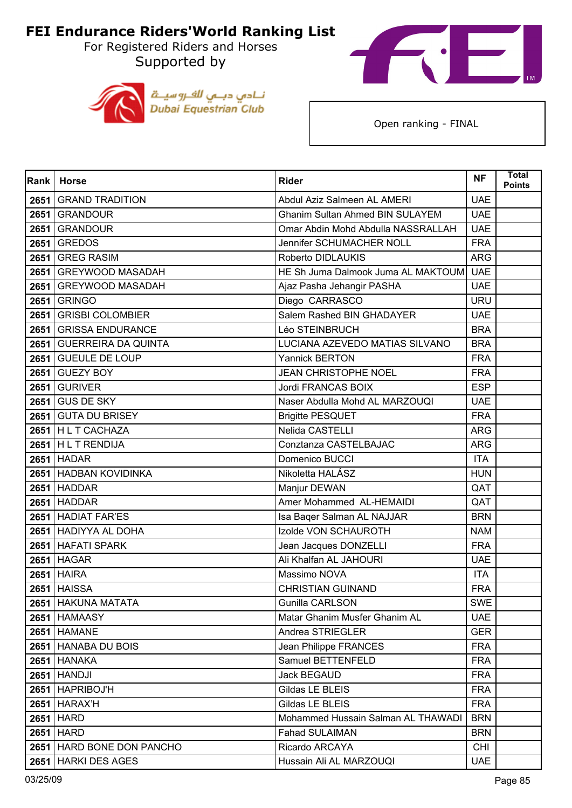For Registered Riders and Horses Supported by





| <b>Rank</b> | <b>Horse</b>                | <b>Rider</b>                           | <b>NF</b>  | <b>Total</b><br><b>Points</b> |
|-------------|-----------------------------|----------------------------------------|------------|-------------------------------|
| 2651        | <b>GRAND TRADITION</b>      | Abdul Aziz Salmeen AL AMERI            | <b>UAE</b> |                               |
| 2651        | <b>GRANDOUR</b>             | <b>Ghanim Sultan Ahmed BIN SULAYEM</b> | <b>UAE</b> |                               |
| 2651        | <b>GRANDOUR</b>             | Omar Abdin Mohd Abdulla NASSRALLAH     | <b>UAE</b> |                               |
| 2651        | <b>GREDOS</b>               | Jennifer SCHUMACHER NOLL               | <b>FRA</b> |                               |
| 2651        | <b>GREG RASIM</b>           | Roberto DIDLAUKIS                      | <b>ARG</b> |                               |
| 2651        | <b>GREYWOOD MASADAH</b>     | HE Sh Juma Dalmook Juma AL MAKTOUM     | <b>UAE</b> |                               |
| 2651        | GREYWOOD MASADAH            | Ajaz Pasha Jehangir PASHA              | <b>UAE</b> |                               |
| 2651        | <b>GRINGO</b>               | Diego CARRASCO                         | <b>URU</b> |                               |
| 2651        | <b>GRISBI COLOMBIER</b>     | Salem Rashed BIN GHADAYER              | <b>UAE</b> |                               |
| 2651        | <b>GRISSA ENDURANCE</b>     | Léo STEINBRUCH                         | <b>BRA</b> |                               |
| 2651        | <b>GUERREIRA DA QUINTA</b>  | LUCIANA AZEVEDO MATIAS SILVANO         | <b>BRA</b> |                               |
| 2651        | <b>GUEULE DE LOUP</b>       | <b>Yannick BERTON</b>                  | <b>FRA</b> |                               |
| 2651        | <b>GUEZY BOY</b>            | JEAN CHRISTOPHE NOEL                   | <b>FRA</b> |                               |
| 2651        | <b>GURIVER</b>              | Jordi FRANCAS BOIX                     | <b>ESP</b> |                               |
| 2651        | <b>GUS DE SKY</b>           | Naser Abdulla Mohd AL MARZOUQI         | <b>UAE</b> |                               |
| 2651        | <b>GUTA DU BRISEY</b>       | <b>Brigitte PESQUET</b>                | <b>FRA</b> |                               |
|             | 2651 HL T CACHAZA           | Nelida CASTELLI                        | <b>ARG</b> |                               |
|             | 2651 HL T RENDIJA           | Conztanza CASTELBAJAC                  | ARG        |                               |
|             | <b>2651 HADAR</b>           | Domenico BUCCI                         | <b>ITA</b> |                               |
|             | 2651 HADBAN KOVIDINKA       | Nikoletta HALÁSZ                       | <b>HUN</b> |                               |
|             | 2651 HADDAR                 | Manjur DEWAN                           | QAT        |                               |
|             | 2651 HADDAR                 | Amer Mohammed AL-HEMAIDI               | QAT        |                               |
| 2651        | <b>HADIAT FAR'ES</b>        | Isa Baqer Salman AL NAJJAR             | <b>BRN</b> |                               |
|             | 2651 HADIYYA AL DOHA        | Izolde VON SCHAUROTH                   | <b>NAM</b> |                               |
|             | 2651 HAFATI SPARK           | Jean Jacques DONZELLI                  | <b>FRA</b> |                               |
|             | <b>2651 HAGAR</b>           | Ali Khalfan AL JAHOURI                 | <b>UAE</b> |                               |
| 2651        | <b>HAIRA</b>                | Massimo NOVA                           | <b>ITA</b> |                               |
|             | <b>2651 HAISSA</b>          | <b>CHRISTIAN GUINAND</b>               | <b>FRA</b> |                               |
|             | 2651 HAKUNA MATATA          | Gunilla CARLSON                        | <b>SWE</b> |                               |
|             | <b>2651 HAMAASY</b>         | Matar Ghanim Musfer Ghanim AL          | <b>UAE</b> |                               |
|             | <b>2651 HAMANE</b>          | Andrea STRIEGLER                       | <b>GER</b> |                               |
|             | 2651 HANABA DU BOIS         | Jean Philippe FRANCES                  | <b>FRA</b> |                               |
|             | <b>2651 HANAKA</b>          | Samuel BETTENFELD                      | <b>FRA</b> |                               |
|             | 2651   HANDJI               | Jack BEGAUD                            | <b>FRA</b> |                               |
|             | 2651 HAPRIBOJ'H             | Gildas LE BLEIS                        | <b>FRA</b> |                               |
|             | <b>2651 HARAX'H</b>         | Gildas LE BLEIS                        | <b>FRA</b> |                               |
|             | 2651 HARD                   | Mohammed Hussain Salman AL THAWADI     | <b>BRN</b> |                               |
|             | 2651 HARD                   | <b>Fahad SULAIMAN</b>                  | <b>BRN</b> |                               |
|             | 2651   HARD BONE DON PANCHO | Ricardo ARCAYA                         | <b>CHI</b> |                               |
| 2651        | <b>HARKI DES AGES</b>       | Hussain Ali AL MARZOUQI                | <b>UAE</b> |                               |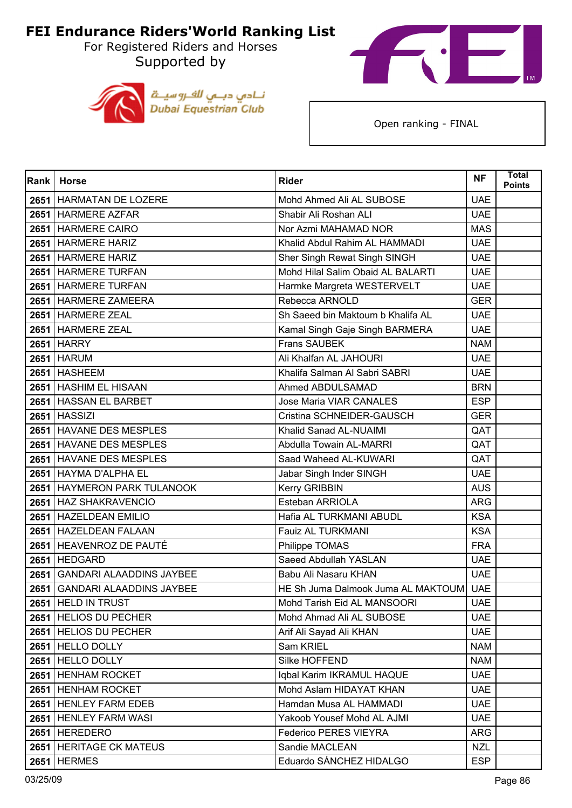For Registered Riders and Horses Supported by





| Rank | <b>Horse</b>                    | <b>Rider</b>                           | <b>NF</b>  | <b>Total</b><br><b>Points</b> |
|------|---------------------------------|----------------------------------------|------------|-------------------------------|
|      | 2651   HARMATAN DE LOZERE       | Mohd Ahmed Ali AL SUBOSE               | <b>UAE</b> |                               |
|      | 2651 HARMERE AZFAR              | Shabir Ali Roshan ALI                  | <b>UAE</b> |                               |
| 2651 | <b>HARMERE CAIRO</b>            | Nor Azmi MAHAMAD NOR                   | <b>MAS</b> |                               |
|      | 2651 HARMERE HARIZ              | Khalid Abdul Rahim AL HAMMADI          | <b>UAE</b> |                               |
|      | 2651 HARMERE HARIZ              | Sher Singh Rewat Singh SINGH           | <b>UAE</b> |                               |
|      | 2651 HARMERE TURFAN             | Mohd Hilal Salim Obaid AL BALARTI      | <b>UAE</b> |                               |
| 2651 | <b>HARMERE TURFAN</b>           | Harmke Margreta WESTERVELT             | <b>UAE</b> |                               |
|      | 2651   HARMERE ZAMEERA          | Rebecca ARNOLD                         | <b>GER</b> |                               |
|      | 2651   HARMERE ZEAL             | Sh Saeed bin Maktoum b Khalifa AL      | <b>UAE</b> |                               |
|      | 2651 HARMERE ZEAL               | Kamal Singh Gaje Singh BARMERA         | <b>UAE</b> |                               |
|      | <b>2651 HARRY</b>               | Frans SAUBEK                           | <b>NAM</b> |                               |
|      | <b>2651 HARUM</b>               | Ali Khalfan AL JAHOURI                 | <b>UAE</b> |                               |
|      | 2651 HASHEEM                    | Khalifa Salman Al Sabri SABRI          | <b>UAE</b> |                               |
|      | 2651 HASHIM EL HISAAN           | Ahmed ABDULSAMAD                       | <b>BRN</b> |                               |
|      | 2651 HASSAN EL BARBET           | Jose Maria VIAR CANALES                | <b>ESP</b> |                               |
|      | <b>2651 HASSIZI</b>             | Cristina SCHNEIDER-GAUSCH              | <b>GER</b> |                               |
|      | 2651 HAVANE DES MESPLES         | Khalid Sanad AL-NUAIMI                 | QAT        |                               |
|      | 2651 HAVANE DES MESPLES         | Abdulla Towain AL-MARRI                | QAT        |                               |
| 2651 | <b>HAVANE DES MESPLES</b>       | Saad Waheed AL-KUWARI                  | QAT        |                               |
|      | 2651 HAYMA D'ALPHA EL           | Jabar Singh Inder SINGH                | <b>UAE</b> |                               |
|      | 2651 HAYMERON PARK TULANOOK     | Kerry GRIBBIN                          | <b>AUS</b> |                               |
|      | 2651 HAZ SHAKRAVENCIO           | Esteban ARRIOLA                        | <b>ARG</b> |                               |
| 2651 | <b>HAZELDEAN EMILIO</b>         | Hafia AL TURKMANI ABUDL                | <b>KSA</b> |                               |
|      | 2651   HAZELDEAN FALAAN         | Fauiz AL TURKMANI                      | <b>KSA</b> |                               |
| 2651 | HEAVENROZ DE PAUTÉ              | Philippe TOMAS                         | <b>FRA</b> |                               |
|      | 2651 HEDGARD                    | Saeed Abdullah YASLAN                  | <b>UAE</b> |                               |
| 2651 | <b>GANDARI ALAADDINS JAYBEE</b> | Babu Ali Nasaru KHAN                   | <b>UAE</b> |                               |
| 2651 | <b>GANDARI ALAADDINS JAYBEE</b> | HE Sh Juma Dalmook Juma AL MAKTOUM UAE |            |                               |
|      | 2651 HELD IN TRUST              | Mohd Tarish Eid AL MANSOORI            | <b>UAE</b> |                               |
|      | 2651 HELIOS DU PECHER           | Mohd Ahmad Ali AL SUBOSE               | <b>UAE</b> |                               |
|      | 2651 HELIOS DU PECHER           | Arif Ali Sayad Ali KHAN                | <b>UAE</b> |                               |
|      | 2651 HELLO DOLLY                | Sam KRIEL                              | <b>NAM</b> |                               |
| 2651 | HELLO DOLLY                     | Silke HOFFEND                          | <b>NAM</b> |                               |
|      | 2651 HENHAM ROCKET              | Iqbal Karim IKRAMUL HAQUE              | <b>UAE</b> |                               |
|      | 2651   HENHAM ROCKET            | Mohd Aslam HIDAYAT KHAN                | <b>UAE</b> |                               |
|      | 2651   HENLEY FARM EDEB         | Hamdan Musa AL HAMMADI                 | <b>UAE</b> |                               |
| 2651 | <b>HENLEY FARM WASI</b>         | Yakoob Yousef Mohd AL AJMI             | <b>UAE</b> |                               |
|      | 2651 HEREDERO                   | <b>Federico PERES VIEYRA</b>           | <b>ARG</b> |                               |
|      | 2651   HERITAGE CK MATEUS       | Sandie MACLEAN                         | <b>NZL</b> |                               |
|      | <b>2651 HERMES</b>              | Eduardo SÁNCHEZ HIDALGO                | <b>ESP</b> |                               |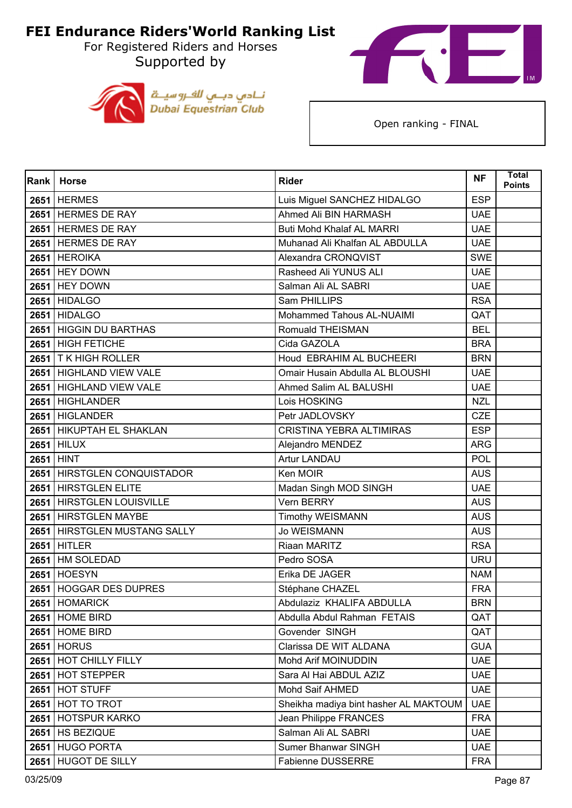For Registered Riders and Horses Supported by





| <b>Rank</b> | <b>Horse</b>                 | <b>Rider</b>                          | <b>NF</b>  | <b>Total</b><br><b>Points</b> |
|-------------|------------------------------|---------------------------------------|------------|-------------------------------|
|             | <b>2651 HERMES</b>           | Luis Miguel SANCHEZ HIDALGO           | <b>ESP</b> |                               |
|             | 2651 HERMES DE RAY           | Ahmed Ali BIN HARMASH                 | <b>UAE</b> |                               |
|             | 2651 HERMES DE RAY           | Buti Mohd Khalaf AL MARRI             | <b>UAE</b> |                               |
|             | 2651 HERMES DE RAY           | Muhanad Ali Khalfan AL ABDULLA        | <b>UAE</b> |                               |
|             | 2651 HEROIKA                 | Alexandra CRONQVIST                   | <b>SWE</b> |                               |
|             | <b>2651 HEY DOWN</b>         | Rasheed Ali YUNUS ALI                 | <b>UAE</b> |                               |
| 2651        | <b>HEY DOWN</b>              | Salman Ali AL SABRI                   | <b>UAE</b> |                               |
|             | <b>2651 HIDALGO</b>          | Sam PHILLIPS                          | <b>RSA</b> |                               |
|             | <b>2651 HIDALGO</b>          | Mohammed Tahous AL-NUAIMI             | QAT        |                               |
|             | 2651 HIGGIN DU BARTHAS       | Romuald THEISMAN                      | <b>BEL</b> |                               |
| 2651        | <b>HIGH FETICHE</b>          | Cida GAZOLA                           | <b>BRA</b> |                               |
|             | 2651   T K HIGH ROLLER       | Houd EBRAHIM AL BUCHEERI              | <b>BRN</b> |                               |
|             | 2651 HIGHLAND VIEW VALE      | Omair Husain Abdulla AL BLOUSHI       | <b>UAE</b> |                               |
|             | 2651 HIGHLAND VIEW VALE      | Ahmed Salim AL BALUSHI                | <b>UAE</b> |                               |
| 2651        | <b>HIGHLANDER</b>            | Lois HOSKING                          | <b>NZL</b> |                               |
|             | 2651 HIGLANDER               | Petr JADLOVSKY                        | CZE        |                               |
|             | 2651 HIKUPTAH EL SHAKLAN     | <b>CRISTINA YEBRA ALTIMIRAS</b>       | <b>ESP</b> |                               |
|             | <b>2651 HILUX</b>            | Alejandro MENDEZ                      | <b>ARG</b> |                               |
|             | 2651 HINT                    | <b>Artur LANDAU</b>                   | POL        |                               |
|             | 2651 HIRSTGLEN CONQUISTADOR  | Ken MOIR                              | <b>AUS</b> |                               |
|             | 2651 HIRSTGLEN ELITE         | Madan Singh MOD SINGH                 | <b>UAE</b> |                               |
|             | 2651 HIRSTGLEN LOUISVILLE    | Vern BERRY                            | <b>AUS</b> |                               |
| 2651        | <b>HIRSTGLEN MAYBE</b>       | <b>Timothy WEISMANN</b>               | <b>AUS</b> |                               |
|             | 2651 HIRSTGLEN MUSTANG SALLY | <b>Jo WEISMANN</b>                    | <b>AUS</b> |                               |
|             | <b>2651 HITLER</b>           | Riaan MARITZ                          | <b>RSA</b> |                               |
|             | 2651 HM SOLEDAD              | Pedro SOSA                            | <b>URU</b> |                               |
| 2651        | <b>HOESYN</b>                | Erika DE JAGER                        | <b>NAM</b> |                               |
|             | 2651 HOGGAR DES DUPRES       | Stéphane CHAZEL                       | <b>FRA</b> |                               |
|             | 2651 HOMARICK                | Abdulaziz KHALIFA ABDULLA             | <b>BRN</b> |                               |
|             | 2651 HOME BIRD               | Abdulla Abdul Rahman FETAIS           | QAT        |                               |
|             | <b>2651 HOME BIRD</b>        | Govender SINGH                        | QAT        |                               |
|             | <b>2651 HORUS</b>            | Clarissa DE WIT ALDANA                | <b>GUA</b> |                               |
|             | 2651 HOT CHILLY FILLY        | Mohd Arif MOINUDDIN                   | <b>UAE</b> |                               |
|             | 2651 HOT STEPPER             | Sara Al Hai ABDUL AZIZ                | <b>UAE</b> |                               |
|             | 2651 HOT STUFF               | Mohd Saif AHMED                       | <b>UAE</b> |                               |
|             | 2651 HOT TO TROT             | Sheikha madiya bint hasher AL MAKTOUM | <b>UAE</b> |                               |
| 2651        | <b>HOTSPUR KARKO</b>         | Jean Philippe FRANCES                 | <b>FRA</b> |                               |
|             | 2651   HS BEZIQUE            | Salman Ali AL SABRI                   | <b>UAE</b> |                               |
|             | 2651 HUGO PORTA              | Sumer Bhanwar SINGH                   | <b>UAE</b> |                               |
| 2651        | <b>HUGOT DE SILLY</b>        | Fabienne DUSSERRE                     | <b>FRA</b> |                               |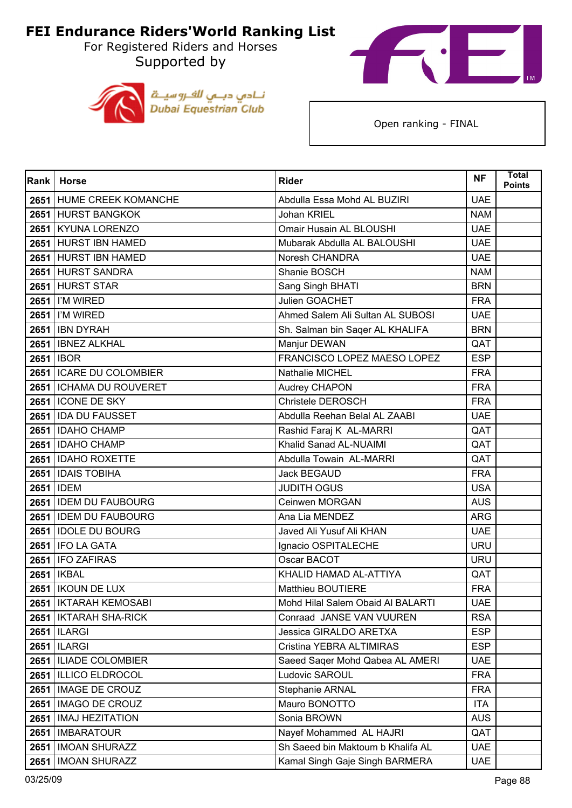For Registered Riders and Horses Supported by





| Rank | <b>Horse</b>              | <b>Rider</b>                      | <b>NF</b>  | <b>Total</b><br><b>Points</b> |
|------|---------------------------|-----------------------------------|------------|-------------------------------|
|      | 2651 HUME CREEK KOMANCHE  | Abdulla Essa Mohd AL BUZIRI       | <b>UAE</b> |                               |
|      | 2651 HURST BANGKOK        | Johan KRIEL                       | <b>NAM</b> |                               |
|      | 2651 KYUNA LORENZO        | Omair Husain AL BLOUSHI           | <b>UAE</b> |                               |
|      | 2651 HURST IBN HAMED      | Mubarak Abdulla AL BALOUSHI       | <b>UAE</b> |                               |
|      | 2651 HURST IBN HAMED      | Noresh CHANDRA                    | <b>UAE</b> |                               |
|      | 2651 HURST SANDRA         | Shanie BOSCH                      | <b>NAM</b> |                               |
|      | 2651 HURST STAR           | Sang Singh BHATI                  | <b>BRN</b> |                               |
|      | 2651   I'M WIRED          | Julien GOACHET                    | <b>FRA</b> |                               |
|      | 2651   I'M WIRED          | Ahmed Salem Ali Sultan AL SUBOSI  | <b>UAE</b> |                               |
|      | <b>2651 IBN DYRAH</b>     | Sh. Salman bin Saqer AL KHALIFA   | <b>BRN</b> |                               |
| 2651 | <b>IBNEZ ALKHAL</b>       | Manjur DEWAN                      | QAT        |                               |
|      | 2651   IBOR               | FRANCISCO LOPEZ MAESO LOPEZ       | <b>ESP</b> |                               |
|      | 2651   ICARE DU COLOMBIER | Nathalie MICHEL                   | <b>FRA</b> |                               |
|      | 2651   ICHAMA DU ROUVERET | Audrey CHAPON                     | <b>FRA</b> |                               |
|      | 2651   ICONE DE SKY       | Christele DEROSCH                 | <b>FRA</b> |                               |
|      | 2651 IDA DU FAUSSET       | Abdulla Reehan Belal AL ZAABI     | <b>UAE</b> |                               |
|      | 2651 IDAHO CHAMP          | Rashid Faraj K AL-MARRI           | QAT        |                               |
|      | 2651 IDAHO CHAMP          | Khalid Sanad AL-NUAIMI            | QAT        |                               |
|      | 2651   IDAHO ROXETTE      | Abdulla Towain AL-MARRI           | QAT        |                               |
|      | 2651   IDAIS TOBIHA       | Jack BEGAUD                       | <b>FRA</b> |                               |
|      | 2651 IDEM                 | <b>JUDITH OGUS</b>                | <b>USA</b> |                               |
|      | 2651 IDEM DU FAUBOURG     | Ceinwen MORGAN                    | <b>AUS</b> |                               |
|      | 2651 IDEM DU FAUBOURG     | Ana Lia MENDEZ                    | <b>ARG</b> |                               |
|      | 2651   IDOLE DU BOURG     | Javed Ali Yusuf Ali KHAN          | <b>UAE</b> |                               |
|      | 2651 IFO LA GATA          | Ignacio OSPITALECHE               | <b>URU</b> |                               |
|      | 2651 IFO ZAFIRAS          | Oscar BACOT                       | <b>URU</b> |                               |
| 2651 | <b>IKBAL</b>              | KHALID HAMAD AL-ATTIYA            | QAT        |                               |
|      | 2651   IKOUN DE LUX       | <b>Matthieu BOUTIERE</b>          | <b>FRA</b> |                               |
|      | 2651   IKTARAH KEMOSABI   | Mohd Hilal Salem Obaid Al BALARTI | <b>UAE</b> |                               |
|      | 2651   IKTARAH SHA-RICK   | Conraad JANSE VAN VUUREN          | <b>RSA</b> |                               |
|      | <b>2651   ILARGI</b>      | Jessica GIRALDO ARETXA            | <b>ESP</b> |                               |
|      | <b>2651   ILARGI</b>      | Cristina YEBRA ALTIMIRAS          | <b>ESP</b> |                               |
| 2651 | <b>ILIADE COLOMBIER</b>   | Saeed Sager Mohd Qabea AL AMERI   | <b>UAE</b> |                               |
|      | 2651   ILLICO ELDROCOL    | Ludovic SAROUL                    | <b>FRA</b> |                               |
|      | 2651   IMAGE DE CROUZ     | Stephanie ARNAL                   | <b>FRA</b> |                               |
|      | 2651 IMAGO DE CROUZ       | Mauro BONOTTO                     | <b>ITA</b> |                               |
| 2651 | <b>IMAJ HEZITATION</b>    | Sonia BROWN                       | <b>AUS</b> |                               |
|      | 2651   IMBARATOUR         | Nayef Mohammed AL HAJRI           | QAT        |                               |
| 2651 | <b>IMOAN SHURAZZ</b>      | Sh Saeed bin Maktoum b Khalifa AL | <b>UAE</b> |                               |
| 2651 | <b>IMOAN SHURAZZ</b>      | Kamal Singh Gaje Singh BARMERA    | <b>UAE</b> |                               |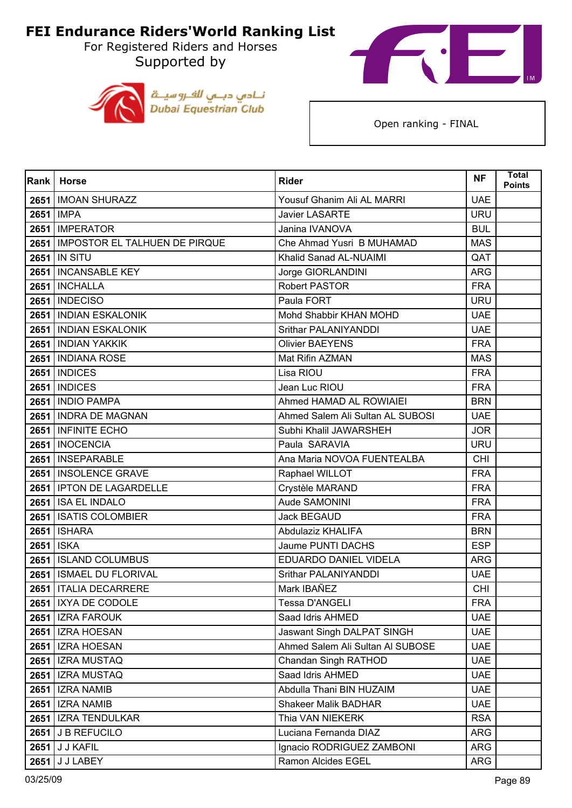For Registered Riders and Horses Supported by





| <b>Rank</b> | <b>Horse</b>                         | <b>Rider</b>                     | <b>NF</b>  | <b>Total</b><br><b>Points</b> |
|-------------|--------------------------------------|----------------------------------|------------|-------------------------------|
|             | 2651   IMOAN SHURAZZ                 | Yousuf Ghanim Ali AL MARRI       | <b>UAE</b> |                               |
|             | 2651   IMPA                          | <b>Javier LASARTE</b>            | <b>URU</b> |                               |
|             | 2651   IMPERATOR                     | Janina IVANOVA                   | <b>BUL</b> |                               |
|             | 2651   IMPOSTOR EL TALHUEN DE PIRQUE | Che Ahmad Yusri B MUHAMAD        | <b>MAS</b> |                               |
|             | 2651 IN SITU                         | Khalid Sanad AL-NUAIMI           | QAT        |                               |
|             | 2651   INCANSABLE KEY                | Jorge GIORLANDINI                | <b>ARG</b> |                               |
| 2651        | <b>INCHALLA</b>                      | <b>Robert PASTOR</b>             | <b>FRA</b> |                               |
|             | <b>2651   INDECISO</b>               | Paula FORT                       | <b>URU</b> |                               |
|             | 2651 INDIAN ESKALONIK                | Mohd Shabbir KHAN MOHD           | <b>UAE</b> |                               |
|             | 2651   INDIAN ESKALONIK              | Srithar PALANIYANDDI             | <b>UAE</b> |                               |
|             | 2651 INDIAN YAKKIK                   | <b>Olivier BAEYENS</b>           | <b>FRA</b> |                               |
|             | 2651   INDIANA ROSE                  | Mat Rifin AZMAN                  | <b>MAS</b> |                               |
|             | <b>2651   INDICES</b>                | Lisa RIOU                        | <b>FRA</b> |                               |
|             | <b>2651   INDICES</b>                | Jean Luc RIOU                    | <b>FRA</b> |                               |
| 2651        | <b>INDIO PAMPA</b>                   | Ahmed HAMAD AL ROWIAIEI          | <b>BRN</b> |                               |
|             | 2651 INDRA DE MAGNAN                 | Ahmed Salem Ali Sultan AL SUBOSI | <b>UAE</b> |                               |
|             | 2651 INFINITE ECHO                   | Subhi Khalil JAWARSHEH           | <b>JOR</b> |                               |
|             | 2651   INOCENCIA                     | Paula SARAVIA                    | <b>URU</b> |                               |
|             | 2651   INSEPARABLE                   | Ana Maria NOVOA FUENTEALBA       | <b>CHI</b> |                               |
|             | 2651   INSOLENCE GRAVE               | Raphael WILLOT                   | <b>FRA</b> |                               |
|             | 2651   IPTON DE LAGARDELLE           | Crystèle MARAND                  | <b>FRA</b> |                               |
|             | 2651   ISA EL INDALO                 | Aude SAMONINI                    | <b>FRA</b> |                               |
| 2651        | <b>ISATIS COLOMBIER</b>              | Jack BEGAUD                      | <b>FRA</b> |                               |
|             | 2651   ISHARA                        | Abdulaziz KHALIFA                | <b>BRN</b> |                               |
|             | 2651 ISKA                            | Jaume PUNTI DACHS                | <b>ESP</b> |                               |
|             | 2651 ISLAND COLUMBUS                 | EDUARDO DANIEL VIDELA            | <b>ARG</b> |                               |
|             | 2651   ISMAEL DU FLORIVAL            | Srithar PALANIYANDDI             | <b>UAE</b> |                               |
|             | 2651   ITALIA DECARRERE              | Mark IBAÑEZ                      | <b>CHI</b> |                               |
|             | 2651   IXYA DE CODOLE                | <b>Tessa D'ANGELI</b>            | <b>FRA</b> |                               |
|             | 2651   IZRA FAROUK                   | Saad Idris AHMED                 | <b>UAE</b> |                               |
|             | 2651   IZRA HOESAN                   | Jaswant Singh DALPAT SINGH       | <b>UAE</b> |                               |
|             | 2651   IZRA HOESAN                   | Ahmed Salem Ali Sultan Al SUBOSE | <b>UAE</b> |                               |
|             | 2651   IZRA MUSTAQ                   | Chandan Singh RATHOD             | <b>UAE</b> |                               |
|             | 2651   IZRA MUSTAQ                   | Saad Idris AHMED                 | <b>UAE</b> |                               |
|             | 2651   IZRA NAMIB                    | Abdulla Thani BIN HUZAIM         | <b>UAE</b> |                               |
|             | <b>2651   IZRA NAMIB</b>             | <b>Shakeer Malik BADHAR</b>      | <b>UAE</b> |                               |
|             | 2651   IZRA TENDULKAR                | Thia VAN NIEKERK                 | <b>RSA</b> |                               |
|             | 2651 J B REFUCILO                    | Luciana Fernanda DIAZ            | ARG        |                               |
|             | 2651 J J KAFIL                       | Ignacio RODRIGUEZ ZAMBONI        | <b>ARG</b> |                               |
| 2651        | J J LABEY                            | Ramon Alcides EGEL               | ARG        |                               |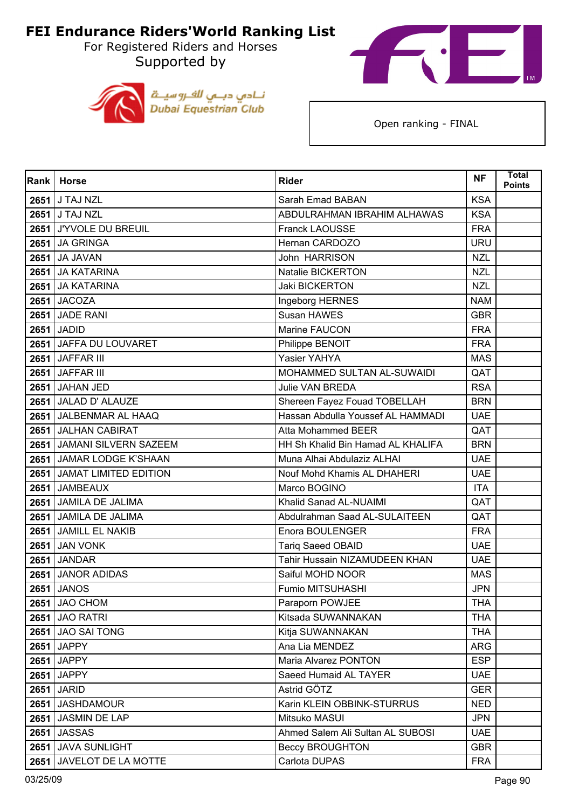For Registered Riders and Horses Supported by





| Rank | <b>Horse</b>               | <b>Rider</b>                      | <b>NF</b>  | <b>Total</b><br><b>Points</b> |
|------|----------------------------|-----------------------------------|------------|-------------------------------|
|      | 2651 J TAJ NZL             | Sarah Emad BABAN                  | <b>KSA</b> |                               |
|      | 2651 J TAJ NZL             | ABDULRAHMAN IBRAHIM ALHAWAS       | <b>KSA</b> |                               |
| 2651 | J'YVOLE DU BREUIL          | Franck LAOUSSE                    | <b>FRA</b> |                               |
|      | <b>2651 JA GRINGA</b>      | Hernan CARDOZO                    | <b>URU</b> |                               |
| 2651 | <b>JA JAVAN</b>            | John HARRISON                     | <b>NZL</b> |                               |
|      | 2651 JA KATARINA           | Natalie BICKERTON                 | <b>NZL</b> |                               |
| 2651 | <b>JA KATARINA</b>         | Jaki BICKERTON                    | <b>NZL</b> |                               |
|      | <b>2651 JACOZA</b>         | Ingeborg HERNES                   | <b>NAM</b> |                               |
|      | <b>2651 JADE RANI</b>      | Susan HAWES                       | <b>GBR</b> |                               |
|      | 2651 JADID                 | Marine FAUCON                     | <b>FRA</b> |                               |
| 2651 | JAFFA DU LOUVARET          | Philippe BENOIT                   | <b>FRA</b> |                               |
|      | 2651 JAFFAR III            | Yasier YAHYA                      | <b>MAS</b> |                               |
|      | 2651 JAFFAR III            | MOHAMMED SULTAN AL-SUWAIDI        | QAT        |                               |
| 2651 | JAHAN JED                  | <b>Julie VAN BREDA</b>            | <b>RSA</b> |                               |
| 2651 | <b>JALAD D' ALAUZE</b>     | Shereen Fayez Fouad TOBELLAH      | <b>BRN</b> |                               |
|      | 2651 JALBENMAR AL HAAQ     | Hassan Abdulla Youssef AL HAMMADI | <b>UAE</b> |                               |
|      | 2651 JALHAN CABIRAT        | <b>Atta Mohammed BEER</b>         | QAT        |                               |
|      | 2651 JAMANI SILVERN SAZEEM | HH Sh Khalid Bin Hamad AL KHALIFA | <b>BRN</b> |                               |
| 2651 | JAMAR LODGE K'SHAAN        | Muna Alhai Abdulaziz ALHAI        | <b>UAE</b> |                               |
|      | 2651 JAMAT LIMITED EDITION | Nouf Mohd Khamis AL DHAHERI       | <b>UAE</b> |                               |
|      | 2651 JAMBEAUX              | Marco BOGINO                      | <b>ITA</b> |                               |
|      | 2651 JAMILA DE JALIMA      | Khalid Sanad AL-NUAIMI            | QAT        |                               |
| 2651 | JAMILA DE JALIMA           | Abdulrahman Saad AL-SULAITEEN     | QAT        |                               |
|      | 2651 JAMILL EL NAKIB       | Enora BOULENGER                   | <b>FRA</b> |                               |
| 2651 | <b>JAN VONK</b>            | Tariq Saeed OBAID                 | <b>UAE</b> |                               |
|      | 2651 JANDAR                | Tahir Hussain NIZAMUDEEN KHAN     | <b>UAE</b> |                               |
| 2651 | <b>JANOR ADIDAS</b>        | Saiful MOHD NOOR                  | <b>MAS</b> |                               |
| 2651 | <b>JANOS</b>               | Fumio MITSUHASHI                  | <b>JPN</b> |                               |
|      | <b>2651 JAO CHOM</b>       | Paraporn POWJEE                   | <b>THA</b> |                               |
|      | <b>2651 JAO RATRI</b>      | Kitsada SUWANNAKAN                | <b>THA</b> |                               |
|      | 2651 JAO SAI TONG          | Kitja SUWANNAKAN                  | <b>THA</b> |                               |
|      | 2651 JAPPY                 | Ana Lia MENDEZ                    | <b>ARG</b> |                               |
| 2651 | <b>JAPPY</b>               | Maria Alvarez PONTON              | <b>ESP</b> |                               |
|      | 2651 JAPPY                 | Saeed Humaid AL TAYER             | <b>UAE</b> |                               |
| 2651 | <b>JARID</b>               | Astrid GÖTZ                       | <b>GER</b> |                               |
|      | 2651 JASHDAMOUR            | Karin KLEIN OBBINK-STURRUS        | <b>NED</b> |                               |
| 2651 | JASMIN DE LAP              | Mitsuko MASUI                     | <b>JPN</b> |                               |
|      | <b>2651 JASSAS</b>         | Ahmed Salem Ali Sultan AL SUBOSI  | <b>UAE</b> |                               |
| 2651 | <b>JAVA SUNLIGHT</b>       | <b>Beccy BROUGHTON</b>            | <b>GBR</b> |                               |
|      | 2651 JAVELOT DE LA MOTTE   | Carlota DUPAS                     | <b>FRA</b> |                               |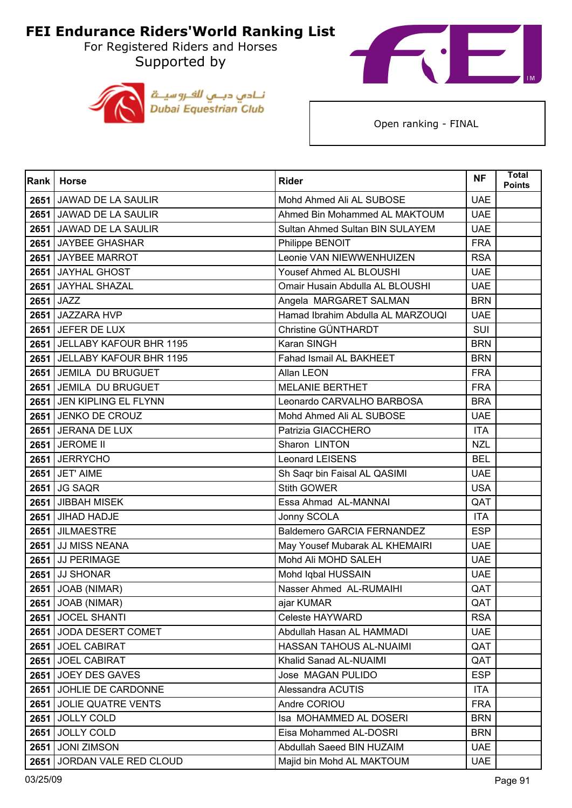For Registered Riders and Horses Supported by





| Rank | <b>Horse</b>                 | <b>Rider</b>                      | <b>NF</b>  | <b>Total</b><br><b>Points</b> |
|------|------------------------------|-----------------------------------|------------|-------------------------------|
|      | 2651 JAWAD DE LA SAULIR      | Mohd Ahmed Ali AL SUBOSE          | <b>UAE</b> |                               |
|      | 2651 JAWAD DE LA SAULIR      | Ahmed Bin Mohammed AL MAKTOUM     | <b>UAE</b> |                               |
| 2651 | JAWAD DE LA SAULIR           | Sultan Ahmed Sultan BIN SULAYEM   | <b>UAE</b> |                               |
|      | 2651 JAYBEE GHASHAR          | Philippe BENOIT                   | <b>FRA</b> |                               |
|      | 2651 JAYBEE MARROT           | Leonie VAN NIEWWENHUIZEN          | <b>RSA</b> |                               |
|      | 2651 JAYHAL GHOST            | Yousef Ahmed AL BLOUSHI           | <b>UAE</b> |                               |
| 2651 | <b>JAYHAL SHAZAL</b>         | Omair Husain Abdulla AL BLOUSHI   | <b>UAE</b> |                               |
|      | 2651 JAZZ                    | Angela MARGARET SALMAN            | <b>BRN</b> |                               |
| 2651 | JAZZARA HVP                  | Hamad Ibrahim Abdulla AL MARZOUQI | <b>UAE</b> |                               |
|      | 2651 JEFER DE LUX            | Christine GÜNTHARDT               | SUI        |                               |
| 2651 | JELLABY KAFOUR BHR 1195      | Karan SINGH                       | <b>BRN</b> |                               |
|      | 2651 JELLABY KAFOUR BHR 1195 | Fahad Ismail AL BAKHEET           | <b>BRN</b> |                               |
|      | 2651 JEMILA DU BRUGUET       | Allan LEON                        | <b>FRA</b> |                               |
|      | 2651 JEMILA DU BRUGUET       | <b>MELANIE BERTHET</b>            | <b>FRA</b> |                               |
|      | 2651 JEN KIPLING EL FLYNN    | Leonardo CARVALHO BARBOSA         | <b>BRA</b> |                               |
|      | 2651 JENKO DE CROUZ          | Mohd Ahmed Ali AL SUBOSE          | <b>UAE</b> |                               |
|      | 2651 JERANA DE LUX           | Patrizia GIACCHERO                | <b>ITA</b> |                               |
|      | <b>2651 JEROME II</b>        | Sharon LINTON                     | <b>NZL</b> |                               |
| 2651 | <b>JERRYCHO</b>              | Leonard LEISENS                   | <b>BEL</b> |                               |
|      | 2651 JET' AIME               | Sh Saqr bin Faisal AL QASIMI      | <b>UAE</b> |                               |
| 2651 | <b>JG SAQR</b>               | <b>Stith GOWER</b>                | <b>USA</b> |                               |
|      | 2651 JIBBAH MISEK            | Essa Ahmad AL-MANNAI              | QAT        |                               |
| 2651 | JIHAD HADJE                  | Jonny SCOLA                       | <b>ITA</b> |                               |
|      | 2651 JILMAESTRE              | <b>Baldemero GARCIA FERNANDEZ</b> | <b>ESP</b> |                               |
|      | 2651 JJ MISS NEANA           | May Yousef Mubarak AL KHEMAIRI    | <b>UAE</b> |                               |
|      | 2651 JJ PERIMAGE             | Mohd Ali MOHD SALEH               | <b>UAE</b> |                               |
| 2651 | <b>JJ SHONAR</b>             | Mohd Iqbal HUSSAIN                | <b>UAE</b> |                               |
|      | 2651 JOAB (NIMAR)            | Nasser Ahmed AL-RUMAIHI           | QAT        |                               |
|      | 2651 JOAB (NIMAR)            | ajar KUMAR                        | QAT        |                               |
|      | 2651 JOCEL SHANTI            | Celeste HAYWARD                   | <b>RSA</b> |                               |
|      | 2651 JODA DESERT COMET       | Abdullah Hasan AL HAMMADI         | <b>UAE</b> |                               |
|      | 2651 JOEL CABIRAT            | HASSAN TAHOUS AL-NUAIMI           | QAT        |                               |
|      | 2651 JOEL CABIRAT            | Khalid Sanad AL-NUAIMI            | QAT        |                               |
|      | 2651 JOEY DES GAVES          | Jose MAGAN PULIDO                 | <b>ESP</b> |                               |
|      | 2651 JOHLIE DE CARDONNE      | Alessandra ACUTIS                 | <b>ITA</b> |                               |
|      | 2651 JOLIE QUATRE VENTS      | Andre CORIOU                      | <b>FRA</b> |                               |
| 2651 | <b>JOLLY COLD</b>            | Isa MOHAMMED AL DOSERI            | <b>BRN</b> |                               |
|      | 2651 JOLLY COLD              | Eisa Mohammed AL-DOSRI            | <b>BRN</b> |                               |
| 2651 | <b>JONI ZIMSON</b>           | Abdullah Saeed BIN HUZAIM         | <b>UAE</b> |                               |
| 2651 | JORDAN VALE RED CLOUD        | Majid bin Mohd AL MAKTOUM         | <b>UAE</b> |                               |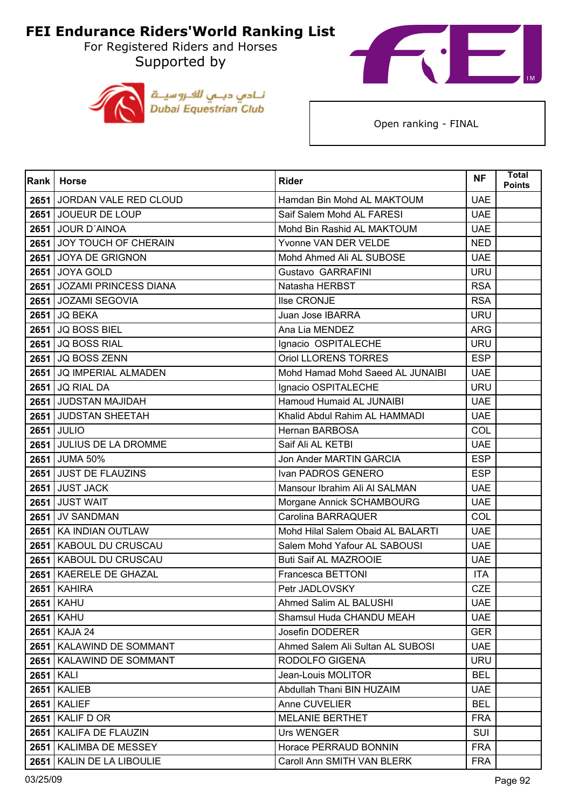For Registered Riders and Horses Supported by





| Rank <sup>I</sup> | <b>Horse</b>                 | <b>Rider</b>                      | <b>NF</b>  | <b>Total</b><br><b>Points</b> |
|-------------------|------------------------------|-----------------------------------|------------|-------------------------------|
|                   | 2651 JORDAN VALE RED CLOUD   | Hamdan Bin Mohd AL MAKTOUM        | <b>UAE</b> |                               |
|                   | 2651 JOUEUR DE LOUP          | Saif Salem Mohd AL FARESI         | <b>UAE</b> |                               |
| 2651              | <b>JOUR D'AINOA</b>          | Mohd Bin Rashid AL MAKTOUM        | <b>UAE</b> |                               |
|                   | 2651 JOY TOUCH OF CHERAIN    | Yvonne VAN DER VELDE              | <b>NED</b> |                               |
|                   | 2651 JOYA DE GRIGNON         | Mohd Ahmed Ali AL SUBOSE          | <b>UAE</b> |                               |
|                   | <b>2651 JOYA GOLD</b>        | Gustavo GARRAFINI                 | <b>URU</b> |                               |
| 2651              | <b>JOZAMI PRINCESS DIANA</b> | Natasha HERBST                    | <b>RSA</b> |                               |
|                   | 2651 JOZAMI SEGOVIA          | Ilse CRONJE                       | <b>RSA</b> |                               |
| 2651              | <b>JQ BEKA</b>               | Juan Jose IBARRA                  | <b>URU</b> |                               |
|                   | <b>2651 JQ BOSS BIEL</b>     | Ana Lia MENDEZ                    | ARG        |                               |
| 2651              | <b>JQ BOSS RIAL</b>          | Ignacio OSPITALECHE               | <b>URU</b> |                               |
|                   | 2651 JQ BOSS ZENN            | Oriol LLORENS TORRES              | <b>ESP</b> |                               |
|                   | 2651 JQ IMPERIAL ALMADEN     | Mohd Hamad Mohd Saeed AL JUNAIBI  | <b>UAE</b> |                               |
|                   | 2651 JQ RIAL DA              | Ignacio OSPITALECHE               | <b>URU</b> |                               |
|                   | 2651 JUDSTAN MAJIDAH         | Hamoud Humaid AL JUNAIBI          | <b>UAE</b> |                               |
|                   | 2651 JUDSTAN SHEETAH         | Khalid Abdul Rahim AL HAMMADI     | <b>UAE</b> |                               |
|                   | 2651 JULIO                   | <b>Hernan BARBOSA</b>             | COL        |                               |
|                   | 2651 JULIUS DE LA DROMME     | Saif Ali AL KETBI                 | <b>UAE</b> |                               |
|                   | 2651 JUMA 50%                | Jon Ander MARTIN GARCIA           | <b>ESP</b> |                               |
|                   | 2651 JUST DE FLAUZINS        | Ivan PADROS GENERO                | <b>ESP</b> |                               |
|                   | 2651 JUST JACK               | Mansour Ibrahim Ali Al SALMAN     | <b>UAE</b> |                               |
| 2651              | <b>JUST WAIT</b>             | Morgane Annick SCHAMBOURG         | <b>UAE</b> |                               |
| 2651              | <b>JV SANDMAN</b>            | Carolina BARRAQUER                | COL        |                               |
|                   | 2651   KA INDIAN OUTLAW      | Mohd Hilal Salem Obaid AL BALARTI | <b>UAE</b> |                               |
|                   | 2651 KABOUL DU CRUSCAU       | Salem Mohd Yafour AL SABOUSI      | <b>UAE</b> |                               |
|                   | 2651 KABOUL DU CRUSCAU       | <b>Buti Saif AL MAZROOIE</b>      | <b>UAE</b> |                               |
| 2651              | KAERELE DE GHAZAL            | Francesca BETTONI                 | <b>ITA</b> |                               |
| 2651              | <b>KAHIRA</b>                | Petr JADLOVSKY                    | <b>CZE</b> |                               |
|                   | <b>2651 KAHU</b>             | Ahmed Salim AL BALUSHI            | <b>UAE</b> |                               |
|                   | <b>2651 KAHU</b>             | Shamsul Huda CHANDU MEAH          | <b>UAE</b> |                               |
|                   | 2651 KAJA 24                 | Josefin DODERER                   | <b>GER</b> |                               |
|                   | 2651   KALAWIND DE SOMMANT   | Ahmed Salem Ali Sultan AL SUBOSI  | <b>UAE</b> |                               |
| 2651              | <b>KALAWIND DE SOMMANT</b>   | RODOLFO GIGENA                    | <b>URU</b> |                               |
|                   | <b>2651 KALI</b>             | Jean-Louis MOLITOR                | <b>BEL</b> |                               |
| 2651              | <b>KALIEB</b>                | Abdullah Thani BIN HUZAIM         | <b>UAE</b> |                               |
| 2651              | <b>KALIEF</b>                | Anne CUVELIER                     | <b>BEL</b> |                               |
| 2651              | KALIF D OR                   | <b>MELANIE BERTHET</b>            | <b>FRA</b> |                               |
| 2651              | <b>KALIFA DE FLAUZIN</b>     | Urs WENGER                        | <b>SUI</b> |                               |
| 2651              | <b>KALIMBA DE MESSEY</b>     | Horace PERRAUD BONNIN             | <b>FRA</b> |                               |
| 2651              | KALIN DE LA LIBOULIE         | Caroll Ann SMITH VAN BLERK        | <b>FRA</b> |                               |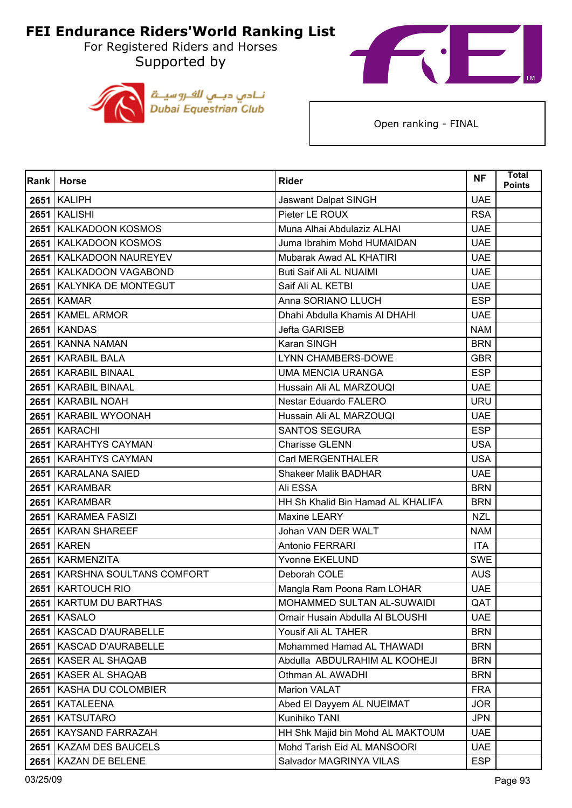For Registered Riders and Horses Supported by





| Rank | <b>Horse</b>              | <b>Rider</b>                      | <b>NF</b>  | <b>Total</b><br><b>Points</b> |
|------|---------------------------|-----------------------------------|------------|-------------------------------|
|      | <b>2651   KALIPH</b>      | Jaswant Dalpat SINGH              | <b>UAE</b> |                               |
|      | <b>2651 KALISHI</b>       | Pieter LE ROUX                    | <b>RSA</b> |                               |
| 2651 | KALKADOON KOSMOS          | Muna Alhai Abdulaziz ALHAI        | <b>UAE</b> |                               |
| 2651 | <b>KALKADOON KOSMOS</b>   | Juma Ibrahim Mohd HUMAIDAN        | <b>UAE</b> |                               |
| 2651 | <b>KALKADOON NAUREYEV</b> | Mubarak Awad AL KHATIRI           | <b>UAE</b> |                               |
|      | 2651   KALKADOON VAGABOND | <b>Buti Saif Ali AL NUAIMI</b>    | <b>UAE</b> |                               |
| 2651 | KALYNKA DE MONTEGUT       | Saif Ali AL KETBI                 | <b>UAE</b> |                               |
|      | <b>2651 KAMAR</b>         | Anna SORIANO LLUCH                | <b>ESP</b> |                               |
|      | 2651   KAMEL ARMOR        | Dhahi Abdulla Khamis Al DHAHI     | <b>UAE</b> |                               |
|      | <b>2651   KANDAS</b>      | Jefta GARISEB                     | <b>NAM</b> |                               |
| 2651 | <b>KANNA NAMAN</b>        | Karan SINGH                       | <b>BRN</b> |                               |
|      | 2651   KARABIL BALA       | <b>LYNN CHAMBERS-DOWE</b>         | <b>GBR</b> |                               |
|      | 2651   KARABIL BINAAL     | <b>UMA MENCIA URANGA</b>          | <b>ESP</b> |                               |
|      | 2651   KARABIL BINAAL     | Hussain Ali AL MARZOUQI           | <b>UAE</b> |                               |
| 2651 | <b>KARABIL NOAH</b>       | Nestar Eduardo FALERO             | <b>URU</b> |                               |
|      | 2651   KARABIL WYOONAH    | Hussain Ali AL MARZOUQI           | <b>UAE</b> |                               |
|      | 2651   KARACHI            | <b>SANTOS SEGURA</b>              | <b>ESP</b> |                               |
|      | 2651 KARAHTYS CAYMAN      | <b>Charisse GLENN</b>             | <b>USA</b> |                               |
| 2651 | <b>KARAHTYS CAYMAN</b>    | Carl MERGENTHALER                 | <b>USA</b> |                               |
|      | 2651   KARALANA SAIED     | <b>Shakeer Malik BADHAR</b>       | <b>UAE</b> |                               |
|      | 2651 KARAMBAR             | Ali ESSA                          | <b>BRN</b> |                               |
| 2651 | <b>KARAMBAR</b>           | HH Sh Khalid Bin Hamad AL KHALIFA | <b>BRN</b> |                               |
| 2651 | <b>KARAMEA FASIZI</b>     | Maxine LEARY                      | <b>NZL</b> |                               |
| 2651 | <b>KARAN SHAREEF</b>      | Johan VAN DER WALT                | <b>NAM</b> |                               |
|      | <b>2651   KAREN</b>       | Antonio FERRARI                   | <b>ITA</b> |                               |
|      | 2651   KARMENZITA         | <b>Yvonne EKELUND</b>             | <b>SWE</b> |                               |
| 2651 | KARSHNA SOULTANS COMFORT  | Deborah COLE                      | <b>AUS</b> |                               |
| 2651 | <b>KARTOUCH RIO</b>       | Mangla Ram Poona Ram LOHAR        | <b>UAE</b> |                               |
|      | 2651   KARTUM DU BARTHAS  | MOHAMMED SULTAN AL-SUWAIDI        | QAT        |                               |
|      | <b>2651 KASALO</b>        | Omair Husain Abdulla Al BLOUSHI   | <b>UAE</b> |                               |
|      | 2651   KASCAD D'AURABELLE | Yousif Ali AL TAHER               | <b>BRN</b> |                               |
|      | 2651   KASCAD D'AURABELLE | Mohammed Hamad AL THAWADI         | <b>BRN</b> |                               |
| 2651 | <b>KASER AL SHAQAB</b>    | Abdulla ABDULRAHIM AL KOOHEJI     | <b>BRN</b> |                               |
|      | 2651   KASER AL SHAQAB    | Othman AL AWADHI                  | <b>BRN</b> |                               |
|      | 2651   KASHA DU COLOMBIER | Marion VALAT                      | <b>FRA</b> |                               |
| 2651 | <b>KATALEENA</b>          | Abed El Dayyem AL NUEIMAT         | <b>JOR</b> |                               |
| 2651 | <b>KATSUTARO</b>          | Kunihiko TANI                     | <b>JPN</b> |                               |
|      | 2651   KAYSAND FARRAZAH   | HH Shk Majid bin Mohd AL MAKTOUM  | <b>UAE</b> |                               |
|      | 2651   KAZAM DES BAUCELS  | Mohd Tarish Eid AL MANSOORI       | <b>UAE</b> |                               |
| 2651 | KAZAN DE BELENE           | Salvador MAGRINYA VILAS           | <b>ESP</b> |                               |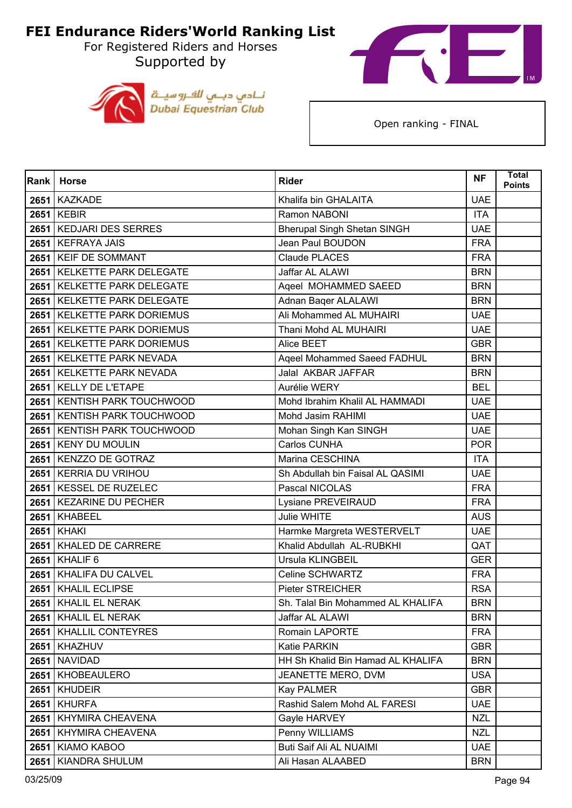For Registered Riders and Horses Supported by





| Rank | <b>Horse</b>                  | <b>Rider</b>                       | <b>NF</b>  | Total<br><b>Points</b> |
|------|-------------------------------|------------------------------------|------------|------------------------|
|      | 2651 KAZKADE                  | Khalifa bin GHALAITA               | <b>UAE</b> |                        |
|      | 2651 KEBIR                    | Ramon NABONI                       | <b>ITA</b> |                        |
| 2651 | <b>KEDJARI DES SERRES</b>     | <b>Bherupal Singh Shetan SINGH</b> | <b>UAE</b> |                        |
|      | 2651 KEFRAYA JAIS             | Jean Paul BOUDON                   | <b>FRA</b> |                        |
|      | 2651 KEIF DE SOMMANT          | Claude PLACES                      | <b>FRA</b> |                        |
|      | 2651 KELKETTE PARK DELEGATE   | Jaffar AL ALAWI                    | <b>BRN</b> |                        |
| 2651 | <b>KELKETTE PARK DELEGATE</b> | Ageel MOHAMMED SAEED               | <b>BRN</b> |                        |
|      | 2651 KELKETTE PARK DELEGATE   | Adnan Baqer ALALAWI                | <b>BRN</b> |                        |
|      | 2651 KELKETTE PARK DORIEMUS   | Ali Mohammed AL MUHAIRI            | <b>UAE</b> |                        |
|      | 2651 KELKETTE PARK DORIEMUS   | Thani Mohd AL MUHAIRI              | <b>UAE</b> |                        |
| 2651 | <b>KELKETTE PARK DORIEMUS</b> | Alice BEET                         | <b>GBR</b> |                        |
|      | 2651 KELKETTE PARK NEVADA     | Ageel Mohammed Saeed FADHUL        | <b>BRN</b> |                        |
|      | 2651 KELKETTE PARK NEVADA     | Jalal AKBAR JAFFAR                 | <b>BRN</b> |                        |
|      | 2651 KELLY DE L'ETAPE         | Aurélie WERY                       | <b>BEL</b> |                        |
| 2651 | <b>KENTISH PARK TOUCHWOOD</b> | Mohd Ibrahim Khalil AL HAMMADI     | <b>UAE</b> |                        |
|      | 2651 KENTISH PARK TOUCHWOOD   | Mohd Jasim RAHIMI                  | <b>UAE</b> |                        |
|      | 2651 KENTISH PARK TOUCHWOOD   | Mohan Singh Kan SINGH              | <b>UAE</b> |                        |
|      | 2651 KENY DU MOULIN           | Carlos CUNHA                       | <b>POR</b> |                        |
|      | 2651 KENZZO DE GOTRAZ         | Marina CESCHINA                    | <b>ITA</b> |                        |
|      | 2651   KERRIA DU VRIHOU       | Sh Abdullah bin Faisal AL QASIMI   | <b>UAE</b> |                        |
|      | 2651   KESSEL DE RUZELEC      | Pascal NICOLAS                     | <b>FRA</b> |                        |
|      | 2651 KEZARINE DU PECHER       | Lysiane PREVEIRAUD                 | <b>FRA</b> |                        |
| 2651 | <b>KHABEEL</b>                | Julie WHITE                        | <b>AUS</b> |                        |
|      | <b>2651 KHAKI</b>             | Harmke Margreta WESTERVELT         | <b>UAE</b> |                        |
|      | 2651   KHALED DE CARRERE      | Khalid Abdullah AL-RUBKHI          | QAT        |                        |
|      | 2651 KHALIF 6                 | Ursula KLINGBEIL                   | <b>GER</b> |                        |
| 2651 | <b>KHALIFA DU CALVEL</b>      | Celine SCHWARTZ                    | <b>FRA</b> |                        |
|      | 2651 KHALIL ECLIPSE           | <b>Pieter STREICHER</b>            | <b>RSA</b> |                        |
|      | 2651   KHALIL EL NERAK        | Sh. Talal Bin Mohammed AL KHALIFA  | <b>BRN</b> |                        |
|      | 2651   KHALIL EL NERAK        | Jaffar AL ALAWI                    | <b>BRN</b> |                        |
|      | 2651   KHALLIL CONTEYRES      | Romain LAPORTE                     | <b>FRA</b> |                        |
|      | 2651 KHAZHUV                  | Katie PARKIN                       | <b>GBR</b> |                        |
| 2651 | <b>NAVIDAD</b>                | HH Sh Khalid Bin Hamad AL KHALIFA  | <b>BRN</b> |                        |
|      | 2651   KHOBEAULERO            | JEANETTE MERO, DVM                 | <b>USA</b> |                        |
|      | 2651 KHUDEIR                  | Kay PALMER                         | <b>GBR</b> |                        |
| 2651 | <b>KHURFA</b>                 | Rashid Salem Mohd AL FARESI        | <b>UAE</b> |                        |
| 2651 | KHYMIRA CHEAVENA              | Gayle HARVEY                       | <b>NZL</b> |                        |
| 2651 | KHYMIRA CHEAVENA              | Penny WILLIAMS                     | <b>NZL</b> |                        |
|      | 2651 KIAMO KABOO              | Buti Saif Ali AL NUAIMI            | <b>UAE</b> |                        |
| 2651 | KIANDRA SHULUM                | Ali Hasan ALAABED                  | <b>BRN</b> |                        |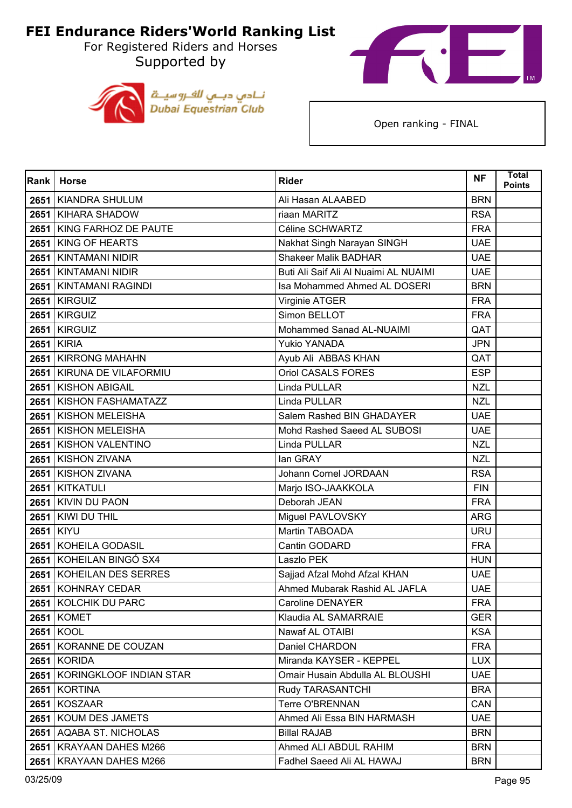For Registered Riders and Horses Supported by





| Rank | <b>Horse</b>                 | <b>Rider</b>                          | <b>NF</b>  | <b>Total</b><br><b>Points</b> |
|------|------------------------------|---------------------------------------|------------|-------------------------------|
| 2651 | <b>KIANDRA SHULUM</b>        | Ali Hasan ALAABED                     | <b>BRN</b> |                               |
| 2651 | <b>KIHARA SHADOW</b>         | riaan MARITZ                          | <b>RSA</b> |                               |
| 2651 | KING FARHOZ DE PAUTE         | Céline SCHWARTZ                       | <b>FRA</b> |                               |
| 2651 | <b>KING OF HEARTS</b>        | Nakhat Singh Narayan SINGH            | <b>UAE</b> |                               |
| 2651 | <b>KINTAMANI NIDIR</b>       | <b>Shakeer Malik BADHAR</b>           | <b>UAE</b> |                               |
|      | 2651 KINTAMANI NIDIR         | Buti Ali Saif Ali Al Nuaimi AL NUAIMI | <b>UAE</b> |                               |
| 2651 | <b>KINTAMANI RAGINDI</b>     | Isa Mohammed Ahmed AL DOSERI          | <b>BRN</b> |                               |
| 2651 | <b>KIRGUIZ</b>               | Virginie ATGER                        | <b>FRA</b> |                               |
| 2651 | <b>KIRGUIZ</b>               | Simon BELLOT                          | <b>FRA</b> |                               |
| 2651 | <b>KIRGUIZ</b>               | Mohammed Sanad AL-NUAIMI              | QAT        |                               |
| 2651 | <b>KIRIA</b>                 | <b>Yukio YANADA</b>                   | <b>JPN</b> |                               |
|      | 2651 KIRRONG MAHAHN          | Ayub Ali ABBAS KHAN                   | QAT        |                               |
| 2651 | KIRUNA DE VILAFORMIU         | <b>Oriol CASALS FORES</b>             | <b>ESP</b> |                               |
|      | 2651 KISHON ABIGAIL          | Linda PULLAR                          | <b>NZL</b> |                               |
| 2651 | KISHON FASHAMATAZZ           | Linda PULLAR                          | <b>NZL</b> |                               |
|      | 2651 KISHON MELEISHA         | Salem Rashed BIN GHADAYER             | <b>UAE</b> |                               |
| 2651 | <b>KISHON MELEISHA</b>       | Mohd Rashed Saeed AL SUBOSI           | <b>UAE</b> |                               |
|      | 2651   KISHON VALENTINO      | Linda PULLAR                          | <b>NZL</b> |                               |
| 2651 | <b>KISHON ZIVANA</b>         | lan GRAY                              | <b>NZL</b> |                               |
|      | 2651   KISHON ZIVANA         | Johann Cornel JORDAAN                 | <b>RSA</b> |                               |
| 2651 | <b>KITKATULI</b>             | Marjo ISO-JAAKKOLA                    | <b>FIN</b> |                               |
| 2651 | <b>KIVIN DU PAON</b>         | Deborah JEAN                          | <b>FRA</b> |                               |
| 2651 | KIWI DU THIL                 | Miguel PAVLOVSKY                      | <b>ARG</b> |                               |
| 2651 | <b>KIYU</b>                  | Martin TABOADA                        | <b>URU</b> |                               |
| 2651 | KOHEILA GODASIL              | Cantin GODARD                         | <b>FRA</b> |                               |
|      | 2651 KOHEILAN BINGÓ SX4      | Laszlo PEK                            | <b>HUN</b> |                               |
| 2651 | KOHEILAN DES SERRES          | Sajjad Afzal Mohd Afzal KHAN          | <b>UAE</b> |                               |
| 2651 | <b>KOHNRAY CEDAR</b>         | Ahmed Mubarak Rashid AL JAFLA         | <b>UAE</b> |                               |
|      | 2651 KOLCHIK DU PARC         | Caroline DENAYER                      | <b>FRA</b> |                               |
|      | <b>2651   KOMET</b>          | Klaudia AL SAMARRAIE                  | <b>GER</b> |                               |
|      | 2651 KOOL                    | Nawaf AL OTAIBI                       | <b>KSA</b> |                               |
|      | 2651 KORANNE DE COUZAN       | Daniel CHARDON                        | <b>FRA</b> |                               |
|      | <b>2651 KORIDA</b>           | Miranda KAYSER - KEPPEL               | <b>LUX</b> |                               |
|      | 2651 KORINGKLOOF INDIAN STAR | Omair Husain Abdulla AL BLOUSHI       | <b>UAE</b> |                               |
|      | 2651 KORTINA                 | Rudy TARASANTCHI                      | <b>BRA</b> |                               |
|      | 2651 KOSZAAR                 | Terre O'BRENNAN                       | CAN        |                               |
| 2651 | <b>KOUM DES JAMETS</b>       | Ahmed Ali Essa BIN HARMASH            | <b>UAE</b> |                               |
|      | 2651 AQABA ST. NICHOLAS      | <b>Billal RAJAB</b>                   | <b>BRN</b> |                               |
|      | 2651   KRAYAAN DAHES M266    | Ahmed ALI ABDUL RAHIM                 | <b>BRN</b> |                               |
| 2651 | <b>KRAYAAN DAHES M266</b>    | Fadhel Saeed Ali AL HAWAJ             | <b>BRN</b> |                               |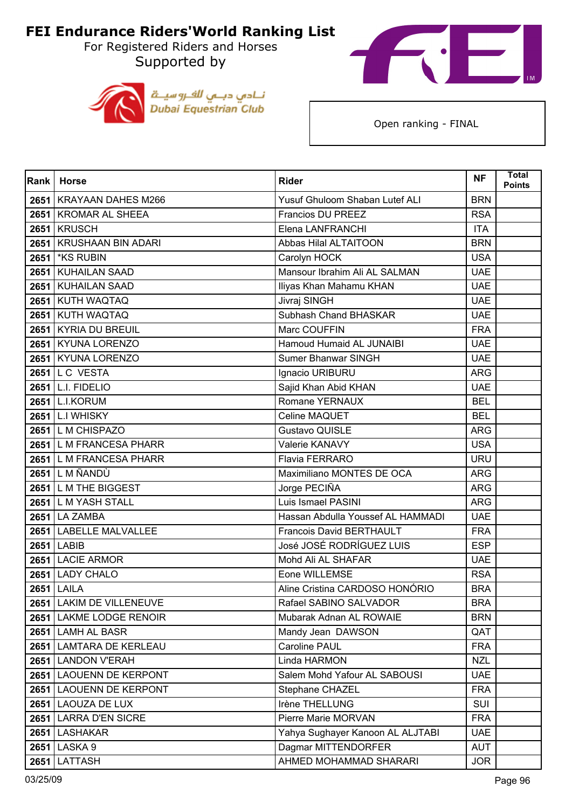For Registered Riders and Horses Supported by





| Rank | <b>Horse</b>               | <b>Rider</b>                      | <b>NF</b>  | <b>Total</b><br><b>Points</b> |
|------|----------------------------|-----------------------------------|------------|-------------------------------|
|      | 2651   KRAYAAN DAHES M266  | Yusuf Ghuloom Shaban Lutef ALI    | <b>BRN</b> |                               |
|      | 2651   KROMAR AL SHEEA     | Francios DU PREEZ                 | <b>RSA</b> |                               |
| 2651 | <b>KRUSCH</b>              | Elena LANFRANCHI                  | <b>ITA</b> |                               |
|      | 2651 KRUSHAAN BIN ADARI    | Abbas Hilal ALTAITOON             | <b>BRN</b> |                               |
| 2651 | <b>*KS RUBIN</b>           | Carolyn HOCK                      | <b>USA</b> |                               |
|      | 2651 KUHAILAN SAAD         | Mansour Ibrahim Ali AL SALMAN     | <b>UAE</b> |                               |
| 2651 | <b>KUHAILAN SAAD</b>       | Iliyas Khan Mahamu KHAN           | <b>UAE</b> |                               |
|      | 2651 KUTH WAQTAQ           | Jivraj SINGH                      | <b>UAE</b> |                               |
|      | 2651 KUTH WAQTAQ           | Subhash Chand BHASKAR             | <b>UAE</b> |                               |
|      | 2651 KYRIA DU BREUIL       | Marc COUFFIN                      | <b>FRA</b> |                               |
| 2651 | <b>KYUNA LORENZO</b>       | Hamoud Humaid AL JUNAIBI          | <b>UAE</b> |                               |
|      | 2651 KYUNA LORENZO         | Sumer Bhanwar SINGH               | <b>UAE</b> |                               |
|      | <b>2651 L C VESTA</b>      | Ignacio URIBURU                   | <b>ARG</b> |                               |
|      | 2651 L.I. FIDELIO          | Sajid Khan Abid KHAN              | <b>UAE</b> |                               |
| 2651 | <b>L.I.KORUM</b>           | Romane YERNAUX                    | <b>BEL</b> |                               |
|      | <b>2651 L.I WHISKY</b>     | Celine MAQUET                     | <b>BEL</b> |                               |
|      | 2651 L M CHISPAZO          | <b>Gustavo QUISLE</b>             | <b>ARG</b> |                               |
|      | 2651 L M FRANCESA PHARR    | Valerie KANAVY                    | <b>USA</b> |                               |
|      | 2651 L M FRANCESA PHARR    | Flavia FERRARO                    | <b>URU</b> |                               |
|      | <b>2651 L M ÑANDÙ</b>      | Maximiliano MONTES DE OCA         | <b>ARG</b> |                               |
|      | 2651 L M THE BIGGEST       | Jorge PECIÑA                      | <b>ARG</b> |                               |
|      | 2651 L M YASH STALL        | Luis Ismael PASINI                | <b>ARG</b> |                               |
| 2651 | <b>LA ZAMBA</b>            | Hassan Abdulla Youssef AL HAMMADI | <b>UAE</b> |                               |
|      | 2651 LABELLE MALVALLEE     | Francois David BERTHAULT          | <b>FRA</b> |                               |
|      | 2651 LABIB                 | José JOSÉ RODRÍGUEZ LUIS          | <b>ESP</b> |                               |
|      | 2651 LACIE ARMOR           | Mohd Ali AL SHAFAR                | <b>UAE</b> |                               |
| 2651 | <b>LADY CHALO</b>          | Eone WILLEMSE                     | <b>RSA</b> |                               |
| 2651 | <b>LAILA</b>               | Aline Cristina CARDOSO HONÓRIO    | <b>BRA</b> |                               |
|      | 2651   LAKIM DE VILLENEUVE | Rafael SABINO SALVADOR            | <b>BRA</b> |                               |
|      | 2651 LAKME LODGE RENOIR    | Mubarak Adnan AL ROWAIE           | <b>BRN</b> |                               |
|      | 2651 LAMH AL BASR          | Mandy Jean DAWSON                 | QAT        |                               |
|      | 2651 LAMTARA DE KERLEAU    | Caroline PAUL                     | <b>FRA</b> |                               |
| 2651 | <b>LANDON V'ERAH</b>       | Linda HARMON                      | <b>NZL</b> |                               |
|      | 2651 LAOUENN DE KERPONT    | Salem Mohd Yafour AL SABOUSI      | <b>UAE</b> |                               |
| 2651 | <b>LAOUENN DE KERPONT</b>  | Stephane CHAZEL                   | <b>FRA</b> |                               |
|      | 2651 LAOUZA DE LUX         | Irène THELLUNG                    | SUI        |                               |
| 2651 | <b>LARRA D'EN SICRE</b>    | Pierre Marie MORVAN               | <b>FRA</b> |                               |
|      | 2651 LASHAKAR              | Yahya Sughayer Kanoon AL ALJTABI  | <b>UAE</b> |                               |
| 2651 | LASKA 9                    | Dagmar MITTENDORFER               | <b>AUT</b> |                               |
| 2651 | LATTASH                    | AHMED MOHAMMAD SHARARI            | <b>JOR</b> |                               |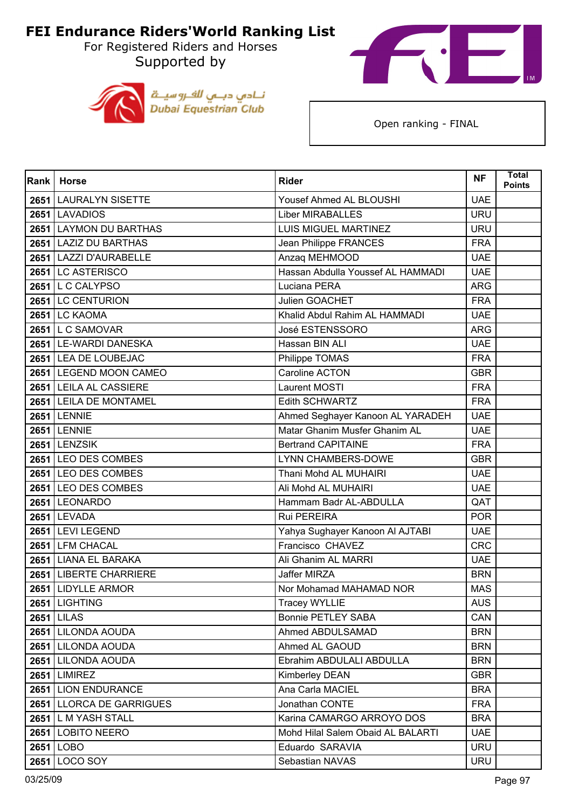For Registered Riders and Horses Supported by





| Rank | <b>Horse</b>             | <b>Rider</b>                      | <b>NF</b>  | <b>Total</b><br><b>Points</b> |
|------|--------------------------|-----------------------------------|------------|-------------------------------|
|      | 2651 LAURALYN SISETTE    | Yousef Ahmed AL BLOUSHI           | <b>UAE</b> |                               |
|      | 2651 LAVADIOS            | <b>Liber MIRABALLES</b>           | <b>URU</b> |                               |
| 2651 | <b>LAYMON DU BARTHAS</b> | <b>LUIS MIGUEL MARTINEZ</b>       | <b>URU</b> |                               |
|      | 2651 LAZIZ DU BARTHAS    | Jean Philippe FRANCES             | <b>FRA</b> |                               |
|      | 2651 LAZZI D'AURABELLE   | Anzaq MEHMOOD                     | <b>UAE</b> |                               |
|      | 2651 LC ASTERISCO        | Hassan Abdulla Youssef AL HAMMADI | <b>UAE</b> |                               |
|      | 2651 L C CALYPSO         | Luciana PERA                      | <b>ARG</b> |                               |
|      | 2651 LC CENTURION        | Julien GOACHET                    | <b>FRA</b> |                               |
|      | <b>2651 LC KAOMA</b>     | Khalid Abdul Rahim AL HAMMADI     | <b>UAE</b> |                               |
|      | 2651 L C SAMOVAR         | José ESTENSSORO                   | <b>ARG</b> |                               |
|      | 2651 LE-WARDI DANESKA    | Hassan BIN ALI                    | <b>UAE</b> |                               |
|      | 2651 LEA DE LOUBEJAC     | Philippe TOMAS                    | <b>FRA</b> |                               |
|      | 2651 LEGEND MOON CAMEO   | Caroline ACTON                    | <b>GBR</b> |                               |
|      | 2651 LEILA AL CASSIERE   | Laurent MOSTI                     | <b>FRA</b> |                               |
|      | 2651 LEILA DE MONTAMEL   | <b>Edith SCHWARTZ</b>             | <b>FRA</b> |                               |
|      | <b>2651 LENNIE</b>       | Ahmed Seghayer Kanoon AL YARADEH  | <b>UAE</b> |                               |
|      | <b>2651 LENNIE</b>       | Matar Ghanim Musfer Ghanim AL     | <b>UAE</b> |                               |
|      | 2651 LENZSIK             | <b>Bertrand CAPITAINE</b>         | <b>FRA</b> |                               |
|      | 2651 LEO DES COMBES      | <b>LYNN CHAMBERS-DOWE</b>         | <b>GBR</b> |                               |
|      | 2651 LEO DES COMBES      | Thani Mohd AL MUHAIRI             | <b>UAE</b> |                               |
|      | 2651 LEO DES COMBES      | Ali Mohd AL MUHAIRI               | <b>UAE</b> |                               |
|      | 2651 LEONARDO            | Hammam Badr AL-ABDULLA            | QAT        |                               |
|      | 2651 LEVADA              | Rui PEREIRA                       | <b>POR</b> |                               |
|      | 2651 LEVI LEGEND         | Yahya Sughayer Kanoon Al AJTABI   | <b>UAE</b> |                               |
|      | 2651 LFM CHACAL          | Francisco CHAVEZ                  | <b>CRC</b> |                               |
|      | 2651 LIANA EL BARAKA     | Ali Ghanim AL MARRI               | <b>UAE</b> |                               |
| 2651 | <b>LIBERTE CHARRIERE</b> | Jaffer MIRZA                      | <b>BRN</b> |                               |
|      | 2651 LIDYLLE ARMOR       | Nor Mohamad MAHAMAD NOR           | <b>MAS</b> |                               |
|      | 2651 LIGHTING            | <b>Tracey WYLLIE</b>              | <b>AUS</b> |                               |
|      | <b>2651 LILAS</b>        | <b>Bonnie PETLEY SABA</b>         | CAN        |                               |
|      | 2651 LILONDA AOUDA       | Ahmed ABDULSAMAD                  | <b>BRN</b> |                               |
|      | 2651 LILONDA AOUDA       | Ahmed AL GAOUD                    | <b>BRN</b> |                               |
|      | 2651 LILONDA AOUDA       | Ebrahim ABDULALI ABDULLA          | <b>BRN</b> |                               |
|      | <b>2651 LIMIREZ</b>      | Kimberley DEAN                    | <b>GBR</b> |                               |
|      | 2651 LION ENDURANCE      | Ana Carla MACIEL                  | <b>BRA</b> |                               |
|      | 2651 LLORCA DE GARRIGUES | Jonathan CONTE                    | <b>FRA</b> |                               |
|      | 2651 L M YASH STALL      | Karina CAMARGO ARROYO DOS         | <b>BRA</b> |                               |
|      | 2651 LOBITO NEERO        | Mohd Hilal Salem Obaid AL BALARTI | <b>UAE</b> |                               |
|      | 2651 LOBO                | Eduardo SARAVIA                   | <b>URU</b> |                               |
|      | 2651 LOCO SOY            | Sebastian NAVAS                   | <b>URU</b> |                               |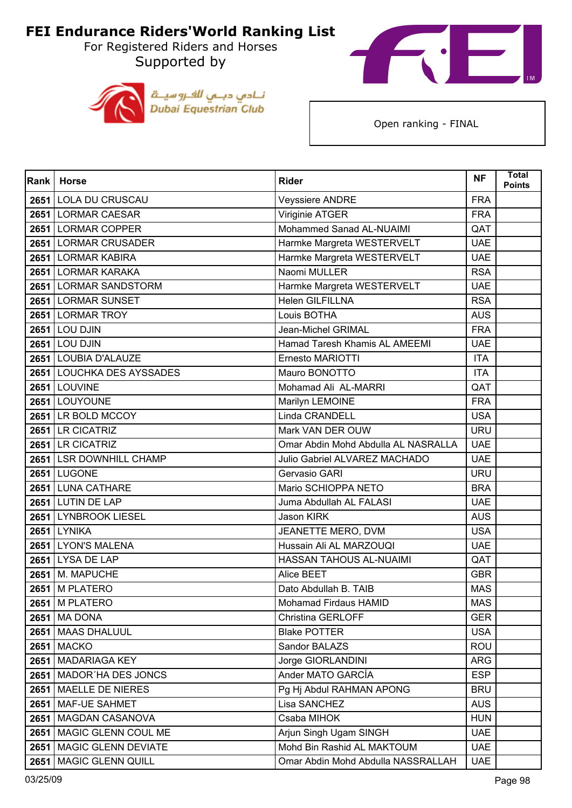For Registered Riders and Horses Supported by





| Rank | <b>Horse</b>               | <b>Rider</b>                        | <b>NF</b>  | <b>Total</b><br><b>Points</b> |
|------|----------------------------|-------------------------------------|------------|-------------------------------|
|      | 2651 LOLA DU CRUSCAU       | <b>Veyssiere ANDRE</b>              | <b>FRA</b> |                               |
|      | 2651 LORMAR CAESAR         | Viriginie ATGER                     | <b>FRA</b> |                               |
|      | 2651 LORMAR COPPER         | Mohammed Sanad AL-NUAIMI            | QAT        |                               |
|      | 2651 LORMAR CRUSADER       | Harmke Margreta WESTERVELT          | <b>UAE</b> |                               |
|      | 2651 LORMAR KABIRA         | Harmke Margreta WESTERVELT          | <b>UAE</b> |                               |
|      | 2651 LORMAR KARAKA         | Naomi MULLER                        | <b>RSA</b> |                               |
|      | 2651 LORMAR SANDSTORM      | Harmke Margreta WESTERVELT          | <b>UAE</b> |                               |
|      | 2651 LORMAR SUNSET         | Helen GILFILLNA                     | <b>RSA</b> |                               |
|      | 2651 LORMAR TROY           | Louis BOTHA                         | <b>AUS</b> |                               |
|      | <b>2651 LOU DJIN</b>       | Jean-Michel GRIMAL                  | <b>FRA</b> |                               |
|      | <b>2651 LOU DJIN</b>       | Hamad Taresh Khamis AL AMEEMI       | <b>UAE</b> |                               |
|      | 2651 LOUBIA D'ALAUZE       | Ernesto MARIOTTI                    | <b>ITA</b> |                               |
|      | 2651 LOUCHKA DES AYSSADES  | Mauro BONOTTO                       | <b>ITA</b> |                               |
|      | <b>2651 LOUVINE</b>        | Mohamad Ali AL-MARRI                | QAT        |                               |
|      | 2651 LOUYOUNE              | Marilyn LEMOINE                     | <b>FRA</b> |                               |
|      | 2651 LR BOLD MCCOY         | Linda CRANDELL                      | <b>USA</b> |                               |
|      | 2651 LR CICATRIZ           | Mark VAN DER OUW                    | <b>URU</b> |                               |
|      | 2651 LR CICATRIZ           | Omar Abdin Mohd Abdulla AL NASRALLA | <b>UAE</b> |                               |
|      | 2651 LSR DOWNHILL CHAMP    | Julio Gabriel ALVAREZ MACHADO       | <b>UAE</b> |                               |
|      | <b>2651 LUGONE</b>         | Gervasio GARI                       | <b>URU</b> |                               |
|      | 2651 LUNA CATHARE          | Mario SCHIOPPA NETO                 | <b>BRA</b> |                               |
|      | 2651 LUTIN DE LAP          | Juma Abdullah AL FALASI             | <b>UAE</b> |                               |
| 2651 | <b>LYNBROOK LIESEL</b>     | Jason KIRK                          | <b>AUS</b> |                               |
|      | <b>2651 LYNIKA</b>         | JEANETTE MERO, DVM                  | <b>USA</b> |                               |
|      | 2651 LYON'S MALENA         | Hussain Ali AL MARZOUQI             | <b>UAE</b> |                               |
|      | 2651 LYSA DE LAP           | HASSAN TAHOUS AL-NUAIMI             | QAT        |                               |
| 2651 | M. MAPUCHE                 | Alice BEET                          | <b>GBR</b> |                               |
|      | 2651 M PLATERO             | Dato Abdullah B. TAIB               | <b>MAS</b> |                               |
|      | 2651   M PLATERO           | Mohamad Firdaus HAMID               | <b>MAS</b> |                               |
|      | <b>2651</b> MA DONA        | Christina GERLOFF                   | <b>GER</b> |                               |
|      | 2651   MAAS DHALUUL        | <b>Blake POTTER</b>                 | <b>USA</b> |                               |
|      | <b>2651 MACKO</b>          | Sandor BALAZS                       | <b>ROU</b> |                               |
| 2651 | <b>MADARIAGA KEY</b>       | Jorge GIORLANDINI                   | <b>ARG</b> |                               |
|      | 2651   MADOR'HA DES JONCS  | Ander MATO GARCÍA                   | <b>ESP</b> |                               |
|      | 2651   MAELLE DE NIERES    | Pg Hj Abdul RAHMAN APONG            | <b>BRU</b> |                               |
|      | 2651   MAF-UE SAHMET       | Lisa SANCHEZ                        | <b>AUS</b> |                               |
| 2651 | MAGDAN CASANOVA            | Csaba MIHOK                         | <b>HUN</b> |                               |
|      | 2651   MAGIC GLENN COUL ME | Arjun Singh Ugam SINGH              | <b>UAE</b> |                               |
|      | 2651   MAGIC GLENN DEVIATE | Mohd Bin Rashid AL MAKTOUM          | <b>UAE</b> |                               |
| 2651 | MAGIC GLENN QUILL          | Omar Abdin Mohd Abdulla NASSRALLAH  | <b>UAE</b> |                               |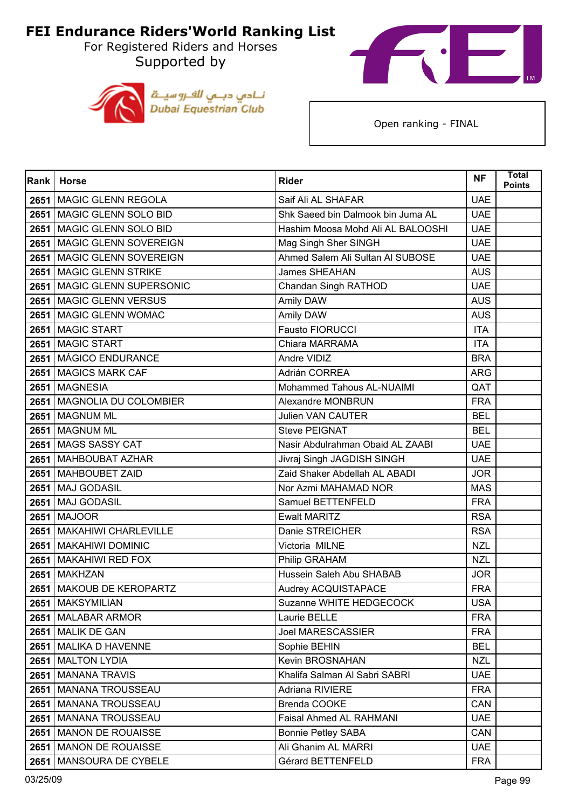For Registered Riders and Horses Supported by





| Rank | <b>Horse</b>                | <b>Rider</b>                      | <b>NF</b>  | <b>Total</b><br><b>Points</b> |
|------|-----------------------------|-----------------------------------|------------|-------------------------------|
| 2651 | <b>MAGIC GLENN REGOLA</b>   | Saif Ali AL SHAFAR                | <b>UAE</b> |                               |
|      | 2651 MAGIC GLENN SOLO BID   | Shk Saeed bin Dalmook bin Juma AL | <b>UAE</b> |                               |
| 2651 | MAGIC GLENN SOLO BID        | Hashim Moosa Mohd Ali AL BALOOSHI | <b>UAE</b> |                               |
| 2651 | MAGIC GLENN SOVEREIGN       | Mag Singh Sher SINGH              | <b>UAE</b> |                               |
| 2651 | MAGIC GLENN SOVEREIGN       | Ahmed Salem Ali Sultan Al SUBOSE  | <b>UAE</b> |                               |
|      | 2651   MAGIC GLENN STRIKE   | <b>James SHEAHAN</b>              | <b>AUS</b> |                               |
| 2651 | MAGIC GLENN SUPERSONIC      | Chandan Singh RATHOD              | <b>UAE</b> |                               |
|      | 2651 MAGIC GLENN VERSUS     | Amily DAW                         | <b>AUS</b> |                               |
| 2651 | MAGIC GLENN WOMAC           | Amily DAW                         | <b>AUS</b> |                               |
|      | 2651   MAGIC START          | Fausto FIORUCCI                   | <b>ITA</b> |                               |
| 2651 | <b>MAGIC START</b>          | Chiara MARRAMA                    | <b>ITA</b> |                               |
|      | 2651   MÁGICO ENDURANCE     | Andre VIDIZ                       | <b>BRA</b> |                               |
| 2651 | <b>MAGICS MARK CAF</b>      | Adrián CORREA                     | <b>ARG</b> |                               |
|      | 2651 MAGNESIA               | Mohammed Tahous AL-NUAIMI         | QAT        |                               |
| 2651 | MAGNOLIA DU COLOMBIER       | <b>Alexandre MONBRUN</b>          | <b>FRA</b> |                               |
|      | 2651 MAGNUM ML              | <b>Julien VAN CAUTER</b>          | <b>BEL</b> |                               |
| 2651 | <b>MAGNUM ML</b>            | <b>Steve PEIGNAT</b>              | <b>BEL</b> |                               |
|      | 2651 MAGS SASSY CAT         | Nasir Abdulrahman Obaid AL ZAABI  | <b>UAE</b> |                               |
| 2651 | MAHBOUBAT AZHAR             | Jivraj Singh JAGDISH SINGH        | <b>UAE</b> |                               |
|      | 2651   MAHBOUBET ZAID       | Zaid Shaker Abdellah AL ABADI     | <b>JOR</b> |                               |
| 2651 | <b>MAJ GODASIL</b>          | Nor Azmi MAHAMAD NOR              | <b>MAS</b> |                               |
| 2651 | <b>MAJ GODASIL</b>          | Samuel BETTENFELD                 | <b>FRA</b> |                               |
| 2651 | <b>MAJOOR</b>               | <b>Ewalt MARITZ</b>               | <b>RSA</b> |                               |
|      | 2651   MAKAHIWI CHARLEVILLE | Danie STREICHER                   | <b>RSA</b> |                               |
| 2651 | <b>MAKAHIWI DOMINIC</b>     | Victoria MILNE                    | <b>NZL</b> |                               |
| 2651 | MAKAHIWI RED FOX            | Philip GRAHAM                     | <b>NZL</b> |                               |
| 2651 | <b>MAKHZAN</b>              | Hussein Saleh Abu SHABAB          | <b>JOR</b> |                               |
| 2651 | MAKOUB DE KEROPARTZ         | Audrey ACQUISTAPACE               | <b>FRA</b> |                               |
|      | 2651   MAKSYMILIAN          | Suzanne WHITE HEDGECOCK           | USA        |                               |
| 2651 | <b>MALABAR ARMOR</b>        | Laurie BELLE                      | <b>FRA</b> |                               |
| 2651 | <b>MALIK DE GAN</b>         | <b>Joel MARESCASSIER</b>          | <b>FRA</b> |                               |
|      | 2651   MALIKA D HAVENNE     | Sophie BEHIN                      | <b>BEL</b> |                               |
| 2651 | <b>MALTON LYDIA</b>         | Kevin BROSNAHAN                   | <b>NZL</b> |                               |
| 2651 | <b>MANANA TRAVIS</b>        | Khalifa Salman Al Sabri SABRI     | <b>UAE</b> |                               |
| 2651 | <b>MANANA TROUSSEAU</b>     | <b>Adriana RIVIERE</b>            | <b>FRA</b> |                               |
|      | 2651   MANANA TROUSSEAU     | Brenda COOKE                      | CAN        |                               |
| 2651 | <b>MANANA TROUSSEAU</b>     | <b>Faisal Ahmed AL RAHMANI</b>    | <b>UAE</b> |                               |
| 2651 | <b>MANON DE ROUAISSE</b>    | <b>Bonnie Petley SABA</b>         | CAN        |                               |
| 2651 | <b>MANON DE ROUAISSE</b>    | Ali Ghanim AL MARRI               | <b>UAE</b> |                               |
| 2651 | MANSOURA DE CYBELE          | Gérard BETTENFELD                 | <b>FRA</b> |                               |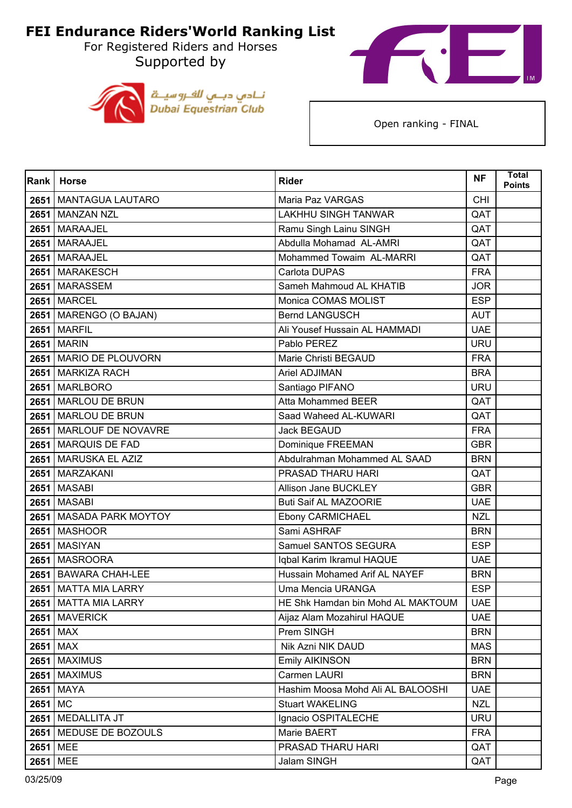For Registered Riders and Horses Supported by





| Rank    | <b>Horse</b>              | <b>Rider</b>                         | <b>NF</b>  | <b>Total</b><br><b>Points</b> |
|---------|---------------------------|--------------------------------------|------------|-------------------------------|
|         | 2651   MANTAGUA LAUTARO   | Maria Paz VARGAS                     | <b>CHI</b> |                               |
|         | 2651 MANZAN NZL           | <b>LAKHHU SINGH TANWAR</b>           | QAT        |                               |
| 2651    | <b>MARAAJEL</b>           | Ramu Singh Lainu SINGH               | QAT        |                               |
|         | 2651 MARAAJEL             | Abdulla Mohamad AL-AMRI              | QAT        |                               |
|         | 2651   MARAAJEL           | Mohammed Towaim AL-MARRI             | QAT        |                               |
|         | 2651 MARAKESCH            | Carlota DUPAS                        | <b>FRA</b> |                               |
|         | 2651 MARASSEM             | Sameh Mahmoud AL KHATIB              | <b>JOR</b> |                               |
|         | <b>2651   MARCEL</b>      | Monica COMAS MOLIST                  | <b>ESP</b> |                               |
|         | 2651   MARENGO (O BAJAN)  | <b>Bernd LANGUSCH</b>                | <b>AUT</b> |                               |
|         | <b>2651   MARFIL</b>      | Ali Yousef Hussain AL HAMMADI        | <b>UAE</b> |                               |
|         | <b>2651   MARIN</b>       | Pablo PEREZ                          | <b>URU</b> |                               |
|         | 2651 MARIO DE PLOUVORN    | Marie Christi BEGAUD                 | <b>FRA</b> |                               |
|         | 2651 MARKIZA RACH         | Ariel ADJIMAN                        | <b>BRA</b> |                               |
|         | 2651 MARLBORO             | Santiago PIFANO                      | <b>URU</b> |                               |
|         | 2651   MARLOU DE BRUN     | Atta Mohammed BEER                   | QAT        |                               |
|         | 2651 MARLOU DE BRUN       | Saad Waheed AL-KUWARI                | QAT        |                               |
|         | 2651 MARLOUF DE NOVAVRE   | Jack BEGAUD                          | <b>FRA</b> |                               |
|         | 2651 MARQUIS DE FAD       | Dominique FREEMAN                    | <b>GBR</b> |                               |
|         | 2651   MARUSKA EL AZIZ    | Abdulrahman Mohammed AL SAAD         | <b>BRN</b> |                               |
|         | 2651   MARZAKANI          | PRASAD THARU HARI                    | QAT        |                               |
|         | 2651   MASABI             | Allison Jane BUCKLEY                 | <b>GBR</b> |                               |
|         | 2651   MASABI             | <b>Buti Saif AL MAZOORIE</b>         | <b>UAE</b> |                               |
| 2651    | <b>MASADA PARK MOYTOY</b> | Ebony CARMICHAEL                     | <b>NZL</b> |                               |
|         | <b>2651 MASHOOR</b>       | Sami ASHRAF                          | <b>BRN</b> |                               |
|         | <b>2651 MASIYAN</b>       | Samuel SANTOS SEGURA                 | <b>ESP</b> |                               |
|         | 2651 MASROORA             | Iqbal Karim Ikramul HAQUE            | <b>UAE</b> |                               |
| 2651    | <b>BAWARA CHAH-LEE</b>    | <b>Hussain Mohamed Arif AL NAYEF</b> | <b>BRN</b> |                               |
|         | 2651 MATTA MIA LARRY      | Uma Mencia URANGA                    | <b>ESP</b> |                               |
|         | 2651   MATTA MIA LARRY    | HE Shk Hamdan bin Mohd AL MAKTOUM    | <b>UAE</b> |                               |
|         | 2651 MAVERICK             | Aijaz Alam Mozahirul HAQUE           | <b>UAE</b> |                               |
|         | 2651 MAX                  | Prem SINGH                           | <b>BRN</b> |                               |
|         | $2651$ MAX                | Nik Azni NIK DAUD                    | <b>MAS</b> |                               |
| 2651    | <b>MAXIMUS</b>            | <b>Emily AIKINSON</b>                | <b>BRN</b> |                               |
|         | 2651 MAXIMUS              | Carmen LAURI                         | <b>BRN</b> |                               |
|         | 2651 MAYA                 | Hashim Moosa Mohd Ali AL BALOOSHI    | <b>UAE</b> |                               |
| 2651 MC |                           | <b>Stuart WAKELING</b>               | <b>NZL</b> |                               |
| 2651    | MEDALLITA JT              | Ignacio OSPITALECHE                  | <b>URU</b> |                               |
|         | 2651   MEDUSE DE BOZOULS  | Marie BAERT                          | <b>FRA</b> |                               |
|         | 2651 MEE                  | PRASAD THARU HARI                    | QAT        |                               |
|         | 2651 MEE                  | Jalam SINGH                          | QAT        |                               |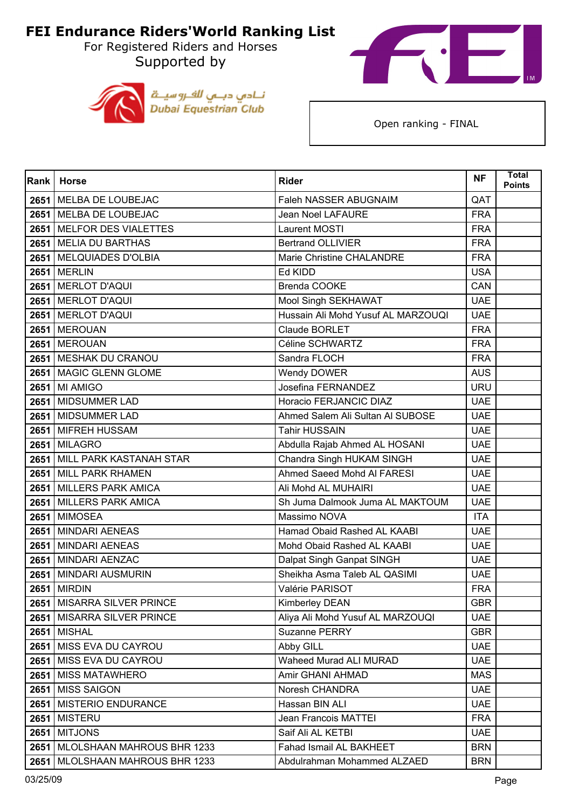For Registered Riders and Horses Supported by





| <b>Rank</b> | <b>Horse</b>                      | <b>Rider</b>                       | <b>NF</b>  | <b>Total</b><br><b>Points</b> |
|-------------|-----------------------------------|------------------------------------|------------|-------------------------------|
|             | 2651 MELBA DE LOUBEJAC            | <b>Faleh NASSER ABUGNAIM</b>       | QAT        |                               |
|             | 2651 MELBA DE LOUBEJAC            | <b>Jean Noel LAFAURE</b>           | <b>FRA</b> |                               |
| 2651        | <b>MELFOR DES VIALETTES</b>       | Laurent MOSTI                      | <b>FRA</b> |                               |
|             | 2651 MELIA DU BARTHAS             | <b>Bertrand OLLIVIER</b>           | <b>FRA</b> |                               |
| 2651        | <b>MELQUIADES D'OLBIA</b>         | Marie Christine CHALANDRE          | <b>FRA</b> |                               |
|             | <b>2651   MERLIN</b>              | Ed KIDD                            | <b>USA</b> |                               |
| 2651        | <b>MERLOT D'AQUI</b>              | <b>Brenda COOKE</b>                | CAN        |                               |
|             | 2651 MERLOT D'AQUI                | Mool Singh SEKHAWAT                | <b>UAE</b> |                               |
|             | 2651 MERLOT D'AQUI                | Hussain Ali Mohd Yusuf AL MARZOUQI | <b>UAE</b> |                               |
|             | 2651 MEROUAN                      | Claude BORLET                      | <b>FRA</b> |                               |
| 2651        | <b>MEROUAN</b>                    | Céline SCHWARTZ                    | <b>FRA</b> |                               |
|             | 2651 MESHAK DU CRANOU             | Sandra FLOCH                       | <b>FRA</b> |                               |
|             | 2651 MAGIC GLENN GLOME            | Wendy DOWER                        | <b>AUS</b> |                               |
|             | 2651 MI AMIGO                     | Josefina FERNANDEZ                 | <b>URU</b> |                               |
| 2651        | <b>MIDSUMMER LAD</b>              | Horacio FERJANCIC DIAZ             | <b>UAE</b> |                               |
|             | 2651 MIDSUMMER LAD                | Ahmed Salem Ali Sultan Al SUBOSE   | <b>UAE</b> |                               |
|             | 2651 MIFREH HUSSAM                | <b>Tahir HUSSAIN</b>               | <b>UAE</b> |                               |
|             | <b>2651 MILAGRO</b>               | Abdulla Rajab Ahmed AL HOSANI      | <b>UAE</b> |                               |
| 2651        | MILL PARK KASTANAH STAR           | Chandra Singh HUKAM SINGH          | <b>UAE</b> |                               |
|             | 2651 MILL PARK RHAMEN             | Ahmed Saeed Mohd AI FARESI         | <b>UAE</b> |                               |
| 2651        | <b>MILLERS PARK AMICA</b>         | Ali Mohd AL MUHAIRI                | <b>UAE</b> |                               |
|             | 2651 MILLERS PARK AMICA           | Sh Juma Dalmook Juma AL MAKTOUM    | <b>UAE</b> |                               |
| 2651        | <b>MIMOSEA</b>                    | Massimo NOVA                       | <b>ITA</b> |                               |
|             | 2651 MINDARI AENEAS               | Hamad Obaid Rashed AL KAABI        | <b>UAE</b> |                               |
| 2651        | <b>MINDARI AENEAS</b>             | Mohd Obaid Rashed AL KAABI         | <b>UAE</b> |                               |
|             | 2651 MINDARI AENZAC               | Dalpat Singh Ganpat SINGH          | <b>UAE</b> |                               |
| 2651        | <b>MINDARI AUSMURIN</b>           | Sheikha Asma Taleb AL QASIMI       | <b>UAE</b> |                               |
| 2651        | <b>MIRDIN</b>                     | Valérie PARISOT                    | <b>FRA</b> |                               |
|             | 2651 MISARRA SILVER PRINCE        | Kimberley DEAN                     | <b>GBR</b> |                               |
|             | 2651 MISARRA SILVER PRINCE        | Aliya Ali Mohd Yusuf AL MARZOUQI   | <b>UAE</b> |                               |
|             | <b>2651   MISHAL</b>              | Suzanne PERRY                      | <b>GBR</b> |                               |
|             | 2651 MISS EVA DU CAYROU           | Abby GILL                          | <b>UAE</b> |                               |
|             | 2651 MISS EVA DU CAYROU           | Waheed Murad ALI MURAD             | <b>UAE</b> |                               |
|             | 2651   MISS MATAWHERO             | Amir GHANI AHMAD                   | <b>MAS</b> |                               |
|             | 2651 MISS SAIGON                  | Noresh CHANDRA                     | <b>UAE</b> |                               |
|             | 2651   MISTERIO ENDURANCE         | Hassan BIN ALI                     | <b>UAE</b> |                               |
| 2651        | <b>MISTERU</b>                    | Jean Francois MATTEI               | <b>FRA</b> |                               |
|             | <b>2651   MITJONS</b>             | Saif Ali AL KETBI                  | <b>UAE</b> |                               |
|             | 2651   MLOLSHAAN MAHROUS BHR 1233 | Fahad Ismail AL BAKHEET            | <b>BRN</b> |                               |
| 2651        | MLOLSHAAN MAHROUS BHR 1233        | Abdulrahman Mohammed ALZAED        | <b>BRN</b> |                               |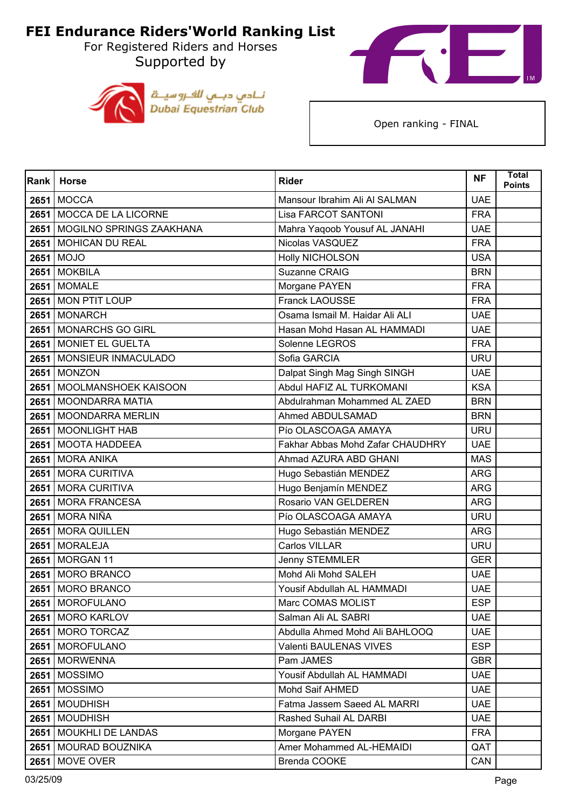For Registered Riders and Horses Supported by





| Rank | <b>Horse</b>                    | <b>Rider</b>                     | <b>NF</b>  | <b>Total</b><br><b>Points</b> |
|------|---------------------------------|----------------------------------|------------|-------------------------------|
|      | <b>2651 MOCCA</b>               | Mansour Ibrahim Ali Al SALMAN    | <b>UAE</b> |                               |
|      | 2651 MOCCA DE LA LICORNE        | <b>Lisa FARCOT SANTONI</b>       | <b>FRA</b> |                               |
| 2651 | <b>MOGILNO SPRINGS ZAAKHANA</b> | Mahra Yaqoob Yousuf AL JANAHI    | <b>UAE</b> |                               |
|      | 2651 MOHICAN DU REAL            | Nicolas VASQUEZ                  | <b>FRA</b> |                               |
|      | 2651 MOJO                       | <b>Holly NICHOLSON</b>           | <b>USA</b> |                               |
|      | <b>2651 MOKBILA</b>             | Suzanne CRAIG                    | <b>BRN</b> |                               |
| 2651 | <b>MOMALE</b>                   | Morgane PAYEN                    | <b>FRA</b> |                               |
|      | 2651 MON PTIT LOUP              | <b>Franck LAOUSSE</b>            | <b>FRA</b> |                               |
|      | 2651 MONARCH                    | Osama Ismail M. Haidar Ali ALI   | <b>UAE</b> |                               |
|      | 2651 MONARCHS GO GIRL           | Hasan Mohd Hasan AL HAMMADI      | <b>UAE</b> |                               |
|      | 2651 MONIET EL GUELTA           | Solenne LEGROS                   | <b>FRA</b> |                               |
|      | 2651   MONSIEUR INMACULADO      | Sofia GARCIA                     | <b>URU</b> |                               |
|      | <b>2651 MONZON</b>              | Dalpat Singh Mag Singh SINGH     | <b>UAE</b> |                               |
|      | 2651 MOOLMANSHOEK KAISOON       | Abdul HAFIZ AL TURKOMANI         | <b>KSA</b> |                               |
| 2651 | <b>MOONDARRA MATIA</b>          | Abdulrahman Mohammed AL ZAED     | <b>BRN</b> |                               |
|      | 2651 MOONDARRA MERLIN           | Ahmed ABDULSAMAD                 | <b>BRN</b> |                               |
|      | 2651 MOONLIGHT HAB              | Pío OLASCOAGA AMAYA              | <b>URU</b> |                               |
|      | 2651 MOOTA HADDEEA              | Fakhar Abbas Mohd Zafar CHAUDHRY | <b>UAE</b> |                               |
| 2651 | <b>MORA ANIKA</b>               | Ahmad AZURA ABD GHANI            | <b>MAS</b> |                               |
|      | 2651 MORA CURITIVA              | Hugo Sebastián MENDEZ            | <b>ARG</b> |                               |
|      | 2651 MORA CURITIVA              | Hugo Benjamín MENDEZ             | <b>ARG</b> |                               |
|      | 2651 MORA FRANCESA              | Rosario VAN GELDEREN             | <b>ARG</b> |                               |
|      | 2651 MORA NIÑA                  | Pío OLASCOAGA AMAYA              | <b>URU</b> |                               |
|      | 2651 MORA QUILLEN               | Hugo Sebastián MENDEZ            | <b>ARG</b> |                               |
|      | 2651 MORALEJA                   | Carlos VILLAR                    | <b>URU</b> |                               |
|      | 2651 MORGAN 11                  | Jenny STEMMLER                   | <b>GER</b> |                               |
|      | 2651 MORO BRANCO                | Mohd Ali Mohd SALEH              | <b>UAE</b> |                               |
|      | 2651 MORO BRANCO                | Yousif Abdullah AL HAMMADI       | <b>UAE</b> |                               |
|      | 2651 MOROFULANO                 | Marc COMAS MOLIST                | <b>ESP</b> |                               |
|      | 2651   MORO KARLOV              | Salman Ali AL SABRI              | <b>UAE</b> |                               |
|      | 2651   MORO TORCAZ              | Abdulla Ahmed Mohd Ali BAHLOOQ   | <b>UAE</b> |                               |
|      | 2651   MOROFULANO               | Valenti BAULENAS VIVES           | <b>ESP</b> |                               |
|      | 2651 MORWENNA                   | Pam JAMES                        | <b>GBR</b> |                               |
|      | <b>2651   MOSSIMO</b>           | Yousif Abdullah AL HAMMADI       | <b>UAE</b> |                               |
|      | <b>2651   MOSSIMO</b>           | Mohd Saif AHMED                  | <b>UAE</b> |                               |
|      | 2651   MOUDHISH                 | Fatma Jassem Saeed AL MARRI      | <b>UAE</b> |                               |
|      | 2651 MOUDHISH                   | Rashed Suhail AL DARBI           | <b>UAE</b> |                               |
|      | 2651   MOUKHLI DE LANDAS        | Morgane PAYEN                    | <b>FRA</b> |                               |
|      | 2651   MOURAD BOUZNIKA          | Amer Mohammed AL-HEMAIDI         | QAT        |                               |
|      | <b>2651   MOVE OVER</b>         | Brenda COOKE                     | CAN        |                               |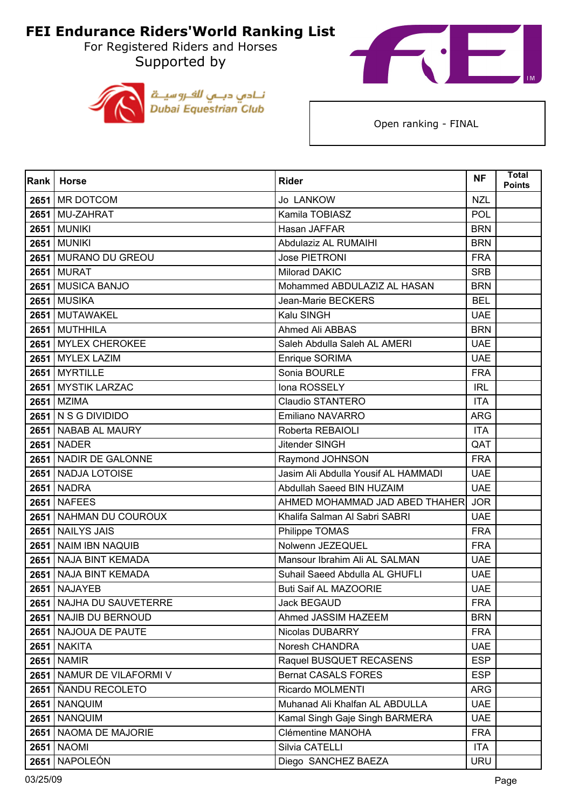For Registered Riders and Horses Supported by





| <b>Rank</b> | <b>Horse</b>              | <b>Rider</b>                        | <b>NF</b>  | <b>Total</b><br><b>Points</b> |
|-------------|---------------------------|-------------------------------------|------------|-------------------------------|
|             | 2651 MR DOTCOM            | Jo LANKOW                           | <b>NZL</b> |                               |
|             | 2651 MU-ZAHRAT            | Kamila TOBIASZ                      | <b>POL</b> |                               |
| 2651        | <b>MUNIKI</b>             | Hasan JAFFAR                        | <b>BRN</b> |                               |
|             | <b>2651 MUNIKI</b>        | Abdulaziz AL RUMAIHI                | <b>BRN</b> |                               |
|             | 2651 MURANO DU GREOU      | Jose PIETRONI                       | <b>FRA</b> |                               |
|             | <b>2651 MURAT</b>         | Milorad DAKIC                       | <b>SRB</b> |                               |
| 2651        | <b>MUSICA BANJO</b>       | Mohammed ABDULAZIZ AL HASAN         | <b>BRN</b> |                               |
|             | <b>2651 MUSIKA</b>        | Jean-Marie BECKERS                  | <b>BEL</b> |                               |
|             | 2651 MUTAWAKEL            | Kalu SINGH                          | <b>UAE</b> |                               |
|             | 2651 MUTHHILA             | Ahmed Ali ABBAS                     | <b>BRN</b> |                               |
| 2651        | <b>MYLEX CHEROKEE</b>     | Saleh Abdulla Saleh AL AMERI        | <b>UAE</b> |                               |
|             | 2651 MYLEX LAZIM          | Enrique SORIMA                      | <b>UAE</b> |                               |
|             | 2651 MYRTILLE             | Sonia BOURLE                        | <b>FRA</b> |                               |
|             | 2651 MYSTIK LARZAC        | Iona ROSSELY                        | <b>IRL</b> |                               |
| 2651        | <b>MZIMA</b>              | <b>Claudio STANTERO</b>             | <b>ITA</b> |                               |
|             | 2651 N S G DIVIDIDO       | <b>Emiliano NAVARRO</b>             | <b>ARG</b> |                               |
|             | 2651 NABAB AL MAURY       | Roberta REBAIOLI                    | <b>ITA</b> |                               |
|             | <b>2651 NADER</b>         | Jitender SINGH                      | QAT        |                               |
| 2651        | NADIR DE GALONNE          | Raymond JOHNSON                     | <b>FRA</b> |                               |
|             | 2651 NADJA LOTOISE        | Jasim Ali Abdulla Yousif AL HAMMADI | <b>UAE</b> |                               |
|             | <b>2651 NADRA</b>         | Abdullah Saeed BIN HUZAIM           | <b>UAE</b> |                               |
|             | <b>2651   NAFEES</b>      | AHMED MOHAMMAD JAD ABED THAHER      | <b>JOR</b> |                               |
| 2651        | NAHMAN DU COUROUX         | Khalifa Salman Al Sabri SABRI       | <b>UAE</b> |                               |
|             | 2651 NAILYS JAIS          | Philippe TOMAS                      | <b>FRA</b> |                               |
| 2651        | <b>NAIM IBN NAQUIB</b>    | Nolwenn JEZEQUEL                    | <b>FRA</b> |                               |
| 2651        | <b>NAJA BINT KEMADA</b>   | Mansour Ibrahim Ali AL SALMAN       | <b>UAE</b> |                               |
| 2651        | NAJA BINT KEMADA          | Suhail Saeed Abdulla AL GHUFLI      | <b>UAE</b> |                               |
| 2651        | <b>NAJAYEB</b>            | <b>Buti Saif AL MAZOORIE</b>        | <b>UAE</b> |                               |
|             | 2651 NAJHA DU SAUVETERRE  | <b>Jack BEGAUD</b>                  | <b>FRA</b> |                               |
|             | 2651 NAJIB DU BERNOUD     | Ahmed JASSIM HAZEEM                 | <b>BRN</b> |                               |
|             | 2651 NAJOUA DE PAUTE      | Nicolas DUBARRY                     | <b>FRA</b> |                               |
|             | <b>2651 NAKITA</b>        | Noresh CHANDRA                      | <b>UAE</b> |                               |
|             | <b>2651 NAMIR</b>         | Raquel BUSQUET RECASENS             | <b>ESP</b> |                               |
|             | 2651 NAMUR DE VILAFORMI V | <b>Bernat CASALS FORES</b>          | <b>ESP</b> |                               |
|             | 2651   ÑANDU RECOLETO     | Ricardo MOLMENTI                    | ARG        |                               |
|             | <b>2651   NANQUIM</b>     | Muhanad Ali Khalfan AL ABDULLA      | <b>UAE</b> |                               |
| 2651        | <b>NANQUIM</b>            | Kamal Singh Gaje Singh BARMERA      | <b>UAE</b> |                               |
|             | 2651   NAOMA DE MAJORIE   | Clémentine MANOHA                   | <b>FRA</b> |                               |
|             | <b>2651 NAOMI</b>         | Silvia CATELLI                      | ITA.       |                               |
| 2651        | <b>NAPOLEÓN</b>           | Diego SANCHEZ BAEZA                 | <b>URU</b> |                               |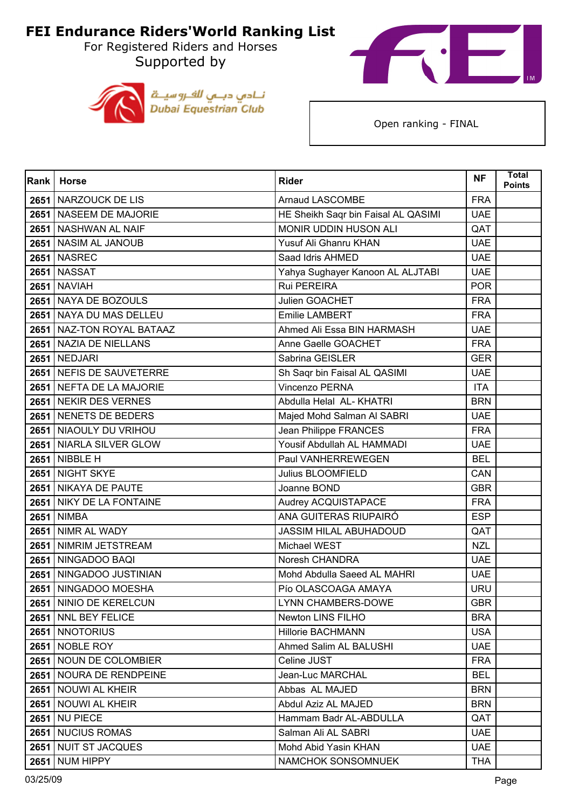For Registered Riders and Horses Supported by





| Rank | <b>Horse</b>              | <b>Rider</b>                        | <b>NF</b>  | <b>Total</b><br>Points |
|------|---------------------------|-------------------------------------|------------|------------------------|
|      | 2651 NARZOUCK DE LIS      | <b>Arnaud LASCOMBE</b>              | <b>FRA</b> |                        |
|      | 2651   NASEEM DE MAJORIE  | HE Sheikh Saqr bin Faisal AL QASIMI | <b>UAE</b> |                        |
| 2651 | <b>NASHWAN AL NAIF</b>    | MONIR UDDIN HUSON ALI               | QAT        |                        |
|      | 2651 NASIM AL JANOUB      | Yusuf Ali Ghanru KHAN               | <b>UAE</b> |                        |
|      | <b>2651   NASREC</b>      | Saad Idris AHMED                    | <b>UAE</b> |                        |
|      | <b>2651 NASSAT</b>        | Yahya Sughayer Kanoon AL ALJTABI    | <b>UAE</b> |                        |
| 2651 | <b>NAVIAH</b>             | Rui PEREIRA                         | <b>POR</b> |                        |
|      | 2651 NAYA DE BOZOULS      | Julien GOACHET                      | <b>FRA</b> |                        |
|      | 2651 NAYA DU MAS DELLEU   | <b>Emilie LAMBERT</b>               | <b>FRA</b> |                        |
|      | 2651 NAZ-TON ROYAL BATAAZ | Ahmed Ali Essa BIN HARMASH          | <b>UAE</b> |                        |
| 2651 | NAZIA DE NIELLANS         | Anne Gaelle GOACHET                 | <b>FRA</b> |                        |
|      | <b>2651   NEDJARI</b>     | Sabrina GEISLER                     | <b>GER</b> |                        |
|      | 2651 NEFIS DE SAUVETERRE  | Sh Saqr bin Faisal AL QASIMI        | <b>UAE</b> |                        |
|      | 2651 NEFTA DE LA MAJORIE  | Vincenzo PERNA                      | <b>ITA</b> |                        |
| 2651 | <b>NEKIR DES VERNES</b>   | Abdulla Helal AL- KHATRI            | <b>BRN</b> |                        |
|      | 2651 NENETS DE BEDERS     | Majed Mohd Salman Al SABRI          | <b>UAE</b> |                        |
|      | 2651 NIAOULY DU VRIHOU    | Jean Philippe FRANCES               | <b>FRA</b> |                        |
|      | 2651 NIARLA SILVER GLOW   | Yousif Abdullah AL HAMMADI          | <b>UAE</b> |                        |
| 2651 | NIBBLE H                  | Paul VANHERREWEGEN                  | <b>BEL</b> |                        |
|      | 2651 NIGHT SKYE           | Julius BLOOMFIELD                   | CAN        |                        |
|      | 2651 NIKAYA DE PAUTE      | Joanne BOND                         | <b>GBR</b> |                        |
|      | 2651 NIKY DE LA FONTAINE  | Audrey ACQUISTAPACE                 | <b>FRA</b> |                        |
| 2651 | <b>NIMBA</b>              | ANA GUITERAS RIUPAIRÓ               | <b>ESP</b> |                        |
|      | 2651 NIMR AL WADY         | JASSIM HILAL ABUHADOUD              | QAT        |                        |
| 2651 | NIMRIM JETSTREAM          | Michael WEST                        | <b>NZL</b> |                        |
|      | 2651 NINGADOO BAQI        | Noresh CHANDRA                      | <b>UAE</b> |                        |
| 2651 | NINGADOO JUSTINIAN        | Mohd Abdulla Saeed AL MAHRI         | <b>UAE</b> |                        |
|      | 2651 NINGADOO MOESHA      | Pío OLASCOAGA AMAYA                 | <b>URU</b> |                        |
|      | 2651 NINIO DE KERELCUN    | <b>LYNN CHAMBERS-DOWE</b>           | <b>GBR</b> |                        |
|      | 2651   NNL BEY FELICE     | Newton LINS FILHO                   | <b>BRA</b> |                        |
|      | 2651   NNOTORIUS          | <b>Hillorie BACHMANN</b>            | <b>USA</b> |                        |
|      | <b>2651   NOBLE ROY</b>   | Ahmed Salim AL BALUSHI              | <b>UAE</b> |                        |
| 2651 | NOUN DE COLOMBIER         | Celine JUST                         | <b>FRA</b> |                        |
|      | 2651 NOURA DE RENDPEINE   | Jean-Luc MARCHAL                    | <b>BEL</b> |                        |
| 2651 | <b>NOUWI AL KHEIR</b>     | Abbas AL MAJED                      | <b>BRN</b> |                        |
|      | 2651   NOUWI AL KHEIR     | Abdul Aziz AL MAJED                 | <b>BRN</b> |                        |
| 2651 | <b>NU PIECE</b>           | Hammam Badr AL-ABDULLA              | QAT        |                        |
|      | 2651 NUCIUS ROMAS         | Salman Ali AL SABRI                 | <b>UAE</b> |                        |
| 2651 | <b>NUIT ST JACQUES</b>    | Mohd Abid Yasin KHAN                | <b>UAE</b> |                        |
| 2651 | <b>NUM HIPPY</b>          | NAMCHOK SONSOMNUEK                  | <b>THA</b> |                        |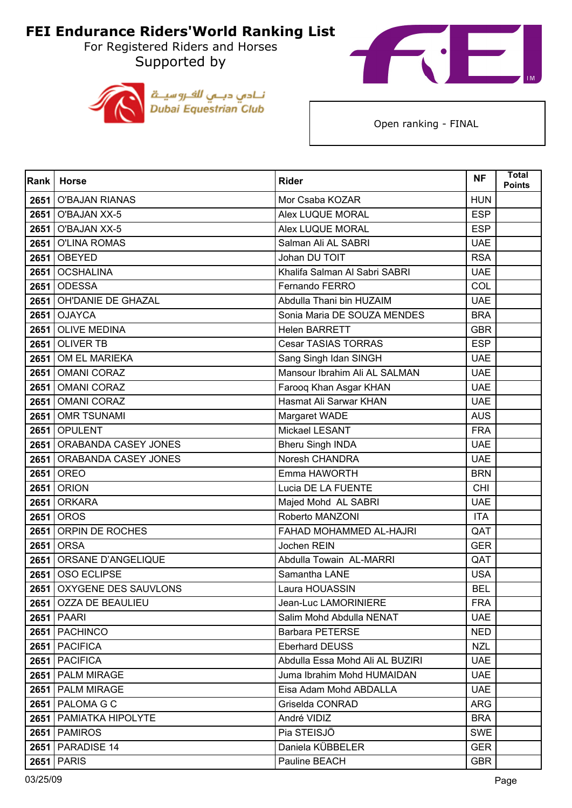For Registered Riders and Horses Supported by





| <b>Rank</b> | <b>Horse</b>             | <b>Rider</b>                    | <b>NF</b>  | <b>Total</b><br><b>Points</b> |
|-------------|--------------------------|---------------------------------|------------|-------------------------------|
| 2651        | <b>O'BAJAN RIANAS</b>    | Mor Csaba KOZAR                 | <b>HUN</b> |                               |
| 2651        | O'BAJAN XX-5             | Alex LUQUE MORAL                | <b>ESP</b> |                               |
| 2651        | <b>O'BAJAN XX-5</b>      | Alex LUQUE MORAL                | <b>ESP</b> |                               |
| 2651        | <b>O'LINA ROMAS</b>      | Salman Ali AL SABRI             | <b>UAE</b> |                               |
| 2651        | OBEYED                   | Johan DU TOIT                   | <b>RSA</b> |                               |
| 2651        | <b>OCSHALINA</b>         | Khalifa Salman Al Sabri SABRI   | <b>UAE</b> |                               |
| 2651        | <b>ODESSA</b>            | Fernando FERRO                  | COL        |                               |
| 2651        | OH'DANIE DE GHAZAL       | Abdulla Thani bin HUZAIM        | <b>UAE</b> |                               |
| 2651        | <b>OJAYCA</b>            | Sonia Maria DE SOUZA MENDES     | <b>BRA</b> |                               |
| 2651        | <b>OLIVE MEDINA</b>      | <b>Helen BARRETT</b>            | <b>GBR</b> |                               |
| 2651        | <b>OLIVER TB</b>         | <b>Cesar TASIAS TORRAS</b>      | <b>ESP</b> |                               |
| 2651        | OM EL MARIEKA            | Sang Singh Idan SINGH           | <b>UAE</b> |                               |
| 2651        | <b>OMANI CORAZ</b>       | Mansour Ibrahim Ali AL SALMAN   | <b>UAE</b> |                               |
| 2651        | <b>OMANI CORAZ</b>       | Farooq Khan Asgar KHAN          | <b>UAE</b> |                               |
| 2651        | <b>OMANI CORAZ</b>       | Hasmat Ali Sarwar KHAN          | <b>UAE</b> |                               |
| 2651        | <b>OMR TSUNAMI</b>       | Margaret WADE                   | <b>AUS</b> |                               |
| 2651        | <b>OPULENT</b>           | Mickael LESANT                  | <b>FRA</b> |                               |
| 2651        | ORABANDA CASEY JONES     | <b>Bheru Singh INDA</b>         | <b>UAE</b> |                               |
| 2651        | ORABANDA CASEY JONES     | Noresh CHANDRA                  | <b>UAE</b> |                               |
| 2651        | OREO                     | Emma HAWORTH                    | <b>BRN</b> |                               |
| 2651        | <b>ORION</b>             | Lucia DE LA FUENTE              | <b>CHI</b> |                               |
| 2651        | <b>ORKARA</b>            | Majed Mohd AL SABRI             | <b>UAE</b> |                               |
| 2651        | <b>OROS</b>              | Roberto MANZONI                 | <b>ITA</b> |                               |
| 2651        | ORPIN DE ROCHES          | FAHAD MOHAMMED AL-HAJRI         | QAT        |                               |
| 2651        | <b>ORSA</b>              | Jochen REIN                     | <b>GER</b> |                               |
| 2651        | ORSANE D'ANGELIQUE       | Abdulla Towain AL-MARRI         | QAT        |                               |
| 2651        | OSO ECLIPSE              | Samantha LANE                   | <b>USA</b> |                               |
| 2651        | OXYGENE DES SAUVLONS     | Laura HOUASSIN                  | <b>BEL</b> |                               |
|             | 2651 OZZA DE BEAULIEU    | Jean-Luc LAMORINIERE            | <b>FRA</b> |                               |
|             | <b>2651 PAARI</b>        | Salim Mohd Abdulla NENAT        | <b>UAE</b> |                               |
|             | 2651   PACHINCO          | <b>Barbara PETERSE</b>          | <b>NED</b> |                               |
|             | 2651   PACIFICA          | <b>Eberhard DEUSS</b>           | <b>NZL</b> |                               |
| 2651        | <b>PACIFICA</b>          | Abdulla Essa Mohd Ali AL BUZIRI | <b>UAE</b> |                               |
|             | 2651 PALM MIRAGE         | Juma Ibrahim Mohd HUMAIDAN      | <b>UAE</b> |                               |
|             | 2651   PALM MIRAGE       | Eisa Adam Mohd ABDALLA          | <b>UAE</b> |                               |
|             | <b>2651   PALOMA G C</b> | Griselda CONRAD                 | <b>ARG</b> |                               |
| 2651        | PAMIATKA HIPOLYTE        | André VIDIZ                     | <b>BRA</b> |                               |
|             | 2651   PAMIROS           | Pia STEISJÖ                     | <b>SWE</b> |                               |
| 2651        | PARADISE 14              | Daniela KÜBBELER                | <b>GER</b> |                               |
| 2651        | <b>PARIS</b>             | Pauline BEACH                   | <b>GBR</b> |                               |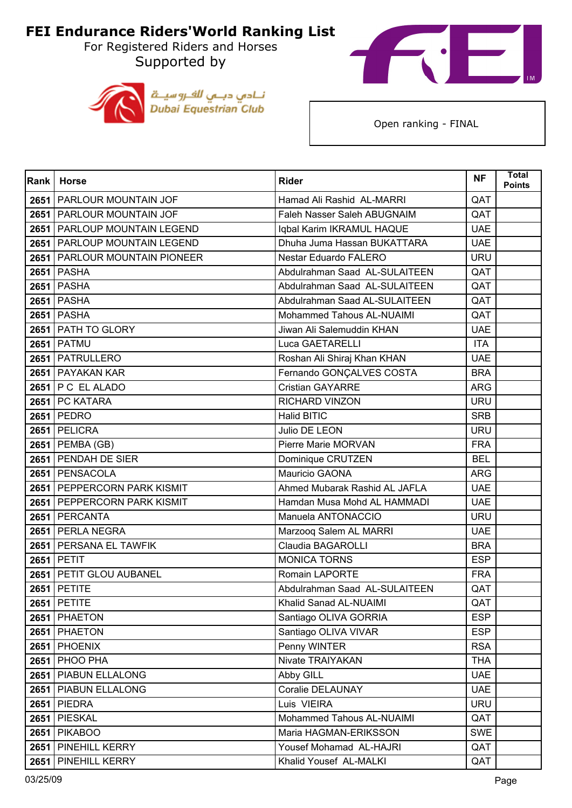For Registered Riders and Horses Supported by





| <b>Rank</b> | <b>Horse</b>                  | <b>Rider</b>                  | <b>NF</b>  | <b>Total</b><br><b>Points</b> |
|-------------|-------------------------------|-------------------------------|------------|-------------------------------|
|             | 2651   PARLOUR MOUNTAIN JOF   | Hamad Ali Rashid AL-MARRI     | QAT        |                               |
|             | 2651   PARLOUR MOUNTAIN JOF   | Faleh Nasser Saleh ABUGNAIM   | QAT        |                               |
| 2651        | PARLOUP MOUNTAIN LEGEND       | Iqbal Karim IKRAMUL HAQUE     | <b>UAE</b> |                               |
|             | 2651 PARLOUP MOUNTAIN LEGEND  | Dhuha Juma Hassan BUKATTARA   | <b>UAE</b> |                               |
|             | 2651 PARLOUR MOUNTAIN PIONEER | Nestar Eduardo FALERO         | <b>URU</b> |                               |
|             | <b>2651 PASHA</b>             | Abdulrahman Saad AL-SULAITEEN | QAT        |                               |
|             | <b>2651 PASHA</b>             | Abdulrahman Saad AL-SULAITEEN | QAT        |                               |
|             | <b>2651 PASHA</b>             | Abdulrahman Saad AL-SULAITEEN | QAT        |                               |
|             | <b>2651 PASHA</b>             | Mohammed Tahous AL-NUAIMI     | QAT        |                               |
|             | 2651 PATH TO GLORY            | Jiwan Ali Salemuddin KHAN     | <b>UAE</b> |                               |
|             | <b>2651 PATMU</b>             | Luca GAETARELLI               | <b>ITA</b> |                               |
|             | 2651   PATRULLERO             | Roshan Ali Shiraj Khan KHAN   | <b>UAE</b> |                               |
|             | 2651 PAYAKAN KAR              | Fernando GONÇALVES COSTA      | <b>BRA</b> |                               |
|             | 2651   P C EL ALADO           | <b>Cristian GAYARRE</b>       | <b>ARG</b> |                               |
|             | 2651 PC KATARA                | <b>RICHARD VINZON</b>         | <b>URU</b> |                               |
|             | 2651 PEDRO                    | <b>Halid BITIC</b>            | <b>SRB</b> |                               |
|             | 2651 PELICRA                  | Julio DE LEON                 | <b>URU</b> |                               |
|             | 2651   PEMBA (GB)             | Pierre Marie MORVAN           | <b>FRA</b> |                               |
|             | 2651 PENDAH DE SIER           | Dominique CRUTZEN             | <b>BEL</b> |                               |
|             | 2651   PENSACOLA              | Mauricio GAONA                | <b>ARG</b> |                               |
|             | 2651 PEPPERCORN PARK KISMIT   | Ahmed Mubarak Rashid AL JAFLA | <b>UAE</b> |                               |
|             | 2651 PEPPERCORN PARK KISMIT   | Hamdan Musa Mohd AL HAMMADI   | <b>UAE</b> |                               |
|             | 2651 PERCANTA                 | Manuela ANTONACCIO            | <b>URU</b> |                               |
|             | 2651 PERLA NEGRA              | Marzooq Salem AL MARRI        | <b>UAE</b> |                               |
|             | 2651 PERSANA EL TAWFIK        | Claudia BAGAROLLI             | <b>BRA</b> |                               |
|             | <b>2651 PETIT</b>             | <b>MONICA TORNS</b>           | <b>ESP</b> |                               |
| 2651        | PETIT GLOU AUBANEL            | <b>Romain LAPORTE</b>         | <b>FRA</b> |                               |
| 2651        | <b>PETITE</b>                 | Abdulrahman Saad AL-SULAITEEN | QAT        |                               |
|             | <b>2651 PETITE</b>            | Khalid Sanad AL-NUAIMI        | QAT        |                               |
|             | 2651 PHAETON                  | Santiago OLIVA GORRIA         | <b>ESP</b> |                               |
|             | 2651 PHAETON                  | Santiago OLIVA VIVAR          | <b>ESP</b> |                               |
|             | <b>2651 PHOENIX</b>           | Penny WINTER                  | <b>RSA</b> |                               |
| 2651        | PHOO PHA                      | Nivate TRAIYAKAN              | <b>THA</b> |                               |
|             | 2651   PIABUN ELLALONG        | Abby GILL                     | <b>UAE</b> |                               |
|             | 2651   PIABUN ELLALONG        | Coralie DELAUNAY              | <b>UAE</b> |                               |
|             | <b>2651 PIEDRA</b>            | Luis VIEIRA                   | <b>URU</b> |                               |
| 2651        | PIESKAL                       | Mohammed Tahous AL-NUAIMI     | QAT        |                               |
|             | <b>2651 PIKABOO</b>           | Maria HAGMAN-ERIKSSON         | <b>SWE</b> |                               |
| 2651        | <b>PINEHILL KERRY</b>         | Yousef Mohamad AL-HAJRI       | QAT        |                               |
| 2651        | PINEHILL KERRY                | Khalid Yousef AL-MALKI        | QAT        |                               |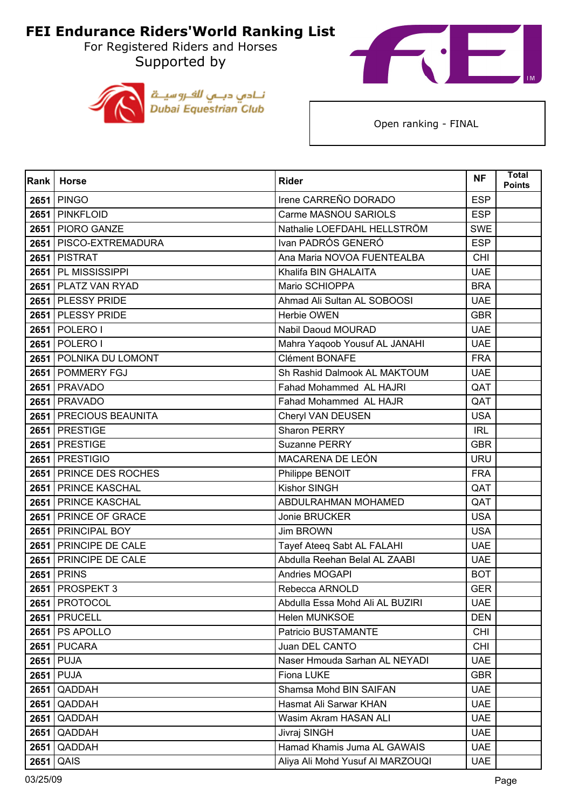For Registered Riders and Horses Supported by





| <b>Rank</b> | Horse                    | <b>Rider</b>                     | <b>NF</b>  | <b>Total</b><br><b>Points</b> |
|-------------|--------------------------|----------------------------------|------------|-------------------------------|
|             | <b>2651 PINGO</b>        | Irene CARREÑO DORADO             | <b>ESP</b> |                               |
|             | 2651 PINKFLOID           | Carme MASNOU SARIOLS             | <b>ESP</b> |                               |
|             | 2651 PIORO GANZE         | Nathalie LOEFDAHL HELLSTRÖM      | <b>SWE</b> |                               |
|             | 2651   PISCO-EXTREMADURA | Ivan PADRÓS GENERÓ               | <b>ESP</b> |                               |
|             | <b>2651 PISTRAT</b>      | Ana Maria NOVOA FUENTEALBA       | <b>CHI</b> |                               |
|             | 2651 PL MISSISSIPPI      | Khalifa BIN GHALAITA             | <b>UAE</b> |                               |
|             | 2651 PLATZ VAN RYAD      | Mario SCHIOPPA                   | <b>BRA</b> |                               |
|             | 2651 PLESSY PRIDE        | Ahmad Ali Sultan AL SOBOOSI      | <b>UAE</b> |                               |
|             | 2651 PLESSY PRIDE        | Herbie OWEN                      | <b>GBR</b> |                               |
|             | 2651   POLERO I          | Nabil Daoud MOURAD               | <b>UAE</b> |                               |
|             | 2651 POLERO I            | Mahra Yaqoob Yousuf AL JANAHI    | <b>UAE</b> |                               |
|             | 2651 POLNIKA DU LOMONT   | Clément BONAFE                   | <b>FRA</b> |                               |
|             | 2651 POMMERY FGJ         | Sh Rashid Dalmook AL MAKTOUM     | <b>UAE</b> |                               |
|             | <b>2651   PRAVADO</b>    | Fahad Mohammed AL HAJRI          | QAT        |                               |
|             | 2651   PRAVADO           | Fahad Mohammed AL HAJR           | QAT        |                               |
|             | 2651   PRECIOUS BEAUNITA | Cheryl VAN DEUSEN                | <b>USA</b> |                               |
|             | 2651 PRESTIGE            | Sharon PERRY                     | <b>IRL</b> |                               |
|             | 2651 PRESTIGE            | Suzanne PERRY                    | <b>GBR</b> |                               |
|             | 2651 PRESTIGIO           | MACARENA DE LEÓN                 | <b>URU</b> |                               |
|             | 2651 PRINCE DES ROCHES   | Philippe BENOIT                  | <b>FRA</b> |                               |
|             | 2651 PRINCE KASCHAL      | Kishor SINGH                     | QAT        |                               |
|             | 2651 PRINCE KASCHAL      | ABDULRAHMAN MOHAMED              | QAT        |                               |
|             | 2651 PRINCE OF GRACE     | Jonie BRUCKER                    | <b>USA</b> |                               |
|             | 2651 PRINCIPAL BOY       | Jim BROWN                        | <b>USA</b> |                               |
|             | 2651 PRINCIPE DE CALE    | Tayef Ateeq Sabt AL FALAHI       | <b>UAE</b> |                               |
|             | 2651 PRINCIPE DE CALE    | Abdulla Reehan Belal AL ZAABI    | <b>UAE</b> |                               |
|             | <b>2651 PRINS</b>        | Andries MOGAPI                   | <b>BOT</b> |                               |
|             | <b>2651 PROSPEKT 3</b>   | Rebecca ARNOLD                   | <b>GER</b> |                               |
|             | 2651   PROTOCOL          | Abdulla Essa Mohd Ali AL BUZIRI  | <b>UAE</b> |                               |
|             | <b>2651 PRUCELL</b>      | <b>Helen MUNKSOE</b>             | <b>DEN</b> |                               |
|             | $2651$ PS APOLLO         | Patricio BUSTAMANTE              | <b>CHI</b> |                               |
|             | 2651 PUCARA              | Juan DEL CANTO                   | <b>CHI</b> |                               |
| 2651        | <b>PUJA</b>              | Naser Hmouda Sarhan AL NEYADI    | <b>UAE</b> |                               |
|             | 2651 PUJA                | Fiona LUKE                       | <b>GBR</b> |                               |
| 2651        | QADDAH                   | Shamsa Mohd BIN SAIFAN           | <b>UAE</b> |                               |
| 2651        | QADDAH                   | Hasmat Ali Sarwar KHAN           | <b>UAE</b> |                               |
| 2651        | QADDAH                   | Wasim Akram HASAN ALI            | <b>UAE</b> |                               |
| 2651        | QADDAH                   | Jivraj SINGH                     | <b>UAE</b> |                               |
| 2651        | QADDAH                   | Hamad Khamis Juma AL GAWAIS      | <b>UAE</b> |                               |
| 2651        | QAIS                     | Aliya Ali Mohd Yusuf Al MARZOUQI | <b>UAE</b> |                               |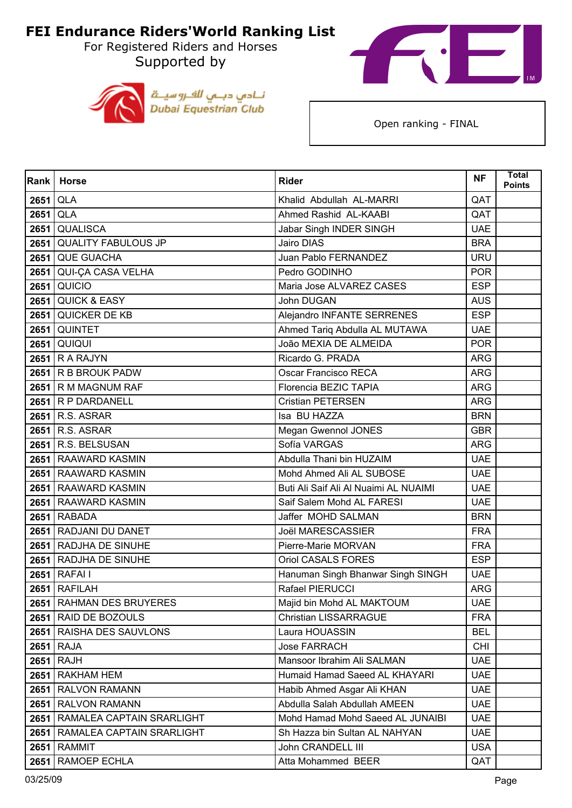For Registered Riders and Horses Supported by





| Rank | <b>Horse</b>                   | <b>Rider</b>                          | <b>NF</b>  | <b>Total</b><br><b>Points</b> |
|------|--------------------------------|---------------------------------------|------------|-------------------------------|
| 2651 | QLA                            | Khalid Abdullah AL-MARRI              | QAT        |                               |
| 2651 | <b>QLA</b>                     | Ahmed Rashid AL-KAABI                 | QAT        |                               |
| 2651 | <b>QUALISCA</b>                | Jabar Singh INDER SINGH               | <b>UAE</b> |                               |
|      | 2651 QUALITY FABULOUS JP       | Jairo DIAS                            | <b>BRA</b> |                               |
|      | 2651 QUE GUACHA                | Juan Pablo FERNANDEZ                  | <b>URU</b> |                               |
| 2651 | <b>QUI-ÇA CASA VELHA</b>       | Pedro GODINHO                         | <b>POR</b> |                               |
| 2651 | QUICIO                         | Maria Jose ALVAREZ CASES              | <b>ESP</b> |                               |
|      | <b>2651 QUICK &amp; EASY</b>   | John DUGAN                            | <b>AUS</b> |                               |
|      | 2651 QUICKER DE KB             | Alejandro INFANTE SERRENES            | <b>ESP</b> |                               |
|      | 2651 QUINTET                   | Ahmed Tariq Abdulla AL MUTAWA         | <b>UAE</b> |                               |
| 2651 | QUIQUI                         | João MEXIA DE ALMEIDA                 | <b>POR</b> |                               |
|      | 2651 R A RAJYN                 | Ricardo G. PRADA                      | <b>ARG</b> |                               |
|      | 2651 R B BROUK PADW            | Oscar Francisco RECA                  | <b>ARG</b> |                               |
|      | 2651 R M MAGNUM RAF            | Florencia BEZIC TAPIA                 | <b>ARG</b> |                               |
|      | 2651 R P DARDANELL             | <b>Cristian PETERSEN</b>              | <b>ARG</b> |                               |
|      | 2651 R.S. ASRAR                | Isa BU HAZZA                          | <b>BRN</b> |                               |
|      | 2651 R.S. ASRAR                | Megan Gwennol JONES                   | <b>GBR</b> |                               |
|      | 2651 R.S. BELSUSAN             | Sofía VARGAS                          | <b>ARG</b> |                               |
|      | 2651 RAAWARD KASMIN            | Abdulla Thani bin HUZAIM              | <b>UAE</b> |                               |
|      | 2651 RAAWARD KASMIN            | Mohd Ahmed Ali AL SUBOSE              | <b>UAE</b> |                               |
|      | 2651 RAAWARD KASMIN            | Buti Ali Saif Ali Al Nuaimi AL NUAIMI | <b>UAE</b> |                               |
|      | 2651 RAAWARD KASMIN            | Saif Salem Mohd AL FARESI             | <b>UAE</b> |                               |
|      | 2651 RABADA                    | Jaffer MOHD SALMAN                    | <b>BRN</b> |                               |
|      | 2651 RADJANI DU DANET          | <b>Joël MARESCASSIER</b>              | <b>FRA</b> |                               |
|      | 2651 RADJHA DE SINUHE          | Pierre-Marie MORVAN                   | <b>FRA</b> |                               |
|      | 2651 RADJHA DE SINUHE          | <b>Oriol CASALS FORES</b>             | <b>ESP</b> |                               |
|      | 2651 RAFAI I                   | Hanuman Singh Bhanwar Singh SINGH     | <b>UAE</b> |                               |
|      | $2651$ RAFILAH                 | Rafael PIERUCCI                       | <b>ARG</b> |                               |
|      | 2651 RAHMAN DES BRUYERES       | Majid bin Mohd AL MAKTOUM             | <b>UAE</b> |                               |
|      | 2651 RAID DE BOZOULS           | <b>Christian LISSARRAGUE</b>          | <b>FRA</b> |                               |
|      | 2651 RAISHA DES SAUVLONS       | Laura HOUASSIN                        | <b>BEL</b> |                               |
|      | 2651 RAJA                      | <b>Jose FARRACH</b>                   | <b>CHI</b> |                               |
| 2651 | <b>RAJH</b>                    | Mansoor Ibrahim Ali SALMAN            | <b>UAE</b> |                               |
|      | 2651 RAKHAM HEM                | Humaid Hamad Saeed AL KHAYARI         | <b>UAE</b> |                               |
|      | 2651 RALVON RAMANN             | Habib Ahmed Asgar Ali KHAN            | <b>UAE</b> |                               |
|      | 2651 RALVON RAMANN             | Abdulla Salah Abdullah AMEEN          | <b>UAE</b> |                               |
| 2651 | RAMALEA CAPTAIN SRARLIGHT      | Mohd Hamad Mohd Saeed AL JUNAIBI      | <b>UAE</b> |                               |
|      | 2651 RAMALEA CAPTAIN SRARLIGHT | Sh Hazza bin Sultan AL NAHYAN         | <b>UAE</b> |                               |
|      | <b>2651 RAMMIT</b>             | John CRANDELL III                     | <b>USA</b> |                               |
| 2651 | <b>RAMOEP ECHLA</b>            | Atta Mohammed BEER                    | QAT        |                               |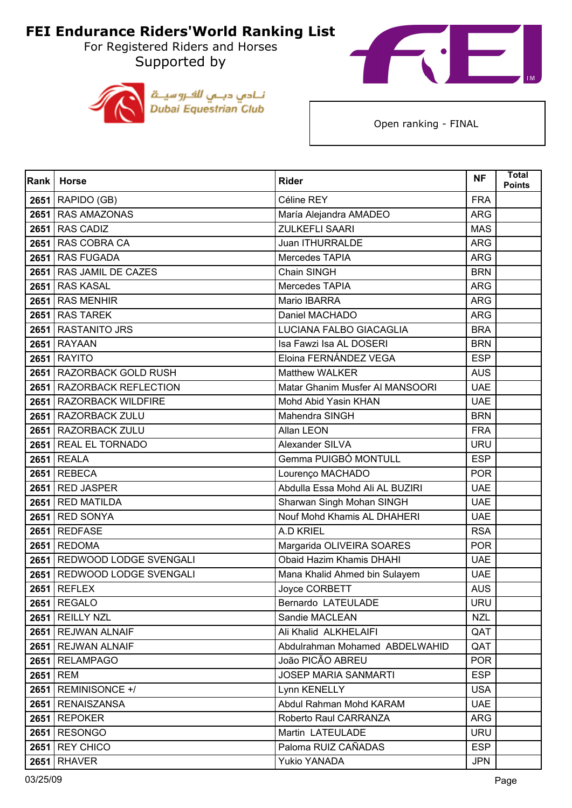For Registered Riders and Horses Supported by





| Rank | <b>Horse</b>                | <b>Rider</b>                    | <b>NF</b>  | <b>Total</b><br>Points |
|------|-----------------------------|---------------------------------|------------|------------------------|
|      | 2651 RAPIDO (GB)            | Céline REY                      | <b>FRA</b> |                        |
|      | 2651 RAS AMAZONAS           | María Alejandra AMADEO          | <b>ARG</b> |                        |
| 2651 | <b>RAS CADIZ</b>            | <b>ZULKEFLI SAARI</b>           | <b>MAS</b> |                        |
|      | 2651 RAS COBRA CA           | Juan ITHURRALDE                 | ARG        |                        |
|      | 2651 RAS FUGADA             | Mercedes TAPIA                  | <b>ARG</b> |                        |
|      | 2651 RAS JAMIL DE CAZES     | Chain SINGH                     | <b>BRN</b> |                        |
| 2651 | <b>RAS KASAL</b>            | Mercedes TAPIA                  | <b>ARG</b> |                        |
|      | 2651 RAS MENHIR             | Mario IBARRA                    | <b>ARG</b> |                        |
|      | 2651 RAS TAREK              | Daniel MACHADO                  | <b>ARG</b> |                        |
|      | 2651 RASTANITO JRS          | LUCIANA FALBO GIACAGLIA         | <b>BRA</b> |                        |
| 2651 | <b>RAYAAN</b>               | Isa Fawzi Isa AL DOSERI         | <b>BRN</b> |                        |
|      | <b>2651 RAYITO</b>          | Eloina FERNÁNDEZ VEGA           | <b>ESP</b> |                        |
|      | 2651 RAZORBACK GOLD RUSH    | <b>Matthew WALKER</b>           | <b>AUS</b> |                        |
|      | 2651 RAZORBACK REFLECTION   | Matar Ghanim Musfer AI MANSOORI | <b>UAE</b> |                        |
| 2651 | <b>RAZORBACK WILDFIRE</b>   | Mohd Abid Yasin KHAN            | <b>UAE</b> |                        |
|      | 2651 RAZORBACK ZULU         | Mahendra SINGH                  | <b>BRN</b> |                        |
|      | 2651 RAZORBACK ZULU         | Allan LEON                      | <b>FRA</b> |                        |
|      | 2651 REAL EL TORNADO        | Alexander SILVA                 | <b>URU</b> |                        |
| 2651 | <b>REALA</b>                | Gemma PUIGBÓ MONTULL            | <b>ESP</b> |                        |
|      | <b>2651 REBECA</b>          | Lourenço MACHADO                | <b>POR</b> |                        |
| 2651 | <b>RED JASPER</b>           | Abdulla Essa Mohd Ali AL BUZIRI | <b>UAE</b> |                        |
|      | 2651 RED MATILDA            | Sharwan Singh Mohan SINGH       | <b>UAE</b> |                        |
| 2651 | <b>RED SONYA</b>            | Nouf Mohd Khamis AL DHAHERI     | <b>UAE</b> |                        |
|      | 2651 REDFASE                | A.D KRIEL                       | <b>RSA</b> |                        |
| 2651 | <b>REDOMA</b>               | Margarida OLIVEIRA SOARES       | <b>POR</b> |                        |
|      | 2651 REDWOOD LODGE SVENGALI | Obaid Hazim Khamis DHAHI        | <b>UAE</b> |                        |
| 2651 | REDWOOD LODGE SVENGALI      | Mana Khalid Ahmed bin Sulayem   | <b>UAE</b> |                        |
| 2651 | <b>REFLEX</b>               | Joyce CORBETT                   | <b>AUS</b> |                        |
|      | 2651 REGALO                 | Bernardo LATEULADE              | <b>URU</b> |                        |
|      | 2651 REILLY NZL             | Sandie MACLEAN                  | <b>NZL</b> |                        |
|      | 2651   REJWAN ALNAIF        | Ali Khalid ALKHELAIFI           | QAT        |                        |
|      | 2651   REJWAN ALNAIF        | Abdulrahman Mohamed ABDELWAHID  | QAT        |                        |
| 2651 | <b>RELAMPAGO</b>            | João PICÃO ABREU                | <b>POR</b> |                        |
|      | 2651 REM                    | <b>JOSEP MARIA SANMARTI</b>     | <b>ESP</b> |                        |
| 2651 | REMINISONCE +/              | Lynn KENELLY                    | <b>USA</b> |                        |
|      | 2651   RENAISZANSA          | Abdul Rahman Mohd KARAM         | <b>UAE</b> |                        |
| 2651 | <b>REPOKER</b>              | Roberto Raul CARRANZA           | <b>ARG</b> |                        |
|      | 2651 RESONGO                | Martin LATEULADE                | <b>URU</b> |                        |
| 2651 | <b>REY CHICO</b>            | Paloma RUIZ CAÑADAS             | <b>ESP</b> |                        |
| 2651 | <b>RHAVER</b>               | Yukio YANADA                    | <b>JPN</b> |                        |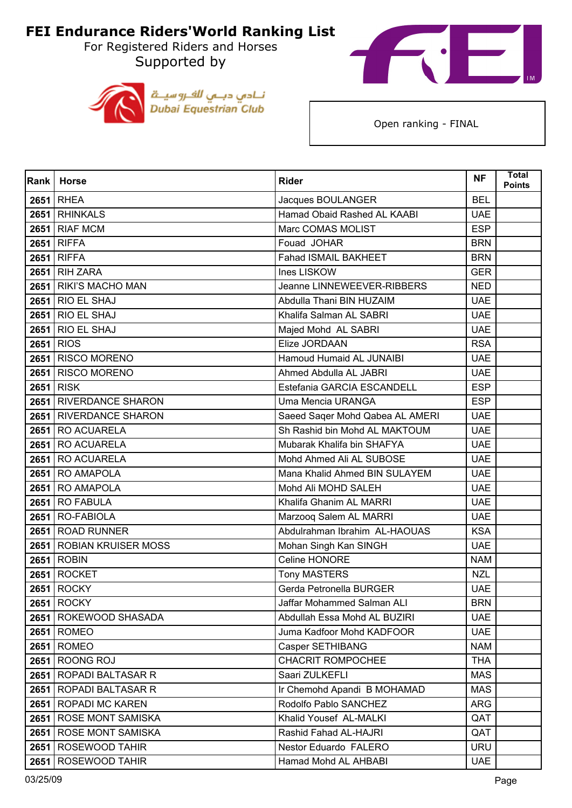For Registered Riders and Horses Supported by





| Rank | <b>Horse</b>             | <b>Rider</b>                    | <b>NF</b>  | <b>Total</b><br><b>Points</b> |
|------|--------------------------|---------------------------------|------------|-------------------------------|
|      | <b>2651 RHEA</b>         | Jacques BOULANGER               | <b>BEL</b> |                               |
|      | 2651 RHINKALS            | Hamad Obaid Rashed AL KAABI     | <b>UAE</b> |                               |
| 2651 | <b>RIAF MCM</b>          | Marc COMAS MOLIST               | <b>ESP</b> |                               |
|      | 2651 RIFFA               | Fouad JOHAR                     | <b>BRN</b> |                               |
|      | 2651 RIFFA               | Fahad ISMAIL BAKHEET            | <b>BRN</b> |                               |
|      | <b>2651 RIH ZARA</b>     | Ines LISKOW                     | <b>GER</b> |                               |
| 2651 | RIKI'S MACHO MAN         | Jeanne LINNEWEEVER-RIBBERS      | <b>NED</b> |                               |
|      | <b>2651 RIO EL SHAJ</b>  | Abdulla Thani BIN HUZAIM        | <b>UAE</b> |                               |
| 2651 | <b>RIO EL SHAJ</b>       | Khalifa Salman AL SABRI         | <b>UAE</b> |                               |
|      | <b>2651 RIO EL SHAJ</b>  | Majed Mohd AL SABRI             | <b>UAE</b> |                               |
| 2651 | <b>RIOS</b>              | Elize JORDAAN                   | <b>RSA</b> |                               |
|      | 2651 RISCO MORENO        | Hamoud Humaid AL JUNAIBI        | <b>UAE</b> |                               |
| 2651 | <b>RISCO MORENO</b>      | Ahmed Abdulla AL JABRI          | <b>UAE</b> |                               |
|      | 2651 RISK                | Estefania GARCIA ESCANDELL      | <b>ESP</b> |                               |
| 2651 | <b>RIVERDANCE SHARON</b> | Uma Mencia URANGA               | <b>ESP</b> |                               |
|      | 2651 RIVERDANCE SHARON   | Saeed Sager Mohd Qabea AL AMERI | <b>UAE</b> |                               |
|      | 2651 RO ACUARELA         | Sh Rashid bin Mohd AL MAKTOUM   | <b>UAE</b> |                               |
|      | 2651 RO ACUARELA         | Mubarak Khalifa bin SHAFYA      | <b>UAE</b> |                               |
| 2651 | <b>RO ACUARELA</b>       | Mohd Ahmed Ali AL SUBOSE        | <b>UAE</b> |                               |
|      | 2651 RO AMAPOLA          | Mana Khalid Ahmed BIN SULAYEM   | <b>UAE</b> |                               |
|      | 2651 RO AMAPOLA          | Mohd Ali MOHD SALEH             | <b>UAE</b> |                               |
|      | <b>2651 RO FABULA</b>    | Khalifa Ghanim AL MARRI         | <b>UAE</b> |                               |
| 2651 | RO-FABIOLA               | Marzooq Salem AL MARRI          | <b>UAE</b> |                               |
|      | 2651 ROAD RUNNER         | Abdulrahman Ibrahim AL-HAOUAS   | <b>KSA</b> |                               |
|      | 2651 ROBIAN KRUISER MOSS | Mohan Singh Kan SINGH           | <b>UAE</b> |                               |
|      | 2651 ROBIN               | Celine HONORE                   | <b>NAM</b> |                               |
| 2651 | <b>ROCKET</b>            | <b>Tony MASTERS</b>             | <b>NZL</b> |                               |
| 2651 | <b>ROCKY</b>             | Gerda Petronella BURGER         | <b>UAE</b> |                               |
|      | <b>2651 ROCKY</b>        | Jaffar Mohammed Salman ALI      | <b>BRN</b> |                               |
|      | 2651 ROKEWOOD SHASADA    | Abdullah Essa Mohd AL BUZIRI    | <b>UAE</b> |                               |
|      | <b>2651 ROMEO</b>        | Juma Kadfoor Mohd KADFOOR       | <b>UAE</b> |                               |
|      | <b>2651 ROMEO</b>        | Casper SETHIBANG                | <b>NAM</b> |                               |
| 2651 | <b>ROONG ROJ</b>         | <b>CHACRIT ROMPOCHEE</b>        | <b>THA</b> |                               |
|      | 2651   ROPADI BALTASAR R | Saari ZULKEFLI                  | <b>MAS</b> |                               |
|      | 2651   ROPADI BALTASAR R | Ir Chemohd Apandi B MOHAMAD     | <b>MAS</b> |                               |
|      | 2651   ROPADI MC KAREN   | Rodolfo Pablo SANCHEZ           | ARG        |                               |
| 2651 | <b>ROSE MONT SAMISKA</b> | Khalid Yousef AL-MALKI          | QAT        |                               |
|      | 2651 ROSE MONT SAMISKA   | Rashid Fahad AL-HAJRI           | QAT        |                               |
| 2651 | <b>ROSEWOOD TAHIR</b>    | Nestor Eduardo FALERO           | <b>URU</b> |                               |
| 2651 | <b>ROSEWOOD TAHIR</b>    | Hamad Mohd AL AHBABI            | <b>UAE</b> |                               |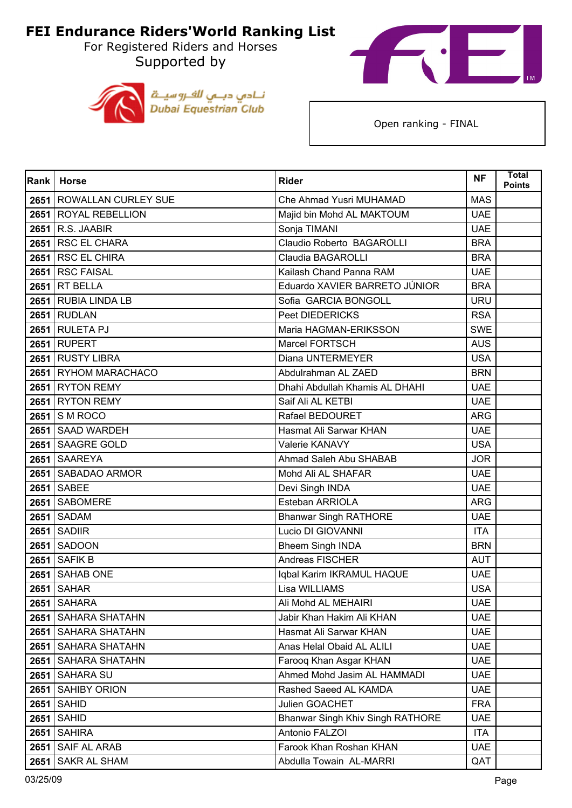For Registered Riders and Horses Supported by





| <b>Rank</b> | <b>Horse</b>               | <b>Rider</b>                     | <b>NF</b>  | <b>Total</b><br><b>Points</b> |
|-------------|----------------------------|----------------------------------|------------|-------------------------------|
| 2651        | <b>ROWALLAN CURLEY SUE</b> | Che Ahmad Yusri MUHAMAD          | <b>MAS</b> |                               |
|             | 2651 ROYAL REBELLION       | Majid bin Mohd AL MAKTOUM        | <b>UAE</b> |                               |
| 2651        | R.S. JAABIR                | Sonja TIMANI                     | <b>UAE</b> |                               |
|             | 2651 RSC EL CHARA          | Claudio Roberto BAGAROLLI        | <b>BRA</b> |                               |
| 2651        | <b>RSC EL CHIRA</b>        | Claudia BAGAROLLI                | <b>BRA</b> |                               |
|             | 2651 RSC FAISAL            | Kailash Chand Panna RAM          | <b>UAE</b> |                               |
| 2651        | <b>RT BELLA</b>            | Eduardo XAVIER BARRETO JÚNIOR    | <b>BRA</b> |                               |
|             | 2651 RUBIA LINDA LB        | Sofia GARCIA BONGOLL             | <b>URU</b> |                               |
|             | <b>2651 RUDLAN</b>         | Peet DIEDERICKS                  | <b>RSA</b> |                               |
|             | <b>2651 RULETA PJ</b>      | Maria HAGMAN-ERIKSSON            | <b>SWE</b> |                               |
| 2651        | <b>RUPERT</b>              | <b>Marcel FORTSCH</b>            | <b>AUS</b> |                               |
|             | 2651 RUSTY LIBRA           | Diana UNTERMEYER                 | <b>USA</b> |                               |
|             | 2651   RYHOM MARACHACO     | Abdulrahman AL ZAED              | <b>BRN</b> |                               |
|             | 2651 RYTON REMY            | Dhahi Abdullah Khamis AL DHAHI   | <b>UAE</b> |                               |
| 2651        | <b>RYTON REMY</b>          | Saif Ali AL KETBI                | <b>UAE</b> |                               |
|             | $2651$ S M ROCO            | Rafael BEDOURET                  | <b>ARG</b> |                               |
|             | 2651 SAAD WARDEH           | Hasmat Ali Sarwar KHAN           | <b>UAE</b> |                               |
|             | 2651 SAAGRE GOLD           | Valerie KANAVY                   | <b>USA</b> |                               |
|             | 2651   SAAREYA             | Ahmad Saleh Abu SHABAB           | <b>JOR</b> |                               |
|             | 2651 SABADAO ARMOR         | Mohd Ali AL SHAFAR               | <b>UAE</b> |                               |
|             | 2651 SABEE                 | Devi Singh INDA                  | <b>UAE</b> |                               |
|             | 2651 SABOMERE              | Esteban ARRIOLA                  | <b>ARG</b> |                               |
| 2651        | <b>SADAM</b>               | <b>Bhanwar Singh RATHORE</b>     | <b>UAE</b> |                               |
|             | <b>2651 SADIIR</b>         | Lucio DI GIOVANNI                | <b>ITA</b> |                               |
| 2651        | <b>SADOON</b>              | <b>Bheem Singh INDA</b>          | <b>BRN</b> |                               |
|             | <b>2651 SAFIK B</b>        | Andreas FISCHER                  | <b>AUT</b> |                               |
| 2651        | <b>SAHAB ONE</b>           | Iqbal Karim IKRAMUL HAQUE        | <b>UAE</b> |                               |
|             | <b>2651 SAHAR</b>          | Lisa WILLIAMS                    | <b>USA</b> |                               |
|             | <b>2651   SAHARA</b>       | Ali Mohd AL MEHAIRI              | UAE.       |                               |
|             | 2651 SAHARA SHATAHN        | Jabir Khan Hakim Ali KHAN        | <b>UAE</b> |                               |
|             | 2651   SAHARA SHATAHN      | Hasmat Ali Sarwar KHAN           | <b>UAE</b> |                               |
|             | 2651   SAHARA SHATAHN      | Anas Helal Obaid AL ALILI        | <b>UAE</b> |                               |
| 2651        | SAHARA SHATAHN             | Farooq Khan Asgar KHAN           | <b>UAE</b> |                               |
|             | 2651 SAHARA SU             | Ahmed Mohd Jasim AL HAMMADI      | <b>UAE</b> |                               |
| 2651        | <b>SAHIBY ORION</b>        | Rashed Saeed AL KAMDA            | <b>UAE</b> |                               |
|             | <b>2651 SAHID</b>          | Julien GOACHET                   | <b>FRA</b> |                               |
| 2651        | <b>SAHID</b>               | Bhanwar Singh Khiv Singh RATHORE | <b>UAE</b> |                               |
|             | <b>2651   SAHIRA</b>       | Antonio FALZOI                   | <b>ITA</b> |                               |
| 2651        | SAIF AL ARAB               | Farook Khan Roshan KHAN          | <b>UAE</b> |                               |
| 2651        | SAKR AL SHAM               | Abdulla Towain AL-MARRI          | QAT        |                               |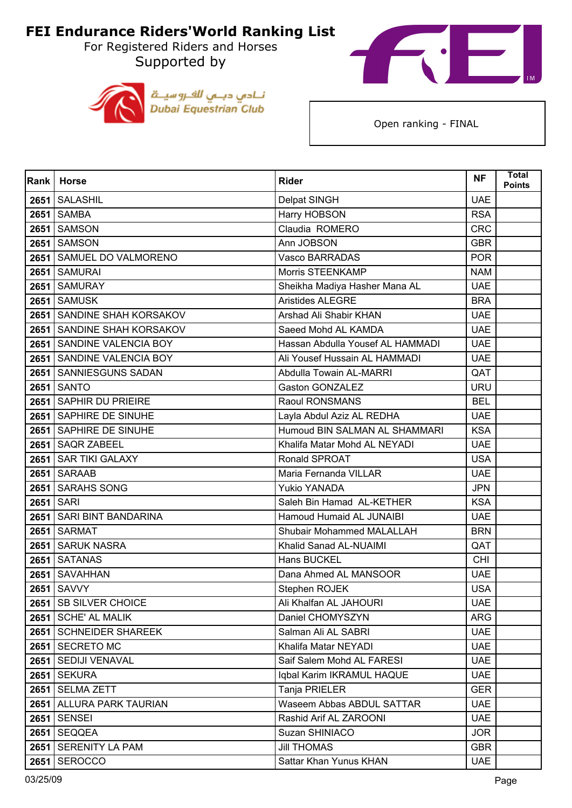For Registered Riders and Horses Supported by





| Rank | <b>Horse</b>               | <b>Rider</b>                     | <b>NF</b>  | <b>Total</b><br><b>Points</b> |
|------|----------------------------|----------------------------------|------------|-------------------------------|
| 2651 | <b>SALASHIL</b>            | Delpat SINGH                     | <b>UAE</b> |                               |
| 2651 | <b>SAMBA</b>               | Harry HOBSON                     | <b>RSA</b> |                               |
| 2651 | <b>SAMSON</b>              | Claudia ROMERO                   | <b>CRC</b> |                               |
|      | <b>2651   SAMSON</b>       | Ann JOBSON                       | <b>GBR</b> |                               |
| 2651 | SAMUEL DO VALMORENO        | Vasco BARRADAS                   | <b>POR</b> |                               |
|      | 2651 SAMURAI               | <b>Morris STEENKAMP</b>          | <b>NAM</b> |                               |
| 2651 | <b>SAMURAY</b>             | Sheikha Madiya Hasher Mana AL    | <b>UAE</b> |                               |
|      | 2651 SAMUSK                | <b>Aristides ALEGRE</b>          | <b>BRA</b> |                               |
|      | 2651 SANDINE SHAH KORSAKOV | Arshad Ali Shabir KHAN           | <b>UAE</b> |                               |
|      | 2651 SANDINE SHAH KORSAKOV | Saeed Mohd AL KAMDA              | <b>UAE</b> |                               |
| 2651 | SANDINE VALENCIA BOY       | Hassan Abdulla Yousef AL HAMMADI | <b>UAE</b> |                               |
|      | 2651 SANDINE VALENCIA BOY  | Ali Yousef Hussain AL HAMMADI    | <b>UAE</b> |                               |
| 2651 | SANNIESGUNS SADAN          | Abdulla Towain AL-MARRI          | QAT        |                               |
|      | <b>2651 SANTO</b>          | <b>Gaston GONZALEZ</b>           | <b>URU</b> |                               |
| 2651 | <b>SAPHIR DU PRIEIRE</b>   | Raoul RONSMANS                   | <b>BEL</b> |                               |
|      | 2651 SAPHIRE DE SINUHE     | Layla Abdul Aziz AL REDHA        | <b>UAE</b> |                               |
|      | 2651 SAPHIRE DE SINUHE     | Humoud BIN SALMAN AL SHAMMARI    | <b>KSA</b> |                               |
|      | 2651   SAQR ZABEEL         | Khalifa Matar Mohd AL NEYADI     | <b>UAE</b> |                               |
| 2651 | <b>SAR TIKI GALAXY</b>     | Ronald SPROAT                    | <b>USA</b> |                               |
|      | 2651 SARAAB                | Maria Fernanda VILLAR            | <b>UAE</b> |                               |
| 2651 | <b>SARAHS SONG</b>         | <b>Yukio YANADA</b>              | <b>JPN</b> |                               |
| 2651 | <b>SARI</b>                | Saleh Bin Hamad AL-KETHER        | <b>KSA</b> |                               |
| 2651 | <b>SARI BINT BANDARINA</b> | Hamoud Humaid AL JUNAIBI         | <b>UAE</b> |                               |
| 2651 | <b>SARMAT</b>              | Shubair Mohammed MALALLAH        | <b>BRN</b> |                               |
| 2651 | <b>SARUK NASRA</b>         | Khalid Sanad AL-NUAIMI           | QAT        |                               |
| 2651 | <b>SATANAS</b>             | <b>Hans BUCKEL</b>               | <b>CHI</b> |                               |
| 2651 | <b>SAVAHHAN</b>            | Dana Ahmed AL MANSOOR            | <b>UAE</b> |                               |
| 2651 | <b>SAVVY</b>               | Stephen ROJEK                    | <b>USA</b> |                               |
|      | 2651 SB SILVER CHOICE      | Ali Khalfan AL JAHOURI           | <b>UAE</b> |                               |
|      | 2651   SCHE' AL MALIK      | Daniel CHOMYSZYN                 | <b>ARG</b> |                               |
|      | 2651   SCHNEIDER SHAREEK   | Salman Ali AL SABRI              | <b>UAE</b> |                               |
|      | 2651 SECRETO MC            | Khalifa Matar NEYADI             | <b>UAE</b> |                               |
| 2651 | SEDIJI VENAVAL             | Saif Salem Mohd AL FARESI        | <b>UAE</b> |                               |
|      | <b>2651   SEKURA</b>       | Iqbal Karim IKRAMUL HAQUE        | <b>UAE</b> |                               |
| 2651 | <b>SELMA ZETT</b>          | Tanja PRIELER                    | <b>GER</b> |                               |
|      | 2651   ALLURA PARK TAURIAN | Waseem Abbas ABDUL SATTAR        | <b>UAE</b> |                               |
| 2651 | <b>SENSEI</b>              | Rashid Arif AL ZAROONI           | <b>UAE</b> |                               |
|      | <b>2651   SEQQEA</b>       | Suzan SHINIACO                   | <b>JOR</b> |                               |
| 2651 | <b>SERENITY LA PAM</b>     | <b>Jill THOMAS</b>               | <b>GBR</b> |                               |
| 2651 | <b>SEROCCO</b>             | Sattar Khan Yunus KHAN           | <b>UAE</b> |                               |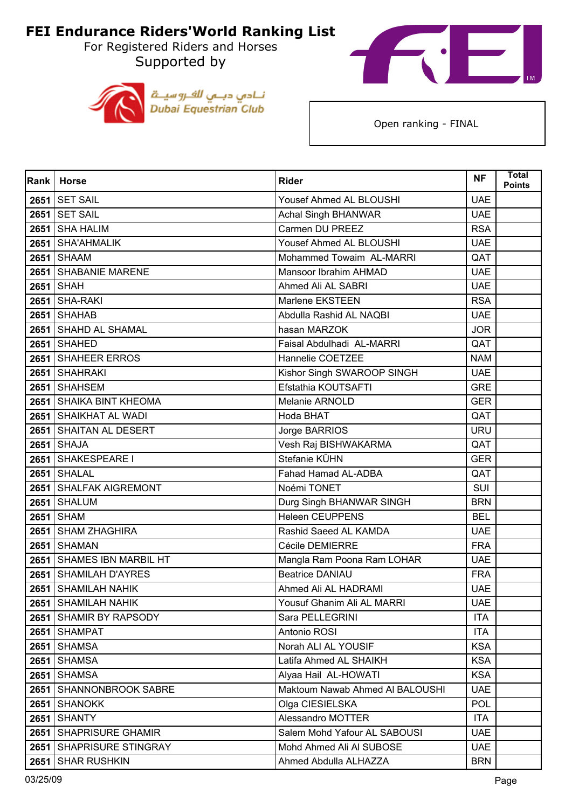For Registered Riders and Horses Supported by





| Rank | <b>Horse</b>              | <b>Rider</b>                    | <b>NF</b>  | <b>Total</b><br><b>Points</b> |
|------|---------------------------|---------------------------------|------------|-------------------------------|
|      | <b>2651   SET SAIL</b>    | Yousef Ahmed AL BLOUSHI         | <b>UAE</b> |                               |
|      | <b>2651 SET SAIL</b>      | Achal Singh BHANWAR             | <b>UAE</b> |                               |
| 2651 | <b>SHA HALIM</b>          | Carmen DU PREEZ                 | <b>RSA</b> |                               |
|      | 2651 SHA'AHMALIK          | Yousef Ahmed AL BLOUSHI         | <b>UAE</b> |                               |
|      | <b>2651 SHAAM</b>         | Mohammed Towaim AL-MARRI        | QAT        |                               |
|      | 2651 SHABANIE MARENE      | Mansoor Ibrahim AHMAD           | <b>UAE</b> |                               |
|      | <b>2651 SHAH</b>          | Ahmed Ali AL SABRI              | <b>UAE</b> |                               |
|      | <b>2651 SHA-RAKI</b>      | Marlene EKSTEEN                 | <b>RSA</b> |                               |
|      | <b>2651 SHAHAB</b>        | Abdulla Rashid AL NAQBI         | <b>UAE</b> |                               |
|      | 2651 SHAHD AL SHAMAL      | hasan MARZOK                    | <b>JOR</b> |                               |
|      | <b>2651   SHAHED</b>      | Faisal Abdulhadi AL-MARRI       | QAT        |                               |
|      | 2651 SHAHEER ERROS        | Hannelie COETZEE                | <b>NAM</b> |                               |
|      | 2651 SHAHRAKI             | Kishor Singh SWAROOP SINGH      | <b>UAE</b> |                               |
|      | 2651 SHAHSEM              | Efstathia KOUTSAFTI             | <b>GRE</b> |                               |
|      | 2651 SHAIKA BINT KHEOMA   | Melanie ARNOLD                  | <b>GER</b> |                               |
|      | 2651 SHAIKHAT AL WADI     | Hoda BHAT                       | QAT        |                               |
|      | 2651 SHAITAN AL DESERT    | Jorge BARRIOS                   | <b>URU</b> |                               |
|      | <b>2651 SHAJA</b>         | Vesh Raj BISHWAKARMA            | QAT        |                               |
|      | 2651 SHAKESPEARE I        | Stefanie KÜHN                   | <b>GER</b> |                               |
|      | 2651 SHALAL               | Fahad Hamad AL-ADBA             | QAT        |                               |
|      | 2651 SHALFAK AIGREMONT    | Noémi TONET                     | SUI        |                               |
|      | 2651 SHALUM               | Durg Singh BHANWAR SINGH        | <b>BRN</b> |                               |
| 2651 | <b>SHAM</b>               | Heleen CEUPPENS                 | <b>BEL</b> |                               |
|      | 2651 SHAM ZHAGHIRA        | Rashid Saeed AL KAMDA           | <b>UAE</b> |                               |
|      | <b>2651 SHAMAN</b>        | Cécile DEMIERRE                 | <b>FRA</b> |                               |
|      | 2651 SHAMES IBN MARBIL HT | Mangla Ram Poona Ram LOHAR      | <b>UAE</b> |                               |
| 2651 | <b>SHAMILAH D'AYRES</b>   | <b>Beatrice DANIAU</b>          | <b>FRA</b> |                               |
|      | 2651   SHAMILAH NAHIK     | Ahmed Ali AL HADRAMI            | <b>UAE</b> |                               |
|      | 2651   SHAMILAH NAHIK     | Yousuf Ghanim Ali AL MARRI      | <b>UAE</b> |                               |
| 2651 | SHAMIR BY RAPSODY         | Sara PELLEGRINI                 | <b>ITA</b> |                               |
|      | 2651 SHAMPAT              | Antonio ROSI                    | <b>ITA</b> |                               |
| 2651 | <b>SHAMSA</b>             | Norah ALI AL YOUSIF             | <b>KSA</b> |                               |
| 2651 | <b>SHAMSA</b>             | Latifa Ahmed AL SHAIKH          | <b>KSA</b> |                               |
| 2651 | <b>SHAMSA</b>             | Alyaa Hail AL-HOWATI            | <b>KSA</b> |                               |
| 2651 | SHANNONBROOK SABRE        | Maktoum Nawab Ahmed Al BALOUSHI | <b>UAE</b> |                               |
| 2651 | <b>SHANOKK</b>            | Olga CIESIELSKA                 | <b>POL</b> |                               |
| 2651 | <b>SHANTY</b>             | Alessandro MOTTER               | <b>ITA</b> |                               |
| 2651 | <b>SHAPRISURE GHAMIR</b>  | Salem Mohd Yafour AL SABOUSI    | <b>UAE</b> |                               |
| 2651 | SHAPRISURE STINGRAY       | Mohd Ahmed Ali Al SUBOSE        | <b>UAE</b> |                               |
| 2651 | <b>SHAR RUSHKIN</b>       | Ahmed Abdulla ALHAZZA           | <b>BRN</b> |                               |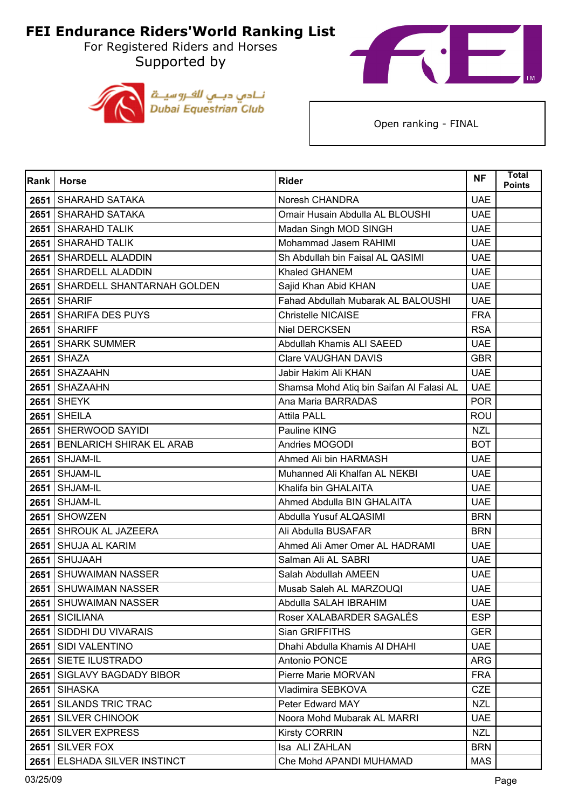For Registered Riders and Horses Supported by





| Rank | <b>Horse</b>                   | <b>Rider</b>                             | <b>NF</b>  | <b>Total</b><br><b>Points</b> |
|------|--------------------------------|------------------------------------------|------------|-------------------------------|
| 2651 | SHARAHD SATAKA                 | Noresh CHANDRA                           | <b>UAE</b> |                               |
|      | 2651 SHARAHD SATAKA            | Omair Husain Abdulla AL BLOUSHI          | <b>UAE</b> |                               |
| 2651 | SHARAHD TALIK                  | Madan Singh MOD SINGH                    | <b>UAE</b> |                               |
| 2651 | <b>SHARAHD TALIK</b>           | Mohammad Jasem RAHIMI                    | <b>UAE</b> |                               |
| 2651 | SHARDELL ALADDIN               | Sh Abdullah bin Faisal AL QASIMI         | <b>UAE</b> |                               |
|      | 2651 SHARDELL ALADDIN          | Khaled GHANEM                            | <b>UAE</b> |                               |
| 2651 | SHARDELL SHANTARNAH GOLDEN     | Sajid Khan Abid KHAN                     | <b>UAE</b> |                               |
|      | <b>2651 SHARIF</b>             | Fahad Abdullah Mubarak AL BALOUSHI       | <b>UAE</b> |                               |
|      | 2651 SHARIFA DES PUYS          | <b>Christelle NICAISE</b>                | <b>FRA</b> |                               |
|      | 2651 SHARIFF                   | Niel DERCKSEN                            | <b>RSA</b> |                               |
| 2651 | <b>SHARK SUMMER</b>            | Abdullah Khamis ALI SAEED                | <b>UAE</b> |                               |
|      | <b>2651 SHAZA</b>              | <b>Clare VAUGHAN DAVIS</b>               | <b>GBR</b> |                               |
| 2651 | <b>SHAZAAHN</b>                | Jabir Hakim Ali KHAN                     | <b>UAE</b> |                               |
|      | 2651 SHAZAAHN                  | Shamsa Mohd Atiq bin Saifan Al Falasi AL | <b>UAE</b> |                               |
| 2651 | <b>SHEYK</b>                   | Ana Maria BARRADAS                       | <b>POR</b> |                               |
|      | <b>2651 SHEILA</b>             | <b>Attila PALL</b>                       | <b>ROU</b> |                               |
|      | 2651 SHERWOOD SAYIDI           | Pauline KING                             | <b>NZL</b> |                               |
|      | 2651 BENLARICH SHIRAK EL ARAB  | Andries MOGODI                           | <b>BOT</b> |                               |
| 2651 | SHJAM-IL                       | Ahmed Ali bin HARMASH                    | <b>UAE</b> |                               |
|      | 2651   SHJAM-IL                | Muhanned Ali Khalfan AL NEKBI            | <b>UAE</b> |                               |
| 2651 | SHJAM-IL                       | Khalifa bin GHALAITA                     | <b>UAE</b> |                               |
| 2651 | <b>SHJAM-IL</b>                | Ahmed Abdulla BIN GHALAITA               | <b>UAE</b> |                               |
| 2651 | <b>SHOWZEN</b>                 | Abdulla Yusuf ALQASIMI                   | <b>BRN</b> |                               |
|      | 2651 SHROUK AL JAZEERA         | Ali Abdulla BUSAFAR                      | <b>BRN</b> |                               |
| 2651 | <b>SHUJA AL KARIM</b>          | Ahmed Ali Amer Omer AL HADRAMI           | <b>UAE</b> |                               |
| 2651 | <b>SHUJAAH</b>                 | Salman Ali AL SABRI                      | <b>UAE</b> |                               |
| 2651 | SHUWAIMAN NASSER               | Salah Abdullah AMEEN                     | <b>UAE</b> |                               |
| 2651 | <b>SHUWAIMAN NASSER</b>        | Musab Saleh AL MARZOUQI                  | <b>UAE</b> |                               |
|      | 2651   SHUWAIMAN NASSER        | Abdulla SALAH IBRAHIM                    | UAE        |                               |
|      | 2651 SICILIANA                 | Roser XALABARDER SAGALÉS                 | <b>ESP</b> |                               |
|      | 2651   SIDDHI DU VIVARAIS      | Sian GRIFFITHS                           | <b>GER</b> |                               |
|      | 2651 SIDI VALENTINO            | Dhahi Abdulla Khamis Al DHAHI            | <b>UAE</b> |                               |
|      | 2651 SIETE ILUSTRADO           | Antonio PONCE                            | ARG        |                               |
|      | 2651   SIGLAVY BAGDADY BIBOR   | Pierre Marie MORVAN                      | <b>FRA</b> |                               |
|      | 2651 SIHASKA                   | Vladimira SEBKOVA                        | <b>CZE</b> |                               |
|      | 2651 SILANDS TRIC TRAC         | Peter Edward MAY                         | <b>NZL</b> |                               |
| 2651 | <b>SILVER CHINOOK</b>          | Noora Mohd Mubarak AL MARRI              | <b>UAE</b> |                               |
|      | 2651 SILVER EXPRESS            | <b>Kirsty CORRIN</b>                     | <b>NZL</b> |                               |
|      | 2651 SILVER FOX                | Isa ALI ZAHLAN                           | <b>BRN</b> |                               |
| 2651 | <b>ELSHADA SILVER INSTINCT</b> | Che Mohd APANDI MUHAMAD                  | <b>MAS</b> |                               |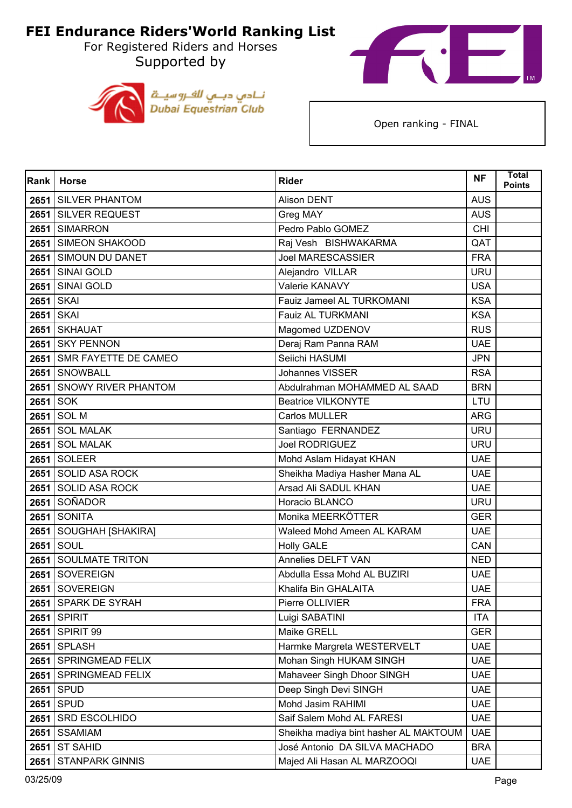For Registered Riders and Horses Supported by





| Rank | <b>Horse</b>              | <b>Rider</b>                          | <b>NF</b>  | <b>Total</b><br><b>Points</b> |
|------|---------------------------|---------------------------------------|------------|-------------------------------|
| 2651 | <b>SILVER PHANTOM</b>     | <b>Alison DENT</b>                    | <b>AUS</b> |                               |
|      | 2651 SILVER REQUEST       | Greg MAY                              | <b>AUS</b> |                               |
| 2651 | <b>SIMARRON</b>           | Pedro Pablo GOMEZ                     | <b>CHI</b> |                               |
|      | 2651 SIMEON SHAKOOD       | Raj Vesh BISHWAKARMA                  | QAT        |                               |
| 2651 | <b>SIMOUN DU DANET</b>    | <b>Joel MARESCASSIER</b>              | <b>FRA</b> |                               |
|      | 2651 SINAI GOLD           | Alejandro VILLAR                      | <b>URU</b> |                               |
| 2651 | <b>SINAI GOLD</b>         | Valerie KANAVY                        | <b>USA</b> |                               |
| 2651 | <b>SKAI</b>               | Fauiz Jameel AL TURKOMANI             | <b>KSA</b> |                               |
|      | 2651 SKAI                 | Fauiz AL TURKMANI                     | <b>KSA</b> |                               |
|      | 2651 SKHAUAT              | Magomed UZDENOV                       | <b>RUS</b> |                               |
| 2651 | <b>SKY PENNON</b>         | Deraj Ram Panna RAM                   | <b>UAE</b> |                               |
|      | 2651 SMR FAYETTE DE CAMEO | Seiichi HASUMI                        | <b>JPN</b> |                               |
|      | 2651 SNOWBALL             | <b>Johannes VISSER</b>                | <b>RSA</b> |                               |
|      | 2651 SNOWY RIVER PHANTOM  | Abdulrahman MOHAMMED AL SAAD          | <b>BRN</b> |                               |
| 2651 | <b>SOK</b>                | <b>Beatrice VILKONYTE</b>             | LTU        |                               |
|      | 2651 SOL M                | Carlos MULLER                         | <b>ARG</b> |                               |
| 2651 | <b>SOL MALAK</b>          | Santiago FERNANDEZ                    | <b>URU</b> |                               |
|      | 2651 SOL MALAK            | <b>Joel RODRIGUEZ</b>                 | <b>URU</b> |                               |
| 2651 | <b>SOLEER</b>             | Mohd Aslam Hidayat KHAN               | <b>UAE</b> |                               |
|      | 2651 SOLID ASA ROCK       | Sheikha Madiya Hasher Mana AL         | <b>UAE</b> |                               |
|      | 2651 SOLID ASA ROCK       | Arsad Ali SADUL KHAN                  | <b>UAE</b> |                               |
| 2651 | <b>SOÑADOR</b>            | Horacio BLANCO                        | <b>URU</b> |                               |
| 2651 | <b>SONITA</b>             | Monika MEERKÖTTER                     | <b>GER</b> |                               |
|      | 2651   SOUGHAH [SHAKIRA]  | Waleed Mohd Ameen AL KARAM            | <b>UAE</b> |                               |
| 2651 | SOUL                      | <b>Holly GALE</b>                     | CAN        |                               |
|      | 2651 SOULMATE TRITON      | Annelies DELFT VAN                    | <b>NED</b> |                               |
| 2651 | <b>SOVEREIGN</b>          | Abdulla Essa Mohd AL BUZIRI           | <b>UAE</b> |                               |
| 2651 | <b>SOVEREIGN</b>          | Khalifa Bin GHALAITA                  | <b>UAE</b> |                               |
|      | 2651 SPARK DE SYRAH       | Pierre OLLIVIER                       | <b>FRA</b> |                               |
| 2651 | <b>SPIRIT</b>             | Luigi SABATINI                        | <b>ITA</b> |                               |
|      | 2651 SPIRIT 99            | Maike GRELL                           | <b>GER</b> |                               |
|      | <b>2651 SPLASH</b>        | Harmke Margreta WESTERVELT            | <b>UAE</b> |                               |
| 2651 | SPRINGMEAD FELIX          | Mohan Singh HUKAM SINGH               | <b>UAE</b> |                               |
| 2651 | <b>SPRINGMEAD FELIX</b>   | Mahaveer Singh Dhoor SINGH            | <b>UAE</b> |                               |
| 2651 | <b>SPUD</b>               | Deep Singh Devi SINGH                 | <b>UAE</b> |                               |
| 2651 | <b>SPUD</b>               | Mohd Jasim RAHIMI                     | <b>UAE</b> |                               |
| 2651 | SRD ESCOLHIDO             | Saif Salem Mohd AL FARESI             | <b>UAE</b> |                               |
| 2651 | <b>SSAMIAM</b>            | Sheikha madiya bint hasher AL MAKTOUM | <b>UAE</b> |                               |
| 2651 | <b>ST SAHID</b>           | José Antonio DA SILVA MACHADO         | <b>BRA</b> |                               |
| 2651 | <b>STANPARK GINNIS</b>    | Majed Ali Hasan AL MARZOOQI           | <b>UAE</b> |                               |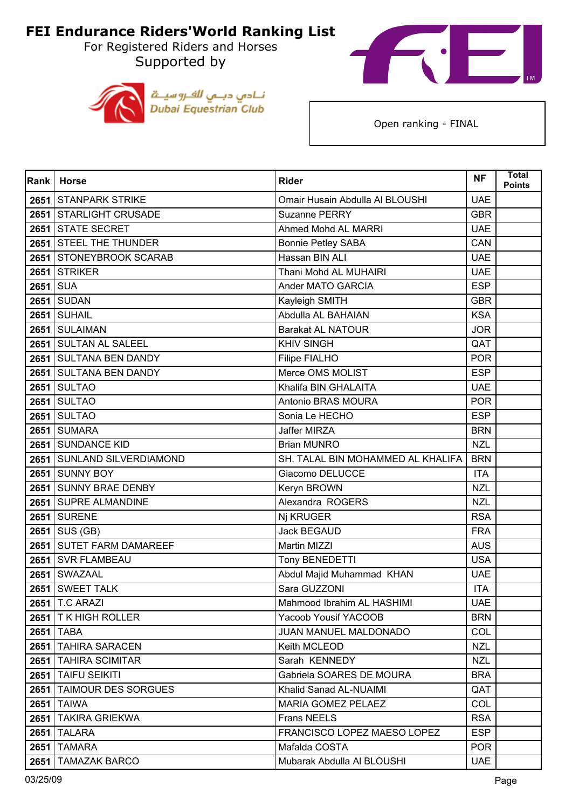For Registered Riders and Horses Supported by





| <b>Rank</b> | <b>Horse</b>               | <b>Rider</b>                      | <b>NF</b>  | Total<br><b>Points</b> |
|-------------|----------------------------|-----------------------------------|------------|------------------------|
|             | 2651 STANPARK STRIKE       | Omair Husain Abdulla Al BLOUSHI   | <b>UAE</b> |                        |
|             | 2651 STARLIGHT CRUSADE     | Suzanne PERRY                     | <b>GBR</b> |                        |
|             | 2651 STATE SECRET          | Ahmed Mohd AL MARRI               | <b>UAE</b> |                        |
|             | 2651 STEEL THE THUNDER     | <b>Bonnie Petley SABA</b>         | CAN        |                        |
|             | 2651 STONEYBROOK SCARAB    | Hassan BIN ALI                    | <b>UAE</b> |                        |
|             | 2651 STRIKER               | Thani Mohd AL MUHAIRI             | <b>UAE</b> |                        |
| 2651 SUA    |                            | Ander MATO GARCIA                 | <b>ESP</b> |                        |
|             | <b>2651 SUDAN</b>          | Kayleigh SMITH                    | <b>GBR</b> |                        |
|             | <b>2651 SUHAIL</b>         | Abdulla AL BAHAIAN                | <b>KSA</b> |                        |
|             | 2651 SULAIMAN              | <b>Barakat AL NATOUR</b>          | <b>JOR</b> |                        |
|             | 2651 SULTAN AL SALEEL      | <b>KHIV SINGH</b>                 | QAT        |                        |
|             | 2651 SULTANA BEN DANDY     | Filipe FIALHO                     | <b>POR</b> |                        |
|             | 2651 SULTANA BEN DANDY     | Merce OMS MOLIST                  | <b>ESP</b> |                        |
|             | <b>2651 SULTAO</b>         | Khalifa BIN GHALAITA              | <b>UAE</b> |                        |
| 2651        | <b>SULTAO</b>              | Antonio BRAS MOURA                | <b>POR</b> |                        |
|             | <b>2651 SULTAO</b>         | Sonia Le HECHO                    | <b>ESP</b> |                        |
|             | <b>2651 SUMARA</b>         | Jaffer MIRZA                      | <b>BRN</b> |                        |
|             | 2651 SUNDANCE KID          | <b>Brian MUNRO</b>                | <b>NZL</b> |                        |
|             | 2651 SUNLAND SILVERDIAMOND | SH. TALAL BIN MOHAMMED AL KHALIFA | <b>BRN</b> |                        |
|             | 2651 SUNNY BOY             | Giacomo DELUCCE                   | <b>ITA</b> |                        |
|             | 2651 SUNNY BRAE DENBY      | Keryn BROWN                       | <b>NZL</b> |                        |
|             | 2651 SUPRE ALMANDINE       | Alexandra ROGERS                  | <b>NZL</b> |                        |
|             | <b>2651 SURENE</b>         | Nj KRUGER                         | <b>RSA</b> |                        |
|             | $2651$ SUS (GB)            | <b>Jack BEGAUD</b>                | <b>FRA</b> |                        |
|             | 2651 SUTET FARM DAMAREEF   | Martin MIZZI                      | <b>AUS</b> |                        |
|             | 2651 SVR FLAMBEAU          | Tony BENEDETTI                    | <b>USA</b> |                        |
|             | 2651 SWAZAAL               | Abdul Majid Muhammad KHAN         | <b>UAE</b> |                        |
|             | 2651 SWEET TALK            | Sara GUZZONI                      | <b>ITA</b> |                        |
|             | 2651   T.C ARAZI           | Mahmood Ibrahim AL HASHIMI        | <b>UAE</b> |                        |
|             | 2651   T K HIGH ROLLER     | Yacoob Yousif YACOOB              | <b>BRN</b> |                        |
|             | <b>2651 TABA</b>           | JUAN MANUEL MALDONADO             | COL        |                        |
|             | 2651 TAHIRA SARACEN        | Keith MCLEOD                      | <b>NZL</b> |                        |
|             | 2651 TAHIRA SCIMITAR       | Sarah KENNEDY                     | <b>NZL</b> |                        |
|             | 2651   TAIFU SEIKITI       | Gabriela SOARES DE MOURA          | <b>BRA</b> |                        |
|             | 2651 TAIMOUR DES SORGUES   | Khalid Sanad AL-NUAIMI            | QAT        |                        |
|             | <b>2651 TAIWA</b>          | MARIA GOMEZ PELAEZ                | COL        |                        |
|             | 2651 TAKIRA GRIEKWA        | <b>Frans NEELS</b>                | <b>RSA</b> |                        |
|             | <b>2651   TALARA</b>       | FRANCISCO LOPEZ MAESO LOPEZ       | <b>ESP</b> |                        |
|             | <b>2651 TAMARA</b>         | Mafalda COSTA                     | <b>POR</b> |                        |
| 2651        | <b>TAMAZAK BARCO</b>       | Mubarak Abdulla Al BLOUSHI        | <b>UAE</b> |                        |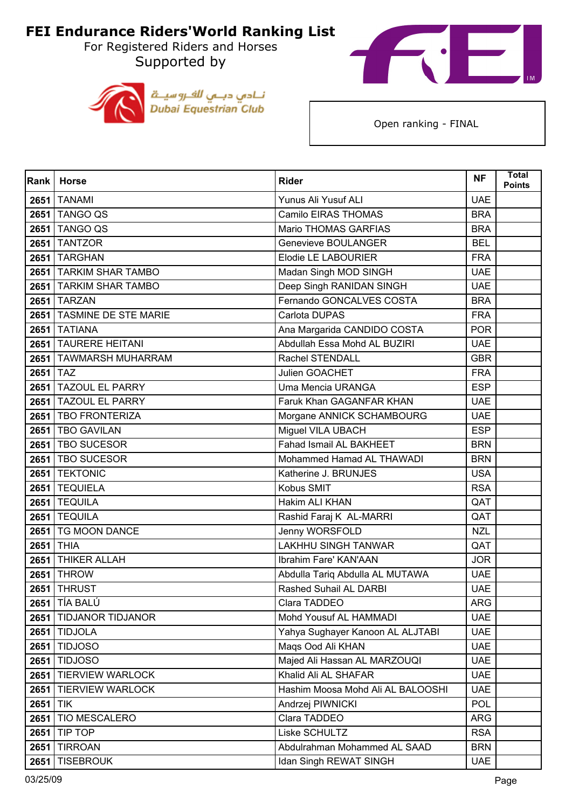For Registered Riders and Horses Supported by





| Rank     | <b>Horse</b>              | <b>Rider</b>                      | <b>NF</b>  | <b>Total</b><br><b>Points</b> |
|----------|---------------------------|-----------------------------------|------------|-------------------------------|
| 2651     | <b>TANAMI</b>             | Yunus Ali Yusuf ALI               | <b>UAE</b> |                               |
|          | 2651 TANGO QS             | Camilo EIRAS THOMAS               | <b>BRA</b> |                               |
| 2651     | <b>TANGO QS</b>           | Mario THOMAS GARFIAS              | <b>BRA</b> |                               |
|          | <b>2651 TANTZOR</b>       | Genevieve BOULANGER               | <b>BEL</b> |                               |
|          | 2651   TARGHAN            | Elodie LE LABOURIER               | <b>FRA</b> |                               |
|          | 2651 TARKIM SHAR TAMBO    | Madan Singh MOD SINGH             | <b>UAE</b> |                               |
|          | 2651 TARKIM SHAR TAMBO    | Deep Singh RANIDAN SINGH          | <b>UAE</b> |                               |
|          | <b>2651 TARZAN</b>        | Fernando GONCALVES COSTA          | <b>BRA</b> |                               |
|          | 2651 TASMINE DE STE MARIE | Carlota DUPAS                     | <b>FRA</b> |                               |
|          | <b>2651 TATIANA</b>       | Ana Margarida CANDIDO COSTA       | <b>POR</b> |                               |
| 2651     | <b>TAURERE HEITANI</b>    | Abdullah Essa Mohd AL BUZIRI      | <b>UAE</b> |                               |
|          | 2651 TAWMARSH MUHARRAM    | Rachel STENDALL                   | <b>GBR</b> |                               |
| 2651 TAZ |                           | Julien GOACHET                    | <b>FRA</b> |                               |
|          | 2651 TAZOUL EL PARRY      | Uma Mencia URANGA                 | <b>ESP</b> |                               |
| 2651     | <b>TAZOUL EL PARRY</b>    | Faruk Khan GAGANFAR KHAN          | <b>UAE</b> |                               |
|          | 2651 TBO FRONTERIZA       | Morgane ANNICK SCHAMBOURG         | <b>UAE</b> |                               |
|          | 2651   TBO GAVILAN        | Miguel VILA UBACH                 | <b>ESP</b> |                               |
|          | 2651   TBO SUCESOR        | Fahad Ismail AL BAKHEET           | <b>BRN</b> |                               |
|          | 2651   TBO SUCESOR        | Mohammed Hamad AL THAWADI         | <b>BRN</b> |                               |
|          | 2651 TEKTONIC             | Katherine J. BRUNJES              | <b>USA</b> |                               |
|          | 2651 TEQUIELA             | Kobus SMIT                        | <b>RSA</b> |                               |
|          | <b>2651 TEQUILA</b>       | Hakim ALI KHAN                    | QAT        |                               |
| 2651     | <b>TEQUILA</b>            | Rashid Faraj K AL-MARRI           | QAT        |                               |
|          | 2651   TG MOON DANCE      | Jenny WORSFOLD                    | <b>NZL</b> |                               |
|          | 2651 THIA                 | <b>LAKHHU SINGH TANWAR</b>        | QAT        |                               |
|          | 2651 THIKER ALLAH         | Ibrahim Fare' KAN'AAN             | <b>JOR</b> |                               |
| 2651     | <b>THROW</b>              | Abdulla Tariq Abdulla AL MUTAWA   | <b>UAE</b> |                               |
|          | <b>2651 THRUST</b>        | Rashed Suhail AL DARBI            | <b>UAE</b> |                               |
|          | 2651 TÍA BALÚ             | Clara TADDEO                      | ARG        |                               |
| 2651     | TIDJANOR TIDJANOR         | Mohd Yousuf AL HAMMADI            | <b>UAE</b> |                               |
|          | <b>2651 TIDJOLA</b>       | Yahya Sughayer Kanoon AL ALJTABI  | <b>UAE</b> |                               |
|          | <b>2651 TIDJOSO</b>       | Mags Ood Ali KHAN                 | <b>UAE</b> |                               |
| 2651     | <b>TIDJOSO</b>            | Majed Ali Hassan AL MARZOUQI      | <b>UAE</b> |                               |
|          | 2651 TIERVIEW WARLOCK     | Khalid Ali AL SHAFAR              | <b>UAE</b> |                               |
|          | 2651 TIERVIEW WARLOCK     | Hashim Moosa Mohd Ali AL BALOOSHI | <b>UAE</b> |                               |
| 2651 TIK |                           | Andrzej PIWNICKI                  | <b>POL</b> |                               |
| 2651     | <b>TIO MESCALERO</b>      | Clara TADDEO                      | <b>ARG</b> |                               |
| 2651     | TIP TOP                   | Liske SCHULTZ                     | <b>RSA</b> |                               |
| 2651     | <b>TIRROAN</b>            | Abdulrahman Mohammed AL SAAD      | <b>BRN</b> |                               |
|          | 2651 TISEBROUK            | Idan Singh REWAT SINGH            | <b>UAE</b> |                               |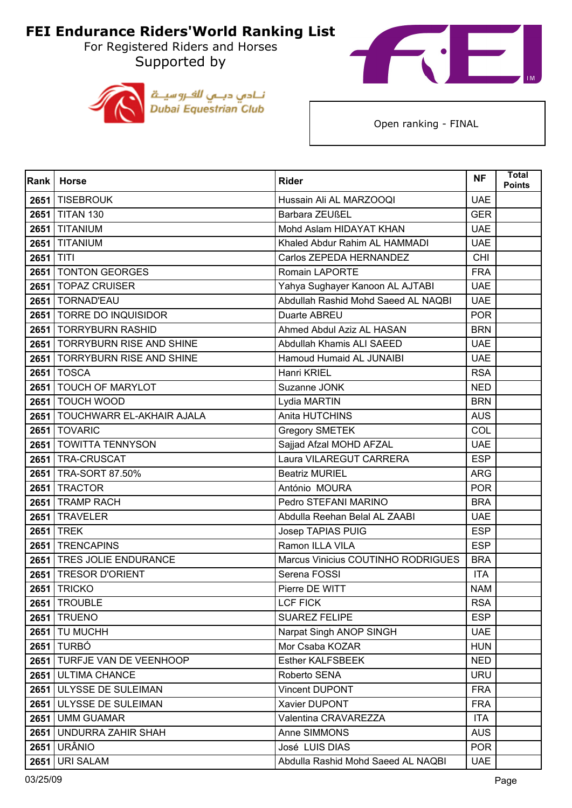For Registered Riders and Horses Supported by





| Rank      | <b>Horse</b>                    | <b>Rider</b>                        | <b>NF</b>  | <b>Total</b><br><b>Points</b> |
|-----------|---------------------------------|-------------------------------------|------------|-------------------------------|
| 2651      | <b>TISEBROUK</b>                | Hussain Ali AL MARZOOQI             | <b>UAE</b> |                               |
|           | 2651 TITAN 130                  | Barbara ZEUßEL                      | <b>GER</b> |                               |
| 2651      | <b>TITANIUM</b>                 | Mohd Aslam HIDAYAT KHAN             | <b>UAE</b> |                               |
|           | <b>2651 TITANIUM</b>            | Khaled Abdur Rahim AL HAMMADI       | <b>UAE</b> |                               |
| 2651 TITI |                                 | Carlos ZEPEDA HERNANDEZ             | <b>CHI</b> |                               |
|           | 2651   TONTON GEORGES           | <b>Romain LAPORTE</b>               | <b>FRA</b> |                               |
|           | 2651   TOPAZ CRUISER            | Yahya Sughayer Kanoon AL AJTABI     | <b>UAE</b> |                               |
|           | 2651   TORNAD'EAU               | Abdullah Rashid Mohd Saeed AL NAQBI | <b>UAE</b> |                               |
|           | 2651   TORRE DO INQUISIDOR      | Duarte ABREU                        | <b>POR</b> |                               |
|           | 2651   TORRYBURN RASHID         | Ahmed Abdul Aziz AL HASAN           | <b>BRN</b> |                               |
|           | 2651   TORRYBURN RISE AND SHINE | Abdullah Khamis ALI SAEED           | <b>UAE</b> |                               |
|           | 2651   TORRYBURN RISE AND SHINE | Hamoud Humaid AL JUNAIBI            | <b>UAE</b> |                               |
|           | <b>2651 TOSCA</b>               | Hanri KRIEL                         | <b>RSA</b> |                               |
|           | 2651 TOUCH OF MARYLOT           | Suzanne JONK                        | <b>NED</b> |                               |
|           | 2651   TOUCH WOOD               | Lydia MARTIN                        | <b>BRN</b> |                               |
|           | 2651 TOUCHWARR EL-AKHAIR AJALA  | Anita HUTCHINS                      | <b>AUS</b> |                               |
|           | 2651   TOVARIC                  | <b>Gregory SMETEK</b>               | COL        |                               |
|           | 2651 TOWITTA TENNYSON           | Sajjad Afzal MOHD AFZAL             | <b>UAE</b> |                               |
|           | 2651   TRA-CRUSCAT              | Laura VILAREGUT CARRERA             | <b>ESP</b> |                               |
|           | 2651   TRA-SORT 87.50%          | <b>Beatriz MURIEL</b>               | <b>ARG</b> |                               |
|           | 2651 TRACTOR                    | António MOURA                       | <b>POR</b> |                               |
|           | 2651   TRAMP RACH               | Pedro STEFANI MARINO                | <b>BRA</b> |                               |
| 2651      | <b>TRAVELER</b>                 | Abdulla Reehan Belal AL ZAABI       | <b>UAE</b> |                               |
|           | <b>2651 TREK</b>                | Josep TAPIAS PUIG                   | <b>ESP</b> |                               |
|           | 2651   TRENCAPINS               | Ramon ILLA VILA                     | <b>ESP</b> |                               |
|           | 2651 TRES JOLIE ENDURANCE       | Marcus Vinicius COUTINHO RODRIGUES  | <b>BRA</b> |                               |
| 2651      | <b>TRESOR D'ORIENT</b>          | Serena FOSSI                        | <b>ITA</b> |                               |
| 2651      | <b>TRICKO</b>                   | Pierre DE WITT                      | <b>NAM</b> |                               |
|           | 2651 TROUBLE                    | LCF FICK                            | <b>RSA</b> |                               |
|           | <b>2651 TRUENO</b>              | <b>SUAREZ FELIPE</b>                | <b>ESP</b> |                               |
|           | <b>2651   TU MUCHH</b>          | Narpat Singh ANOP SINGH             | <b>UAE</b> |                               |
|           | <b>2651 TURBÓ</b>               | Mor Csaba KOZAR                     | <b>HUN</b> |                               |
|           | 2651   TURFJE VAN DE VEENHOOP   | <b>Esther KALFSBEEK</b>             | <b>NED</b> |                               |
|           | 2651 ULTIMA CHANCE              | Roberto SENA                        | <b>URU</b> |                               |
|           | 2651 ULYSSE DE SULEIMAN         | Vincent DUPONT                      | <b>FRA</b> |                               |
|           | 2651 ULYSSE DE SULEIMAN         | Xavier DUPONT                       | <b>FRA</b> |                               |
| 2651      | <b>UMM GUAMAR</b>               | Valentina CRAVAREZZA                | <b>ITA</b> |                               |
|           | 2651 UNDURRA ZAHIR SHAH         | Anne SIMMONS                        | <b>AUS</b> |                               |
| 2651      | URÂNIO                          | José LUIS DIAS                      | <b>POR</b> |                               |
| 2651      | <b>URI SALAM</b>                | Abdulla Rashid Mohd Saeed AL NAQBI  | <b>UAE</b> |                               |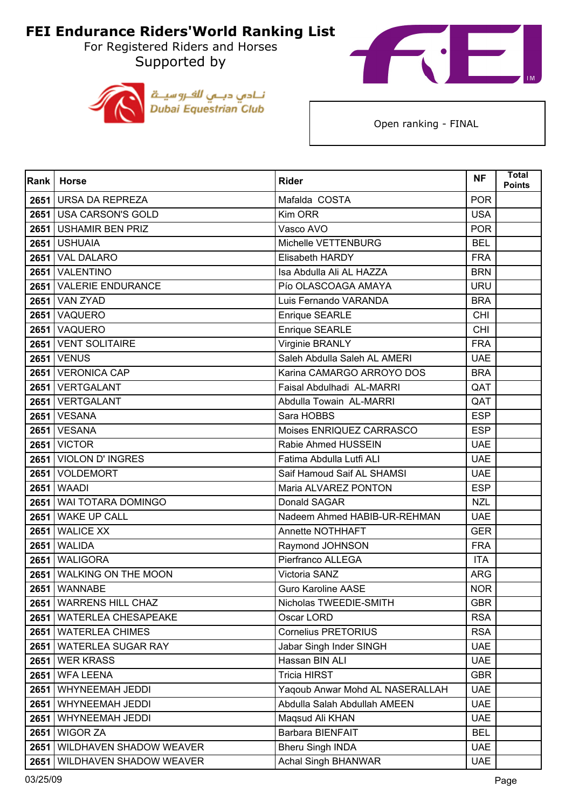For Registered Riders and Horses Supported by





| Rank | <b>Horse</b>               | <b>Rider</b>                    | <b>NF</b>  | <b>Total</b><br>Points |
|------|----------------------------|---------------------------------|------------|------------------------|
| 2651 | <b>URSA DA REPREZA</b>     | Mafalda COSTA                   | <b>POR</b> |                        |
|      | 2651 USA CARSON'S GOLD     | Kim ORR                         | <b>USA</b> |                        |
| 2651 | <b>USHAMIR BEN PRIZ</b>    | Vasco AVO                       | <b>POR</b> |                        |
|      | 2651 USHUAIA               | Michelle VETTENBURG             | <b>BEL</b> |                        |
| 2651 | <b>VAL DALARO</b>          | Elisabeth HARDY                 | <b>FRA</b> |                        |
|      | 2651 VALENTINO             | Isa Abdulla Ali AL HAZZA        | <b>BRN</b> |                        |
| 2651 | <b>VALERIE ENDURANCE</b>   | Pío OLASCOAGA AMAYA             | <b>URU</b> |                        |
|      | <b>2651   VAN ZYAD</b>     | Luis Fernando VARANDA           | <b>BRA</b> |                        |
|      | 2651 VAQUERO               | Enrique SEARLE                  | <b>CHI</b> |                        |
|      | 2651 VAQUERO               | Enrique SEARLE                  | <b>CHI</b> |                        |
| 2651 | <b>VENT SOLITAIRE</b>      | Virginie BRANLY                 | <b>FRA</b> |                        |
|      | <b>2651   VENUS</b>        | Saleh Abdulla Saleh AL AMERI    | <b>UAE</b> |                        |
|      | 2651 VERONICA CAP          | Karina CAMARGO ARROYO DOS       | <b>BRA</b> |                        |
|      | 2651 VERTGALANT            | Faisal Abdulhadi AL-MARRI       | QAT        |                        |
|      | 2651 VERTGALANT            | Abdulla Towain AL-MARRI         | QAT        |                        |
|      | <b>2651   VESANA</b>       | Sara HOBBS                      | <b>ESP</b> |                        |
|      | <b>2651   VESANA</b>       | Moises ENRIQUEZ CARRASCO        | <b>ESP</b> |                        |
|      | <b>2651 VICTOR</b>         | Rabie Ahmed HUSSEIN             | <b>UAE</b> |                        |
| 2651 | <b>VIOLON D'INGRES</b>     | Fatima Abdulla Lutfi ALI        | <b>UAE</b> |                        |
|      | 2651   VOLDEMORT           | Saif Hamoud Saif AL SHAMSI      | <b>UAE</b> |                        |
| 2651 | <b>WAADI</b>               | Maria ALVAREZ PONTON            | <b>ESP</b> |                        |
|      | 2651 WAI TOTARA DOMINGO    | Donald SAGAR                    | <b>NZL</b> |                        |
| 2651 | <b>WAKE UP CALL</b>        | Nadeem Ahmed HABIB-UR-REHMAN    | <b>UAE</b> |                        |
|      | 2651 WALICE XX             | Annette NOTHHAFT                | <b>GER</b> |                        |
| 2651 | <b>WALIDA</b>              | Raymond JOHNSON                 | <b>FRA</b> |                        |
|      | 2651 WALIGORA              | Pierfranco ALLEGA               | <b>ITA</b> |                        |
| 2651 | <b>WALKING ON THE MOON</b> | Victoria SANZ                   | <b>ARG</b> |                        |
| 2651 | <b>WANNABE</b>             | <b>Guro Karoline AASE</b>       | <b>NOR</b> |                        |
|      | 2651   WARRENS HILL CHAZ   | Nicholas TWEEDIE-SMITH          | <b>GBR</b> |                        |
|      | 2651   WATERLEA CHESAPEAKE | Oscar LORD                      | <b>RSA</b> |                        |
|      | 2651 WATERLEA CHIMES       | <b>Cornelius PRETORIUS</b>      | <b>RSA</b> |                        |
|      | 2651   WATERLEA SUGAR RAY  | Jabar Singh Inder SINGH         | <b>UAE</b> |                        |
| 2651 | <b>WER KRASS</b>           | Hassan BIN ALI                  | <b>UAE</b> |                        |
|      | 2651 WFA LEENA             | <b>Tricia HIRST</b>             | <b>GBR</b> |                        |
| 2651 | WHYNEEMAH JEDDI            | Yaqoub Anwar Mohd AL NASERALLAH | <b>UAE</b> |                        |
| 2651 | WHYNEEMAH JEDDI            | Abdulla Salah Abdullah AMEEN    | <b>UAE</b> |                        |
| 2651 | WHYNEEMAH JEDDI            | Maqsud Ali KHAN                 | <b>UAE</b> |                        |
|      | 2651 WIGOR ZA              | Barbara BIENFAIT                | <b>BEL</b> |                        |
| 2651 | WILDHAVEN SHADOW WEAVER    | <b>Bheru Singh INDA</b>         | <b>UAE</b> |                        |
| 2651 | WILDHAVEN SHADOW WEAVER    | <b>Achal Singh BHANWAR</b>      | <b>UAE</b> |                        |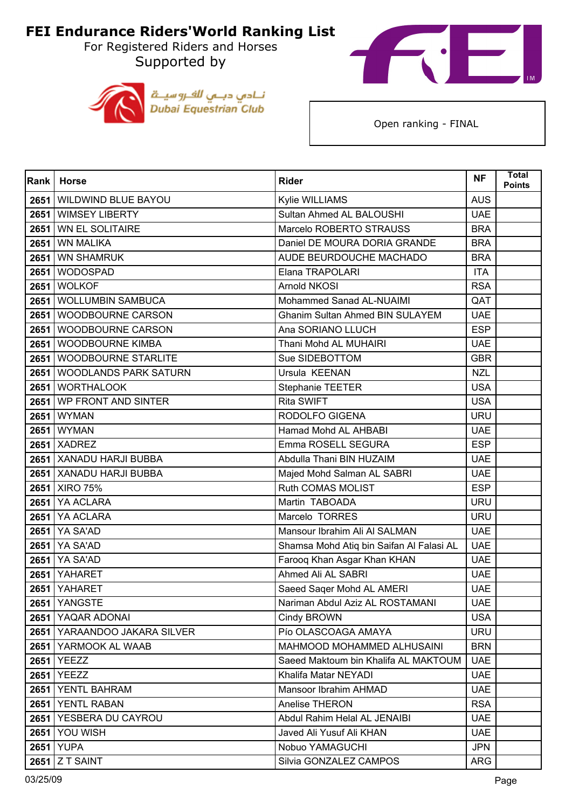For Registered Riders and Horses Supported by





| <b>Rank</b> | <b>Horse</b>                 | <b>Rider</b>                             | <b>NF</b>  | <b>Total</b><br><b>Points</b> |
|-------------|------------------------------|------------------------------------------|------------|-------------------------------|
| 2651        | WILDWIND BLUE BAYOU          | Kylie WILLIAMS                           | <b>AUS</b> |                               |
| 2651        | <b>WIMSEY LIBERTY</b>        | Sultan Ahmed AL BALOUSHI                 | <b>UAE</b> |                               |
| 2651        | <b>WN EL SOLITAIRE</b>       | Marcelo ROBERTO STRAUSS                  | <b>BRA</b> |                               |
| 2651        | <b>WN MALIKA</b>             | Daniel DE MOURA DORIA GRANDE             | <b>BRA</b> |                               |
| 2651        | <b>WN SHAMRUK</b>            | AUDE BEURDOUCHE MACHADO                  | <b>BRA</b> |                               |
| 2651        | <b>WODOSPAD</b>              | Elana TRAPOLARI                          | <b>ITA</b> |                               |
| 2651        | <b>WOLKOF</b>                | <b>Arnold NKOSI</b>                      | <b>RSA</b> |                               |
|             | 2651 WOLLUMBIN SAMBUCA       | Mohammed Sanad AL-NUAIMI                 | QAT        |                               |
| 2651        | WOODBOURNE CARSON            | Ghanim Sultan Ahmed BIN SULAYEM          | <b>UAE</b> |                               |
| 2651        | <b>WOODBOURNE CARSON</b>     | Ana SORIANO LLUCH                        | <b>ESP</b> |                               |
| 2651        | <b>WOODBOURNE KIMBA</b>      | Thani Mohd AL MUHAIRI                    | <b>UAE</b> |                               |
|             | 2651 WOODBOURNE STARLITE     | Sue SIDEBOTTOM                           | <b>GBR</b> |                               |
| 2651        | <b>WOODLANDS PARK SATURN</b> | Ursula KEENAN                            | <b>NZL</b> |                               |
|             | 2651 WORTHALOOK              | Stephanie TEETER                         | <b>USA</b> |                               |
| 2651        | WP FRONT AND SINTER          | Rita SWIFT                               | <b>USA</b> |                               |
|             | 2651 WYMAN                   | RODOLFO GIGENA                           | <b>URU</b> |                               |
|             | 2651 WYMAN                   | Hamad Mohd AL AHBABI                     | <b>UAE</b> |                               |
|             | <b>2651   XADREZ</b>         | Emma ROSELL SEGURA                       | <b>ESP</b> |                               |
|             | 2651   XANADU HARJI BUBBA    | Abdulla Thani BIN HUZAIM                 | <b>UAE</b> |                               |
|             | 2651   XANADU HARJI BUBBA    | Majed Mohd Salman AL SABRI               | <b>UAE</b> |                               |
|             | 2651   XIRO 75%              | Ruth COMAS MOLIST                        | <b>ESP</b> |                               |
|             | 2651 YA ACLARA               | Martin TABOADA                           | <b>URU</b> |                               |
| 2651        | YA ACLARA                    | Marcelo TORRES                           | <b>URU</b> |                               |
|             | 2651 YA SA'AD                | Mansour Ibrahim Ali Al SALMAN            | <b>UAE</b> |                               |
| 2651        | YA SA'AD                     | Shamsa Mohd Atiq bin Saifan Al Falasi AL | <b>UAE</b> |                               |
| 2651        | YA SA'AD                     | Farooq Khan Asgar Khan KHAN              | <b>UAE</b> |                               |
| 2651        | YAHARET                      | Ahmed Ali AL SABRI                       | <b>UAE</b> |                               |
| 2651        | YAHARET                      | Saeed Saqer Mohd AL AMERI                | <b>UAE</b> |                               |
|             | <b>2651   YANGSTE</b>        | Nariman Abdul Aziz AL ROSTAMANI          | UAE.       |                               |
|             | 2651 YAQAR ADONAI            | Cindy BROWN                              | <b>USA</b> |                               |
|             | 2651 YARAANDOO JAKARA SILVER | Pío OLASCOAGA AMAYA                      | <b>URU</b> |                               |
|             | 2651 YARMOOK AL WAAB         | MAHMOOD MOHAMMED ALHUSAINI               | <b>BRN</b> |                               |
|             | 2651 YEEZZ                   | Saeed Maktoum bin Khalifa AL MAKTOUM     | <b>UAE</b> |                               |
|             | 2651 YEEZZ                   | Khalifa Matar NEYADI                     | <b>UAE</b> |                               |
|             | 2651 YENTL BAHRAM            | Mansoor Ibrahim AHMAD                    | <b>UAE</b> |                               |
|             | 2651 YENTL RABAN             | Anelise THERON                           | <b>RSA</b> |                               |
| 2651        | YESBERA DU CAYROU            | Abdul Rahim Helal AL JENAIBI             | <b>UAE</b> |                               |
|             | <b>2651   YOU WISH</b>       | Javed Ali Yusuf Ali KHAN                 | <b>UAE</b> |                               |
|             | 2651 YUPA                    | Nobuo YAMAGUCHI                          | <b>JPN</b> |                               |
|             | $2651$ Z T SAINT             | Silvia GONZALEZ CAMPOS                   | <b>ARG</b> |                               |